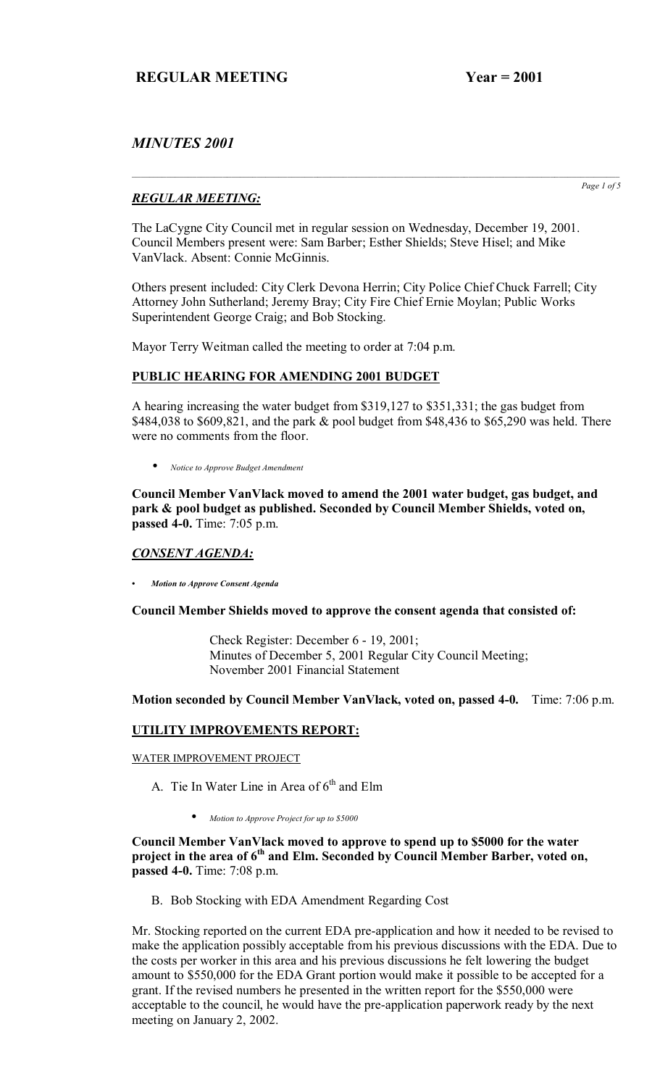# *MINUTES 2001*

## *REGULAR MEETING:*

The LaCygne City Council met in regular session on Wednesday, December 19, 2001. Council Members present were: Sam Barber; Esther Shields; Steve Hisel; and Mike VanVlack. Absent: Connie McGinnis.

Others present included: City Clerk Devona Herrin; City Police Chief Chuck Farrell; City Attorney John Sutherland; Jeremy Bray; City Fire Chief Ernie Moylan; Public Works Superintendent George Craig; and Bob Stocking.

Mayor Terry Weitman called the meeting to order at 7:04 p.m.

## **PUBLIC HEARING FOR AMENDING 2001 BUDGET**

A hearing increasing the water budget from \$319,127 to \$351,331; the gas budget from \$484,038 to \$609,821, and the park & pool budget from \$48,436 to \$65,290 was held. There were no comments from the floor.

• *Notice to Approve Budget Amendment*

**Council Member VanVlack moved to amend the 2001 water budget, gas budget, and park & pool budget as published. Seconded by Council Member Shields, voted on, passed 4-0.** Time: 7:05 p.m.

## *CONSENT AGENDA:*

*ï Motion to Approve Consent Agenda*

#### **Council Member Shields moved to approve the consent agenda that consisted of:**

 Check Register: December 6 - 19, 2001; Minutes of December 5, 2001 Regular City Council Meeting; November 2001 Financial Statement

#### **Motion seconded by Council Member VanVlack, voted on, passed 4-0.** Time: 7:06 p.m.

## **UTILITY IMPROVEMENTS REPORT:**

WATER IMPROVEMENT PROJECT

A. Tie In Water Line in Area of  $6<sup>th</sup>$  and Elm

• *Motion to Approve Project for up to \$5000*

#### **Council Member VanVlack moved to approve to spend up to \$5000 for the water**  project in the area of 6<sup>th</sup> and Elm. Seconded by Council Member Barber, voted on, **passed 4-0.** Time: 7:08 p.m.

B. Bob Stocking with EDA Amendment Regarding Cost

Mr. Stocking reported on the current EDA pre-application and how it needed to be revised to make the application possibly acceptable from his previous discussions with the EDA. Due to the costs per worker in this area and his previous discussions he felt lowering the budget amount to \$550,000 for the EDA Grant portion would make it possible to be accepted for a grant. If the revised numbers he presented in the written report for the \$550,000 were acceptable to the council, he would have the pre-application paperwork ready by the next meeting on January 2, 2002.

*Page 1 of 5*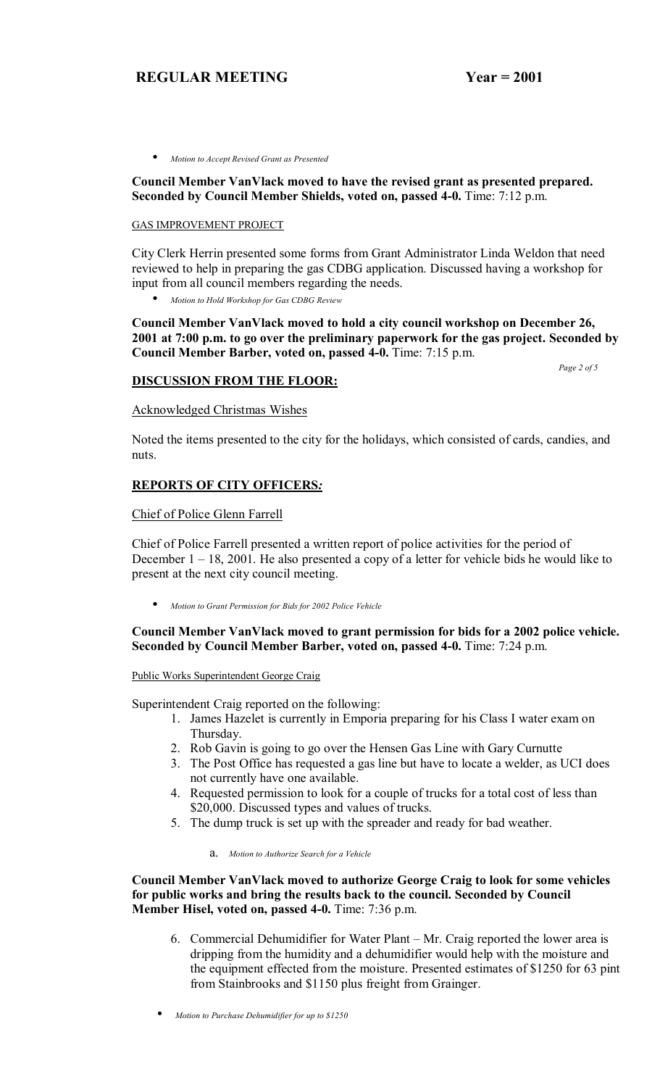• *Motion to Accept Revised Grant as Presented*

**Council Member VanVlack moved to have the revised grant as presented prepared. Seconded by Council Member Shields, voted on, passed 4-0.** Time: 7:12 p.m.

#### GAS IMPROVEMENT PROJECT

City Clerk Herrin presented some forms from Grant Administrator Linda Weldon that need reviewed to help in preparing the gas CDBG application. Discussed having a workshop for input from all council members regarding the needs.

• *Motion to Hold Workshop for Gas CDBG Review*

**Council Member VanVlack moved to hold a city council workshop on December 26, 2001 at 7:00 p.m. to go over the preliminary paperwork for the gas project. Seconded by Council Member Barber, voted on, passed 4-0.** Time: 7:15 p.m.

#### **DISCUSSION FROM THE FLOOR:**

*Page 2 of 5*

Acknowledged Christmas Wishes

Noted the items presented to the city for the holidays, which consisted of cards, candies, and nuts.

## **REPORTS OF CITY OFFICERS***:*

Chief of Police Glenn Farrell

Chief of Police Farrell presented a written report of police activities for the period of December  $1 - 18$ , 2001. He also presented a copy of a letter for vehicle bids he would like to present at the next city council meeting.

• *Motion to Grant Permission for Bids for 2002 Police Vehicle*

## **Council Member VanVlack moved to grant permission for bids for a 2002 police vehicle. Seconded by Council Member Barber, voted on, passed 4-0.** Time: 7:24 p.m.

#### Public Works Superintendent George Craig

Superintendent Craig reported on the following:

- 1. James Hazelet is currently in Emporia preparing for his Class I water exam on Thursday.
- 2. Rob Gavin is going to go over the Hensen Gas Line with Gary Curnutte
- 3. The Post Office has requested a gas line but have to locate a welder, as UCI does not currently have one available.
- 4. Requested permission to look for a couple of trucks for a total cost of less than \$20,000. Discussed types and values of trucks.
- 5. The dump truck is set up with the spreader and ready for bad weather.

a. *Motion to Authorize Search for a Vehicle*

**Council Member VanVlack moved to authorize George Craig to look for some vehicles for public works and bring the results back to the council. Seconded by Council Member Hisel, voted on, passed 4-0.** Time: 7:36 p.m.

6. Commercial Dehumidifier for Water Plant  $-Mr$ . Craig reported the lower area is dripping from the humidity and a dehumidifier would help with the moisture and the equipment effected from the moisture. Presented estimates of \$1250 for 63 pint from Stainbrooks and \$1150 plus freight from Grainger.

<sup>•</sup> *Motion to Purchase Dehumidifier for up to \$1250*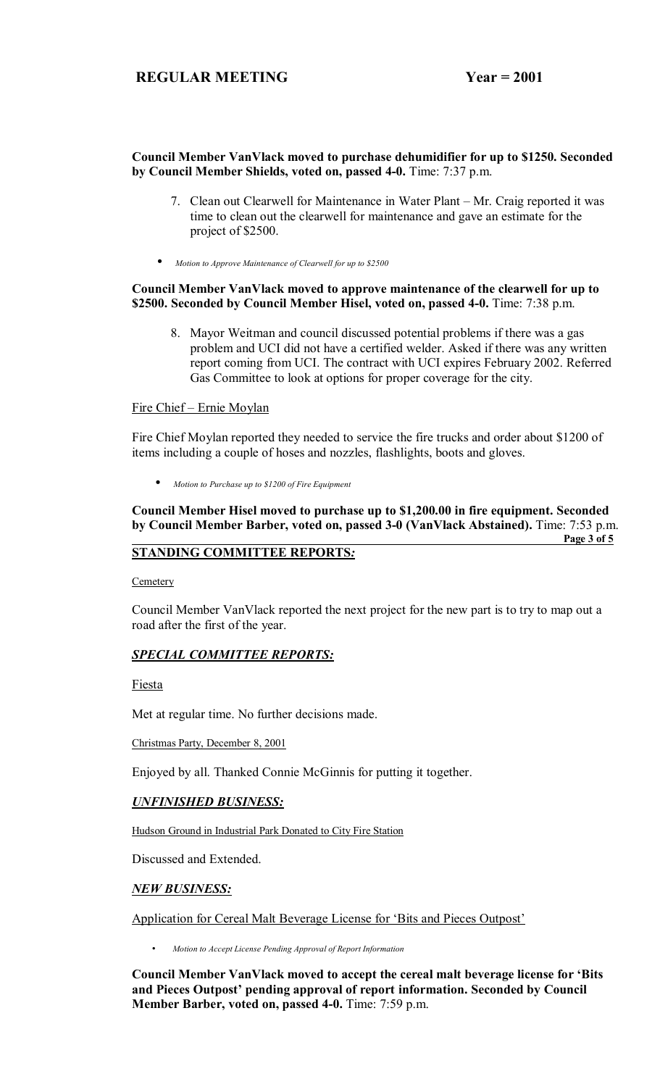#### **Council Member VanVlack moved to purchase dehumidifier for up to \$1250. Seconded by Council Member Shields, voted on, passed 4-0.** Time: 7:37 p.m.

- 7. Clean out Clearwell for Maintenance in Water Plant Mr. Craig reported it was time to clean out the clearwell for maintenance and gave an estimate for the project of \$2500.
- *Motion to Approve Maintenance of Clearwell for up to \$2500*

#### **Council Member VanVlack moved to approve maintenance of the clearwell for up to \$2500. Seconded by Council Member Hisel, voted on, passed 4-0.** Time: 7:38 p.m.

8. Mayor Weitman and council discussed potential problems if there was a gas problem and UCI did not have a certified welder. Asked if there was any written report coming from UCI. The contract with UCI expires February 2002. Referred Gas Committee to look at options for proper coverage for the city.

#### Fire Chief - Ernie Moylan

Fire Chief Moylan reported they needed to service the fire trucks and order about \$1200 of items including a couple of hoses and nozzles, flashlights, boots and gloves.

• *Motion to Purchase up to \$1200 of Fire Equipment*

#### **Council Member Hisel moved to purchase up to \$1,200.00 in fire equipment. Seconded by Council Member Barber, voted on, passed 3-0 (VanVlack Abstained).** Time: 7:53 p.m.  **Page 3 of 5**

# **STANDING COMMITTEE REPORTS***:*

**Cemetery** 

Council Member VanVlack reported the next project for the new part is to try to map out a road after the first of the year.

## *SPECIAL COMMITTEE REPORTS:*

#### Fiesta

Met at regular time. No further decisions made.

Christmas Party, December 8, 2001

Enjoyed by all. Thanked Connie McGinnis for putting it together.

## *UNFINISHED BUSINESS:*

Hudson Ground in Industrial Park Donated to City Fire Station

Discussed and Extended.

## *NEW BUSINESS:*

Application for Cereal Malt Beverage License for 'Bits and Pieces Outpost'

• *Motion to Accept License Pending Approval of Report Information* 

**Council Member VanVlack moved to accept the cereal malt beverage license for ëBits**  and Pieces Outpost' pending approval of report information. Seconded by Council **Member Barber, voted on, passed 4-0.** Time: 7:59 p.m.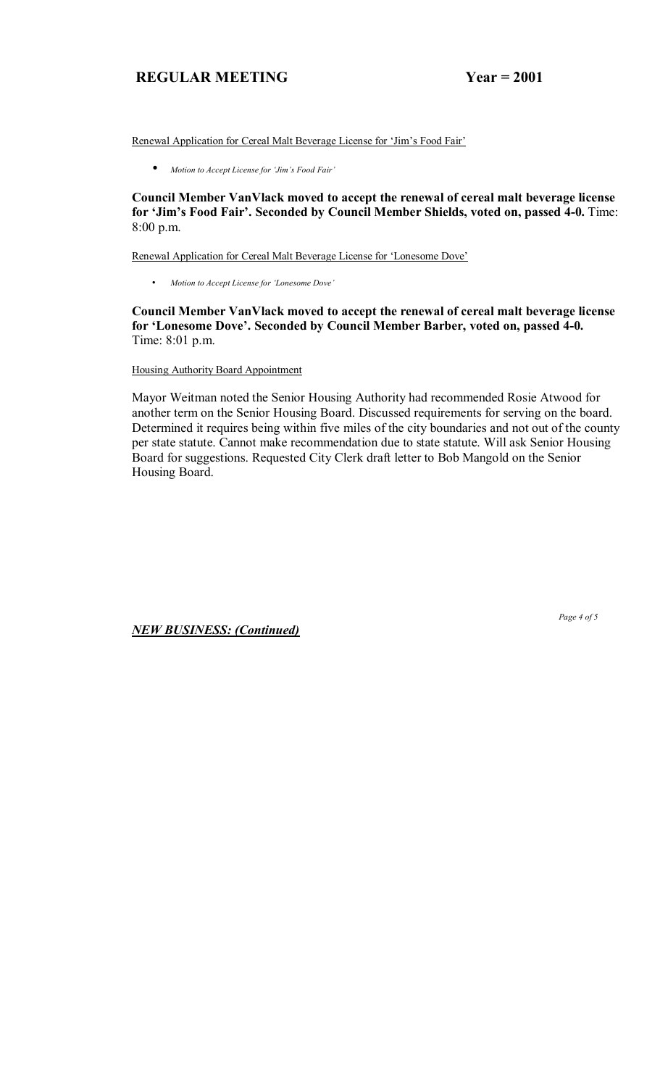Renewal Application for Cereal Malt Beverage License for 'Jim's Food Fair'

• *Motion to Accept License for ëJimís Food Fairí* 

**Council Member VanVlack moved to accept the renewal of cereal malt beverage license**  for 'Jim's Food Fair'. Seconded by Council Member Shields, voted on, passed 4-0. Time: 8:00 p.m.

Renewal Application for Cereal Malt Beverage License for 'Lonesome Dove'

• *Motion to Accept License for 'Lonesome Dove'* 

**Council Member VanVlack moved to accept the renewal of cereal malt beverage license**  for 'Lonesome Dove'. Seconded by Council Member Barber, voted on, passed 4-0. Time: 8:01 p.m.

Housing Authority Board Appointment

Mayor Weitman noted the Senior Housing Authority had recommended Rosie Atwood for another term on the Senior Housing Board. Discussed requirements for serving on the board. Determined it requires being within five miles of the city boundaries and not out of the county per state statute. Cannot make recommendation due to state statute. Will ask Senior Housing Board for suggestions. Requested City Clerk draft letter to Bob Mangold on the Senior Housing Board.

*NEW BUSINESS: (Continued)*

 *Page 4 of 5*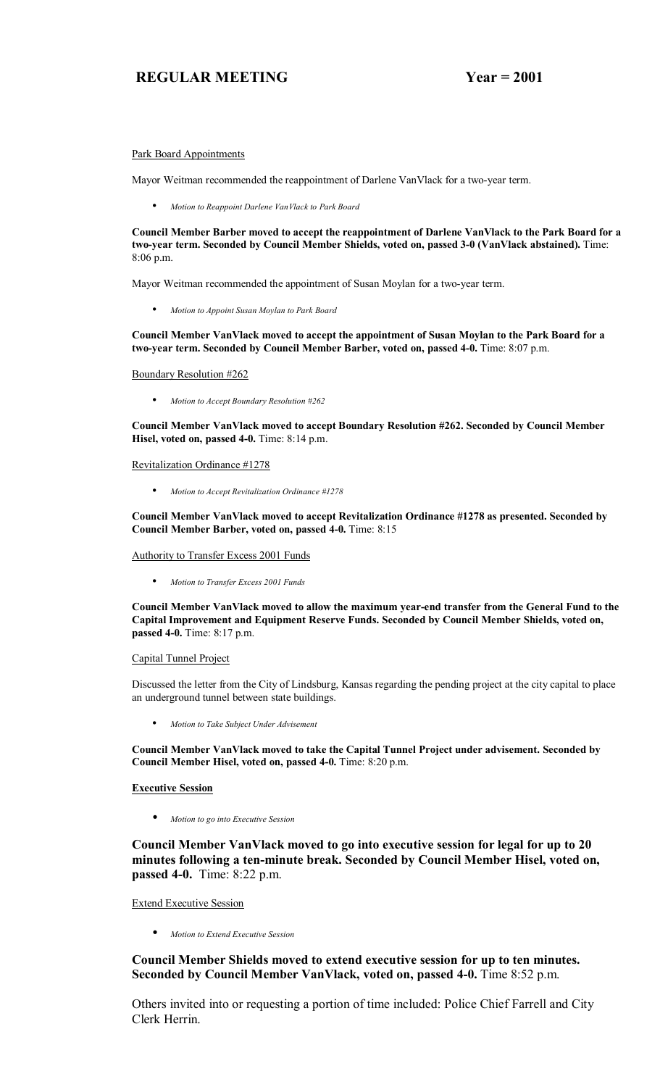#### Park Board Appointments

Mayor Weitman recommended the reappointment of Darlene VanVlack for a two-year term.

• *Motion to Reappoint Darlene VanVlack to Park Board*

**Council Member Barber moved to accept the reappointment of Darlene VanVlack to the Park Board for a two-year term. Seconded by Council Member Shields, voted on, passed 3-0 (VanVlack abstained).** Time: 8:06 p.m.

Mayor Weitman recommended the appointment of Susan Moylan for a two-year term.

• *Motion to Appoint Susan Moylan to Park Board*

**Council Member VanVlack moved to accept the appointment of Susan Moylan to the Park Board for a two-year term. Seconded by Council Member Barber, voted on, passed 4-0.** Time: 8:07 p.m.

Boundary Resolution #262

• *Motion to Accept Boundary Resolution #262*

**Council Member VanVlack moved to accept Boundary Resolution #262. Seconded by Council Member Hisel, voted on, passed 4-0.** Time: 8:14 p.m.

Revitalization Ordinance #1278

• *Motion to Accept Revitalization Ordinance #1278*

**Council Member VanVlack moved to accept Revitalization Ordinance #1278 as presented. Seconded by Council Member Barber, voted on, passed 4-0.** Time: 8:15

Authority to Transfer Excess 2001 Funds

• *Motion to Transfer Excess 2001 Funds*

**Council Member VanVlack moved to allow the maximum year-end transfer from the General Fund to the Capital Improvement and Equipment Reserve Funds. Seconded by Council Member Shields, voted on, passed 4-0.** Time: 8:17 p.m.

#### Capital Tunnel Project

Discussed the letter from the City of Lindsburg, Kansas regarding the pending project at the city capital to place an underground tunnel between state buildings.

• *Motion to Take Subject Under Advisement*

**Council Member VanVlack moved to take the Capital Tunnel Project under advisement. Seconded by Council Member Hisel, voted on, passed 4-0.** Time: 8:20 p.m.

#### **Executive Session**

• *Motion to go into Executive Session*

**Council Member VanVlack moved to go into executive session for legal for up to 20 minutes following a ten-minute break. Seconded by Council Member Hisel, voted on, passed 4-0.** Time: 8:22 p.m.

Extend Executive Session

• *Motion to Extend Executive Session*

**Council Member Shields moved to extend executive session for up to ten minutes. Seconded by Council Member VanVlack, voted on, passed 4-0.** Time 8:52 p.m.

Others invited into or requesting a portion of time included: Police Chief Farrell and City Clerk Herrin.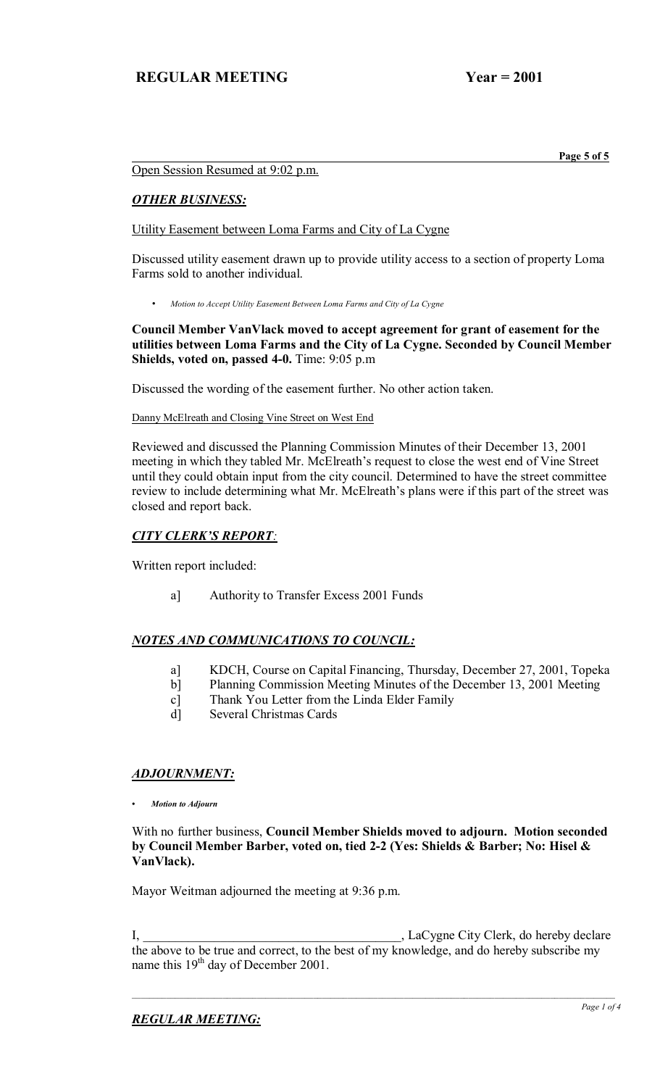**Page 5 of 5 Page 1 <b>Page 5 of 5** 

## Open Session Resumed at 9:02 p.m.

## *OTHER BUSINESS:*

Utility Easement between Loma Farms and City of La Cygne

Discussed utility easement drawn up to provide utility access to a section of property Loma Farms sold to another individual.

• *Motion to Accept Utility Easement Between Loma Farms and City of La Cygne* 

## **Council Member VanVlack moved to accept agreement for grant of easement for the utilities between Loma Farms and the City of La Cygne. Seconded by Council Member Shields, voted on, passed 4-0.** Time: 9:05 p.m

Discussed the wording of the easement further. No other action taken.

#### Danny McElreath and Closing Vine Street on West End

Reviewed and discussed the Planning Commission Minutes of their December 13, 2001 meeting in which they tabled Mr. McElreath's request to close the west end of Vine Street until they could obtain input from the city council. Determined to have the street committee review to include determining what Mr. McElreath's plans were if this part of the street was closed and report back.

# **CITY CLERK'S REPORT:**

Written report included:

a] Authority to Transfer Excess 2001 Funds

# *NOTES AND COMMUNICATIONS TO COUNCIL:*

- a] KDCH, Course on Capital Financing, Thursday, December 27, 2001, Topeka
- b] Planning Commission Meeting Minutes of the December 13, 2001 Meeting
- c] Thank You Letter from the Linda Elder Family
- d] Several Christmas Cards

# *ADJOURNMENT:*

*ï Motion to Adjourn*

#### With no further business, **Council Member Shields moved to adjourn. Motion seconded by Council Member Barber, voted on, tied 2-2 (Yes: Shields & Barber; No: Hisel & VanVlack).**

Mayor Weitman adjourned the meeting at 9:36 p.m.

I, \_\_\_\_\_\_\_\_\_\_\_\_\_\_\_\_\_\_\_\_\_\_\_\_\_\_\_\_\_\_\_\_\_\_\_\_\_\_\_\_, LaCygne City Clerk, do hereby declare the above to be true and correct, to the best of my knowledge, and do hereby subscribe my name this 19<sup>th</sup> day of December 2001.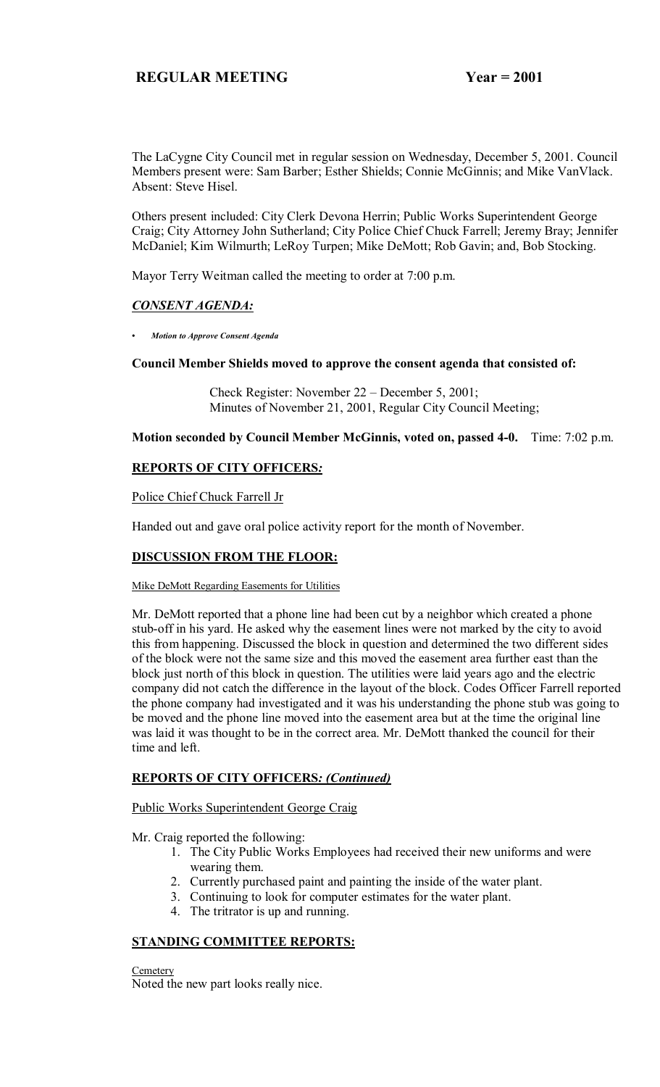The LaCygne City Council met in regular session on Wednesday, December 5, 2001. Council Members present were: Sam Barber; Esther Shields; Connie McGinnis; and Mike VanVlack. Absent: Steve Hisel.

Others present included: City Clerk Devona Herrin; Public Works Superintendent George Craig; City Attorney John Sutherland; City Police Chief Chuck Farrell; Jeremy Bray; Jennifer McDaniel; Kim Wilmurth; LeRoy Turpen; Mike DeMott; Rob Gavin; and, Bob Stocking.

Mayor Terry Weitman called the meeting to order at 7:00 p.m.

## *CONSENT AGENDA:*

*ï Motion to Approve Consent Agenda*

# **Council Member Shields moved to approve the consent agenda that consisted of:**

Check Register: November  $22 -$  December 5, 2001; Minutes of November 21, 2001, Regular City Council Meeting;

**Motion seconded by Council Member McGinnis, voted on, passed 4-0.** Time: 7:02 p.m.

## **REPORTS OF CITY OFFICERS***:*

Police Chief Chuck Farrell Jr

Handed out and gave oral police activity report for the month of November.

## **DISCUSSION FROM THE FLOOR:**

Mike DeMott Regarding Easements for Utilities

Mr. DeMott reported that a phone line had been cut by a neighbor which created a phone stub-off in his yard. He asked why the easement lines were not marked by the city to avoid this from happening. Discussed the block in question and determined the two different sides of the block were not the same size and this moved the easement area further east than the block just north of this block in question. The utilities were laid years ago and the electric company did not catch the difference in the layout of the block. Codes Officer Farrell reported the phone company had investigated and it was his understanding the phone stub was going to be moved and the phone line moved into the easement area but at the time the original line was laid it was thought to be in the correct area. Mr. DeMott thanked the council for their time and left.

## **REPORTS OF CITY OFFICERS***: (Continued)*

#### Public Works Superintendent George Craig

Mr. Craig reported the following:

- 1. The City Public Works Employees had received their new uniforms and were wearing them.
- 2. Currently purchased paint and painting the inside of the water plant.
- 3. Continuing to look for computer estimates for the water plant.
- 4. The tritrator is up and running.

# **STANDING COMMITTEE REPORTS:**

**Cemetery** Noted the new part looks really nice.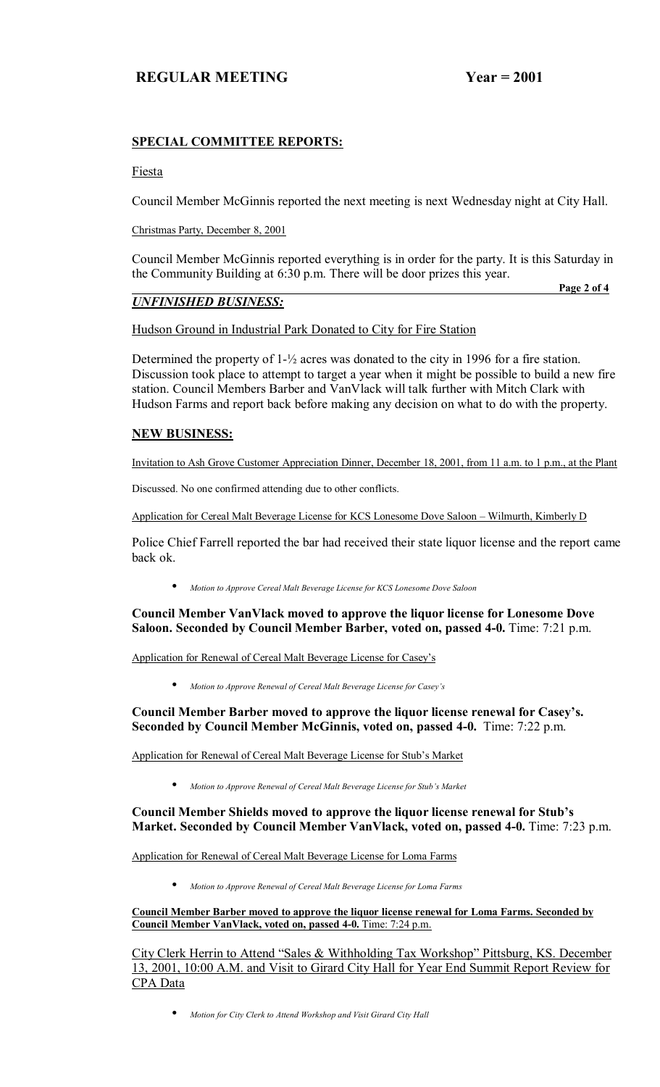# **SPECIAL COMMITTEE REPORTS:**

#### Fiesta

Council Member McGinnis reported the next meeting is next Wednesday night at City Hall.

Christmas Party, December 8, 2001

Council Member McGinnis reported everything is in order for the party. It is this Saturday in the Community Building at 6:30 p.m. There will be door prizes this year.

## *UNFINISHED BUSINESS:*

**Page 2 of 4 Page 2 of 4** 

Hudson Ground in Industrial Park Donated to City for Fire Station

Determined the property of 1- $\frac{1}{2}$  acres was donated to the city in 1996 for a fire station. Discussion took place to attempt to target a year when it might be possible to build a new fire station. Council Members Barber and VanVlack will talk further with Mitch Clark with Hudson Farms and report back before making any decision on what to do with the property.

## **NEW BUSINESS:**

Invitation to Ash Grove Customer Appreciation Dinner, December 18, 2001, from 11 a.m. to 1 p.m., at the Plant

Discussed. No one confirmed attending due to other conflicts.

Application for Cereal Malt Beverage License for KCS Lonesome Dove Saloon - Wilmurth, Kimberly D

Police Chief Farrell reported the bar had received their state liquor license and the report came back ok.

• *Motion to Approve Cereal Malt Beverage License for KCS Lonesome Dove Saloon*

**Council Member VanVlack moved to approve the liquor license for Lonesome Dove Saloon. Seconded by Council Member Barber, voted on, passed 4-0.** Time: 7:21 p.m.

Application for Renewal of Cereal Malt Beverage License for Casey's

• *Motion to Approve Renewal of Cereal Malt Beverage License for Caseyís*

Council Member Barber moved to approve the liquor license renewal for Casey's. **Seconded by Council Member McGinnis, voted on, passed 4-0.** Time: 7:22 p.m.

Application for Renewal of Cereal Malt Beverage License for Stub's Market

 $\bullet$  *Motion to Approve Renewal of Cereal Malt Beverage License for Stub's Market* 

Council Member Shields moved to approve the liquor license renewal for Stub's **Market. Seconded by Council Member VanVlack, voted on, passed 4-0.** Time: 7:23 p.m.

Application for Renewal of Cereal Malt Beverage License for Loma Farms

• *Motion to Approve Renewal of Cereal Malt Beverage License for Loma Farms*

**Council Member Barber moved to approve the liquor license renewal for Loma Farms. Seconded by Council Member VanVlack, voted on, passed 4-0.** Time: 7:24 p.m.

City Clerk Herrin to Attend "Sales & Withholding Tax Workshop" Pittsburg, KS. December 13, 2001, 10:00 A.M. and Visit to Girard City Hall for Year End Summit Report Review for CPA Data

• *Motion for City Clerk to Attend Workshop and Visit Girard City Hall*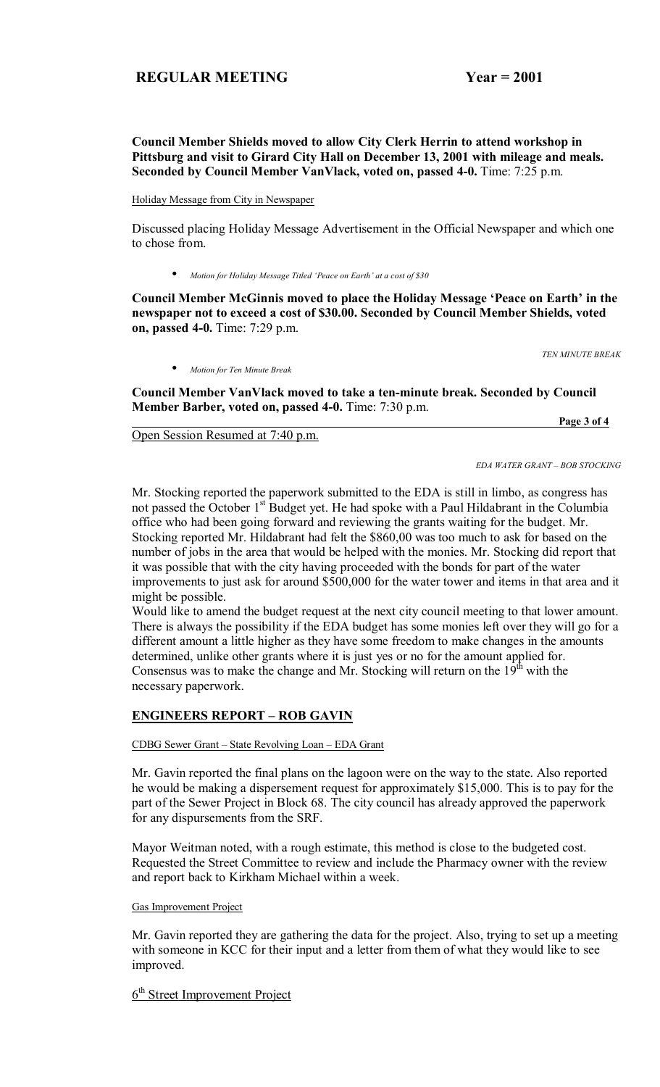**Council Member Shields moved to allow City Clerk Herrin to attend workshop in Pittsburg and visit to Girard City Hall on December 13, 2001 with mileage and meals. Seconded by Council Member VanVlack, voted on, passed 4-0.** Time: 7:25 p.m.

Holiday Message from City in Newspaper

Discussed placing Holiday Message Advertisement in the Official Newspaper and which one to chose from.

Motion for Holiday Message Titled 'Peace on Earth' at a cost of \$30

Council Member McGinnis moved to place the Holiday Message 'Peace on Earth' in the **newspaper not to exceed a cost of \$30.00. Seconded by Council Member Shields, voted on, passed 4-0.** Time: 7:29 p.m.

*TEN MINUTE BREAK* 

 **Page 3 of 4**

• *Motion for Ten Minute Break*

**Council Member VanVlack moved to take a ten-minute break. Seconded by Council Member Barber, voted on, passed 4-0.** Time: 7:30 p.m.

Open Session Resumed at 7:40 p.m.

*EDA WATER GRANT - BOB STOCKING* 

Mr. Stocking reported the paperwork submitted to the EDA is still in limbo, as congress has not passed the October 1<sup>st</sup> Budget yet. He had spoke with a Paul Hildabrant in the Columbia office who had been going forward and reviewing the grants waiting for the budget. Mr. Stocking reported Mr. Hildabrant had felt the \$860,00 was too much to ask for based on the number of jobs in the area that would be helped with the monies. Mr. Stocking did report that it was possible that with the city having proceeded with the bonds for part of the water improvements to just ask for around \$500,000 for the water tower and items in that area and it might be possible.

Would like to amend the budget request at the next city council meeting to that lower amount. There is always the possibility if the EDA budget has some monies left over they will go for a different amount a little higher as they have some freedom to make changes in the amounts determined, unlike other grants where it is just yes or no for the amount applied for. Consensus was to make the change and Mr. Stocking will return on the  $19<sup>th</sup>$  with the necessary paperwork.

## **ENGINEERS REPORT - ROB GAVIN**

CDBG Sewer Grant - State Revolving Loan - EDA Grant

Mr. Gavin reported the final plans on the lagoon were on the way to the state. Also reported he would be making a dispersement request for approximately \$15,000. This is to pay for the part of the Sewer Project in Block 68. The city council has already approved the paperwork for any dispursements from the SRF.

Mayor Weitman noted, with a rough estimate, this method is close to the budgeted cost. Requested the Street Committee to review and include the Pharmacy owner with the review and report back to Kirkham Michael within a week.

#### Gas Improvement Project

Mr. Gavin reported they are gathering the data for the project. Also, trying to set up a meeting with someone in KCC for their input and a letter from them of what they would like to see improved.

 $6<sup>th</sup>$  Street Improvement Project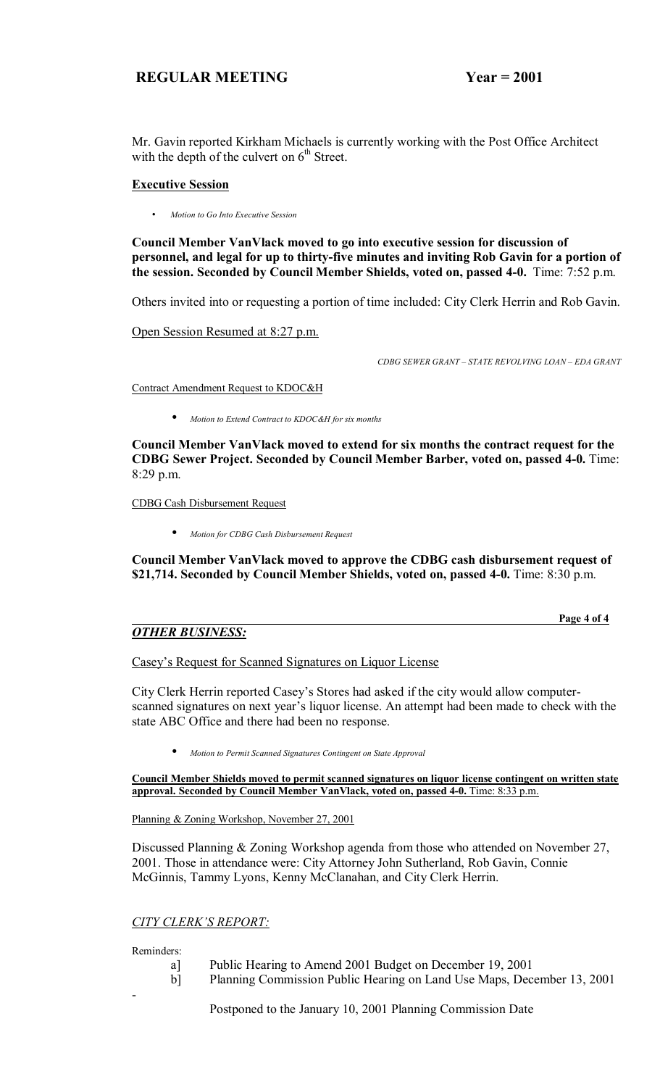Mr. Gavin reported Kirkham Michaels is currently working with the Post Office Architect with the depth of the culvert on  $6<sup>th</sup>$  Street.

## **Executive Session**

• *Motion to Go Into Executive Session*

**Council Member VanVlack moved to go into executive session for discussion of personnel, and legal for up to thirty-five minutes and inviting Rob Gavin for a portion of the session. Seconded by Council Member Shields, voted on, passed 4-0.** Time: 7:52 p.m.

Others invited into or requesting a portion of time included: City Clerk Herrin and Rob Gavin.

Open Session Resumed at 8:27 p.m.

*CDBG SEWER GRANT - STATE REVOLVING LOAN - EDA GRANT* 

Contract Amendment Request to KDOC&H

• *Motion to Extend Contract to KDOC&H for six months*

**Council Member VanVlack moved to extend for six months the contract request for the CDBG Sewer Project. Seconded by Council Member Barber, voted on, passed 4-0.** Time: 8:29 p.m.

CDBG Cash Disbursement Request

• *Motion for CDBG Cash Disbursement Request*

**Council Member VanVlack moved to approve the CDBG cash disbursement request of \$21,714. Seconded by Council Member Shields, voted on, passed 4-0.** Time: 8:30 p.m.

# *OTHER BUSINESS:*

 **Page 4 of 4**

Casey's Request for Scanned Signatures on Liquor License

City Clerk Herrin reported Casey's Stores had asked if the city would allow computerscanned signatures on next year's liquor license. An attempt had been made to check with the state ABC Office and there had been no response.

• *Motion to Permit Scanned Signatures Contingent on State Approval*

**Council Member Shields moved to permit scanned signatures on liquor license contingent on written state approval. Seconded by Council Member VanVlack, voted on, passed 4-0.** Time: 8:33 p.m.

Planning & Zoning Workshop, November 27, 2001

Discussed Planning & Zoning Workshop agenda from those who attended on November 27, 2001. Those in attendance were: City Attorney John Sutherland, Rob Gavin, Connie McGinnis, Tammy Lyons, Kenny McClanahan, and City Clerk Herrin.

## **CITY CLERK'S REPORT:**

Reminders:

-

- a] Public Hearing to Amend 2001 Budget on December 19, 2001
- b] Planning Commission Public Hearing on Land Use Maps, December 13, 2001

Postponed to the January 10, 2001 Planning Commission Date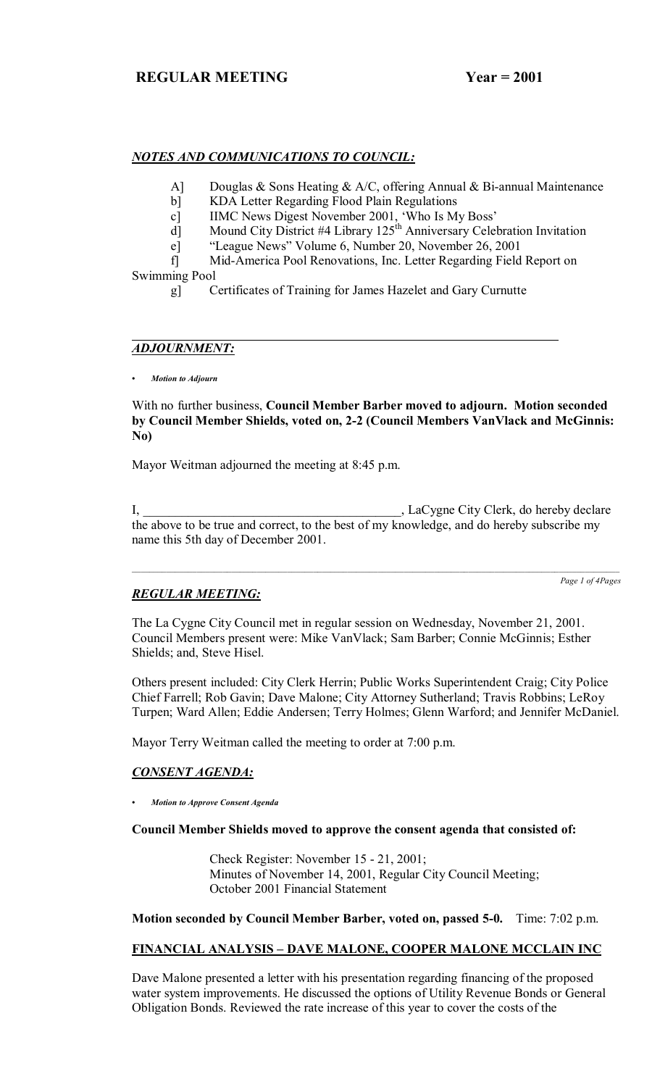## *NOTES AND COMMUNICATIONS TO COUNCIL:*

- A] Douglas & Sons Heating & A/C, offering Annual & Bi-annual Maintenance
- b] KDA Letter Regarding Flood Plain Regulations
- c] IIMC News Digest November 2001, 'Who Is My Boss'
- d] Mound City District #4 Library  $125<sup>th</sup>$  Anniversary Celebration Invitation
	- e] "League News" Volume 6, Number 20, November 26, 2001
- f] Mid-America Pool Renovations, Inc. Letter Regarding Field Report on Swimming Pool
	- g] Certificates of Training for James Hazelet and Gary Curnutte

## *ADJOURNMENT:*

*ï Motion to Adjourn*

With no further business, **Council Member Barber moved to adjourn. Motion seconded by Council Member Shields, voted on, 2-2 (Council Members VanVlack and McGinnis: No)**

Mayor Weitman adjourned the meeting at 8:45 p.m.

I, LaCygne City Clerk, do hereby declare the above to be true and correct, to the best of my knowledge, and do hereby subscribe my name this 5th day of December 2001.

*Page 1 of 4Pages*

# *REGULAR MEETING:*

The La Cygne City Council met in regular session on Wednesday, November 21, 2001. Council Members present were: Mike VanVlack; Sam Barber; Connie McGinnis; Esther Shields; and, Steve Hisel.

Others present included: City Clerk Herrin; Public Works Superintendent Craig; City Police Chief Farrell; Rob Gavin; Dave Malone; City Attorney Sutherland; Travis Robbins; LeRoy Turpen; Ward Allen; Eddie Andersen; Terry Holmes; Glenn Warford; and Jennifer McDaniel.

Mayor Terry Weitman called the meeting to order at 7:00 p.m.

## *CONSENT AGENDA:*

*ï Motion to Approve Consent Agenda*

#### **Council Member Shields moved to approve the consent agenda that consisted of:**

 Check Register: November 15 - 21, 2001; Minutes of November 14, 2001, Regular City Council Meeting; October 2001 Financial Statement

**Motion seconded by Council Member Barber, voted on, passed 5-0.** Time: 7:02 p.m.

#### FINANCIAL ANALYSIS - DAVE MALONE, COOPER MALONE MCCLAIN INC

Dave Malone presented a letter with his presentation regarding financing of the proposed water system improvements. He discussed the options of Utility Revenue Bonds or General Obligation Bonds. Reviewed the rate increase of this year to cover the costs of the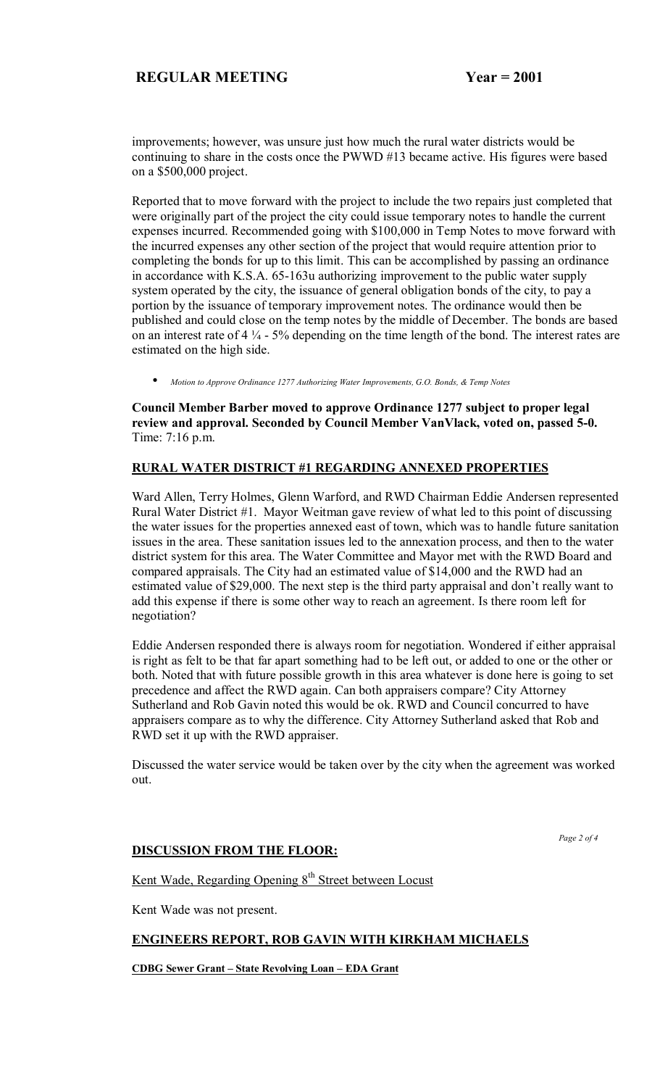improvements; however, was unsure just how much the rural water districts would be continuing to share in the costs once the PWWD #13 became active. His figures were based on a \$500,000 project.

Reported that to move forward with the project to include the two repairs just completed that were originally part of the project the city could issue temporary notes to handle the current expenses incurred. Recommended going with \$100,000 in Temp Notes to move forward with the incurred expenses any other section of the project that would require attention prior to completing the bonds for up to this limit. This can be accomplished by passing an ordinance in accordance with K.S.A. 65-163u authorizing improvement to the public water supply system operated by the city, the issuance of general obligation bonds of the city, to pay a portion by the issuance of temporary improvement notes. The ordinance would then be published and could close on the temp notes by the middle of December. The bonds are based on an interest rate of  $4\frac{1}{4}$  - 5% depending on the time length of the bond. The interest rates are estimated on the high side.

• *Motion to Approve Ordinance 1277 Authorizing Water Improvements, G.O. Bonds, & Temp Notes*

**Council Member Barber moved to approve Ordinance 1277 subject to proper legal review and approval. Seconded by Council Member VanVlack, voted on, passed 5-0.**  Time: 7:16 p.m.

## **RURAL WATER DISTRICT #1 REGARDING ANNEXED PROPERTIES**

Ward Allen, Terry Holmes, Glenn Warford, and RWD Chairman Eddie Andersen represented Rural Water District #1. Mayor Weitman gave review of what led to this point of discussing the water issues for the properties annexed east of town, which was to handle future sanitation issues in the area. These sanitation issues led to the annexation process, and then to the water district system for this area. The Water Committee and Mayor met with the RWD Board and compared appraisals. The City had an estimated value of \$14,000 and the RWD had an estimated value of \$29,000. The next step is the third party appraisal and don't really want to add this expense if there is some other way to reach an agreement. Is there room left for negotiation?

Eddie Andersen responded there is always room for negotiation. Wondered if either appraisal is right as felt to be that far apart something had to be left out, or added to one or the other or both. Noted that with future possible growth in this area whatever is done here is going to set precedence and affect the RWD again. Can both appraisers compare? City Attorney Sutherland and Rob Gavin noted this would be ok. RWD and Council concurred to have appraisers compare as to why the difference. City Attorney Sutherland asked that Rob and RWD set it up with the RWD appraiser.

Discussed the water service would be taken over by the city when the agreement was worked out.

 *Page 2 of 4* 

## **DISCUSSION FROM THE FLOOR:**

Kent Wade, Regarding Opening 8<sup>th</sup> Street between Locust

Kent Wade was not present.

## **ENGINEERS REPORT, ROB GAVIN WITH KIRKHAM MICHAELS**

**CDBG Sewer Grant - State Revolving Loan - EDA Grant**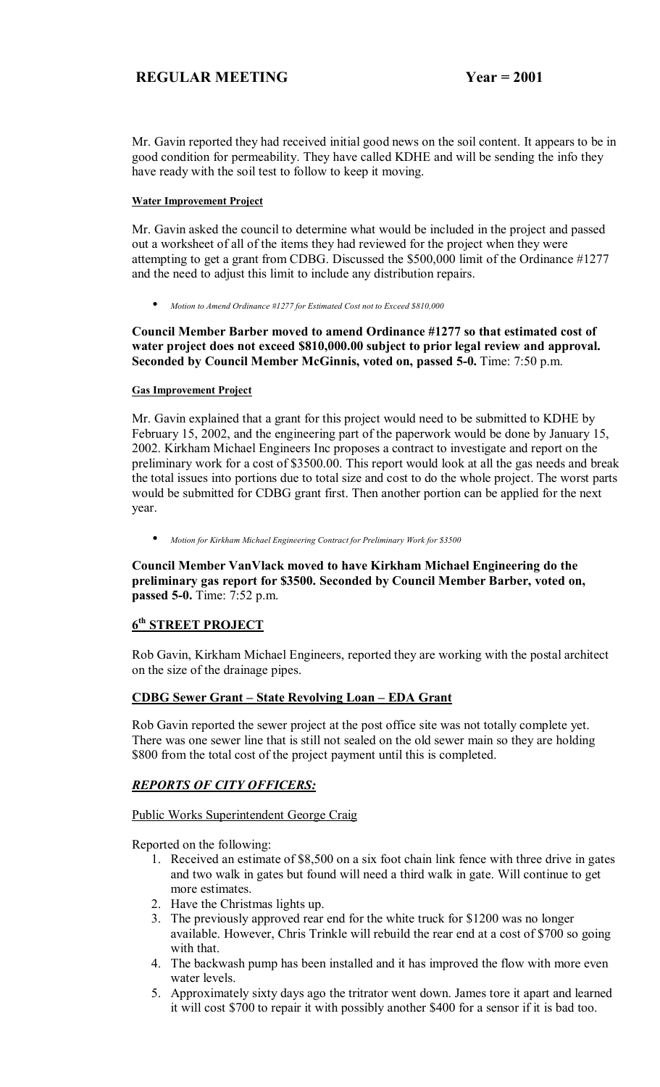Mr. Gavin reported they had received initial good news on the soil content. It appears to be in good condition for permeability. They have called KDHE and will be sending the info they have ready with the soil test to follow to keep it moving.

#### **Water Improvement Project**

Mr. Gavin asked the council to determine what would be included in the project and passed out a worksheet of all of the items they had reviewed for the project when they were attempting to get a grant from CDBG. Discussed the \$500,000 limit of the Ordinance #1277 and the need to adjust this limit to include any distribution repairs.

• *Motion to Amend Ordinance #1277 for Estimated Cost not to Exceed \$810,000*

## **Council Member Barber moved to amend Ordinance #1277 so that estimated cost of water project does not exceed \$810,000.00 subject to prior legal review and approval. Seconded by Council Member McGinnis, voted on, passed 5-0.** Time: 7:50 p.m.

## **Gas Improvement Project**

Mr. Gavin explained that a grant for this project would need to be submitted to KDHE by February 15, 2002, and the engineering part of the paperwork would be done by January 15, 2002. Kirkham Michael Engineers Inc proposes a contract to investigate and report on the preliminary work for a cost of \$3500.00. This report would look at all the gas needs and break the total issues into portions due to total size and cost to do the whole project. The worst parts would be submitted for CDBG grant first. Then another portion can be applied for the next year.

• *Motion for Kirkham Michael Engineering Contract for Preliminary Work for \$3500*

**Council Member VanVlack moved to have Kirkham Michael Engineering do the preliminary gas report for \$3500. Seconded by Council Member Barber, voted on, passed 5-0.** Time: 7:52 p.m.

# **6th STREET PROJECT**

Rob Gavin, Kirkham Michael Engineers, reported they are working with the postal architect on the size of the drainage pipes.

## **CDBG Sewer Grant – State Revolving Loan – EDA Grant**

Rob Gavin reported the sewer project at the post office site was not totally complete yet. There was one sewer line that is still not sealed on the old sewer main so they are holding \$800 from the total cost of the project payment until this is completed.

# *REPORTS OF CITY OFFICERS:*

## Public Works Superintendent George Craig

Reported on the following:

- 1. Received an estimate of \$8,500 on a six foot chain link fence with three drive in gates and two walk in gates but found will need a third walk in gate. Will continue to get more estimates.
- 2. Have the Christmas lights up.
- 3. The previously approved rear end for the white truck for \$1200 was no longer available. However, Chris Trinkle will rebuild the rear end at a cost of \$700 so going with that.
- 4. The backwash pump has been installed and it has improved the flow with more even water levels.
- 5. Approximately sixty days ago the tritrator went down. James tore it apart and learned it will cost \$700 to repair it with possibly another \$400 for a sensor if it is bad too.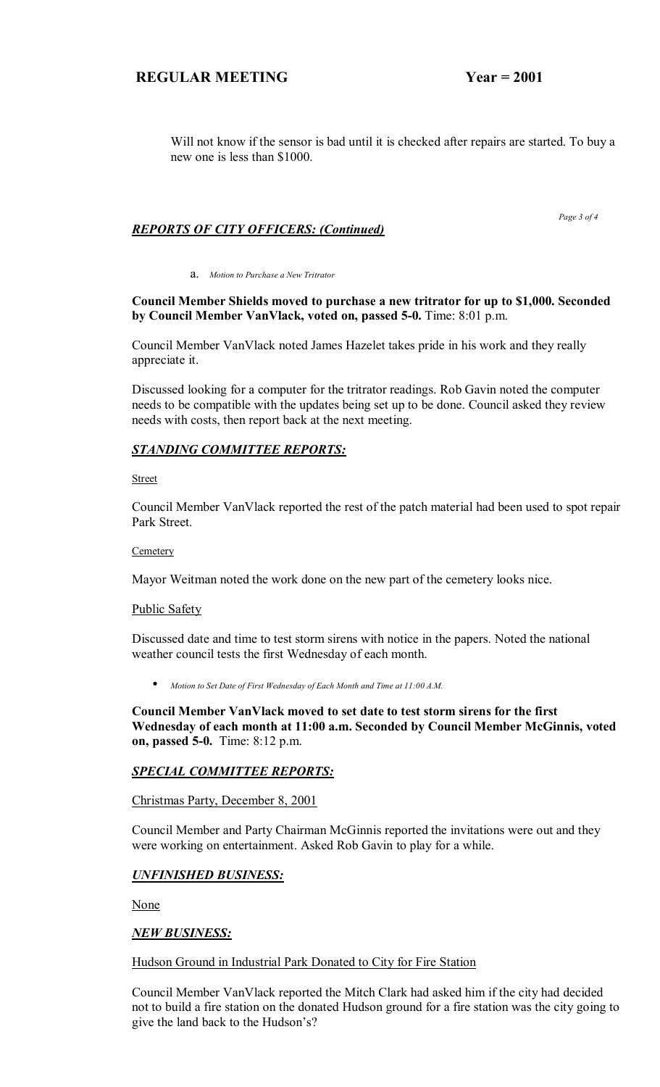Will not know if the sensor is bad until it is checked after repairs are started. To buy a new one is less than \$1000.

## *REPORTS OF CITY OFFICERS: (Continued)*

a. *Motion to Purchase a New Tritrator*

## **Council Member Shields moved to purchase a new tritrator for up to \$1,000. Seconded by Council Member VanVlack, voted on, passed 5-0.** Time: 8:01 p.m.

Council Member VanVlack noted James Hazelet takes pride in his work and they really appreciate it.

Discussed looking for a computer for the tritrator readings. Rob Gavin noted the computer needs to be compatible with the updates being set up to be done. Council asked they review needs with costs, then report back at the next meeting.

## *STANDING COMMITTEE REPORTS:*

**Street** 

Council Member VanVlack reported the rest of the patch material had been used to spot repair Park Street.

#### **Cemetery**

Mayor Weitman noted the work done on the new part of the cemetery looks nice.

#### Public Safety

Discussed date and time to test storm sirens with notice in the papers. Noted the national weather council tests the first Wednesday of each month.

• *Motion to Set Date of First Wednesday of Each Month and Time at 11:00 A.M.*

**Council Member VanVlack moved to set date to test storm sirens for the first Wednesday of each month at 11:00 a.m. Seconded by Council Member McGinnis, voted on, passed 5-0.** Time: 8:12 p.m.

#### *SPECIAL COMMITTEE REPORTS:*

Christmas Party, December 8, 2001

Council Member and Party Chairman McGinnis reported the invitations were out and they were working on entertainment. Asked Rob Gavin to play for a while.

#### *UNFINISHED BUSINESS:*

None

#### *NEW BUSINESS:*

#### Hudson Ground in Industrial Park Donated to City for Fire Station

Council Member VanVlack reported the Mitch Clark had asked him if the city had decided not to build a fire station on the donated Hudson ground for a fire station was the city going to give the land back to the Hudson's?

 *Page 3 of 4*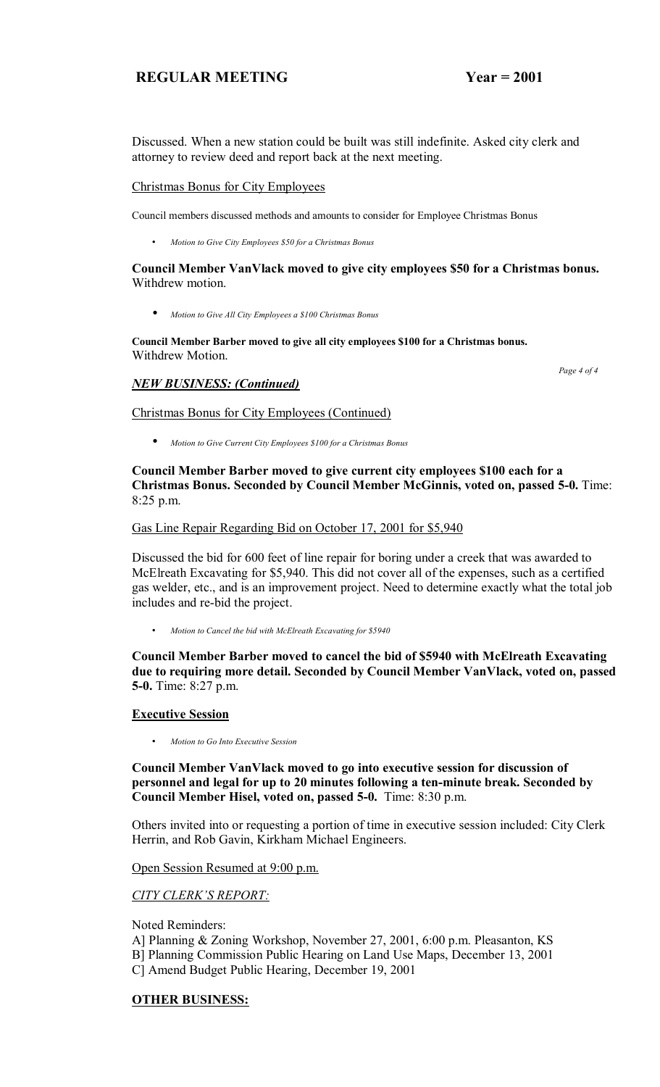Discussed. When a new station could be built was still indefinite. Asked city clerk and attorney to review deed and report back at the next meeting.

#### Christmas Bonus for City Employees

Council members discussed methods and amounts to consider for Employee Christmas Bonus

• *Motion to Give City Employees \$50 for a Christmas Bonus* 

#### **Council Member VanVlack moved to give city employees \$50 for a Christmas bonus.**  Withdrew motion.

• *Motion to Give All City Employees a \$100 Christmas Bonus*

**Council Member Barber moved to give all city employees \$100 for a Christmas bonus.**  Withdrew Motion.

## *NEW BUSINESS: (Continued)*

 *Page 4 of 4* 

## Christmas Bonus for City Employees (Continued)

• *Motion to Give Current City Employees \$100 for a Christmas Bonus*

## **Council Member Barber moved to give current city employees \$100 each for a Christmas Bonus. Seconded by Council Member McGinnis, voted on, passed 5-0.** Time: 8:25 p.m.

#### Gas Line Repair Regarding Bid on October 17, 2001 for \$5,940

Discussed the bid for 600 feet of line repair for boring under a creek that was awarded to McElreath Excavating for \$5,940. This did not cover all of the expenses, such as a certified gas welder, etc., and is an improvement project. Need to determine exactly what the total job includes and re-bid the project.

• *Motion to Cancel the bid with McElreath Excavating for \$5940* 

**Council Member Barber moved to cancel the bid of \$5940 with McElreath Excavating due to requiring more detail. Seconded by Council Member VanVlack, voted on, passed 5-0.** Time: 8:27 p.m.

#### **Executive Session**

• *Motion to Go Into Executive Session*

**Council Member VanVlack moved to go into executive session for discussion of personnel and legal for up to 20 minutes following a ten-minute break. Seconded by Council Member Hisel, voted on, passed 5-0.** Time: 8:30 p.m.

Others invited into or requesting a portion of time in executive session included: City Clerk Herrin, and Rob Gavin, Kirkham Michael Engineers.

Open Session Resumed at 9:00 p.m.

#### **CITY CLERK'S REPORT:**

Noted Reminders:

- A] Planning & Zoning Workshop, November 27, 2001, 6:00 p.m. Pleasanton, KS
- B] Planning Commission Public Hearing on Land Use Maps, December 13, 2001
- C] Amend Budget Public Hearing, December 19, 2001

## **OTHER BUSINESS:**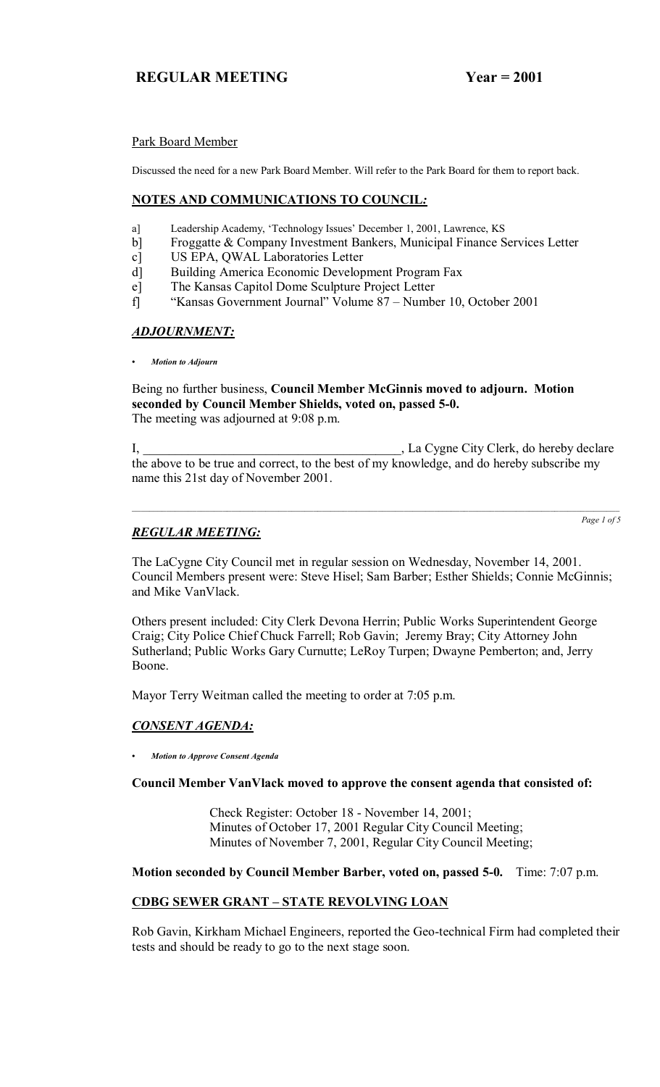## Park Board Member

Discussed the need for a new Park Board Member. Will refer to the Park Board for them to report back.

## **NOTES AND COMMUNICATIONS TO COUNCIL***:*

- a] Leadership Academy, 'Technology Issues' December 1, 2001, Lawrence, KS
- b] Froggatte & Company Investment Bankers, Municipal Finance Services Letter
- c] US EPA, QWAL Laboratories Letter
- d] Building America Economic Development Program Fax
- e] The Kansas Capitol Dome Sculpture Project Letter
- f] "Kansas Government Journal" Volume 87 Number 10, October 2001

## *ADJOURNMENT:*

*ï Motion to Adjourn*

Being no further business, **Council Member McGinnis moved to adjourn. Motion seconded by Council Member Shields, voted on, passed 5-0.** The meeting was adjourned at 9:08 p.m.

I, \_\_\_\_\_\_\_\_\_\_\_\_\_\_\_\_\_\_\_\_\_\_\_\_\_\_\_\_\_\_\_\_\_\_\_\_\_\_\_\_, La Cygne City Clerk, do hereby declare the above to be true and correct, to the best of my knowledge, and do hereby subscribe my name this 21st day of November 2001.

# *REGULAR MEETING:*

*Page 1 of 5*

The LaCygne City Council met in regular session on Wednesday, November 14, 2001. Council Members present were: Steve Hisel; Sam Barber; Esther Shields; Connie McGinnis; and Mike VanVlack.

Others present included: City Clerk Devona Herrin; Public Works Superintendent George Craig; City Police Chief Chuck Farrell; Rob Gavin; Jeremy Bray; City Attorney John Sutherland; Public Works Gary Curnutte; LeRoy Turpen; Dwayne Pemberton; and, Jerry Boone.

Mayor Terry Weitman called the meeting to order at 7:05 p.m.

# *CONSENT AGENDA:*

*ï Motion to Approve Consent Agenda*

## **Council Member VanVlack moved to approve the consent agenda that consisted of:**

 Check Register: October 18 - November 14, 2001; Minutes of October 17, 2001 Regular City Council Meeting; Minutes of November 7, 2001, Regular City Council Meeting;

## **Motion seconded by Council Member Barber, voted on, passed 5-0.** Time: 7:07 p.m.

# **CDBG SEWER GRANT - STATE REVOLVING LOAN**

Rob Gavin, Kirkham Michael Engineers, reported the Geo-technical Firm had completed their tests and should be ready to go to the next stage soon.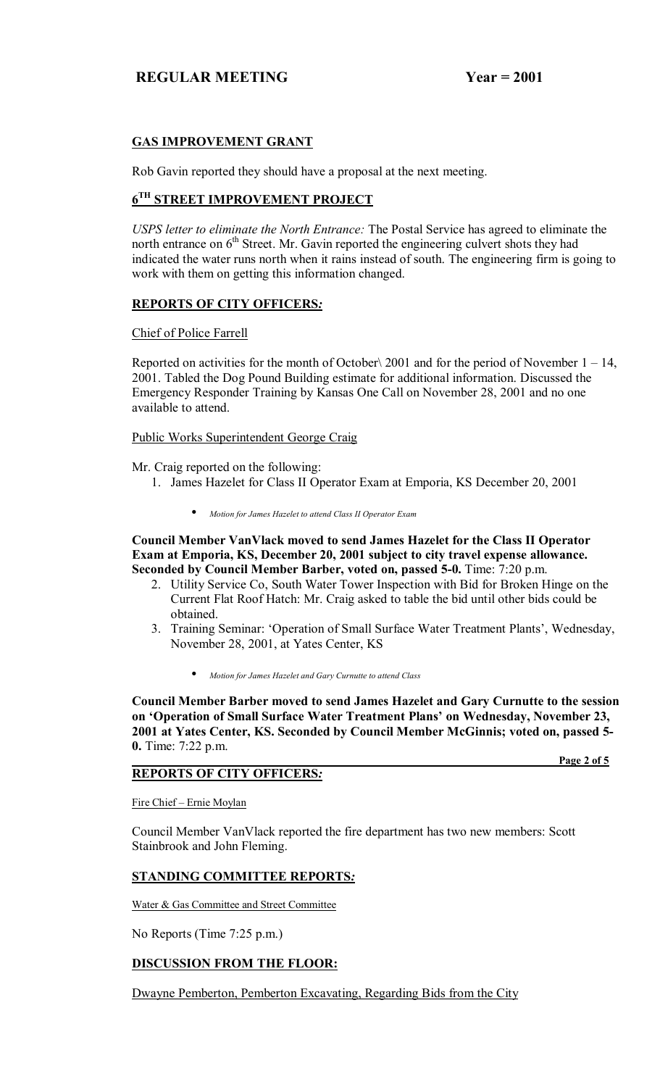## **GAS IMPROVEMENT GRANT**

Rob Gavin reported they should have a proposal at the next meeting.

# **6TH STREET IMPROVEMENT PROJECT**

*USPS letter to eliminate the North Entrance:* The Postal Service has agreed to eliminate the north entrance on  $6<sup>th</sup>$  Street. Mr. Gavin reported the engineering culvert shots they had indicated the water runs north when it rains instead of south. The engineering firm is going to work with them on getting this information changed.

## **REPORTS OF CITY OFFICERS***:*

Chief of Police Farrell

Reported on activities for the month of October $\setminus 2001$  and for the period of November 1 – 14, 2001. Tabled the Dog Pound Building estimate for additional information. Discussed the Emergency Responder Training by Kansas One Call on November 28, 2001 and no one available to attend.

Public Works Superintendent George Craig

Mr. Craig reported on the following:

- 1. James Hazelet for Class II Operator Exam at Emporia, KS December 20, 2001
	- *Motion for James Hazelet to attend Class II Operator Exam*

**Council Member VanVlack moved to send James Hazelet for the Class II Operator Exam at Emporia, KS, December 20, 2001 subject to city travel expense allowance. Seconded by Council Member Barber, voted on, passed 5-0.** Time: 7:20 p.m.

- 2. Utility Service Co, South Water Tower Inspection with Bid for Broken Hinge on the Current Flat Roof Hatch: Mr. Craig asked to table the bid until other bids could be obtained.
- 3. Training Seminar: 'Operation of Small Surface Water Treatment Plants', Wednesday, November 28, 2001, at Yates Center, KS
	- *Motion for James Hazelet and Gary Curnutte to attend Class*

**Council Member Barber moved to send James Hazelet and Gary Curnutte to the session**  on 'Operation of Small Surface Water Treatment Plans' on Wednesday, November 23, **2001 at Yates Center, KS. Seconded by Council Member McGinnis; voted on, passed 5- 0.** Time: 7:22 p.m.

 **Page 2 of 5**

# **REPORTS OF CITY OFFICERS***:*

Fire Chief - Ernie Moylan

Council Member VanVlack reported the fire department has two new members: Scott Stainbrook and John Fleming.

## **STANDING COMMITTEE REPORTS***:*

Water & Gas Committee and Street Committee

No Reports (Time 7:25 p.m.)

# **DISCUSSION FROM THE FLOOR:**

Dwayne Pemberton, Pemberton Excavating, Regarding Bids from the City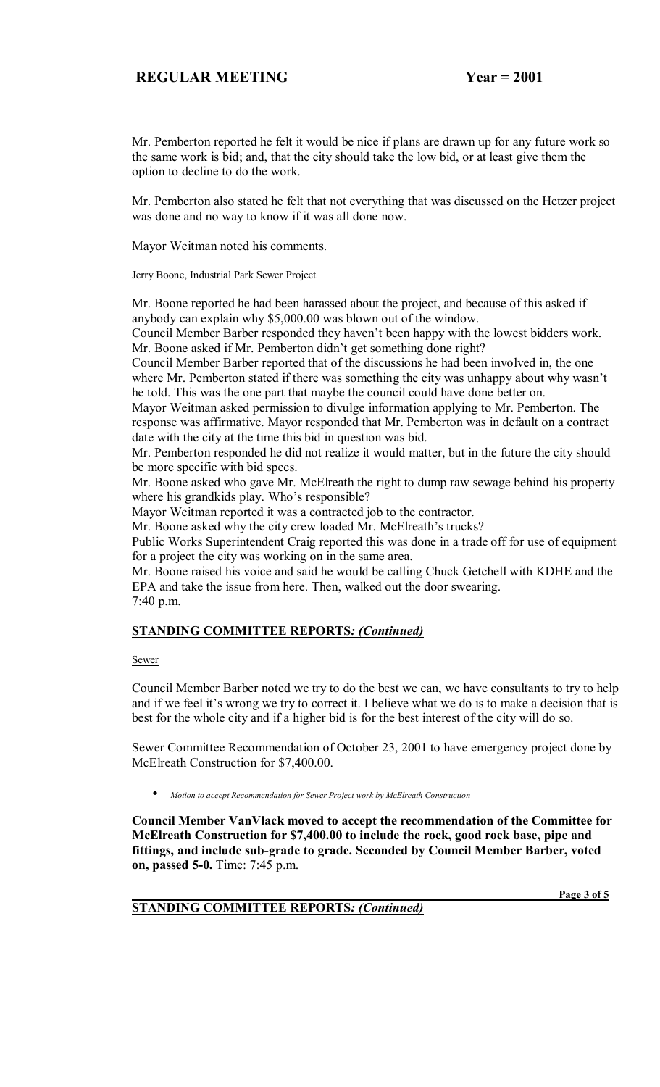Mr. Pemberton reported he felt it would be nice if plans are drawn up for any future work so the same work is bid; and, that the city should take the low bid, or at least give them the option to decline to do the work.

Mr. Pemberton also stated he felt that not everything that was discussed on the Hetzer project was done and no way to know if it was all done now.

Mayor Weitman noted his comments.

Jerry Boone, Industrial Park Sewer Project

Mr. Boone reported he had been harassed about the project, and because of this asked if anybody can explain why \$5,000.00 was blown out of the window.

Council Member Barber responded they haven't been happy with the lowest bidders work. Mr. Boone asked if Mr. Pemberton didn't get something done right?

Council Member Barber reported that of the discussions he had been involved in, the one where Mr. Pemberton stated if there was something the city was unhappy about why wasn't he told. This was the one part that maybe the council could have done better on.

Mayor Weitman asked permission to divulge information applying to Mr. Pemberton. The response was affirmative. Mayor responded that Mr. Pemberton was in default on a contract date with the city at the time this bid in question was bid.

Mr. Pemberton responded he did not realize it would matter, but in the future the city should be more specific with bid specs.

Mr. Boone asked who gave Mr. McElreath the right to dump raw sewage behind his property where his grandkids play. Who's responsible?

Mayor Weitman reported it was a contracted job to the contractor.

Mr. Boone asked why the city crew loaded Mr. McElreath's trucks?

Public Works Superintendent Craig reported this was done in a trade off for use of equipment for a project the city was working on in the same area.

Mr. Boone raised his voice and said he would be calling Chuck Getchell with KDHE and the EPA and take the issue from here. Then, walked out the door swearing. 7:40 p.m.

#### **STANDING COMMITTEE REPORTS***: (Continued)*

#### Sewer

Council Member Barber noted we try to do the best we can, we have consultants to try to help and if we feel it's wrong we try to correct it. I believe what we do is to make a decision that is best for the whole city and if a higher bid is for the best interest of the city will do so.

Sewer Committee Recommendation of October 23, 2001 to have emergency project done by McElreath Construction for \$7,400.00.

• *Motion to accept Recommendation for Sewer Project work by McElreath Construction*

**Council Member VanVlack moved to accept the recommendation of the Committee for McElreath Construction for \$7,400.00 to include the rock, good rock base, pipe and fittings, and include sub-grade to grade. Seconded by Council Member Barber, voted on, passed 5-0.** Time: 7:45 p.m.

 **Page 3 of 5**

# **STANDING COMMITTEE REPORTS***: (Continued)*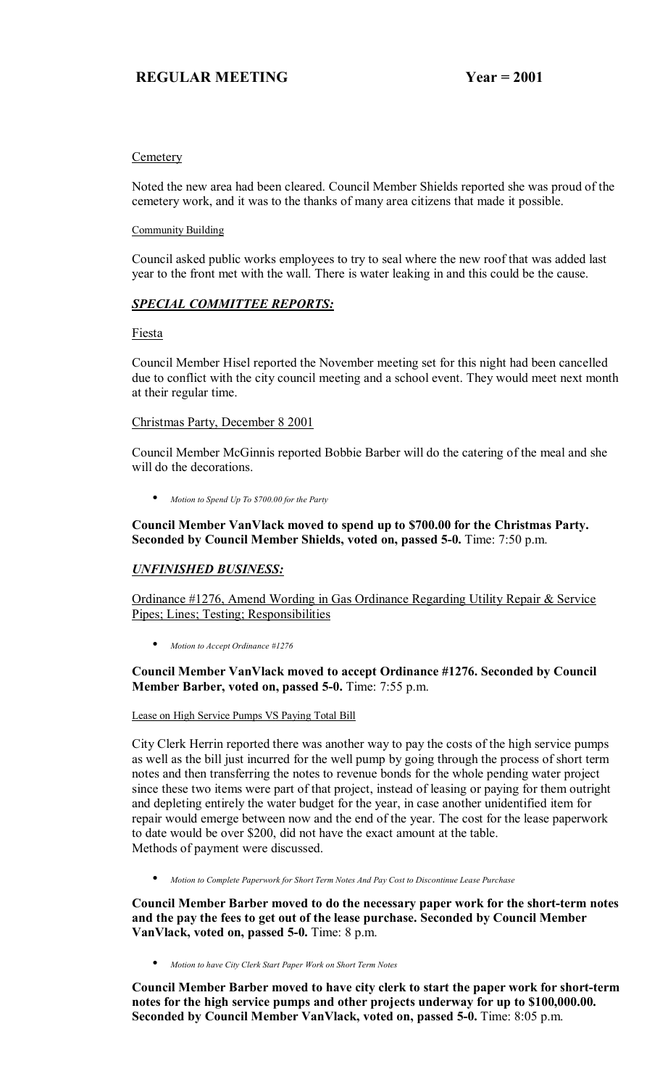## **Cemetery**

Noted the new area had been cleared. Council Member Shields reported she was proud of the cemetery work, and it was to the thanks of many area citizens that made it possible.

## Community Building

Council asked public works employees to try to seal where the new roof that was added last year to the front met with the wall. There is water leaking in and this could be the cause.

## *SPECIAL COMMITTEE REPORTS:*

Fiesta

Council Member Hisel reported the November meeting set for this night had been cancelled due to conflict with the city council meeting and a school event. They would meet next month at their regular time.

## Christmas Party, December 8 2001

Council Member McGinnis reported Bobbie Barber will do the catering of the meal and she will do the decorations.

• *Motion to Spend Up To \$700.00 for the Party*

## **Council Member VanVlack moved to spend up to \$700.00 for the Christmas Party. Seconded by Council Member Shields, voted on, passed 5-0.** Time: 7:50 p.m.

# *UNFINISHED BUSINESS:*

Ordinance #1276, Amend Wording in Gas Ordinance Regarding Utility Repair & Service Pipes; Lines; Testing; Responsibilities

• *Motion to Accept Ordinance #1276*

## **Council Member VanVlack moved to accept Ordinance #1276. Seconded by Council Member Barber, voted on, passed 5-0.** Time: 7:55 p.m.

#### Lease on High Service Pumps VS Paying Total Bill

City Clerk Herrin reported there was another way to pay the costs of the high service pumps as well as the bill just incurred for the well pump by going through the process of short term notes and then transferring the notes to revenue bonds for the whole pending water project since these two items were part of that project, instead of leasing or paying for them outright and depleting entirely the water budget for the year, in case another unidentified item for repair would emerge between now and the end of the year. The cost for the lease paperwork to date would be over \$200, did not have the exact amount at the table. Methods of payment were discussed.

• *Motion to Complete Paperwork for Short Term Notes And Pay Cost to Discontinue Lease Purchase*

**Council Member Barber moved to do the necessary paper work for the short-term notes and the pay the fees to get out of the lease purchase. Seconded by Council Member VanVlack, voted on, passed 5-0.** Time: 8 p.m.

• *Motion to have City Clerk Start Paper Work on Short Term Notes*

**Council Member Barber moved to have city clerk to start the paper work for short-term notes for the high service pumps and other projects underway for up to \$100,000.00. Seconded by Council Member VanVlack, voted on, passed 5-0.** Time: 8:05 p.m.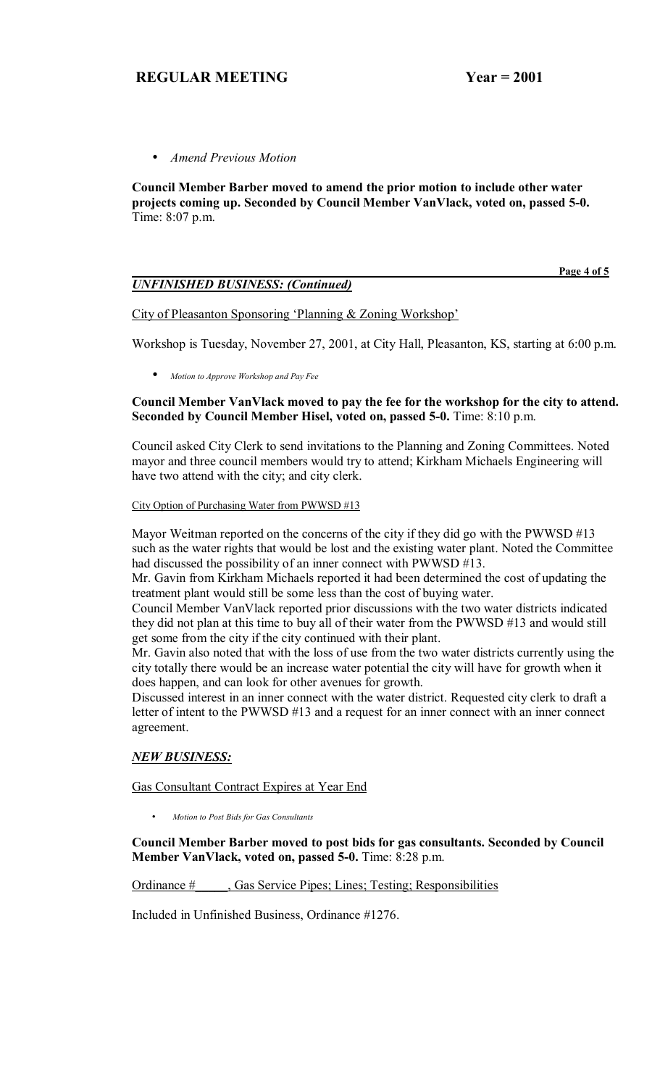• *Amend Previous Motion*

**Council Member Barber moved to amend the prior motion to include other water projects coming up. Seconded by Council Member VanVlack, voted on, passed 5-0.**  Time: 8:07 p.m.

## *UNFINISHED BUSINESS: (Continued)*

 **Page 4 of 5**

City of Pleasanton Sponsoring 'Planning & Zoning Workshop'

Workshop is Tuesday, November 27, 2001, at City Hall, Pleasanton, KS, starting at 6:00 p.m.

• *Motion to Approve Workshop and Pay Fee*

## **Council Member VanVlack moved to pay the fee for the workshop for the city to attend. Seconded by Council Member Hisel, voted on, passed 5-0.** Time: 8:10 p.m.

Council asked City Clerk to send invitations to the Planning and Zoning Committees. Noted mayor and three council members would try to attend; Kirkham Michaels Engineering will have two attend with the city; and city clerk.

#### City Option of Purchasing Water from PWWSD #13

Mayor Weitman reported on the concerns of the city if they did go with the PWWSD #13 such as the water rights that would be lost and the existing water plant. Noted the Committee had discussed the possibility of an inner connect with PWWSD #13.

Mr. Gavin from Kirkham Michaels reported it had been determined the cost of updating the treatment plant would still be some less than the cost of buying water.

Council Member VanVlack reported prior discussions with the two water districts indicated they did not plan at this time to buy all of their water from the PWWSD #13 and would still get some from the city if the city continued with their plant.

Mr. Gavin also noted that with the loss of use from the two water districts currently using the city totally there would be an increase water potential the city will have for growth when it does happen, and can look for other avenues for growth.

Discussed interest in an inner connect with the water district. Requested city clerk to draft a letter of intent to the PWWSD #13 and a request for an inner connect with an inner connect agreement.

## *NEW BUSINESS:*

Gas Consultant Contract Expires at Year End

• *Motion to Post Bids for Gas Consultants*

**Council Member Barber moved to post bids for gas consultants. Seconded by Council Member VanVlack, voted on, passed 5-0.** Time: 8:28 p.m.

Ordinance #\_\_\_\_\_, Gas Service Pipes; Lines; Testing; Responsibilities

Included in Unfinished Business, Ordinance #1276.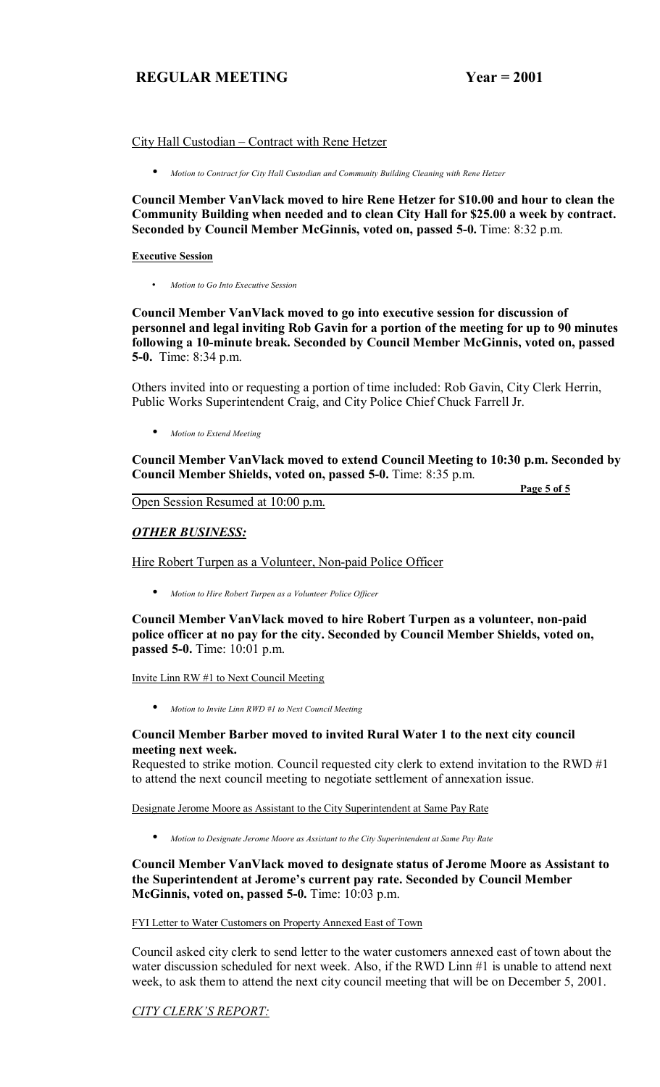**Page 5 of 5**

## City Hall Custodian – Contract with Rene Hetzer

• *Motion to Contract for City Hall Custodian and Community Building Cleaning with Rene Hetzer*

**Council Member VanVlack moved to hire Rene Hetzer for \$10.00 and hour to clean the Community Building when needed and to clean City Hall for \$25.00 a week by contract. Seconded by Council Member McGinnis, voted on, passed 5-0.** Time: 8:32 p.m.

#### **Executive Session**

• *Motion to Go Into Executive Session*

**Council Member VanVlack moved to go into executive session for discussion of personnel and legal inviting Rob Gavin for a portion of the meeting for up to 90 minutes following a 10-minute break. Seconded by Council Member McGinnis, voted on, passed 5-0.** Time: 8:34 p.m.

Others invited into or requesting a portion of time included: Rob Gavin, City Clerk Herrin, Public Works Superintendent Craig, and City Police Chief Chuck Farrell Jr.

• *Motion to Extend Meeting*

**Council Member VanVlack moved to extend Council Meeting to 10:30 p.m. Seconded by Council Member Shields, voted on, passed 5-0.** Time: 8:35 p.m.

Open Session Resumed at 10:00 p.m.

# *OTHER BUSINESS:*

Hire Robert Turpen as a Volunteer, Non-paid Police Officer

• *Motion to Hire Robert Turpen as a Volunteer Police Officer*

**Council Member VanVlack moved to hire Robert Turpen as a volunteer, non-paid police officer at no pay for the city. Seconded by Council Member Shields, voted on, passed 5-0.** Time: 10:01 p.m.

Invite Linn RW #1 to Next Council Meeting

• *Motion to Invite Linn RWD #1 to Next Council Meeting*

#### **Council Member Barber moved to invited Rural Water 1 to the next city council meeting next week.**

Requested to strike motion. Council requested city clerk to extend invitation to the RWD #1 to attend the next council meeting to negotiate settlement of annexation issue.

Designate Jerome Moore as Assistant to the City Superintendent at Same Pay Rate

• *Motion to Designate Jerome Moore as Assistant to the City Superintendent at Same Pay Rate*

## **Council Member VanVlack moved to designate status of Jerome Moore as Assistant to**  the Superintendent at Jerome's current pay rate. Seconded by Council Member **McGinnis, voted on, passed 5-0.** Time: 10:03 p.m.

FYI Letter to Water Customers on Property Annexed East of Town

Council asked city clerk to send letter to the water customers annexed east of town about the water discussion scheduled for next week. Also, if the RWD Linn #1 is unable to attend next week, to ask them to attend the next city council meeting that will be on December 5, 2001.

# **CITY CLERK'S REPORT:**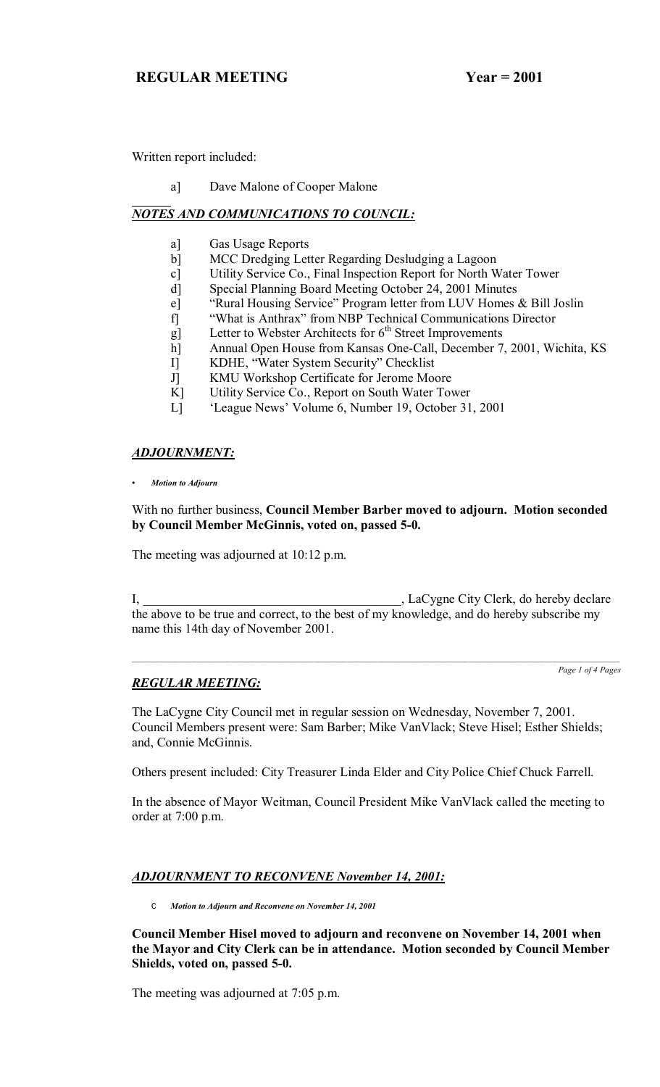Written report included:

a] Dave Malone of Cooper Malone

# *NOTES AND COMMUNICATIONS TO COUNCIL:*

- a] Gas Usage Reports
- b] MCC Dredging Letter Regarding Desludging a Lagoon
- c] Utility Service Co., Final Inspection Report for North Water Tower
- d] Special Planning Board Meeting October 24, 2001 Minutes
- e] "Rural Housing Service" Program letter from LUV Homes & Bill Joslin
- f] "What is Anthrax" from NBP Technical Communications Director
- g] Letter to Webster Architects for  $6<sup>th</sup>$  Street Improvements
- h] Annual Open House from Kansas One-Call, December 7, 2001, Wichita, KS
- I] KDHE, "Water System Security" Checklist
- J] KMU Workshop Certificate for Jerome Moore
- K] Utility Service Co., Report on South Water Tower
- L] ëLeague Newsí Volume 6, Number 19, October 31, 2001

## *ADJOURNMENT:*

*ï Motion to Adjourn*

With no further business, **Council Member Barber moved to adjourn. Motion seconded by Council Member McGinnis, voted on, passed 5-0.**

The meeting was adjourned at 10:12 p.m.

I, LaCygne City Clerk, do hereby declare the above to be true and correct, to the best of my knowledge, and do hereby subscribe my name this 14th day of November 2001.

*Page 1 of 4 Pages*

# *REGULAR MEETING:*

The LaCygne City Council met in regular session on Wednesday, November 7, 2001. Council Members present were: Sam Barber; Mike VanVlack; Steve Hisel; Esther Shields; and, Connie McGinnis.

Others present included: City Treasurer Linda Elder and City Police Chief Chuck Farrell.

In the absence of Mayor Weitman, Council President Mike VanVlack called the meeting to order at 7:00 p.m.

# *ADJOURNMENT TO RECONVENE November 14, 2001:*

C *Motion to Adjourn and Reconvene on November 14, 2001*

**Council Member Hisel moved to adjourn and reconvene on November 14, 2001 when the Mayor and City Clerk can be in attendance. Motion seconded by Council Member Shields, voted on, passed 5-0.**

The meeting was adjourned at 7:05 p.m.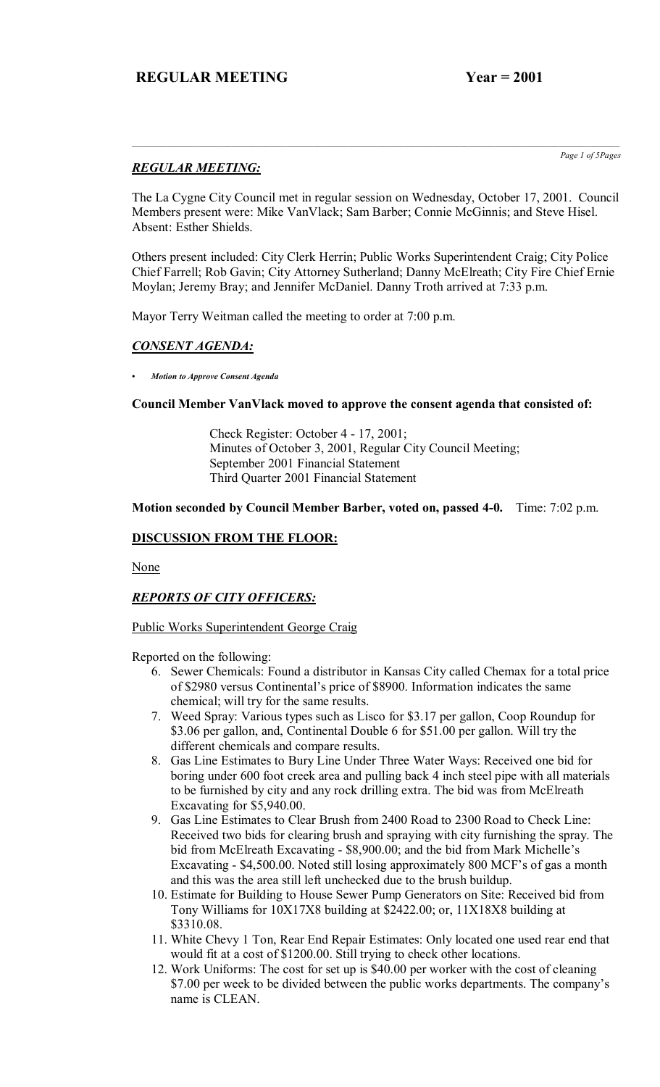# *REGULAR MEETING:*

*Page 1 of 5Pages*

The La Cygne City Council met in regular session on Wednesday, October 17, 2001. Council Members present were: Mike VanVlack; Sam Barber; Connie McGinnis; and Steve Hisel. Absent: Esther Shields.

Others present included: City Clerk Herrin; Public Works Superintendent Craig; City Police Chief Farrell; Rob Gavin; City Attorney Sutherland; Danny McElreath; City Fire Chief Ernie Moylan; Jeremy Bray; and Jennifer McDaniel. Danny Troth arrived at 7:33 p.m.

Mayor Terry Weitman called the meeting to order at 7:00 p.m.

# *CONSENT AGENDA:*

*ï Motion to Approve Consent Agenda*

## **Council Member VanVlack moved to approve the consent agenda that consisted of:**

 Check Register: October 4 - 17, 2001; Minutes of October 3, 2001, Regular City Council Meeting; September 2001 Financial Statement Third Quarter 2001 Financial Statement

## **Motion seconded by Council Member Barber, voted on, passed 4-0.** Time: 7:02 p.m.

## **DISCUSSION FROM THE FLOOR:**

None

# *REPORTS OF CITY OFFICERS:*

## Public Works Superintendent George Craig

Reported on the following:

- 6. Sewer Chemicals: Found a distributor in Kansas City called Chemax for a total price of \$2980 versus Continental's price of \$8900. Information indicates the same chemical; will try for the same results.
- 7. Weed Spray: Various types such as Lisco for \$3.17 per gallon, Coop Roundup for \$3.06 per gallon, and, Continental Double 6 for \$51.00 per gallon. Will try the different chemicals and compare results.
- 8. Gas Line Estimates to Bury Line Under Three Water Ways: Received one bid for boring under 600 foot creek area and pulling back 4 inch steel pipe with all materials to be furnished by city and any rock drilling extra. The bid was from McElreath Excavating for \$5,940.00.
- 9. Gas Line Estimates to Clear Brush from 2400 Road to 2300 Road to Check Line: Received two bids for clearing brush and spraying with city furnishing the spray. The bid from McElreath Excavating - \$8,900.00; and the bid from Mark Michelle's Excavating - \$4,500.00. Noted still losing approximately 800 MCF's of gas a month and this was the area still left unchecked due to the brush buildup.
- 10. Estimate for Building to House Sewer Pump Generators on Site: Received bid from Tony Williams for 10X17X8 building at \$2422.00; or, 11X18X8 building at \$3310.08.
- 11. White Chevy 1 Ton, Rear End Repair Estimates: Only located one used rear end that would fit at a cost of \$1200.00. Still trying to check other locations.
- 12. Work Uniforms: The cost for set up is \$40.00 per worker with the cost of cleaning \$7.00 per week to be divided between the public works departments. The company's name is CLEAN.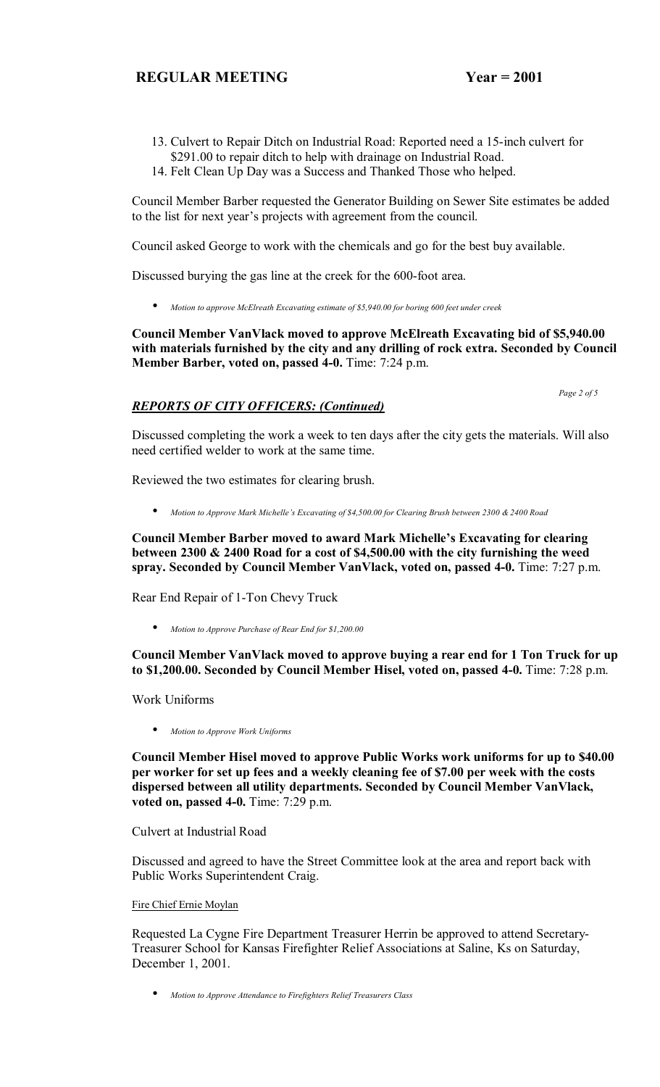- 13. Culvert to Repair Ditch on Industrial Road: Reported need a 15-inch culvert for
- \$291.00 to repair ditch to help with drainage on Industrial Road.
- 14. Felt Clean Up Day was a Success and Thanked Those who helped.

Council Member Barber requested the Generator Building on Sewer Site estimates be added to the list for next year's projects with agreement from the council.

Council asked George to work with the chemicals and go for the best buy available.

Discussed burying the gas line at the creek for the 600-foot area.

• *Motion to approve McElreath Excavating estimate of \$5,940.00 for boring 600 feet under creek* 

## **Council Member VanVlack moved to approve McElreath Excavating bid of \$5,940.00 with materials furnished by the city and any drilling of rock extra. Seconded by Council Member Barber, voted on, passed 4-0.** Time: 7:24 p.m.

 *Page 2 of 5* 

# *REPORTS OF CITY OFFICERS: (Continued)*

Discussed completing the work a week to ten days after the city gets the materials. Will also need certified welder to work at the same time.

Reviewed the two estimates for clearing brush.

• *Motion to Approve Mark Michelleís Excavating of \$4,500.00 for Clearing Brush between 2300 & 2400 Road*

**Council Member Barber moved to award Mark Michelle's Excavating for clearing between 2300 & 2400 Road for a cost of \$4,500.00 with the city furnishing the weed spray. Seconded by Council Member VanVlack, voted on, passed 4-0.** Time: 7:27 p.m.

Rear End Repair of 1-Ton Chevy Truck

• *Motion to Approve Purchase of Rear End for \$1,200.00*

**Council Member VanVlack moved to approve buying a rear end for 1 Ton Truck for up to \$1,200.00. Seconded by Council Member Hisel, voted on, passed 4-0.** Time: 7:28 p.m.

Work Uniforms

• *Motion to Approve Work Uniforms*

**Council Member Hisel moved to approve Public Works work uniforms for up to \$40.00 per worker for set up fees and a weekly cleaning fee of \$7.00 per week with the costs dispersed between all utility departments. Seconded by Council Member VanVlack, voted on, passed 4-0.** Time: 7:29 p.m.

Culvert at Industrial Road

Discussed and agreed to have the Street Committee look at the area and report back with Public Works Superintendent Craig.

## Fire Chief Ernie Moylan

Requested La Cygne Fire Department Treasurer Herrin be approved to attend Secretary-Treasurer School for Kansas Firefighter Relief Associations at Saline, Ks on Saturday, December 1, 2001.

• *Motion to Approve Attendance to Firefighters Relief Treasurers Class*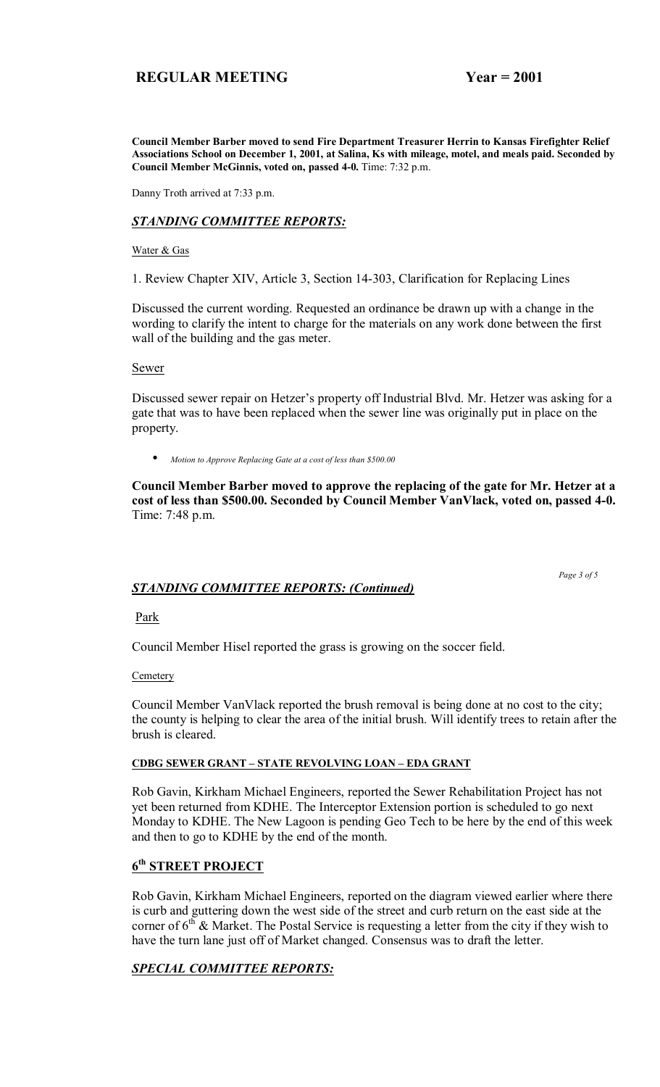**Council Member Barber moved to send Fire Department Treasurer Herrin to Kansas Firefighter Relief Associations School on December 1, 2001, at Salina, Ks with mileage, motel, and meals paid. Seconded by Council Member McGinnis, voted on, passed 4-0.** Time: 7:32 p.m.

Danny Troth arrived at 7:33 p.m.

## *STANDING COMMITTEE REPORTS:*

#### Water & Gas

1. Review Chapter XIV, Article 3, Section 14-303, Clarification for Replacing Lines

Discussed the current wording. Requested an ordinance be drawn up with a change in the wording to clarify the intent to charge for the materials on any work done between the first wall of the building and the gas meter.

Sewer

Discussed sewer repair on Hetzer's property off Industrial Blvd. Mr. Hetzer was asking for a gate that was to have been replaced when the sewer line was originally put in place on the property.

• *Motion to Approve Replacing Gate at a cost of less than \$500.00*

**Council Member Barber moved to approve the replacing of the gate for Mr. Hetzer at a cost of less than \$500.00. Seconded by Council Member VanVlack, voted on, passed 4-0.**  Time: 7:48 p.m.

#### *Page 3 of 5 STANDING COMMITTEE REPORTS: (Continued)*

## Park

Council Member Hisel reported the grass is growing on the soccer field.

#### **Cemetery**

Council Member VanVlack reported the brush removal is being done at no cost to the city; the county is helping to clear the area of the initial brush. Will identify trees to retain after the brush is cleared.

#### **CDBG SEWER GRANT - STATE REVOLVING LOAN - EDA GRANT**

Rob Gavin, Kirkham Michael Engineers, reported the Sewer Rehabilitation Project has not yet been returned from KDHE. The Interceptor Extension portion is scheduled to go next Monday to KDHE. The New Lagoon is pending Geo Tech to be here by the end of this week and then to go to KDHE by the end of the month.

## **6th STREET PROJECT**

Rob Gavin, Kirkham Michael Engineers, reported on the diagram viewed earlier where there is curb and guttering down the west side of the street and curb return on the east side at the corner of  $6<sup>th</sup>$  & Market. The Postal Service is requesting a letter from the city if they wish to have the turn lane just off of Market changed. Consensus was to draft the letter.

# *SPECIAL COMMITTEE REPORTS:*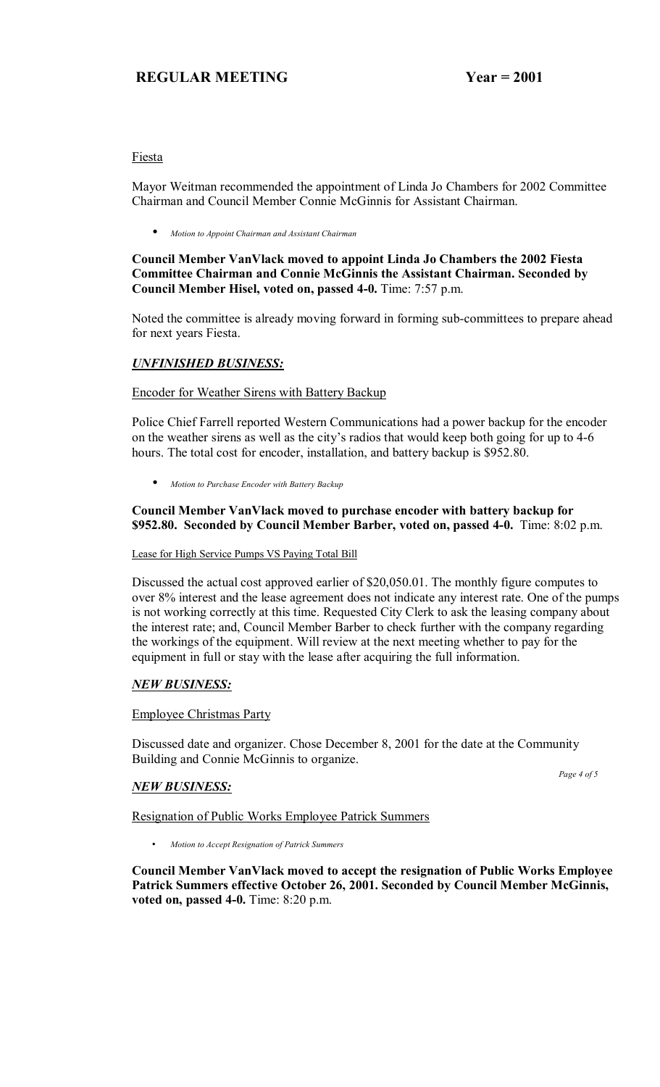## Fiesta

Mayor Weitman recommended the appointment of Linda Jo Chambers for 2002 Committee Chairman and Council Member Connie McGinnis for Assistant Chairman.

• *Motion to Appoint Chairman and Assistant Chairman*

## **Council Member VanVlack moved to appoint Linda Jo Chambers the 2002 Fiesta Committee Chairman and Connie McGinnis the Assistant Chairman. Seconded by Council Member Hisel, voted on, passed 4-0.** Time: 7:57 p.m.

Noted the committee is already moving forward in forming sub-committees to prepare ahead for next years Fiesta.

# *UNFINISHED BUSINESS:*

## Encoder for Weather Sirens with Battery Backup

Police Chief Farrell reported Western Communications had a power backup for the encoder on the weather sirens as well as the city's radios that would keep both going for up to 4-6 hours. The total cost for encoder, installation, and battery backup is \$952.80.

• *Motion to Purchase Encoder with Battery Backup*

## **Council Member VanVlack moved to purchase encoder with battery backup for \$952.80. Seconded by Council Member Barber, voted on, passed 4-0.** Time: 8:02 p.m.

## Lease for High Service Pumps VS Paying Total Bill

Discussed the actual cost approved earlier of \$20,050.01. The monthly figure computes to over 8% interest and the lease agreement does not indicate any interest rate. One of the pumps is not working correctly at this time. Requested City Clerk to ask the leasing company about the interest rate; and, Council Member Barber to check further with the company regarding the workings of the equipment. Will review at the next meeting whether to pay for the equipment in full or stay with the lease after acquiring the full information.

## *NEW BUSINESS:*

## Employee Christmas Party

Discussed date and organizer. Chose December 8, 2001 for the date at the Community Building and Connie McGinnis to organize.

## *NEW BUSINESS:*

 *Page 4 of 5* 

## Resignation of Public Works Employee Patrick Summers

• *Motion to Accept Resignation of Patrick Summers* 

**Council Member VanVlack moved to accept the resignation of Public Works Employee Patrick Summers effective October 26, 2001. Seconded by Council Member McGinnis, voted on, passed 4-0.** Time: 8:20 p.m.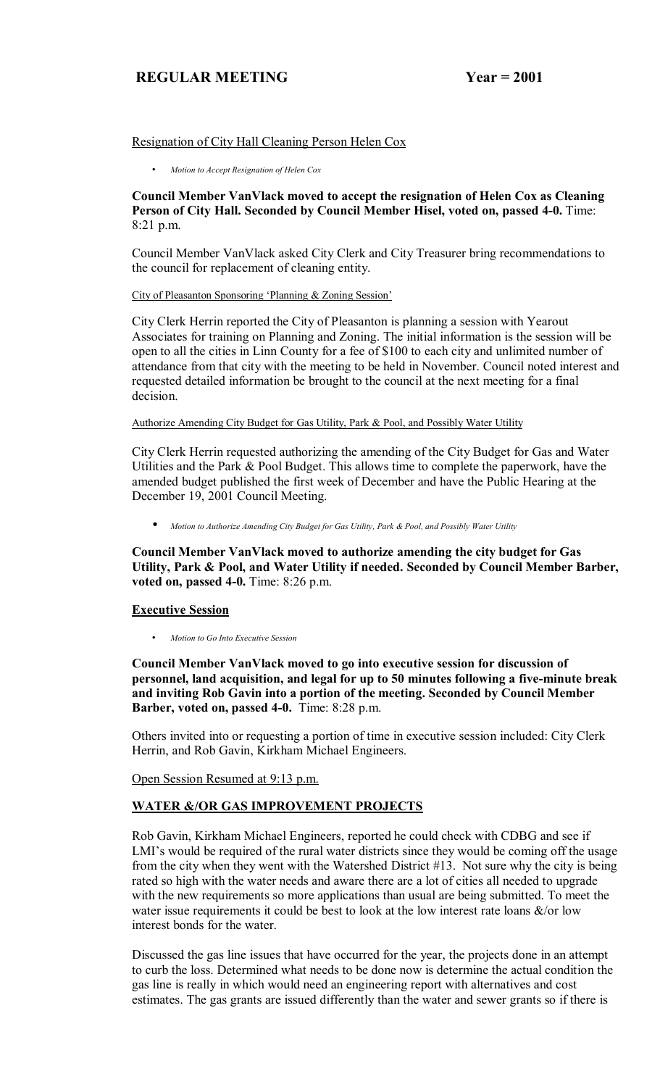## Resignation of City Hall Cleaning Person Helen Cox

• *Motion to Accept Resignation of Helen Cox* 

**Council Member VanVlack moved to accept the resignation of Helen Cox as Cleaning Person of City Hall. Seconded by Council Member Hisel, voted on, passed 4-0.** Time: 8:21 p.m.

Council Member VanVlack asked City Clerk and City Treasurer bring recommendations to the council for replacement of cleaning entity.

#### City of Pleasanton Sponsoring 'Planning & Zoning Session'

City Clerk Herrin reported the City of Pleasanton is planning a session with Yearout Associates for training on Planning and Zoning. The initial information is the session will be open to all the cities in Linn County for a fee of \$100 to each city and unlimited number of attendance from that city with the meeting to be held in November. Council noted interest and requested detailed information be brought to the council at the next meeting for a final decision.

Authorize Amending City Budget for Gas Utility, Park & Pool, and Possibly Water Utility

City Clerk Herrin requested authorizing the amending of the City Budget for Gas and Water Utilities and the Park & Pool Budget. This allows time to complete the paperwork, have the amended budget published the first week of December and have the Public Hearing at the December 19, 2001 Council Meeting.

• *Motion to Authorize Amending City Budget for Gas Utility, Park & Pool, and Possibly Water Utility*

**Council Member VanVlack moved to authorize amending the city budget for Gas Utility, Park & Pool, and Water Utility if needed. Seconded by Council Member Barber, voted on, passed 4-0.** Time: 8:26 p.m.

## **Executive Session**

• *Motion to Go Into Executive Session*

**Council Member VanVlack moved to go into executive session for discussion of personnel, land acquisition, and legal for up to 50 minutes following a five-minute break and inviting Rob Gavin into a portion of the meeting. Seconded by Council Member Barber, voted on, passed 4-0.** Time: 8:28 p.m.

Others invited into or requesting a portion of time in executive session included: City Clerk Herrin, and Rob Gavin, Kirkham Michael Engineers.

Open Session Resumed at 9:13 p.m.

# **WATER &/OR GAS IMPROVEMENT PROJECTS**

Rob Gavin, Kirkham Michael Engineers, reported he could check with CDBG and see if LMI's would be required of the rural water districts since they would be coming off the usage from the city when they went with the Watershed District #13. Not sure why the city is being rated so high with the water needs and aware there are a lot of cities all needed to upgrade with the new requirements so more applications than usual are being submitted. To meet the water issue requirements it could be best to look at the low interest rate loans  $\&$ /or low interest bonds for the water.

Discussed the gas line issues that have occurred for the year, the projects done in an attempt to curb the loss. Determined what needs to be done now is determine the actual condition the gas line is really in which would need an engineering report with alternatives and cost estimates. The gas grants are issued differently than the water and sewer grants so if there is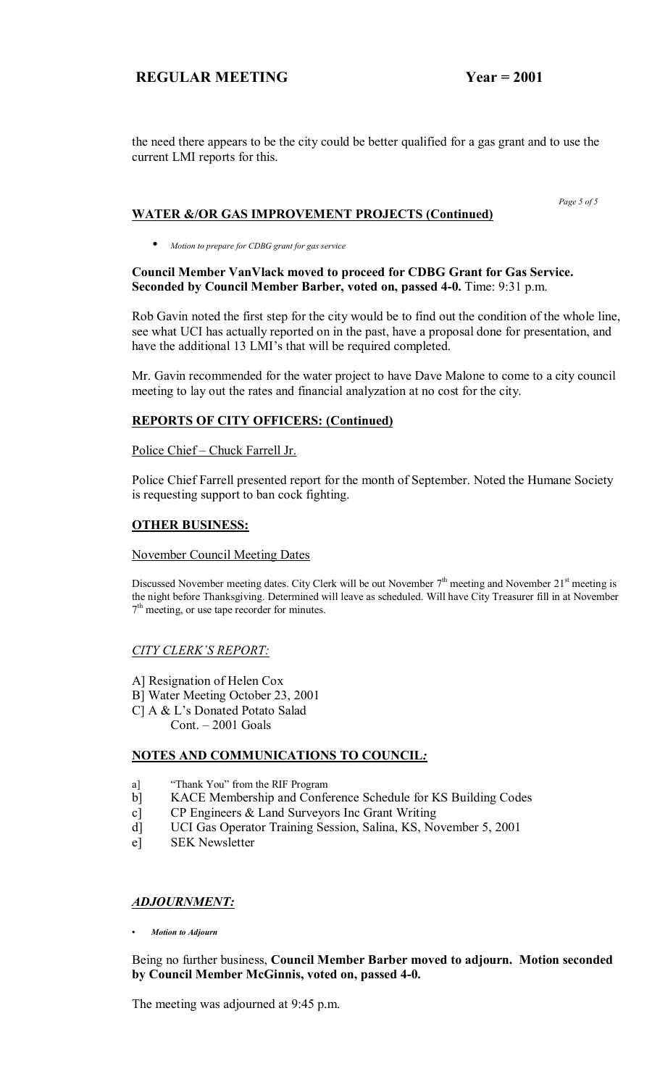the need there appears to be the city could be better qualified for a gas grant and to use the current LMI reports for this.

#### *Page 5 of 5*  **WATER &/OR GAS IMPROVEMENT PROJECTS (Continued)**

• *Motion to prepare for CDBG grant for gas service*

## **Council Member VanVlack moved to proceed for CDBG Grant for Gas Service. Seconded by Council Member Barber, voted on, passed 4-0.** Time: 9:31 p.m.

Rob Gavin noted the first step for the city would be to find out the condition of the whole line, see what UCI has actually reported on in the past, have a proposal done for presentation, and have the additional 13 LMI's that will be required completed.

Mr. Gavin recommended for the water project to have Dave Malone to come to a city council meeting to lay out the rates and financial analyzation at no cost for the city.

# **REPORTS OF CITY OFFICERS: (Continued)**

## Police Chief - Chuck Farrell Jr.

Police Chief Farrell presented report for the month of September. Noted the Humane Society is requesting support to ban cock fighting.

# **OTHER BUSINESS:**

## November Council Meeting Dates

Discussed November meeting dates. City Clerk will be out November  $7<sup>th</sup>$  meeting and November  $21<sup>st</sup>$  meeting is the night before Thanksgiving. Determined will leave as scheduled. Will have City Treasurer fill in at November  $7<sup>th</sup>$  meeting, or use tape recorder for minutes.

## **CITY CLERK'S REPORT:**

- A] Resignation of Helen Cox
- B] Water Meeting October 23, 2001
- C] A & L's Donated Potato Salad
	- $Cont. 2001$  Goals

# **NOTES AND COMMUNICATIONS TO COUNCIL***:*

- a] <sup>"Thank You" from the RIF Program</sup>
- b] KACE Membership and Conference Schedule for KS Building Codes
- c] CP Engineers & Land Surveyors Inc Grant Writing
- d] UCI Gas Operator Training Session, Salina, KS, November 5, 2001
- e] SEK Newsletter

## *ADJOURNMENT:*

*ï Motion to Adjourn*

Being no further business, **Council Member Barber moved to adjourn. Motion seconded by Council Member McGinnis, voted on, passed 4-0.**

The meeting was adjourned at 9:45 p.m.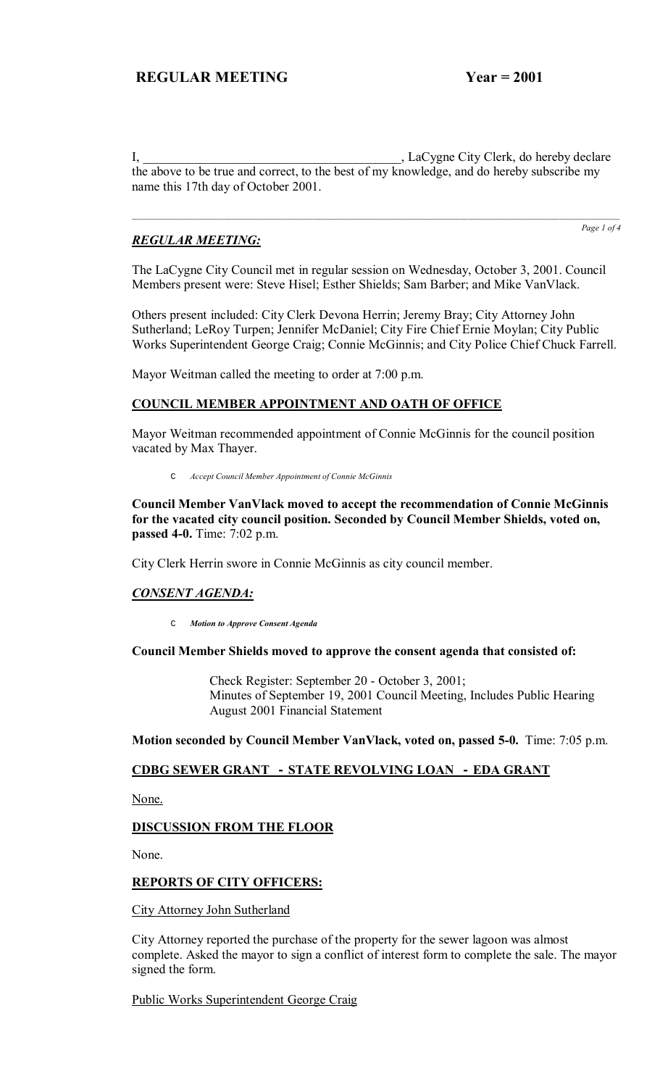I, LaCygne City Clerk, do hereby declare the above to be true and correct, to the best of my knowledge, and do hereby subscribe my name this 17th day of October 2001.

## *REGULAR MEETING:*

*Page 1 of 4*

The LaCygne City Council met in regular session on Wednesday, October 3, 2001. Council Members present were: Steve Hisel; Esther Shields; Sam Barber; and Mike VanVlack.

Others present included: City Clerk Devona Herrin; Jeremy Bray; City Attorney John Sutherland; LeRoy Turpen; Jennifer McDaniel; City Fire Chief Ernie Moylan; City Public Works Superintendent George Craig; Connie McGinnis; and City Police Chief Chuck Farrell.

Mayor Weitman called the meeting to order at 7:00 p.m.

## **COUNCIL MEMBER APPOINTMENT AND OATH OF OFFICE**

Mayor Weitman recommended appointment of Connie McGinnis for the council position vacated by Max Thayer.

C *Accept Council Member Appointment of Connie McGinnis*

**Council Member VanVlack moved to accept the recommendation of Connie McGinnis for the vacated city council position. Seconded by Council Member Shields, voted on, passed 4-0.** Time: 7:02 p.m.

City Clerk Herrin swore in Connie McGinnis as city council member.

## *CONSENT AGENDA:*

C *Motion to Approve Consent Agenda*

#### **Council Member Shields moved to approve the consent agenda that consisted of:**

 Check Register: September 20 - October 3, 2001; Minutes of September 19, 2001 Council Meeting, Includes Public Hearing August 2001 Financial Statement

**Motion seconded by Council Member VanVlack, voted on, passed 5-0.** Time: 7:05 p.m.

#### **CDBG SEWER GRANT - STATE REVOLVING LOAN - EDA GRANT**

None.

#### **DISCUSSION FROM THE FLOOR**

None.

#### **REPORTS OF CITY OFFICERS:**

City Attorney John Sutherland

City Attorney reported the purchase of the property for the sewer lagoon was almost complete. Asked the mayor to sign a conflict of interest form to complete the sale. The mayor signed the form.

Public Works Superintendent George Craig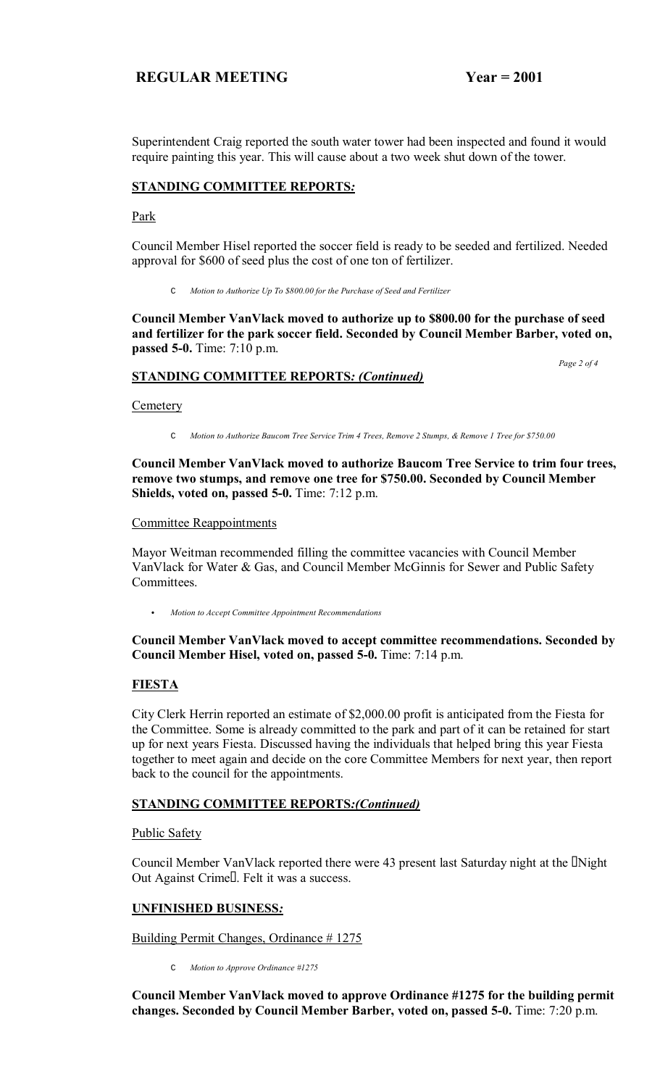Superintendent Craig reported the south water tower had been inspected and found it would require painting this year. This will cause about a two week shut down of the tower.

## **STANDING COMMITTEE REPORTS***:*

Park

Council Member Hisel reported the soccer field is ready to be seeded and fertilized. Needed approval for \$600 of seed plus the cost of one ton of fertilizer.

C *Motion to Authorize Up To \$800.00 for the Purchase of Seed and Fertilizer*

**Council Member VanVlack moved to authorize up to \$800.00 for the purchase of seed and fertilizer for the park soccer field. Seconded by Council Member Barber, voted on, passed 5-0.** Time: 7:10 p.m.

## **STANDING COMMITTEE REPORTS***: (Continued)*

 *Page 2 of 4*

#### **Cemetery**

C *Motion to Authorize Baucom Tree Service Trim 4 Trees, Remove 2 Stumps, & Remove 1 Tree for \$750.00*

**Council Member VanVlack moved to authorize Baucom Tree Service to trim four trees, remove two stumps, and remove one tree for \$750.00. Seconded by Council Member Shields, voted on, passed 5-0.** Time: 7:12 p.m.

#### Committee Reappointments

Mayor Weitman recommended filling the committee vacancies with Council Member VanVlack for Water & Gas, and Council Member McGinnis for Sewer and Public Safety **Committees** 

C *Motion to Accept Committee Appointment Recommendations*

## **Council Member VanVlack moved to accept committee recommendations. Seconded by Council Member Hisel, voted on, passed 5-0.** Time: 7:14 p.m.

## **FIESTA**

City Clerk Herrin reported an estimate of \$2,000.00 profit is anticipated from the Fiesta for the Committee. Some is already committed to the park and part of it can be retained for start up for next years Fiesta. Discussed having the individuals that helped bring this year Fiesta together to meet again and decide on the core Committee Members for next year, then report back to the council for the appointments.

## **STANDING COMMITTEE REPORTS***:(Continued)*

Public Safety

Council Member VanVlack reported there were 43 present last Saturday night at the Night Out Against Crime. Felt it was a success.

## **UNFINISHED BUSINESS***:*

Building Permit Changes, Ordinance # 1275

C *Motion to Approve Ordinance #1275*

**Council Member VanVlack moved to approve Ordinance #1275 for the building permit changes. Seconded by Council Member Barber, voted on, passed 5-0.** Time: 7:20 p.m.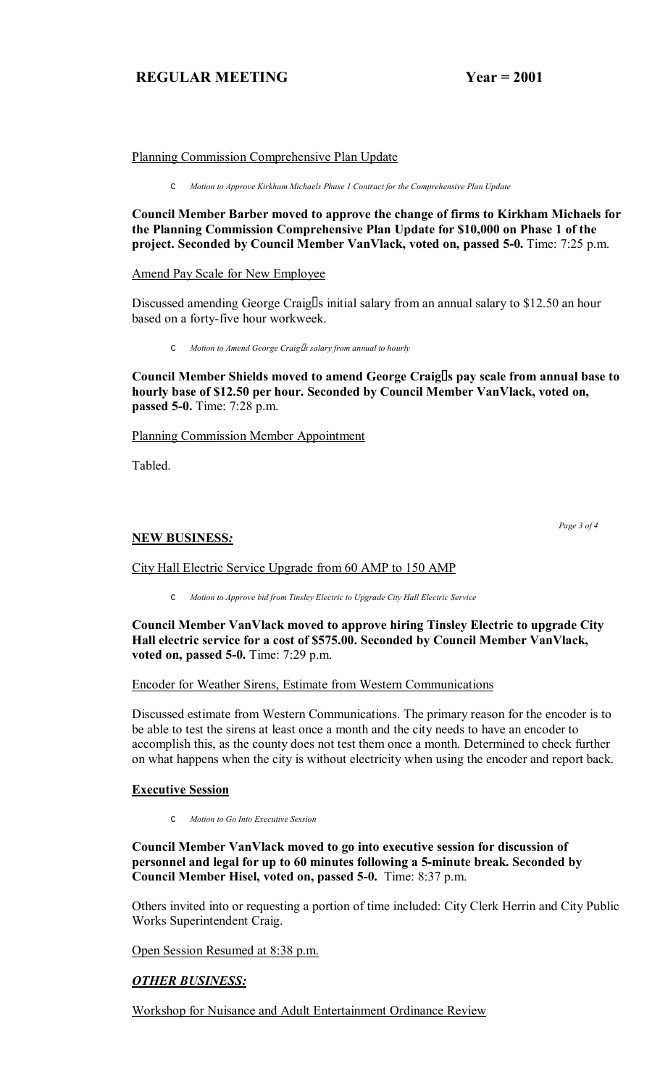#### Planning Commission Comprehensive Plan Update

C *Motion to Approve Kirkham Michaels Phase 1 Contract for the Comprehensive Plan Update*

**Council Member Barber moved to approve the change of firms to Kirkham Michaels for the Planning Commission Comprehensive Plan Update for \$10,000 on Phase 1 of the project. Seconded by Council Member VanVlack, voted on, passed 5-0.** Time: 7:25 p.m.

Amend Pay Scale for New Employee

Discussed amending George Craig s initial salary from an annual salary to \$12.50 an hour based on a forty-five hour workweek.

C *Motion to Amend George Craigs salary from annual to hourly*

**Council Member Shields moved to amend George Craigs pay scale from annual base to hourly base of \$12.50 per hour. Seconded by Council Member VanVlack, voted on, passed 5-0.** Time: 7:28 p.m.

Planning Commission Member Appointment

Tabled.

#### **NEW BUSINESS***:*

 *Page 3 of 4*

# City Hall Electric Service Upgrade from 60 AMP to 150 AMP

C *Motion to Approve bid from Tinsley Electric to Upgrade City Hall Electric Service*

**Council Member VanVlack moved to approve hiring Tinsley Electric to upgrade City Hall electric service for a cost of \$575.00. Seconded by Council Member VanVlack, voted on, passed 5-0.** Time: 7:29 p.m.

#### Encoder for Weather Sirens, Estimate from Western Communications

Discussed estimate from Western Communications. The primary reason for the encoder is to be able to test the sirens at least once a month and the city needs to have an encoder to accomplish this, as the county does not test them once a month. Determined to check further on what happens when the city is without electricity when using the encoder and report back.

## **Executive Session**

C *Motion to Go Into Executive Session*

**Council Member VanVlack moved to go into executive session for discussion of personnel and legal for up to 60 minutes following a 5-minute break. Seconded by Council Member Hisel, voted on, passed 5-0.** Time: 8:37 p.m.

Others invited into or requesting a portion of time included: City Clerk Herrin and City Public Works Superintendent Craig.

Open Session Resumed at 8:38 p.m.

# *OTHER BUSINESS:*

Workshop for Nuisance and Adult Entertainment Ordinance Review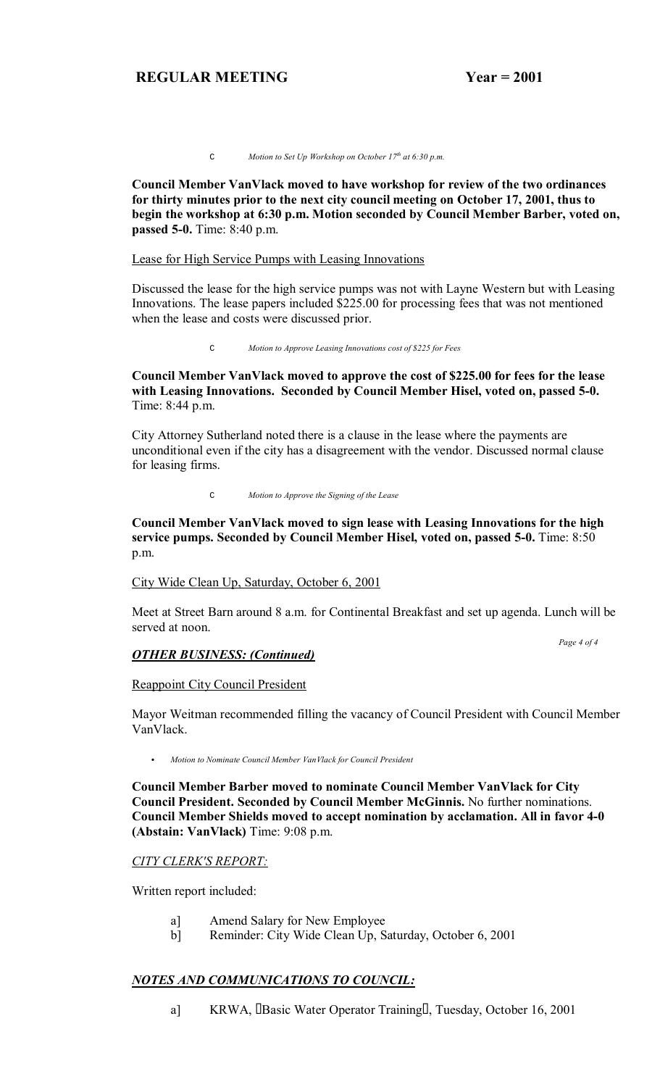C *Motion to Set Up Workshop on October 17th at 6:30 p.m.* 

**Council Member VanVlack moved to have workshop for review of the two ordinances for thirty minutes prior to the next city council meeting on October 17, 2001, thus to begin the workshop at 6:30 p.m. Motion seconded by Council Member Barber, voted on, passed 5-0.** Time: 8:40 p.m.

#### Lease for High Service Pumps with Leasing Innovations

Discussed the lease for the high service pumps was not with Layne Western but with Leasing Innovations. The lease papers included \$225.00 for processing fees that was not mentioned when the lease and costs were discussed prior.

C *Motion to Approve Leasing Innovations cost of \$225 for Fees* 

**Council Member VanVlack moved to approve the cost of \$225.00 for fees for the lease with Leasing Innovations. Seconded by Council Member Hisel, voted on, passed 5-0.**  Time: 8:44 p.m.

City Attorney Sutherland noted there is a clause in the lease where the payments are unconditional even if the city has a disagreement with the vendor. Discussed normal clause for leasing firms.

C *Motion to Approve the Signing of the Lease* 

## **Council Member VanVlack moved to sign lease with Leasing Innovations for the high service pumps. Seconded by Council Member Hisel, voted on, passed 5-0.** Time: 8:50 p.m.

#### City Wide Clean Up, Saturday, October 6, 2001

Meet at Street Barn around 8 a.m. for Continental Breakfast and set up agenda. Lunch will be served at noon.

 *Page 4 of 4* 

## *OTHER BUSINESS: (Continued)*

#### Reappoint City Council President

Mayor Weitman recommended filling the vacancy of Council President with Council Member VanVlack.

Motion to Nominate Council Member VanVlack for Council President

**Council Member Barber moved to nominate Council Member VanVlack for City Council President. Seconded by Council Member McGinnis.** No further nominations. **Council Member Shields moved to accept nomination by acclamation. All in favor 4-0 (Abstain: VanVlack)** Time: 9:08 p.m.

#### *CITY CLERK'S REPORT:*

Written report included:

- a] Amend Salary for New Employee
- b] Reminder: City Wide Clean Up, Saturday, October 6, 2001

## *NOTES AND COMMUNICATIONS TO COUNCIL:*

a] KRWA, Basic Water Operator Training, Tuesday, October 16, 2001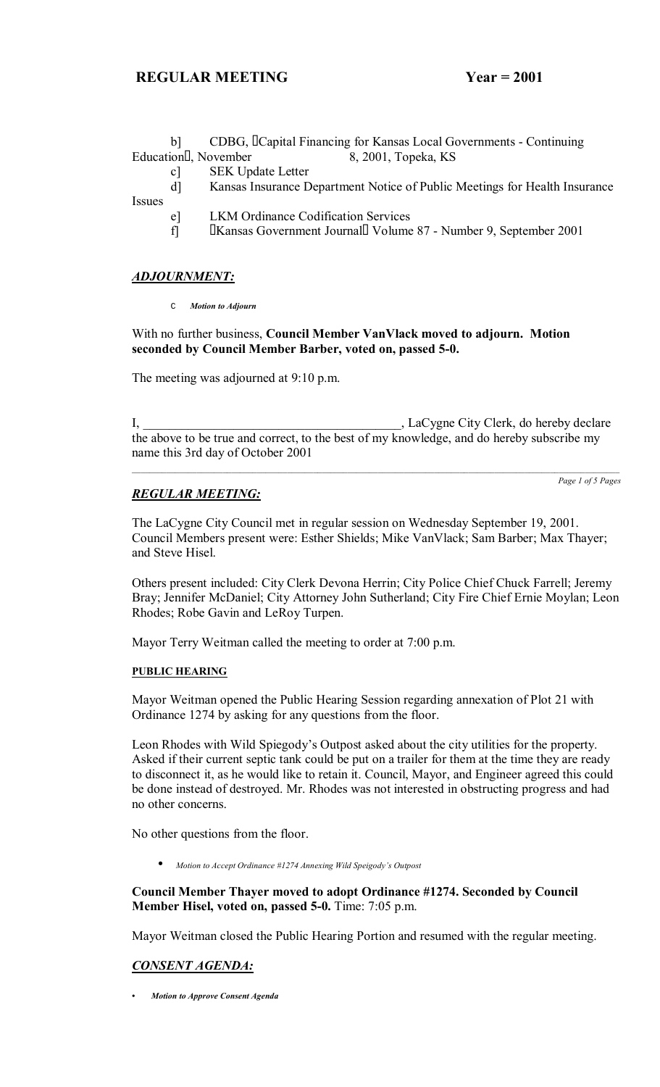|               | CDBG, Capital Financing for Kansas Local Governments - Continuing          |
|---------------|----------------------------------------------------------------------------|
|               | 8, 2001, Topeka, KS<br>Education, November                                 |
| c             | <b>SEK Update Letter</b>                                                   |
| dl            | Kansas Insurance Department Notice of Public Meetings for Health Insurance |
| <i>Issues</i> |                                                                            |
| e l           | <b>LKM Ordinance Codification Services</b>                                 |
| fl            | Kansas Government Journal Volume 87 - Number 9, September 2001             |

## *ADJOURNMENT:*

C *Motion to Adjourn*

With no further business, **Council Member VanVlack moved to adjourn. Motion seconded by Council Member Barber, voted on, passed 5-0.** 

The meeting was adjourned at 9:10 p.m.

I, LaCygne City Clerk, do hereby declare the above to be true and correct, to the best of my knowledge, and do hereby subscribe my name this 3rd day of October 2001

## *REGULAR MEETING:*

*Page 1 of 5 Pages*

The LaCygne City Council met in regular session on Wednesday September 19, 2001. Council Members present were: Esther Shields; Mike VanVlack; Sam Barber; Max Thayer; and Steve Hisel.

Others present included: City Clerk Devona Herrin; City Police Chief Chuck Farrell; Jeremy Bray; Jennifer McDaniel; City Attorney John Sutherland; City Fire Chief Ernie Moylan; Leon Rhodes; Robe Gavin and LeRoy Turpen.

Mayor Terry Weitman called the meeting to order at 7:00 p.m.

#### **PUBLIC HEARING**

Mayor Weitman opened the Public Hearing Session regarding annexation of Plot 21 with Ordinance 1274 by asking for any questions from the floor.

Leon Rhodes with Wild Spiegody's Outpost asked about the city utilities for the property. Asked if their current septic tank could be put on a trailer for them at the time they are ready to disconnect it, as he would like to retain it. Council, Mayor, and Engineer agreed this could be done instead of destroyed. Mr. Rhodes was not interested in obstructing progress and had no other concerns.

No other questions from the floor.

• *Motion to Accept Ordinance #1274 Annexing Wild Speigodyís Outpost*

**Council Member Thayer moved to adopt Ordinance #1274. Seconded by Council Member Hisel, voted on, passed 5-0.** Time: 7:05 p.m.

Mayor Weitman closed the Public Hearing Portion and resumed with the regular meeting.

# *CONSENT AGENDA:*

*ï Motion to Approve Consent Agenda*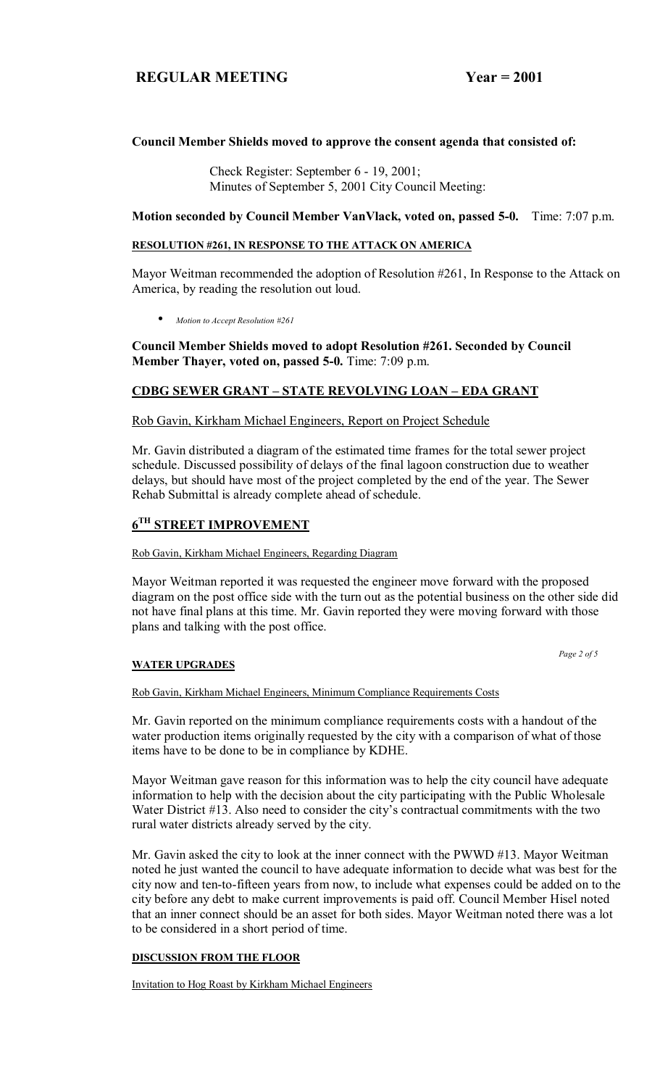## **Council Member Shields moved to approve the consent agenda that consisted of:**

 Check Register: September 6 - 19, 2001; Minutes of September 5, 2001 City Council Meeting:

#### **Motion seconded by Council Member VanVlack, voted on, passed 5-0.** Time: 7:07 p.m.

#### **RESOLUTION #261, IN RESPONSE TO THE ATTACK ON AMERICA**

Mayor Weitman recommended the adoption of Resolution #261, In Response to the Attack on America, by reading the resolution out loud.

• *Motion to Accept Resolution #261*

**Council Member Shields moved to adopt Resolution #261. Seconded by Council Member Thayer, voted on, passed 5-0.** Time: 7:09 p.m.

## **CDBG SEWER GRANT – STATE REVOLVING LOAN – EDA GRANT**

#### Rob Gavin, Kirkham Michael Engineers, Report on Project Schedule

Mr. Gavin distributed a diagram of the estimated time frames for the total sewer project schedule. Discussed possibility of delays of the final lagoon construction due to weather delays, but should have most of the project completed by the end of the year. The Sewer Rehab Submittal is already complete ahead of schedule.

## **6TH STREET IMPROVEMENT**

#### Rob Gavin, Kirkham Michael Engineers, Regarding Diagram

Mayor Weitman reported it was requested the engineer move forward with the proposed diagram on the post office side with the turn out as the potential business on the other side did not have final plans at this time. Mr. Gavin reported they were moving forward with those plans and talking with the post office.

*Page 2 of 5* 

#### **WATER UPGRADES**

Rob Gavin, Kirkham Michael Engineers, Minimum Compliance Requirements Costs

Mr. Gavin reported on the minimum compliance requirements costs with a handout of the water production items originally requested by the city with a comparison of what of those items have to be done to be in compliance by KDHE.

Mayor Weitman gave reason for this information was to help the city council have adequate information to help with the decision about the city participating with the Public Wholesale Water District #13. Also need to consider the city's contractual commitments with the two rural water districts already served by the city.

Mr. Gavin asked the city to look at the inner connect with the PWWD #13. Mayor Weitman noted he just wanted the council to have adequate information to decide what was best for the city now and ten-to-fifteen years from now, to include what expenses could be added on to the city before any debt to make current improvements is paid off. Council Member Hisel noted that an inner connect should be an asset for both sides. Mayor Weitman noted there was a lot to be considered in a short period of time.

#### **DISCUSSION FROM THE FLOOR**

Invitation to Hog Roast by Kirkham Michael Engineers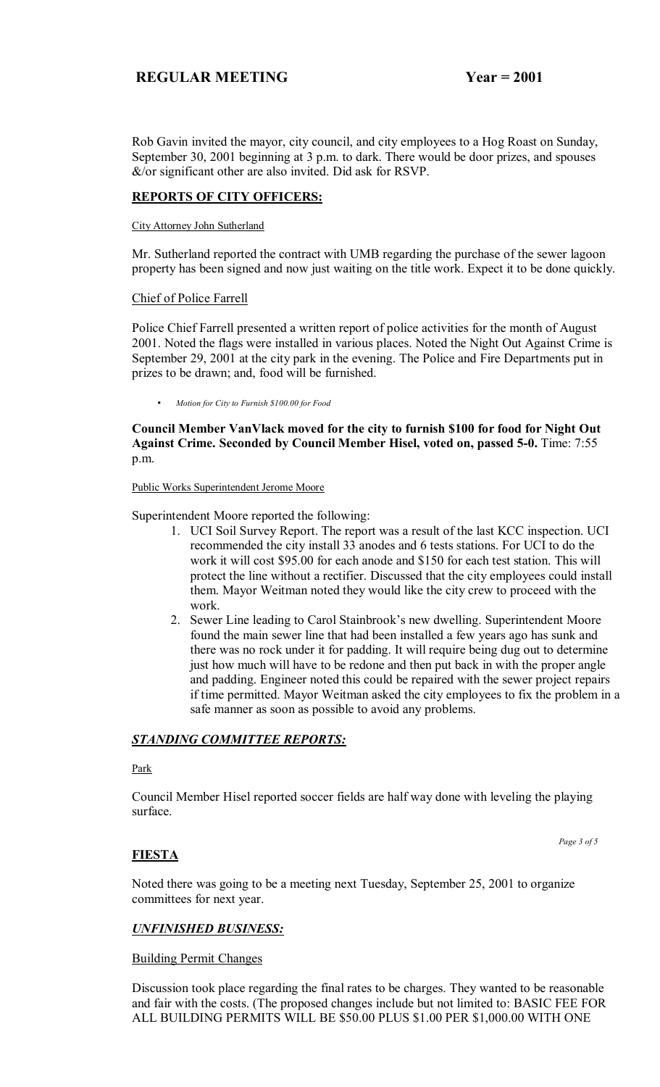Rob Gavin invited the mayor, city council, and city employees to a Hog Roast on Sunday, September 30, 2001 beginning at 3 p.m. to dark. There would be door prizes, and spouses &/or significant other are also invited. Did ask for RSVP.

## **REPORTS OF CITY OFFICERS:**

#### City Attorney John Sutherland

Mr. Sutherland reported the contract with UMB regarding the purchase of the sewer lagoon property has been signed and now just waiting on the title work. Expect it to be done quickly.

## Chief of Police Farrell

Police Chief Farrell presented a written report of police activities for the month of August 2001. Noted the flags were installed in various places. Noted the Night Out Against Crime is September 29, 2001 at the city park in the evening. The Police and Fire Departments put in prizes to be drawn; and, food will be furnished.

• *Motion for City to Furnish \$100.00 for Food*

**Council Member VanVlack moved for the city to furnish \$100 for food for Night Out Against Crime. Seconded by Council Member Hisel, voted on, passed 5-0.** Time: 7:55 p.m.

#### Public Works Superintendent Jerome Moore

Superintendent Moore reported the following:

- 1. UCI Soil Survey Report. The report was a result of the last KCC inspection. UCI recommended the city install 33 anodes and 6 tests stations. For UCI to do the work it will cost \$95.00 for each anode and \$150 for each test station. This will protect the line without a rectifier. Discussed that the city employees could install them. Mayor Weitman noted they would like the city crew to proceed with the work.
- 2. Sewer Line leading to Carol Stainbrook's new dwelling. Superintendent Moore found the main sewer line that had been installed a few years ago has sunk and there was no rock under it for padding. It will require being dug out to determine just how much will have to be redone and then put back in with the proper angle and padding. Engineer noted this could be repaired with the sewer project repairs if time permitted. Mayor Weitman asked the city employees to fix the problem in a safe manner as soon as possible to avoid any problems.

## *STANDING COMMITTEE REPORTS:*

Park

Council Member Hisel reported soccer fields are half way done with leveling the playing surface.

# **FIESTA**

 *Page 3 of 5* 

Noted there was going to be a meeting next Tuesday, September 25, 2001 to organize committees for next year.

## *UNFINISHED BUSINESS:*

## Building Permit Changes

Discussion took place regarding the final rates to be charges. They wanted to be reasonable and fair with the costs. (The proposed changes include but not limited to: BASIC FEE FOR ALL BUILDING PERMITS WILL BE \$50.00 PLUS \$1.00 PER \$1,000.00 WITH ONE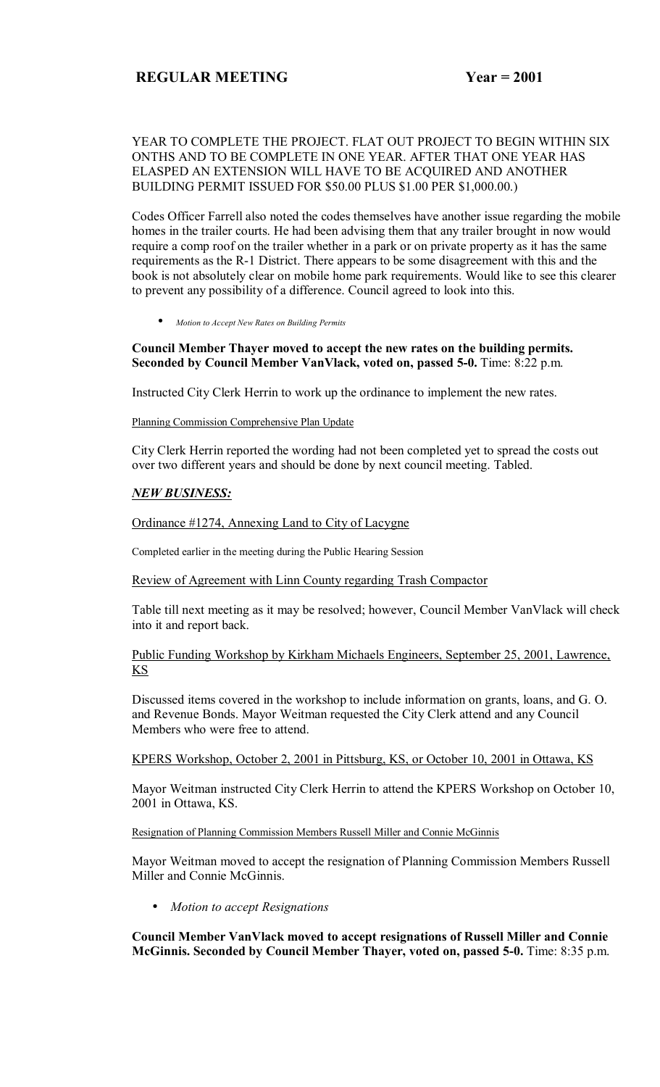## YEAR TO COMPLETE THE PROJECT. FLAT OUT PROJECT TO BEGIN WITHIN SIX ONTHS AND TO BE COMPLETE IN ONE YEAR. AFTER THAT ONE YEAR HAS ELASPED AN EXTENSION WILL HAVE TO BE ACQUIRED AND ANOTHER BUILDING PERMIT ISSUED FOR \$50.00 PLUS \$1.00 PER \$1,000.00.)

Codes Officer Farrell also noted the codes themselves have another issue regarding the mobile homes in the trailer courts. He had been advising them that any trailer brought in now would require a comp roof on the trailer whether in a park or on private property as it has the same requirements as the R-1 District. There appears to be some disagreement with this and the book is not absolutely clear on mobile home park requirements. Would like to see this clearer to prevent any possibility of a difference. Council agreed to look into this.

• *Motion to Accept New Rates on Building Permits*

#### **Council Member Thayer moved to accept the new rates on the building permits. Seconded by Council Member VanVlack, voted on, passed 5-0.** Time: 8:22 p.m.

Instructed City Clerk Herrin to work up the ordinance to implement the new rates.

#### Planning Commission Comprehensive Plan Update

City Clerk Herrin reported the wording had not been completed yet to spread the costs out over two different years and should be done by next council meeting. Tabled.

## *NEW BUSINESS:*

#### Ordinance #1274, Annexing Land to City of Lacygne

Completed earlier in the meeting during the Public Hearing Session

#### Review of Agreement with Linn County regarding Trash Compactor

Table till next meeting as it may be resolved; however, Council Member VanVlack will check into it and report back.

## Public Funding Workshop by Kirkham Michaels Engineers, September 25, 2001, Lawrence, KS

Discussed items covered in the workshop to include information on grants, loans, and G. O. and Revenue Bonds. Mayor Weitman requested the City Clerk attend and any Council Members who were free to attend.

#### KPERS Workshop, October 2, 2001 in Pittsburg, KS, or October 10, 2001 in Ottawa, KS

Mayor Weitman instructed City Clerk Herrin to attend the KPERS Workshop on October 10, 2001 in Ottawa, KS.

#### Resignation of Planning Commission Members Russell Miller and Connie McGinnis

Mayor Weitman moved to accept the resignation of Planning Commission Members Russell Miller and Connie McGinnis.

• *Motion to accept Resignations*

**Council Member VanVlack moved to accept resignations of Russell Miller and Connie McGinnis. Seconded by Council Member Thayer, voted on, passed 5-0.** Time: 8:35 p.m.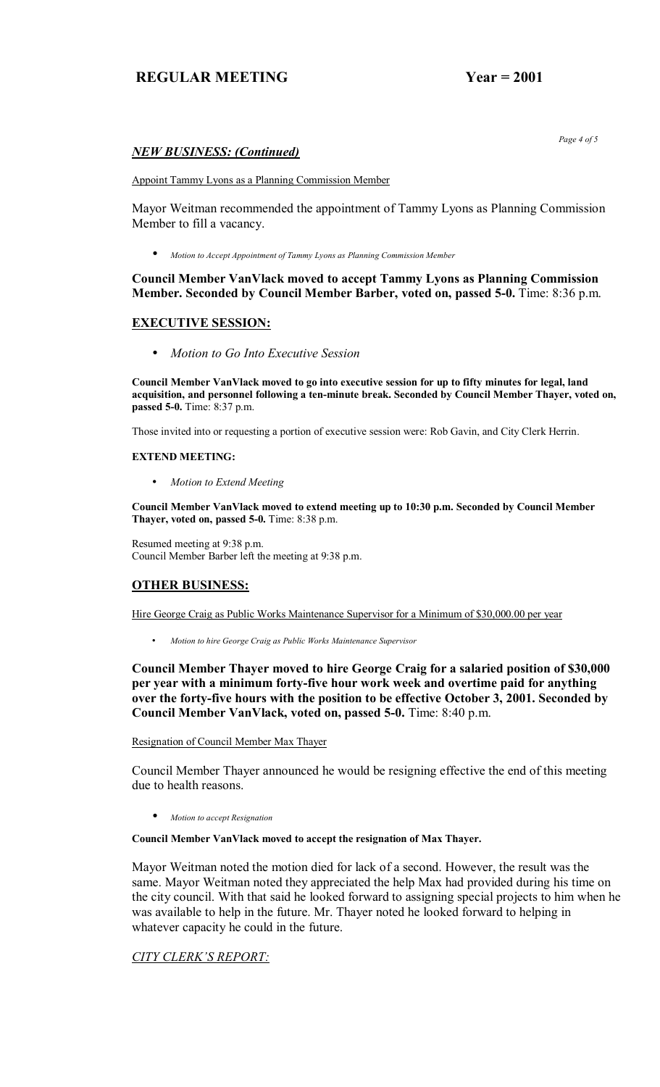## *NEW BUSINESS: (Continued)*

Appoint Tammy Lyons as a Planning Commission Member

Mayor Weitman recommended the appointment of Tammy Lyons as Planning Commission Member to fill a vacancy.

• *Motion to Accept Appointment of Tammy Lyons as Planning Commission Member*

## **Council Member VanVlack moved to accept Tammy Lyons as Planning Commission Member. Seconded by Council Member Barber, voted on, passed 5-0.** Time: 8:36 p.m.

## **EXECUTIVE SESSION:**

• *Motion to Go Into Executive Session*

**Council Member VanVlack moved to go into executive session for up to fifty minutes for legal, land acquisition, and personnel following a ten-minute break. Seconded by Council Member Thayer, voted on, passed 5-0.** Time: 8:37 p.m.

Those invited into or requesting a portion of executive session were: Rob Gavin, and City Clerk Herrin.

#### **EXTEND MEETING:**

• *Motion to Extend Meeting*

**Council Member VanVlack moved to extend meeting up to 10:30 p.m. Seconded by Council Member Thayer, voted on, passed 5-0.** Time: 8:38 p.m.

Resumed meeting at 9:38 p.m. Council Member Barber left the meeting at 9:38 p.m.

## **OTHER BUSINESS:**

Hire George Craig as Public Works Maintenance Supervisor for a Minimum of \$30,000.00 per year

• *Motion to hire George Craig as Public Works Maintenance Supervisor* 

**Council Member Thayer moved to hire George Craig for a salaried position of \$30,000 per year with a minimum forty-five hour work week and overtime paid for anything over the forty-five hours with the position to be effective October 3, 2001. Seconded by Council Member VanVlack, voted on, passed 5-0.** Time: 8:40 p.m.

#### Resignation of Council Member Max Thayer

Council Member Thayer announced he would be resigning effective the end of this meeting due to health reasons.

• *Motion to accept Resignation*

#### **Council Member VanVlack moved to accept the resignation of Max Thayer.**

Mayor Weitman noted the motion died for lack of a second. However, the result was the same. Mayor Weitman noted they appreciated the help Max had provided during his time on the city council. With that said he looked forward to assigning special projects to him when he was available to help in the future. Mr. Thayer noted he looked forward to helping in whatever capacity he could in the future.

# *CITY CLERK'S REPORT:*

 *Page 4 of 5*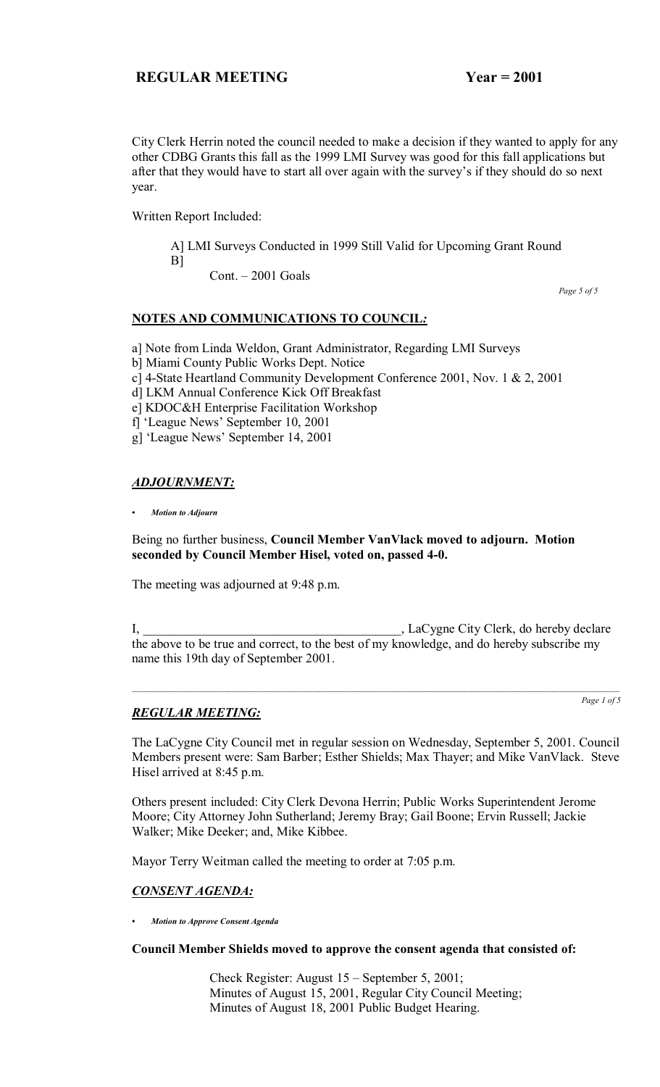City Clerk Herrin noted the council needed to make a decision if they wanted to apply for any other CDBG Grants this fall as the 1999 LMI Survey was good for this fall applications but after that they would have to start all over again with the survey's if they should do so next year.

Written Report Included:

 A] LMI Surveys Conducted in 1999 Still Valid for Upcoming Grant Round B]

 $Cont. - 2001$  Goals

 *Page 5 of 5*

## **NOTES AND COMMUNICATIONS TO COUNCIL***:*

a] Note from Linda Weldon, Grant Administrator, Regarding LMI Surveys

- b] Miami County Public Works Dept. Notice
- c] 4-State Heartland Community Development Conference 2001, Nov. 1 & 2, 2001
- d] LKM Annual Conference Kick Off Breakfast
- e] KDOC&H Enterprise Facilitation Workshop
- f] 'League News' September 10, 2001

g] 'League News' September 14, 2001

# *ADJOURNMENT:*

*ï Motion to Adjourn*

## Being no further business, **Council Member VanVlack moved to adjourn. Motion seconded by Council Member Hisel, voted on, passed 4-0.**

The meeting was adjourned at 9:48 p.m.

I, \_\_\_\_\_\_\_\_\_\_\_\_\_\_\_\_\_\_\_\_\_\_\_\_\_\_\_\_\_\_\_\_\_\_\_\_\_\_\_\_, LaCygne City Clerk, do hereby declare the above to be true and correct, to the best of my knowledge, and do hereby subscribe my name this 19th day of September 2001.

# *REGULAR MEETING:*

*Page 1 of 5*

The LaCygne City Council met in regular session on Wednesday, September 5, 2001. Council Members present were: Sam Barber; Esther Shields; Max Thayer; and Mike VanVlack. Steve Hisel arrived at 8:45 p.m.

Others present included: City Clerk Devona Herrin; Public Works Superintendent Jerome Moore; City Attorney John Sutherland; Jeremy Bray; Gail Boone; Ervin Russell; Jackie Walker; Mike Deeker; and, Mike Kibbee.

Mayor Terry Weitman called the meeting to order at 7:05 p.m.

## *CONSENT AGENDA:*

*ï Motion to Approve Consent Agenda*

**Council Member Shields moved to approve the consent agenda that consisted of:**

Check Register: August  $15$  – September 5, 2001; Minutes of August 15, 2001, Regular City Council Meeting; Minutes of August 18, 2001 Public Budget Hearing.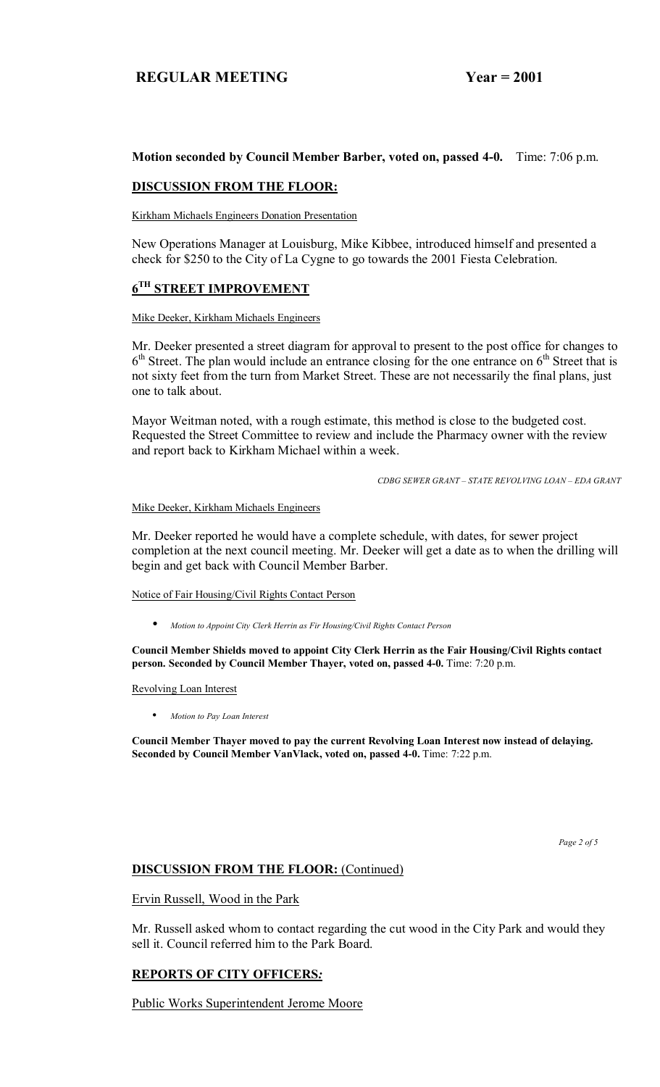## **Motion seconded by Council Member Barber, voted on, passed 4-0.** Time: 7:06 p.m.

## **DISCUSSION FROM THE FLOOR:**

Kirkham Michaels Engineers Donation Presentation

New Operations Manager at Louisburg, Mike Kibbee, introduced himself and presented a check for \$250 to the City of La Cygne to go towards the 2001 Fiesta Celebration.

# **6TH STREET IMPROVEMENT**

#### Mike Deeker, Kirkham Michaels Engineers

Mr. Deeker presented a street diagram for approval to present to the post office for changes to  $6<sup>th</sup> Street$ . The plan would include an entrance closing for the one entrance on  $6<sup>th</sup>$  Street that is not sixty feet from the turn from Market Street. These are not necessarily the final plans, just one to talk about.

Mayor Weitman noted, with a rough estimate, this method is close to the budgeted cost. Requested the Street Committee to review and include the Pharmacy owner with the review and report back to Kirkham Michael within a week.

*CDBG SEWER GRANT – STATE REVOLVING LOAN – EDA GRANT* 

Mike Deeker, Kirkham Michaels Engineers

Mr. Deeker reported he would have a complete schedule, with dates, for sewer project completion at the next council meeting. Mr. Deeker will get a date as to when the drilling will begin and get back with Council Member Barber.

Notice of Fair Housing/Civil Rights Contact Person

• *Motion to Appoint City Clerk Herrin as Fir Housing/Civil Rights Contact Person*

**Council Member Shields moved to appoint City Clerk Herrin as the Fair Housing/Civil Rights contact person. Seconded by Council Member Thayer, voted on, passed 4-0.** Time: 7:20 p.m.

Revolving Loan Interest

• *Motion to Pay Loan Interest*

**Council Member Thayer moved to pay the current Revolving Loan Interest now instead of delaying.**  Seconded by Council Member VanVlack, voted on, passed 4-0. Time: 7:22 p.m.

 *Page 2 of 5*

#### **DISCUSSION FROM THE FLOOR: (Continued)**

#### Ervin Russell, Wood in the Park

Mr. Russell asked whom to contact regarding the cut wood in the City Park and would they sell it. Council referred him to the Park Board.

## **REPORTS OF CITY OFFICERS***:*

Public Works Superintendent Jerome Moore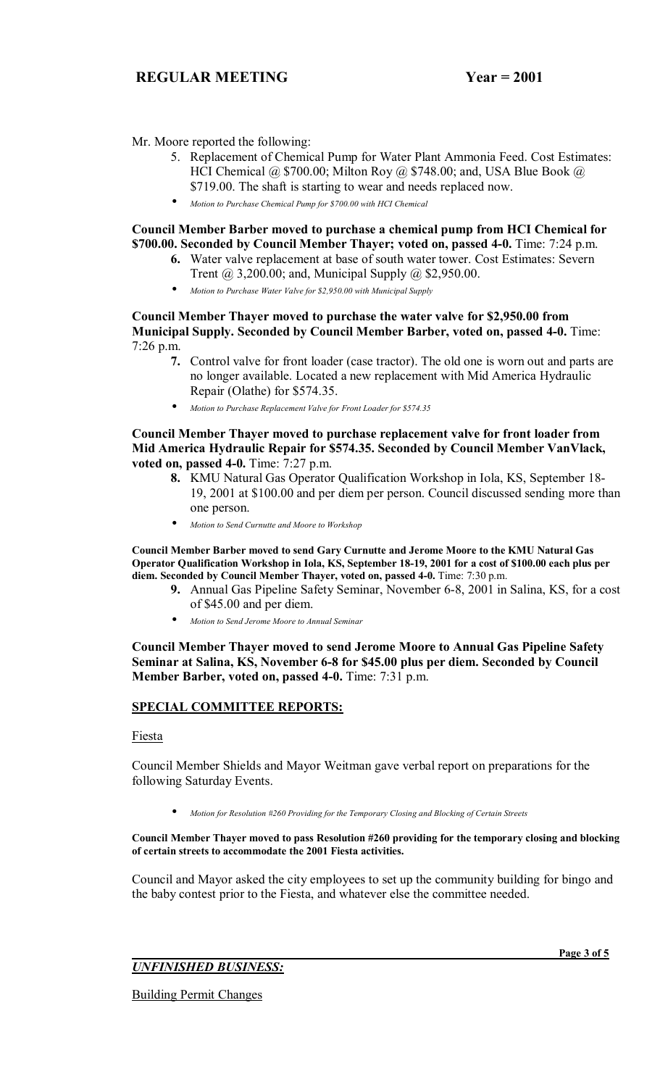Mr. Moore reported the following:

- 5. Replacement of Chemical Pump for Water Plant Ammonia Feed. Cost Estimates: HCI Chemical @ \$700.00; Milton Roy @ \$748.00; and, USA Blue Book @ \$719.00. The shaft is starting to wear and needs replaced now.
- *Motion to Purchase Chemical Pump for \$700.00 with HCI Chemical*

## **Council Member Barber moved to purchase a chemical pump from HCI Chemical for \$700.00. Seconded by Council Member Thayer; voted on, passed 4-0.** Time: 7:24 p.m.

- **6.** Water valve replacement at base of south water tower. Cost Estimates: Severn Trent @ 3,200.00; and, Municipal Supply @ \$2,950.00.
- *Motion to Purchase Water Valve for \$2,950.00 with Municipal Supply*

**Council Member Thayer moved to purchase the water valve for \$2,950.00 from Municipal Supply. Seconded by Council Member Barber, voted on, passed 4-0.** Time: 7:26 p.m.

- **7.** Control valve for front loader (case tractor). The old one is worn out and parts are no longer available. Located a new replacement with Mid America Hydraulic Repair (Olathe) for \$574.35.
- *Motion to Purchase Replacement Valve for Front Loader for \$574.35*

**Council Member Thayer moved to purchase replacement valve for front loader from Mid America Hydraulic Repair for \$574.35. Seconded by Council Member VanVlack, voted on, passed 4-0.** Time: 7:27 p.m.

- **8.** KMU Natural Gas Operator Qualification Workshop in Iola, KS, September 18- 19, 2001 at \$100.00 and per diem per person. Council discussed sending more than one person.
- *Motion to Send Curnutte and Moore to Workshop*

**Council Member Barber moved to send Gary Curnutte and Jerome Moore to the KMU Natural Gas Operator Qualification Workshop in Iola, KS, September 18-19, 2001 for a cost of \$100.00 each plus per**  diem. Seconded by Council Member Thayer, voted on, passed 4-0. Time: 7:30 p.m.

- **9.** Annual Gas Pipeline Safety Seminar, November 6-8, 2001 in Salina, KS, for a cost of \$45.00 and per diem.
- *Motion to Send Jerome Moore to Annual Seminar*

**Council Member Thayer moved to send Jerome Moore to Annual Gas Pipeline Safety Seminar at Salina, KS, November 6-8 for \$45.00 plus per diem. Seconded by Council Member Barber, voted on, passed 4-0.** Time: 7:31 p.m.

#### **SPECIAL COMMITTEE REPORTS:**

Fiesta

Council Member Shields and Mayor Weitman gave verbal report on preparations for the following Saturday Events.

• *Motion for Resolution #260 Providing for the Temporary Closing and Blocking of Certain Streets*

#### **Council Member Thayer moved to pass Resolution #260 providing for the temporary closing and blocking of certain streets to accommodate the 2001 Fiesta activities.**

Council and Mayor asked the city employees to set up the community building for bingo and the baby contest prior to the Fiesta, and whatever else the committee needed.

*UNFINISHED BUSINESS:*

Building Permit Changes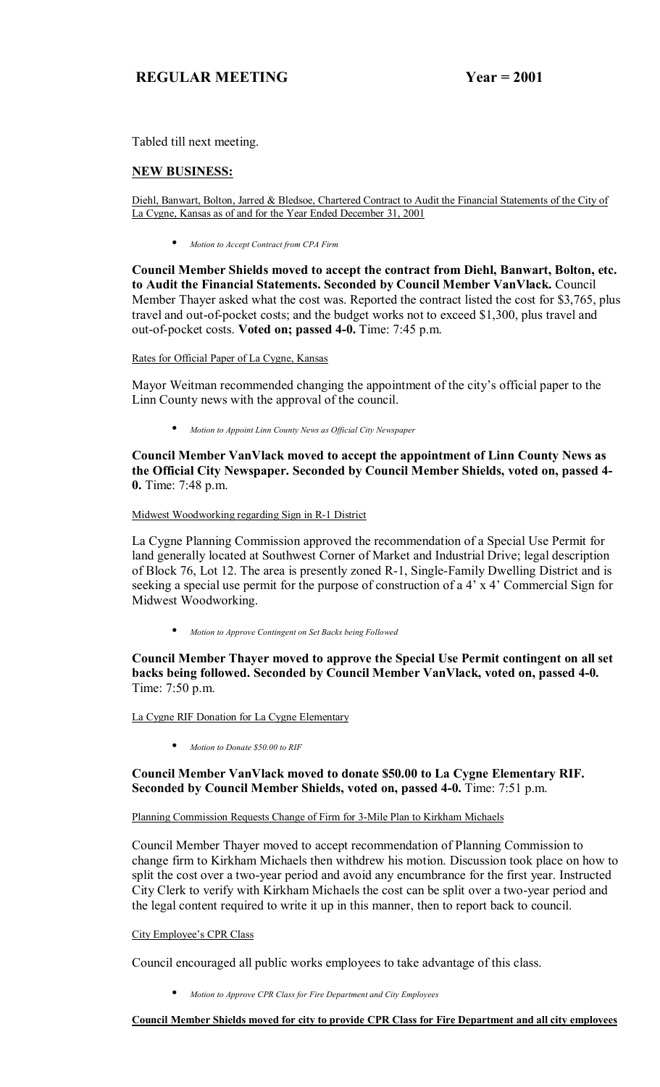Tabled till next meeting.

#### **NEW BUSINESS:**

Diehl, Banwart, Bolton, Jarred & Bledsoe, Chartered Contract to Audit the Financial Statements of the City of La Cygne, Kansas as of and for the Year Ended December 31, 2001

• *Motion to Accept Contract from CPA Firm*

**Council Member Shields moved to accept the contract from Diehl, Banwart, Bolton, etc. to Audit the Financial Statements. Seconded by Council Member VanVlack.** Council Member Thayer asked what the cost was. Reported the contract listed the cost for \$3,765, plus travel and out-of-pocket costs; and the budget works not to exceed \$1,300, plus travel and out-of-pocket costs. **Voted on; passed 4-0.** Time: 7:45 p.m.

Rates for Official Paper of La Cygne, Kansas

Mayor Weitman recommended changing the appointment of the city's official paper to the Linn County news with the approval of the council.

• *Motion to Appoint Linn County News as Official City Newspaper*

**Council Member VanVlack moved to accept the appointment of Linn County News as the Official City Newspaper. Seconded by Council Member Shields, voted on, passed 4- 0.** Time: 7:48 p.m.

Midwest Woodworking regarding Sign in R-1 District

La Cygne Planning Commission approved the recommendation of a Special Use Permit for land generally located at Southwest Corner of Market and Industrial Drive; legal description of Block 76, Lot 12. The area is presently zoned R-1, Single-Family Dwelling District and is seeking a special use permit for the purpose of construction of a  $4' \times 4'$  Commercial Sign for Midwest Woodworking.

• *Motion to Approve Contingent on Set Backs being Followed*

**Council Member Thayer moved to approve the Special Use Permit contingent on all set backs being followed. Seconded by Council Member VanVlack, voted on, passed 4-0.**  Time: 7:50 p.m.

La Cygne RIF Donation for La Cygne Elementary

• *Motion to Donate \$50.00 to RIF*

#### **Council Member VanVlack moved to donate \$50.00 to La Cygne Elementary RIF. Seconded by Council Member Shields, voted on, passed 4-0.** Time: 7:51 p.m.

#### Planning Commission Requests Change of Firm for 3-Mile Plan to Kirkham Michaels

Council Member Thayer moved to accept recommendation of Planning Commission to change firm to Kirkham Michaels then withdrew his motion. Discussion took place on how to split the cost over a two-year period and avoid any encumbrance for the first year. Instructed City Clerk to verify with Kirkham Michaels the cost can be split over a two-year period and the legal content required to write it up in this manner, then to report back to council.

#### City Employee's CPR Class

Council encouraged all public works employees to take advantage of this class.

• *Motion to Approve CPR Class for Fire Department and City Employees*

**Council Member Shields moved for city to provide CPR Class for Fire Department and all city employees**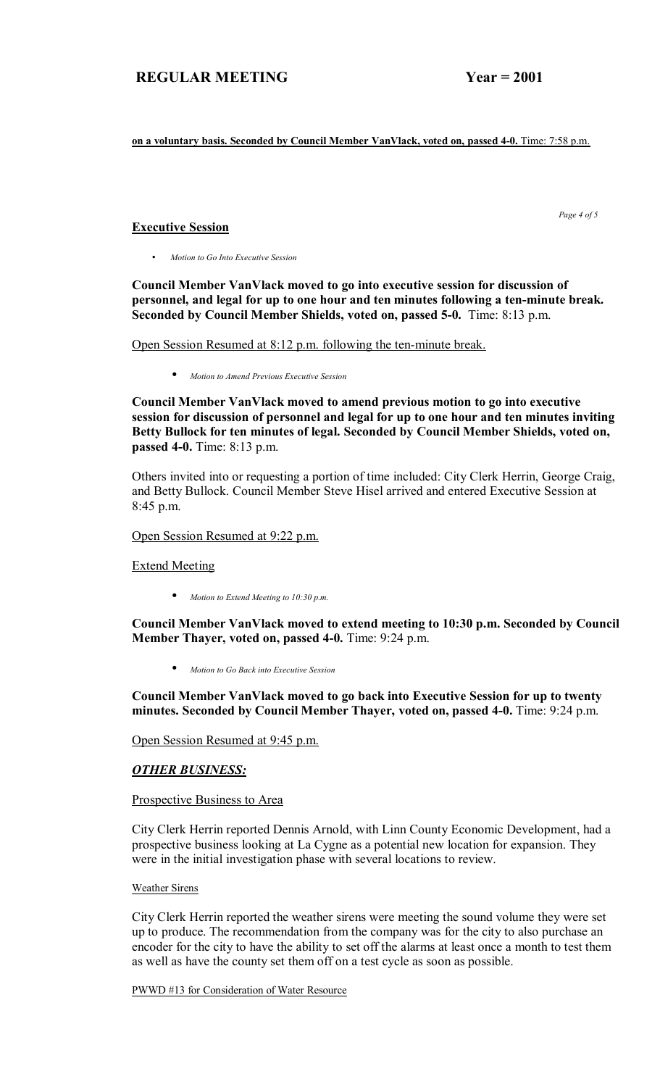**on a voluntary basis. Seconded by Council Member VanVlack, voted on, passed 4-0.** Time: 7:58 p.m.

#### **Executive Session**

 *Page 4 of 5* 

• *Motion to Go Into Executive Session*

**Council Member VanVlack moved to go into executive session for discussion of personnel, and legal for up to one hour and ten minutes following a ten-minute break. Seconded by Council Member Shields, voted on, passed 5-0.** Time: 8:13 p.m.

Open Session Resumed at 8:12 p.m. following the ten-minute break.

• *Motion to Amend Previous Executive Session*

**Council Member VanVlack moved to amend previous motion to go into executive session for discussion of personnel and legal for up to one hour and ten minutes inviting Betty Bullock for ten minutes of legal. Seconded by Council Member Shields, voted on, passed 4-0.** Time: 8:13 p.m.

Others invited into or requesting a portion of time included: City Clerk Herrin, George Craig, and Betty Bullock. Council Member Steve Hisel arrived and entered Executive Session at 8:45 p.m.

#### Open Session Resumed at 9:22 p.m.

Extend Meeting

• *Motion to Extend Meeting to 10:30 p.m.*

**Council Member VanVlack moved to extend meeting to 10:30 p.m. Seconded by Council Member Thayer, voted on, passed 4-0.** Time: 9:24 p.m.

• *Motion to Go Back into Executive Session*

**Council Member VanVlack moved to go back into Executive Session for up to twenty minutes. Seconded by Council Member Thayer, voted on, passed 4-0.** Time: 9:24 p.m.

Open Session Resumed at 9:45 p.m.

## *OTHER BUSINESS:*

#### Prospective Business to Area

City Clerk Herrin reported Dennis Arnold, with Linn County Economic Development, had a prospective business looking at La Cygne as a potential new location for expansion. They were in the initial investigation phase with several locations to review.

#### Weather Sirens

City Clerk Herrin reported the weather sirens were meeting the sound volume they were set up to produce. The recommendation from the company was for the city to also purchase an encoder for the city to have the ability to set off the alarms at least once a month to test them as well as have the county set them off on a test cycle as soon as possible.

PWWD #13 for Consideration of Water Resource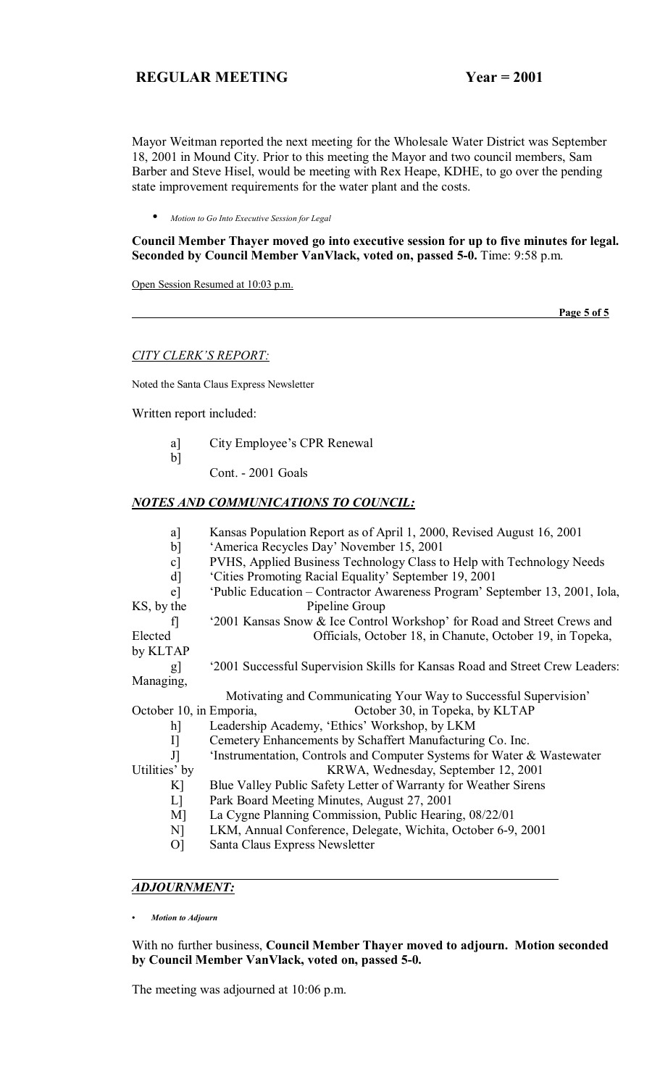Mayor Weitman reported the next meeting for the Wholesale Water District was September 18, 2001 in Mound City. Prior to this meeting the Mayor and two council members, Sam Barber and Steve Hisel, would be meeting with Rex Heape, KDHE, to go over the pending state improvement requirements for the water plant and the costs.

• *Motion to Go Into Executive Session for Legal*

**Council Member Thayer moved go into executive session for up to five minutes for legal. Seconded by Council Member VanVlack, voted on, passed 5-0.** Time: 9:58 p.m.

Open Session Resumed at 10:03 p.m.

 **Page 5 of 5**

#### **CITY CLERK'S REPORT:**

Noted the Santa Claus Express Newsletter

Written report included:

b]

- a] City Employee's CPR Renewal
	- Cont. 2001 Goals

#### *NOTES AND COMMUNICATIONS TO COUNCIL:*

- a] Kansas Population Report as of April 1, 2000, Revised August 16, 2001
- b] 'America Recycles Day' November 15, 2001
- c] PVHS, Applied Business Technology Class to Help with Technology Needs
- d] Cities Promoting Racial Equality' September 19, 2001
- e] ëPublic Education ñ Contractor Awareness Programí September 13, 2001, Iola, KS, by the Pipeline Group
- 
- f] <sup>2001</sup> Kansas Snow & Ice Control Workshop' for Road and Street Crews and Elected Officials, October 18, in Chanute, October 19, in Topeka,

by KLTAP

 g] ë2001 Successful Supervision Skills for Kansas Road and Street Crew Leaders: Managing,

Motivating and Communicating Your Way to Successful Supervision'

October 10, in Emporia, October 30, in Topeka, by KLTAP

- h] Leadership Academy, 'Ethics' Workshop, by LKM
- I] Cemetery Enhancements by Schaffert Manufacturing Co. Inc.
- J] 'Instrumentation, Controls and Computer Systems for Water & Wastewater

Utilities' by KRWA, Wednesday, September 12, 2001

- K] Blue Valley Public Safety Letter of Warranty for Weather Sirens
- L] Park Board Meeting Minutes, August 27, 2001
- M] La Cygne Planning Commission, Public Hearing, 08/22/01
- N] LKM, Annual Conference, Delegate, Wichita, October 6-9, 2001
- O] Santa Claus Express Newsletter

# *ADJOURNMENT:*

*ï Motion to Adjourn*

With no further business, **Council Member Thayer moved to adjourn. Motion seconded by Council Member VanVlack, voted on, passed 5-0.**

The meeting was adjourned at 10:06 p.m.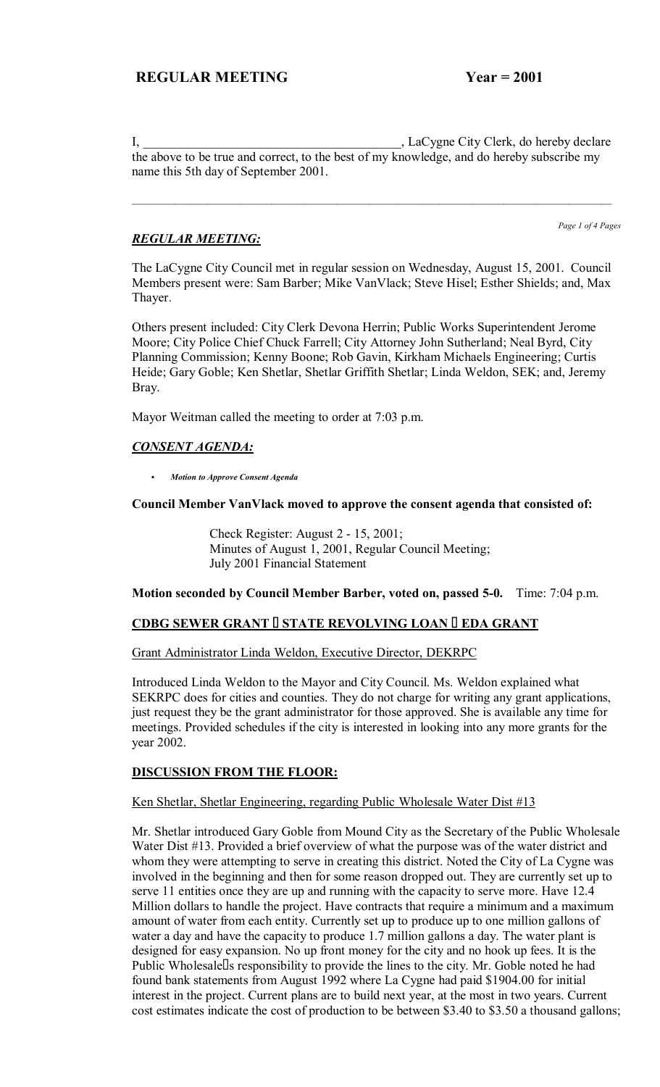I, LaCygne City Clerk, do hereby declare the above to be true and correct, to the best of my knowledge, and do hereby subscribe my name this 5th day of September 2001.

 $\mathcal{L}_\mathcal{L} = \{ \mathcal{L}_\mathcal{L} = \{ \mathcal{L}_\mathcal{L} = \{ \mathcal{L}_\mathcal{L} = \{ \mathcal{L}_\mathcal{L} = \{ \mathcal{L}_\mathcal{L} = \{ \mathcal{L}_\mathcal{L} = \{ \mathcal{L}_\mathcal{L} = \{ \mathcal{L}_\mathcal{L} = \{ \mathcal{L}_\mathcal{L} = \{ \mathcal{L}_\mathcal{L} = \{ \mathcal{L}_\mathcal{L} = \{ \mathcal{L}_\mathcal{L} = \{ \mathcal{L}_\mathcal{L} = \{ \mathcal{L}_\mathcal{$ 

# *REGULAR MEETING:*

*Page 1 of 4 Pages*

The LaCygne City Council met in regular session on Wednesday, August 15, 2001. Council Members present were: Sam Barber; Mike VanVlack; Steve Hisel; Esther Shields; and, Max Thayer.

Others present included: City Clerk Devona Herrin; Public Works Superintendent Jerome Moore; City Police Chief Chuck Farrell; City Attorney John Sutherland; Neal Byrd, City Planning Commission; Kenny Boone; Rob Gavin, Kirkham Michaels Engineering; Curtis Heide; Gary Goble; Ken Shetlar, Shetlar Griffith Shetlar; Linda Weldon, SEK; and, Jeremy Bray.

Mayor Weitman called the meeting to order at 7:03 p.m.

# *CONSENT AGENDA:*

C *Motion to Approve Consent Agenda*

#### **Council Member VanVlack moved to approve the consent agenda that consisted of:**

 Check Register: August 2 - 15, 2001; Minutes of August 1, 2001, Regular Council Meeting; July 2001 Financial Statement

#### **Motion seconded by Council Member Barber, voted on, passed 5-0.** Time: 7:04 p.m.

## **CDBG SEWER GRANT STATE REVOLVING LOAN EDA GRANT**

#### Grant Administrator Linda Weldon, Executive Director, DEKRPC

Introduced Linda Weldon to the Mayor and City Council. Ms. Weldon explained what SEKRPC does for cities and counties. They do not charge for writing any grant applications, just request they be the grant administrator for those approved. She is available any time for meetings. Provided schedules if the city is interested in looking into any more grants for the year 2002.

## **DISCUSSION FROM THE FLOOR:**

#### Ken Shetlar, Shetlar Engineering, regarding Public Wholesale Water Dist #13

Mr. Shetlar introduced Gary Goble from Mound City as the Secretary of the Public Wholesale Water Dist #13. Provided a brief overview of what the purpose was of the water district and whom they were attempting to serve in creating this district. Noted the City of La Cygne was involved in the beginning and then for some reason dropped out. They are currently set up to serve 11 entities once they are up and running with the capacity to serve more. Have 12.4 Million dollars to handle the project. Have contracts that require a minimum and a maximum amount of water from each entity. Currently set up to produce up to one million gallons of water a day and have the capacity to produce 1.7 million gallons a day. The water plant is designed for easy expansion. No up front money for the city and no hook up fees. It is the Public Wholesale s responsibility to provide the lines to the city. Mr. Goble noted he had found bank statements from August 1992 where La Cygne had paid \$1904.00 for initial interest in the project. Current plans are to build next year, at the most in two years. Current cost estimates indicate the cost of production to be between \$3.40 to \$3.50 a thousand gallons;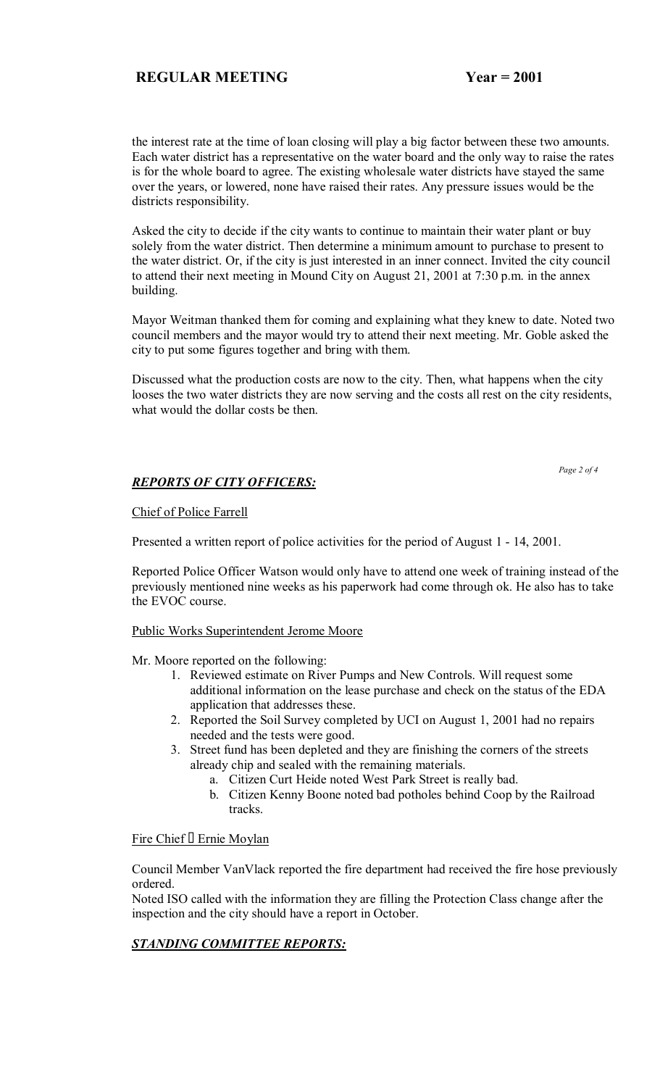the interest rate at the time of loan closing will play a big factor between these two amounts. Each water district has a representative on the water board and the only way to raise the rates is for the whole board to agree. The existing wholesale water districts have stayed the same over the years, or lowered, none have raised their rates. Any pressure issues would be the districts responsibility.

Asked the city to decide if the city wants to continue to maintain their water plant or buy solely from the water district. Then determine a minimum amount to purchase to present to the water district. Or, if the city is just interested in an inner connect. Invited the city council to attend their next meeting in Mound City on August 21, 2001 at 7:30 p.m. in the annex building.

Mayor Weitman thanked them for coming and explaining what they knew to date. Noted two council members and the mayor would try to attend their next meeting. Mr. Goble asked the city to put some figures together and bring with them.

Discussed what the production costs are now to the city. Then, what happens when the city looses the two water districts they are now serving and the costs all rest on the city residents, what would the dollar costs be then.

 *Page 2 of 4* 

# *REPORTS OF CITY OFFICERS:*

#### Chief of Police Farrell

Presented a written report of police activities for the period of August 1 - 14, 2001.

Reported Police Officer Watson would only have to attend one week of training instead of the previously mentioned nine weeks as his paperwork had come through ok. He also has to take the EVOC course.

Public Works Superintendent Jerome Moore

Mr. Moore reported on the following:

- 1. Reviewed estimate on River Pumps and New Controls. Will request some additional information on the lease purchase and check on the status of the EDA application that addresses these.
- 2. Reported the Soil Survey completed by UCI on August 1, 2001 had no repairs needed and the tests were good.
- 3. Street fund has been depleted and they are finishing the corners of the streets already chip and sealed with the remaining materials.
	- a. Citizen Curt Heide noted West Park Street is really bad.
	- b. Citizen Kenny Boone noted bad potholes behind Coop by the Railroad tracks.

# Fire Chief Ernie Moylan

Council Member VanVlack reported the fire department had received the fire hose previously ordered.

Noted ISO called with the information they are filling the Protection Class change after the inspection and the city should have a report in October.

# *STANDING COMMITTEE REPORTS:*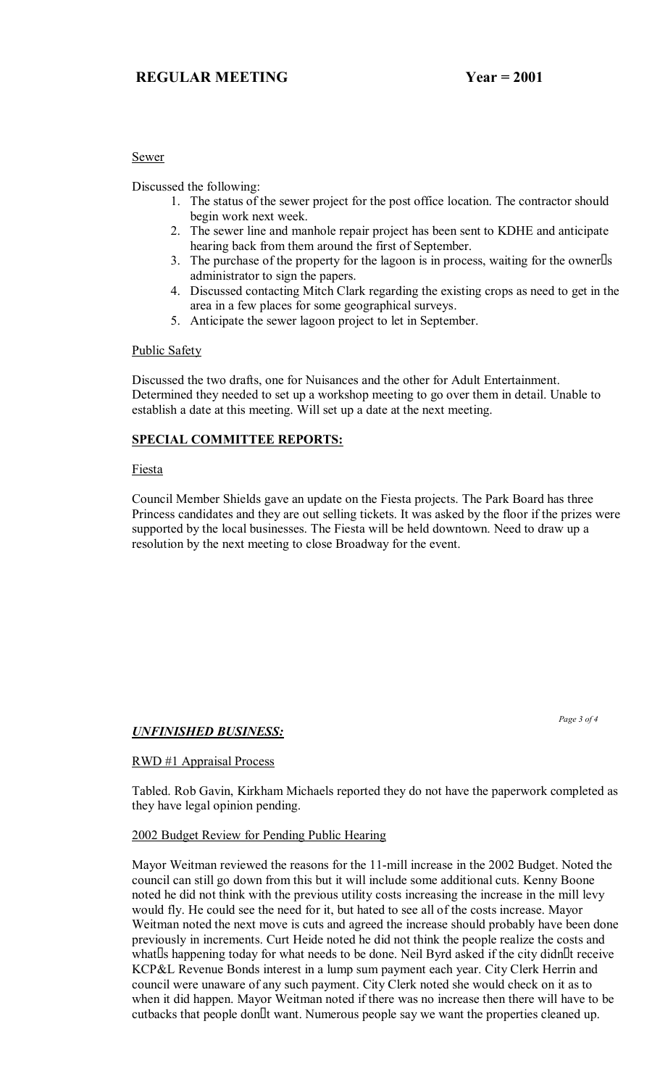#### Sewer

Discussed the following:

- 1. The status of the sewer project for the post office location. The contractor should begin work next week.
- 2. The sewer line and manhole repair project has been sent to KDHE and anticipate hearing back from them around the first of September.
- 3. The purchase of the property for the lagoon is in process, waiting for the owner s administrator to sign the papers.
- 4. Discussed contacting Mitch Clark regarding the existing crops as need to get in the area in a few places for some geographical surveys.
- 5. Anticipate the sewer lagoon project to let in September.

## Public Safety

Discussed the two drafts, one for Nuisances and the other for Adult Entertainment. Determined they needed to set up a workshop meeting to go over them in detail. Unable to establish a date at this meeting. Will set up a date at the next meeting.

## **SPECIAL COMMITTEE REPORTS:**

#### Fiesta

Council Member Shields gave an update on the Fiesta projects. The Park Board has three Princess candidates and they are out selling tickets. It was asked by the floor if the prizes were supported by the local businesses. The Fiesta will be held downtown. Need to draw up a resolution by the next meeting to close Broadway for the event.

## *UNFINISHED BUSINESS:*

 *Page 3 of 4* 

## RWD #1 Appraisal Process

Tabled. Rob Gavin, Kirkham Michaels reported they do not have the paperwork completed as they have legal opinion pending.

## 2002 Budget Review for Pending Public Hearing

Mayor Weitman reviewed the reasons for the 11-mill increase in the 2002 Budget. Noted the council can still go down from this but it will include some additional cuts. Kenny Boone noted he did not think with the previous utility costs increasing the increase in the mill levy would fly. He could see the need for it, but hated to see all of the costs increase. Mayor Weitman noted the next move is cuts and agreed the increase should probably have been done previously in increments. Curt Heide noted he did not think the people realize the costs and what s happening today for what needs to be done. Neil Byrd asked if the city didn t receive KCP&L Revenue Bonds interest in a lump sum payment each year. City Clerk Herrin and council were unaware of any such payment. City Clerk noted she would check on it as to when it did happen. Mayor Weitman noted if there was no increase then there will have to be cutbacks that people dont want. Numerous people say we want the properties cleaned up.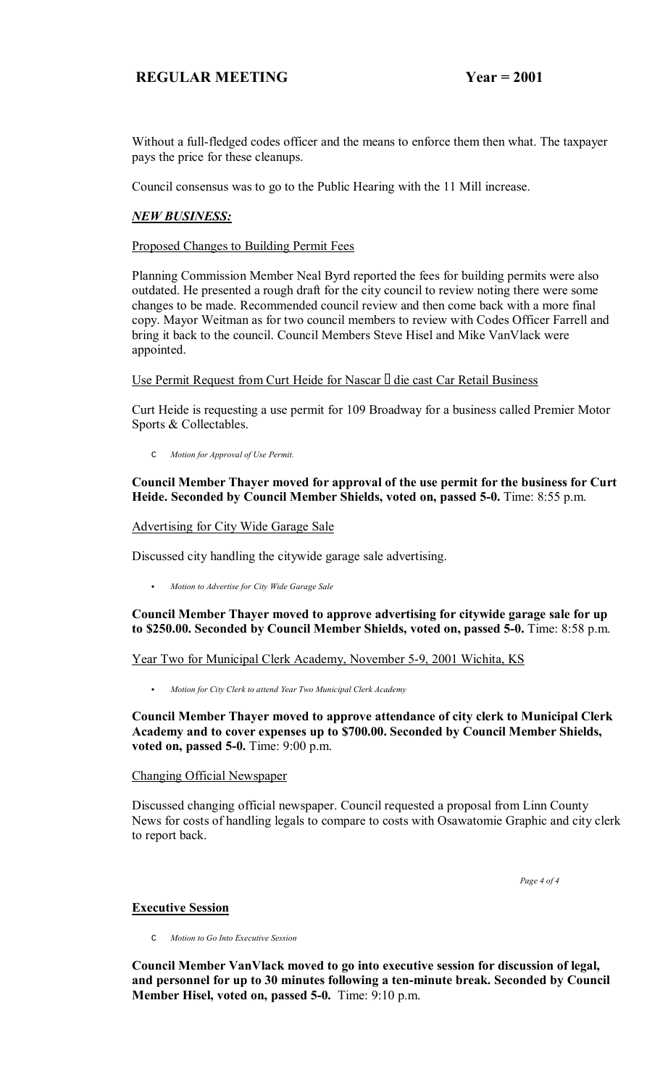Without a full-fledged codes officer and the means to enforce them then what. The taxpayer pays the price for these cleanups.

Council consensus was to go to the Public Hearing with the 11 Mill increase.

#### *NEW BUSINESS:*

Proposed Changes to Building Permit Fees

Planning Commission Member Neal Byrd reported the fees for building permits were also outdated. He presented a rough draft for the city council to review noting there were some changes to be made. Recommended council review and then come back with a more final copy. Mayor Weitman as for two council members to review with Codes Officer Farrell and bring it back to the council. Council Members Steve Hisel and Mike VanVlack were appointed.

Use Permit Request from Curt Heide for Nascar die cast Car Retail Business

Curt Heide is requesting a use permit for 109 Broadway for a business called Premier Motor Sports & Collectables.

C *Motion for Approval of Use Permit.*

#### **Council Member Thayer moved for approval of the use permit for the business for Curt Heide. Seconded by Council Member Shields, voted on, passed 5-0.** Time: 8:55 p.m.

Advertising for City Wide Garage Sale

Discussed city handling the citywide garage sale advertising.

C *Motion to Advertise for City Wide Garage Sale*

**Council Member Thayer moved to approve advertising for citywide garage sale for up to \$250.00. Seconded by Council Member Shields, voted on, passed 5-0.** Time: 8:58 p.m.

#### Year Two for Municipal Clerk Academy, November 5-9, 2001 Wichita, KS

C *Motion for City Clerk to attend Year Two Municipal Clerk Academy*

**Council Member Thayer moved to approve attendance of city clerk to Municipal Clerk Academy and to cover expenses up to \$700.00. Seconded by Council Member Shields, voted on, passed 5-0.** Time: 9:00 p.m.

#### Changing Official Newspaper

Discussed changing official newspaper. Council requested a proposal from Linn County News for costs of handling legals to compare to costs with Osawatomie Graphic and city clerk to report back.

 *Page 4 of 4*

## **Executive Session**

C *Motion to Go Into Executive Session*

**Council Member VanVlack moved to go into executive session for discussion of legal, and personnel for up to 30 minutes following a ten-minute break. Seconded by Council Member Hisel, voted on, passed 5-0.** Time: 9:10 p.m.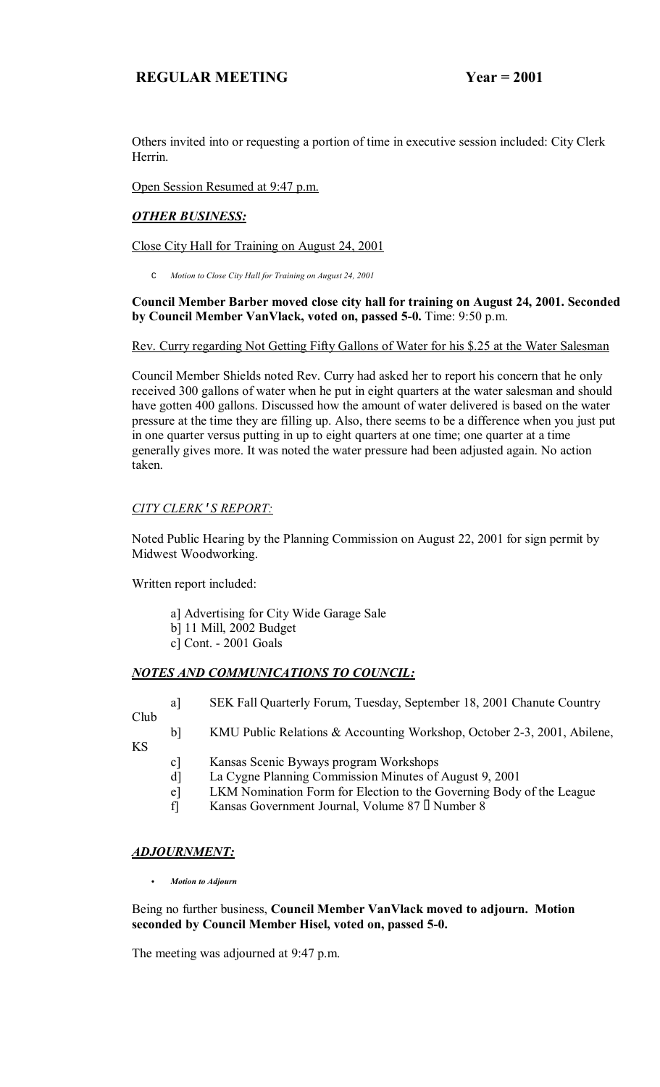Others invited into or requesting a portion of time in executive session included: City Clerk Herrin.

Open Session Resumed at 9:47 p.m.

# *OTHER BUSINESS:*

Close City Hall for Training on August 24, 2001

C *Motion to Close City Hall for Training on August 24, 2001*

#### **Council Member Barber moved close city hall for training on August 24, 2001. Seconded by Council Member VanVlack, voted on, passed 5-0.** Time: 9:50 p.m.

Rev. Curry regarding Not Getting Fifty Gallons of Water for his \$.25 at the Water Salesman

Council Member Shields noted Rev. Curry had asked her to report his concern that he only received 300 gallons of water when he put in eight quarters at the water salesman and should have gotten 400 gallons. Discussed how the amount of water delivered is based on the water pressure at the time they are filling up. Also, there seems to be a difference when you just put in one quarter versus putting in up to eight quarters at one time; one quarter at a time generally gives more. It was noted the water pressure had been adjusted again. No action taken.

## *CITY CLERK*'*S REPORT:*

Noted Public Hearing by the Planning Commission on August 22, 2001 for sign permit by Midwest Woodworking.

Written report included:

- a] Advertising for City Wide Garage Sale b] 11 Mill, 2002 Budget
- c] Cont. 2001 Goals

## *NOTES AND COMMUNICATIONS TO COUNCIL:*

a] SEK Fall Quarterly Forum, Tuesday, September 18, 2001 Chanute Country

Club KS

- - c] Kansas Scenic Byways program Workshops
	- d] La Cygne Planning Commission Minutes of August 9, 2001
	- e] LKM Nomination Form for Election to the Governing Body of the League

b] KMU Public Relations & Accounting Workshop, October 2-3, 2001, Abilene,

f] Kansas Government Journal, Volume 87 Number 8

## *ADJOURNMENT:*

C *Motion to Adjourn*

Being no further business, **Council Member VanVlack moved to adjourn. Motion seconded by Council Member Hisel, voted on, passed 5-0.**

The meeting was adjourned at 9:47 p.m.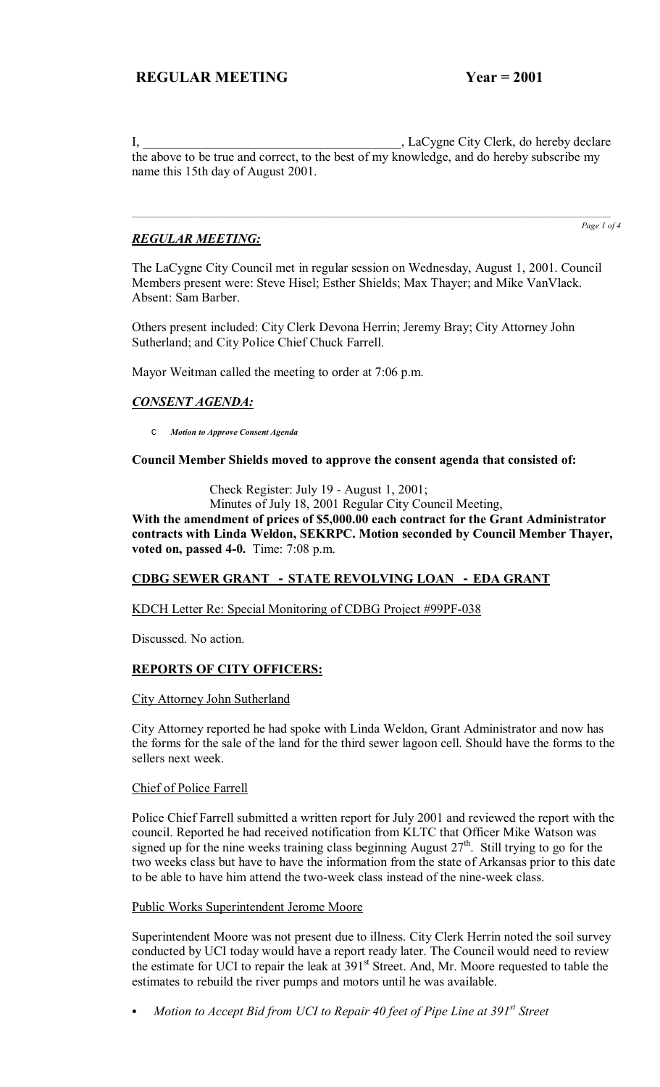I, LaCygne City Clerk, do hereby declare the above to be true and correct, to the best of my knowledge, and do hereby subscribe my name this 15th day of August 2001.

# *REGULAR MEETING:*

*Page 1 of 4*

The LaCygne City Council met in regular session on Wednesday, August 1, 2001. Council Members present were: Steve Hisel; Esther Shields; Max Thayer; and Mike VanVlack. Absent: Sam Barber.

Others present included: City Clerk Devona Herrin; Jeremy Bray; City Attorney John Sutherland; and City Police Chief Chuck Farrell.

Mayor Weitman called the meeting to order at 7:06 p.m.

# *CONSENT AGENDA:*

C *Motion to Approve Consent Agenda*

**Council Member Shields moved to approve the consent agenda that consisted of:**

Check Register: July 19 - August 1, 2001;

Minutes of July 18, 2001 Regular City Council Meeting,

**With the amendment of prices of \$5,000.00 each contract for the Grant Administrator contracts with Linda Weldon, SEKRPC. Motion seconded by Council Member Thayer, voted on, passed 4-0.** Time: 7:08 p.m.

## **CDBG SEWER GRANT - STATE REVOLVING LOAN - EDA GRANT**

KDCH Letter Re: Special Monitoring of CDBG Project #99PF-038

Discussed. No action.

## **REPORTS OF CITY OFFICERS:**

City Attorney John Sutherland

City Attorney reported he had spoke with Linda Weldon, Grant Administrator and now has the forms for the sale of the land for the third sewer lagoon cell. Should have the forms to the sellers next week.

## Chief of Police Farrell

Police Chief Farrell submitted a written report for July 2001 and reviewed the report with the council. Reported he had received notification from KLTC that Officer Mike Watson was signed up for the nine weeks training class beginning August  $27<sup>th</sup>$ . Still trying to go for the two weeks class but have to have the information from the state of Arkansas prior to this date to be able to have him attend the two-week class instead of the nine-week class.

#### Public Works Superintendent Jerome Moore

Superintendent Moore was not present due to illness. City Clerk Herrin noted the soil survey conducted by UCI today would have a report ready later. The Council would need to review the estimate for UCI to repair the leak at 391<sup>st</sup> Street. And, Mr. Moore requested to table the estimates to rebuild the river pumps and motors until he was available.

Motion to Accept Bid from UCI to Repair 40 feet of Pipe Line at 391<sup>st</sup> Street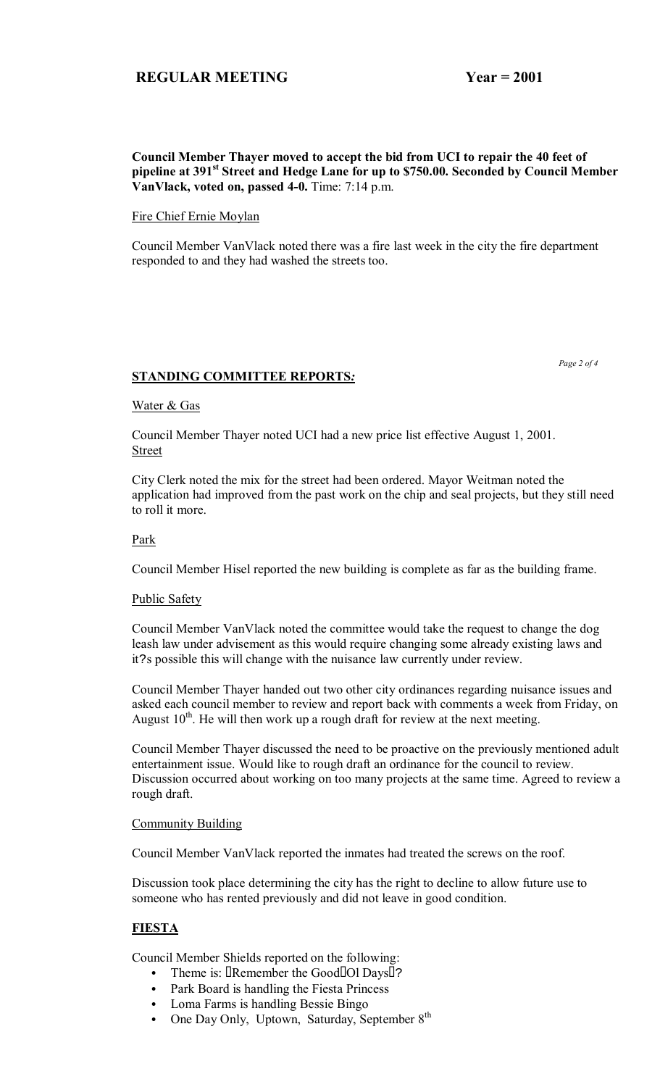## **Council Member Thayer moved to accept the bid from UCI to repair the 40 feet of pipeline at 391st Street and Hedge Lane for up to \$750.00. Seconded by Council Member VanVlack, voted on, passed 4-0.** Time: 7:14 p.m.

Fire Chief Ernie Moylan

Council Member VanVlack noted there was a fire last week in the city the fire department responded to and they had washed the streets too.

## **STANDING COMMITTEE REPORTS***:*

#### Water & Gas

Council Member Thayer noted UCI had a new price list effective August 1, 2001. Street

City Clerk noted the mix for the street had been ordered. Mayor Weitman noted the application had improved from the past work on the chip and seal projects, but they still need to roll it more.

#### Park

Council Member Hisel reported the new building is complete as far as the building frame.

#### Public Safety

Council Member VanVlack noted the committee would take the request to change the dog leash law under advisement as this would require changing some already existing laws and it?s possible this will change with the nuisance law currently under review.

Council Member Thayer handed out two other city ordinances regarding nuisance issues and asked each council member to review and report back with comments a week from Friday, on August  $10^{th}$ . He will then work up a rough draft for review at the next meeting.

Council Member Thayer discussed the need to be proactive on the previously mentioned adult entertainment issue. Would like to rough draft an ordinance for the council to review. Discussion occurred about working on too many projects at the same time. Agreed to review a rough draft.

#### Community Building

Council Member VanVlack reported the inmates had treated the screws on the roof.

Discussion took place determining the city has the right to decline to allow future use to someone who has rented previously and did not leave in good condition.

## **FIESTA**

Council Member Shields reported on the following:

- Theme is: Remember the Good Ol Days?
- Park Board is handling the Fiesta Princess
- Loma Farms is handling Bessie Bingo
- One Day Only, Uptown, Saturday, September  $8<sup>th</sup>$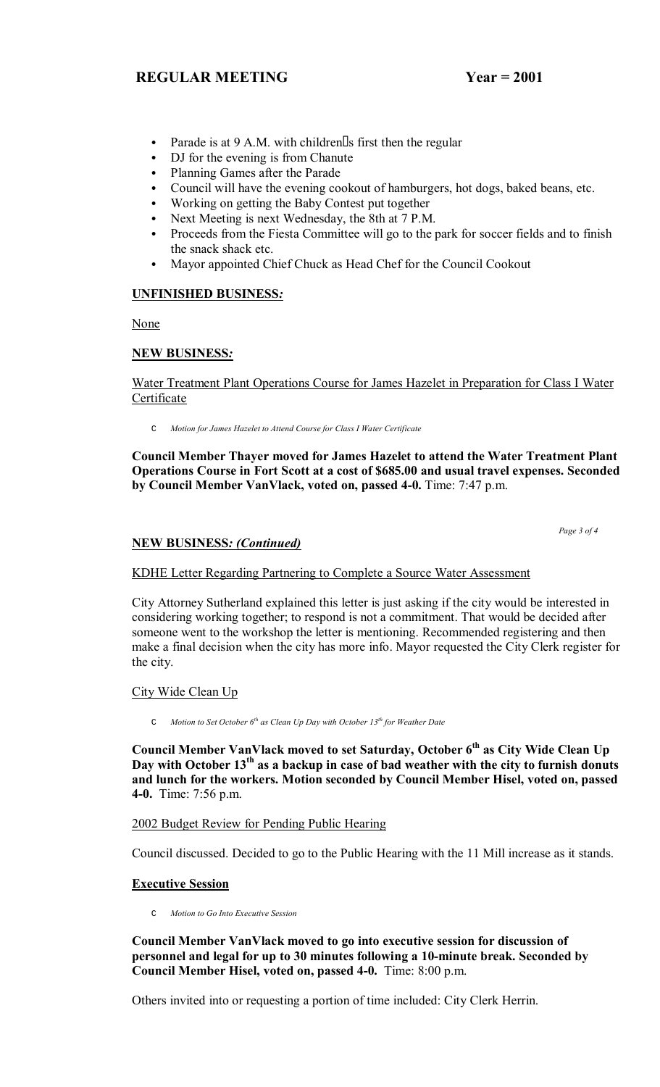- Parade is at  $9$  A.M. with children s first then the regular
- DJ for the evening is from Chanute
- Planning Games after the Parade
- Council will have the evening cookout of hamburgers, hot dogs, baked beans, etc.
- Working on getting the Baby Contest put together
- Next Meeting is next Wednesday, the 8th at 7 P.M.
- Proceeds from the Fiesta Committee will go to the park for soccer fields and to finish the snack shack etc.
- Mayor appointed Chief Chuck as Head Chef for the Council Cookout

## **UNFINISHED BUSINESS***:*

None

## **NEW BUSINESS***:*

Water Treatment Plant Operations Course for James Hazelet in Preparation for Class I Water Certificate

C *Motion for James Hazelet to Attend Course for Class I Water Certificate*

**Council Member Thayer moved for James Hazelet to attend the Water Treatment Plant Operations Course in Fort Scott at a cost of \$685.00 and usual travel expenses. Seconded by Council Member VanVlack, voted on, passed 4-0.** Time: 7:47 p.m.

 *Page 3 of 4*

## **NEW BUSINESS***: (Continued)*

KDHE Letter Regarding Partnering to Complete a Source Water Assessment

City Attorney Sutherland explained this letter is just asking if the city would be interested in considering working together; to respond is not a commitment. That would be decided after someone went to the workshop the letter is mentioning. Recommended registering and then make a final decision when the city has more info. Mayor requested the City Clerk register for the city.

City Wide Clean Up

C *Motion to Set October 6th as Clean Up Day with October 13th for Weather Date* 

**Council Member VanVlack moved to set Saturday, October 6th as City Wide Clean Up Day with October 13th as a backup in case of bad weather with the city to furnish donuts and lunch for the workers. Motion seconded by Council Member Hisel, voted on, passed 4-0.** Time: 7:56 p.m.

2002 Budget Review for Pending Public Hearing

Council discussed. Decided to go to the Public Hearing with the 11 Mill increase as it stands.

## **Executive Session**

C *Motion to Go Into Executive Session*

**Council Member VanVlack moved to go into executive session for discussion of personnel and legal for up to 30 minutes following a 10-minute break. Seconded by Council Member Hisel, voted on, passed 4-0.** Time: 8:00 p.m.

Others invited into or requesting a portion of time included: City Clerk Herrin.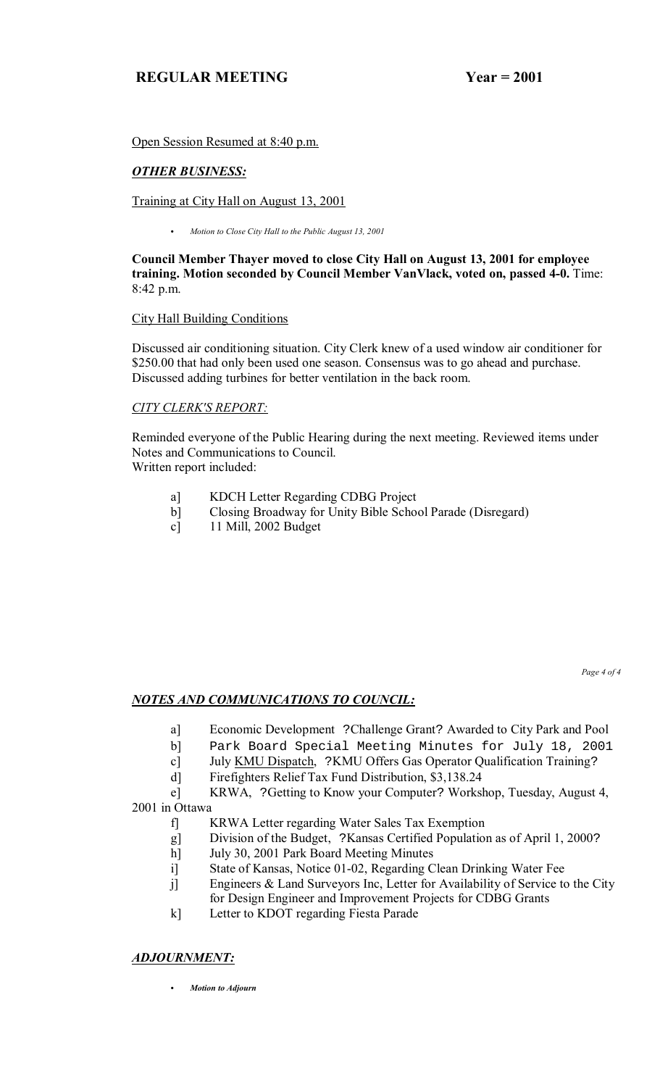Open Session Resumed at 8:40 p.m.

# *OTHER BUSINESS:*

Training at City Hall on August 13, 2001

C *Motion to Close City Hall to the Public August 13, 2001*

**Council Member Thayer moved to close City Hall on August 13, 2001 for employee training. Motion seconded by Council Member VanVlack, voted on, passed 4-0.** Time: 8:42 p.m.

# City Hall Building Conditions

Discussed air conditioning situation. City Clerk knew of a used window air conditioner for \$250.00 that had only been used one season. Consensus was to go ahead and purchase. Discussed adding turbines for better ventilation in the back room.

# *CITY CLERK'S REPORT:*

Reminded everyone of the Public Hearing during the next meeting. Reviewed items under Notes and Communications to Council.

Written report included:

- a] KDCH Letter Regarding CDBG Project
- b] Closing Broadway for Unity Bible School Parade (Disregard)
- c] 11 Mill, 2002 Budget

*Page 4 of 4* 

# *NOTES AND COMMUNICATIONS TO COUNCIL:*

- a] Economic Development ?Challenge Grant? Awarded to City Park and Pool
- b] Park Board Special Meeting Minutes for July 18, 2001
- c] July KMU Dispatch, ?KMU Offers Gas Operator Qualification Training?
- d] Firefighters Relief Tax Fund Distribution, \$3,138.24

 e] KRWA, ?Getting to Know your Computer? Workshop, Tuesday, August 4, 2001 in Ottawa

- f] KRWA Letter regarding Water Sales Tax Exemption
- g] Division of the Budget, ?Kansas Certified Population as of April 1, 2000?
- h] July 30, 2001 Park Board Meeting Minutes
- i] State of Kansas, Notice 01-02, Regarding Clean Drinking Water Fee
- j] Engineers & Land Surveyors Inc, Letter for Availability of Service to the City for Design Engineer and Improvement Projects for CDBG Grants
- k] Letter to KDOT regarding Fiesta Parade

# *ADJOURNMENT:*

C *Motion to Adjourn*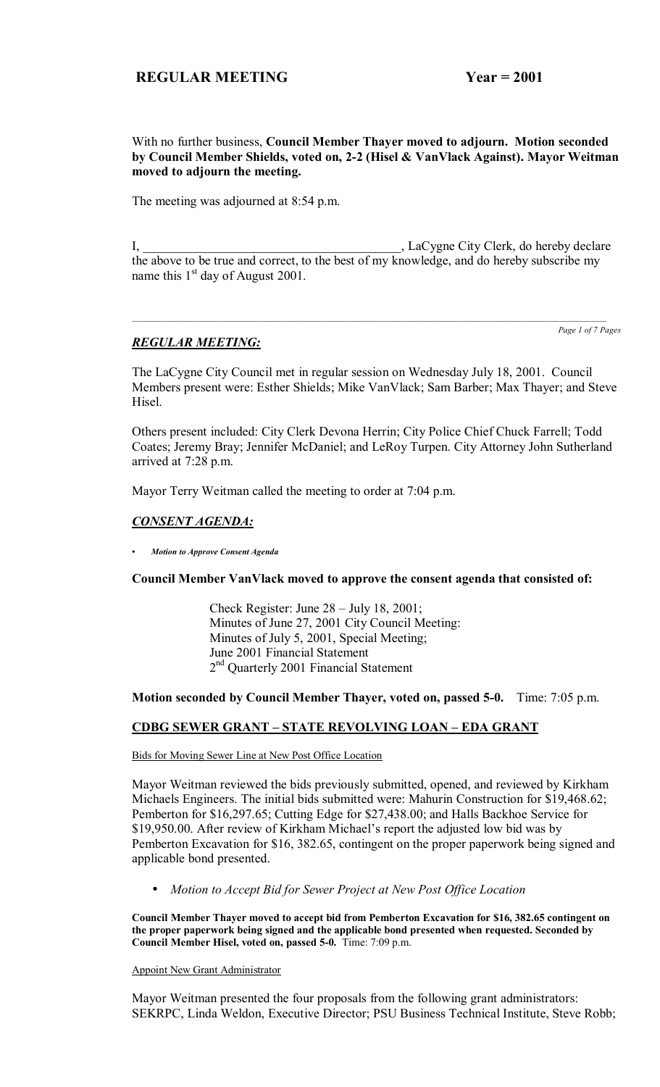## With no further business, **Council Member Thayer moved to adjourn. Motion seconded by Council Member Shields, voted on, 2-2 (Hisel & VanVlack Against). Mayor Weitman moved to adjourn the meeting.**

The meeting was adjourned at 8:54 p.m.

I, LaCygne City Clerk, do hereby declare the above to be true and correct, to the best of my knowledge, and do hereby subscribe my name this  $1<sup>st</sup>$  day of August 2001.

*Page 1 of 7 Pages*

# *REGULAR MEETING:*

The LaCygne City Council met in regular session on Wednesday July 18, 2001. Council Members present were: Esther Shields; Mike VanVlack; Sam Barber; Max Thayer; and Steve Hisel.

Others present included: City Clerk Devona Herrin; City Police Chief Chuck Farrell; Todd Coates; Jeremy Bray; Jennifer McDaniel; and LeRoy Turpen. City Attorney John Sutherland arrived at 7:28 p.m.

Mayor Terry Weitman called the meeting to order at 7:04 p.m.

## *CONSENT AGENDA:*

*ï Motion to Approve Consent Agenda*

#### **Council Member VanVlack moved to approve the consent agenda that consisted of:**

Check Register: June  $28 -$  July 18, 2001; Minutes of June 27, 2001 City Council Meeting: Minutes of July 5, 2001, Special Meeting; June 2001 Financial Statement 2<sup>nd</sup> Quarterly 2001 Financial Statement

#### **Motion seconded by Council Member Thayer, voted on, passed 5-0.** Time: 7:05 p.m.

## **CDBG SEWER GRANT – STATE REVOLVING LOAN – EDA GRANT**

#### Bids for Moving Sewer Line at New Post Office Location

Mayor Weitman reviewed the bids previously submitted, opened, and reviewed by Kirkham Michaels Engineers. The initial bids submitted were: Mahurin Construction for \$19,468.62; Pemberton for \$16,297.65; Cutting Edge for \$27,438.00; and Halls Backhoe Service for \$19,950.00. After review of Kirkham Michael's report the adjusted low bid was by Pemberton Excavation for \$16, 382.65, contingent on the proper paperwork being signed and applicable bond presented.

• *Motion to Accept Bid for Sewer Project at New Post Office Location*

**Council Member Thayer moved to accept bid from Pemberton Excavation for \$16, 382.65 contingent on the proper paperwork being signed and the applicable bond presented when requested. Seconded by Council Member Hisel, voted on, passed 5-0.** Time: 7:09 p.m.

Appoint New Grant Administrator

Mayor Weitman presented the four proposals from the following grant administrators: SEKRPC, Linda Weldon, Executive Director; PSU Business Technical Institute, Steve Robb;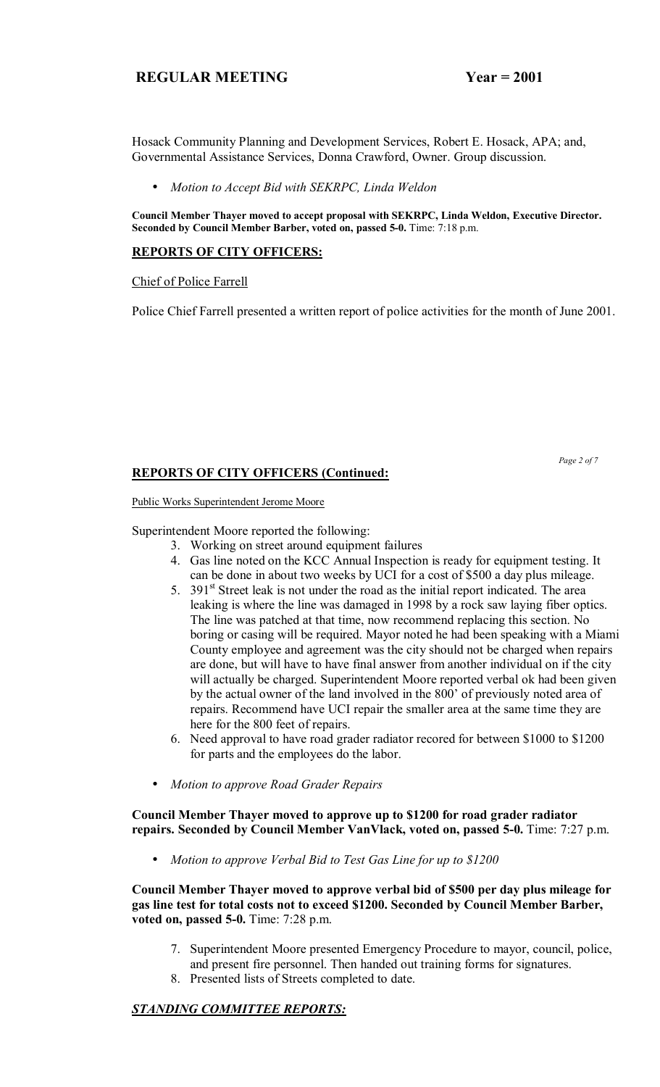Hosack Community Planning and Development Services, Robert E. Hosack, APA; and, Governmental Assistance Services, Donna Crawford, Owner. Group discussion.

• *Motion to Accept Bid with SEKRPC, Linda Weldon*

**Council Member Thayer moved to accept proposal with SEKRPC, Linda Weldon, Executive Director. Seconded by Council Member Barber, voted on, passed 5-0.** Time: 7:18 p.m.

# **REPORTS OF CITY OFFICERS:**

Chief of Police Farrell

Police Chief Farrell presented a written report of police activities for the month of June 2001.

# **REPORTS OF CITY OFFICERS (Continued:**

Public Works Superintendent Jerome Moore

Superintendent Moore reported the following:

- 3. Working on street around equipment failures
- 4. Gas line noted on the KCC Annual Inspection is ready for equipment testing. It can be done in about two weeks by UCI for a cost of \$500 a day plus mileage.
- 5.  $391<sup>st</sup>$  Street leak is not under the road as the initial report indicated. The area leaking is where the line was damaged in 1998 by a rock saw laying fiber optics. The line was patched at that time, now recommend replacing this section. No boring or casing will be required. Mayor noted he had been speaking with a Miami County employee and agreement was the city should not be charged when repairs are done, but will have to have final answer from another individual on if the city will actually be charged. Superintendent Moore reported verbal ok had been given by the actual owner of the land involved in the 800' of previously noted area of repairs. Recommend have UCI repair the smaller area at the same time they are here for the 800 feet of repairs.
- 6. Need approval to have road grader radiator recored for between \$1000 to \$1200 for parts and the employees do the labor.
- *Motion to approve Road Grader Repairs*

**Council Member Thayer moved to approve up to \$1200 for road grader radiator repairs. Seconded by Council Member VanVlack, voted on, passed 5-0.** Time: 7:27 p.m.

• *Motion to approve Verbal Bid to Test Gas Line for up to \$1200*

**Council Member Thayer moved to approve verbal bid of \$500 per day plus mileage for gas line test for total costs not to exceed \$1200. Seconded by Council Member Barber, voted on, passed 5-0.** Time: 7:28 p.m.

- 7. Superintendent Moore presented Emergency Procedure to mayor, council, police, and present fire personnel. Then handed out training forms for signatures.
- 8. Presented lists of Streets completed to date.

# *STANDING COMMITTEE REPORTS:*

 *Page 2 of 7*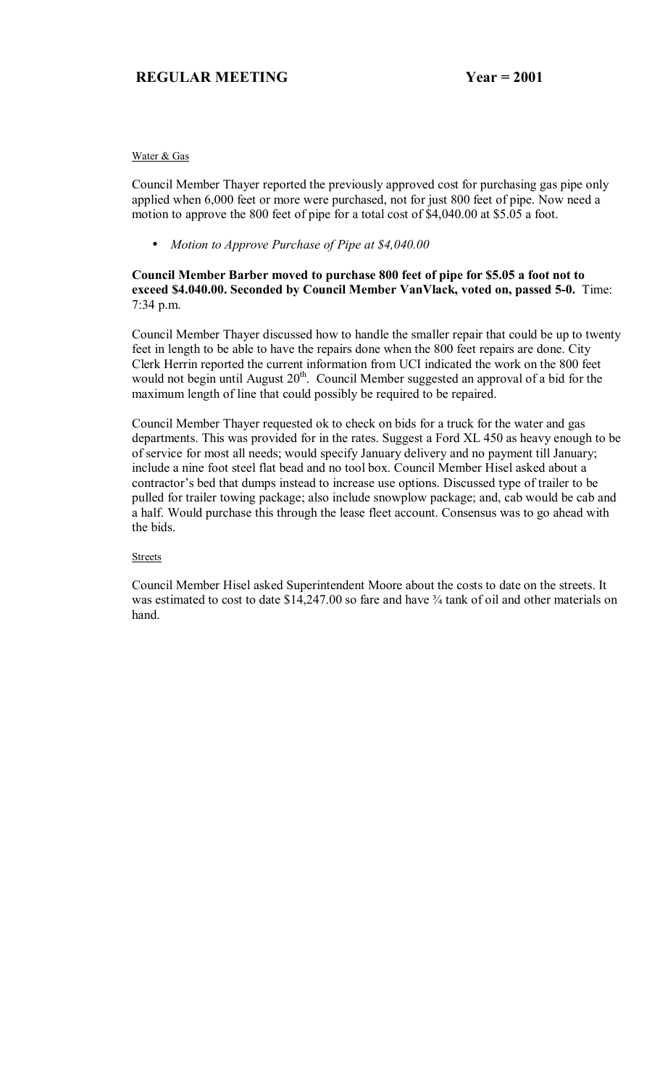#### Water & Gas

Council Member Thayer reported the previously approved cost for purchasing gas pipe only applied when 6,000 feet or more were purchased, not for just 800 feet of pipe. Now need a motion to approve the 800 feet of pipe for a total cost of \$4,040.00 at \$5.05 a foot.

• *Motion to Approve Purchase of Pipe at \$4,040.00*

## **Council Member Barber moved to purchase 800 feet of pipe for \$5.05 a foot not to exceed \$4.040.00. Seconded by Council Member VanVlack, voted on, passed 5-0.** Time: 7:34 p.m.

Council Member Thayer discussed how to handle the smaller repair that could be up to twenty feet in length to be able to have the repairs done when the 800 feet repairs are done. City Clerk Herrin reported the current information from UCI indicated the work on the 800 feet would not begin until August 20<sup>th</sup>. Council Member suggested an approval of a bid for the maximum length of line that could possibly be required to be repaired.

Council Member Thayer requested ok to check on bids for a truck for the water and gas departments. This was provided for in the rates. Suggest a Ford XL 450 as heavy enough to be of service for most all needs; would specify January delivery and no payment till January; include a nine foot steel flat bead and no tool box. Council Member Hisel asked about a contractor's bed that dumps instead to increase use options. Discussed type of trailer to be pulled for trailer towing package; also include snowplow package; and, cab would be cab and a half. Would purchase this through the lease fleet account. Consensus was to go ahead with the bids.

#### **Streets**

Council Member Hisel asked Superintendent Moore about the costs to date on the streets. It was estimated to cost to date  $$14,247.00$  so fare and have  $\frac{3}{4}$  tank of oil and other materials on hand.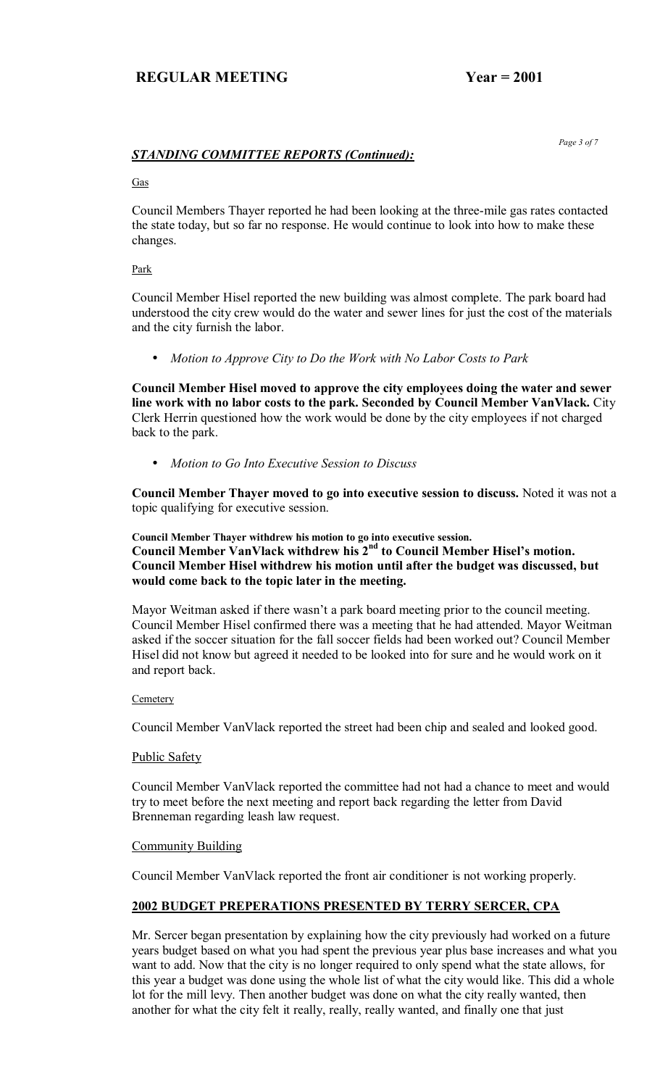# *STANDING COMMITTEE REPORTS (Continued):*

#### Gas

Council Members Thayer reported he had been looking at the three-mile gas rates contacted the state today, but so far no response. He would continue to look into how to make these changes.

#### Park

Council Member Hisel reported the new building was almost complete. The park board had understood the city crew would do the water and sewer lines for just the cost of the materials and the city furnish the labor.

• *Motion to Approve City to Do the Work with No Labor Costs to Park*

**Council Member Hisel moved to approve the city employees doing the water and sewer line work with no labor costs to the park. Seconded by Council Member VanVlack.** City Clerk Herrin questioned how the work would be done by the city employees if not charged back to the park.

• *Motion to Go Into Executive Session to Discuss*

**Council Member Thayer moved to go into executive session to discuss.** Noted it was not a topic qualifying for executive session.

**Council Member Thayer withdrew his motion to go into executive session.**  Council Member VanVlack withdrew his 2<sup>nd</sup> to Council Member Hisel's motion. **Council Member Hisel withdrew his motion until after the budget was discussed, but would come back to the topic later in the meeting.** 

Mayor Weitman asked if there wasn't a park board meeting prior to the council meeting. Council Member Hisel confirmed there was a meeting that he had attended. Mayor Weitman asked if the soccer situation for the fall soccer fields had been worked out? Council Member Hisel did not know but agreed it needed to be looked into for sure and he would work on it and report back.

#### **Cemetery**

Council Member VanVlack reported the street had been chip and sealed and looked good.

## Public Safety

Council Member VanVlack reported the committee had not had a chance to meet and would try to meet before the next meeting and report back regarding the letter from David Brenneman regarding leash law request.

## **Community Building**

Council Member VanVlack reported the front air conditioner is not working properly.

## **2002 BUDGET PREPERATIONS PRESENTED BY TERRY SERCER, CPA**

Mr. Sercer began presentation by explaining how the city previously had worked on a future years budget based on what you had spent the previous year plus base increases and what you want to add. Now that the city is no longer required to only spend what the state allows, for this year a budget was done using the whole list of what the city would like. This did a whole lot for the mill levy. Then another budget was done on what the city really wanted, then another for what the city felt it really, really, really wanted, and finally one that just

 *Page 3 of 7*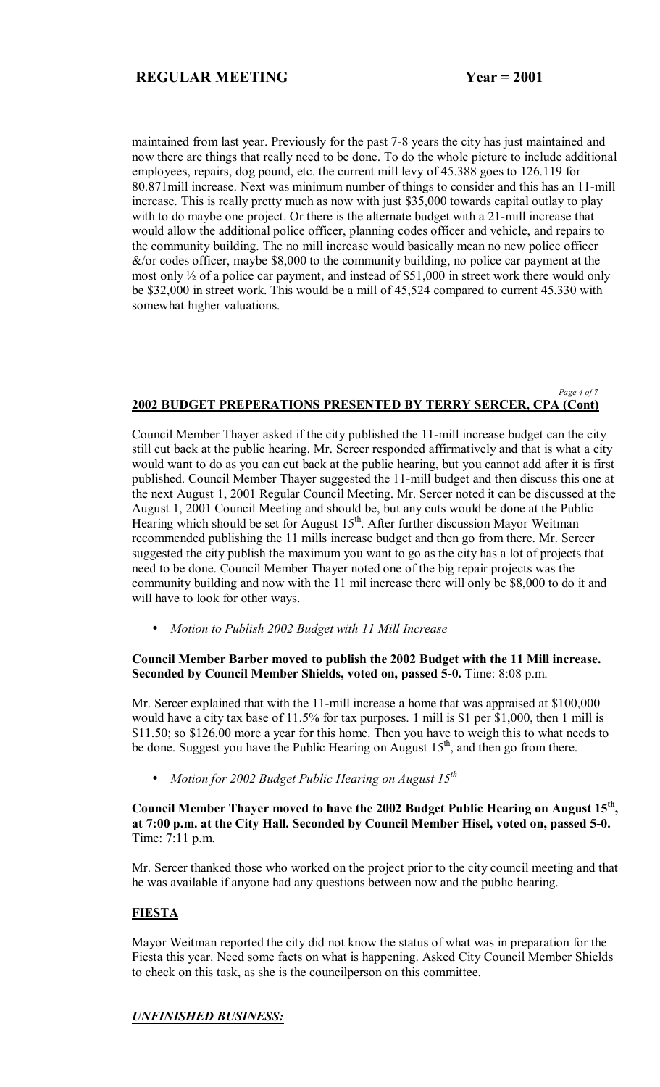maintained from last year. Previously for the past 7-8 years the city has just maintained and now there are things that really need to be done. To do the whole picture to include additional employees, repairs, dog pound, etc. the current mill levy of 45.388 goes to 126.119 for 80.871mill increase. Next was minimum number of things to consider and this has an 11-mill increase. This is really pretty much as now with just \$35,000 towards capital outlay to play with to do maybe one project. Or there is the alternate budget with a 21-mill increase that would allow the additional police officer, planning codes officer and vehicle, and repairs to the community building. The no mill increase would basically mean no new police officer  $\&$ /or codes officer, maybe \$8,000 to the community building, no police car payment at the most only ½ of a police car payment, and instead of \$51,000 in street work there would only be \$32,000 in street work. This would be a mill of 45,524 compared to current 45.330 with somewhat higher valuations.

#### *Page 4 of 7*  **2002 BUDGET PREPERATIONS PRESENTED BY TERRY SERCER, CPA (Cont)**

Council Member Thayer asked if the city published the 11-mill increase budget can the city still cut back at the public hearing. Mr. Sercer responded affirmatively and that is what a city would want to do as you can cut back at the public hearing, but you cannot add after it is first published. Council Member Thayer suggested the 11-mill budget and then discuss this one at the next August 1, 2001 Regular Council Meeting. Mr. Sercer noted it can be discussed at the August 1, 2001 Council Meeting and should be, but any cuts would be done at the Public Hearing which should be set for August  $15<sup>th</sup>$ . After further discussion Mayor Weitman recommended publishing the 11 mills increase budget and then go from there. Mr. Sercer suggested the city publish the maximum you want to go as the city has a lot of projects that need to be done. Council Member Thayer noted one of the big repair projects was the community building and now with the 11 mil increase there will only be \$8,000 to do it and will have to look for other ways.

• *Motion to Publish 2002 Budget with 11 Mill Increase*

#### **Council Member Barber moved to publish the 2002 Budget with the 11 Mill increase. Seconded by Council Member Shields, voted on, passed 5-0.** Time: 8:08 p.m.

Mr. Sercer explained that with the 11-mill increase a home that was appraised at \$100,000 would have a city tax base of 11.5% for tax purposes. 1 mill is \$1 per \$1,000, then 1 mill is \$11.50; so \$126.00 more a year for this home. Then you have to weigh this to what needs to be done. Suggest you have the Public Hearing on August  $15<sup>th</sup>$ , and then go from there.

• *Motion for 2002 Budget Public Hearing on August 15th*

**Council Member Thayer moved to have the 2002 Budget Public Hearing on August 15th, at 7:00 p.m. at the City Hall. Seconded by Council Member Hisel, voted on, passed 5-0.**  Time: 7:11 p.m.

Mr. Sercer thanked those who worked on the project prior to the city council meeting and that he was available if anyone had any questions between now and the public hearing.

## **FIESTA**

Mayor Weitman reported the city did not know the status of what was in preparation for the Fiesta this year. Need some facts on what is happening. Asked City Council Member Shields to check on this task, as she is the councilperson on this committee.

## *UNFINISHED BUSINESS:*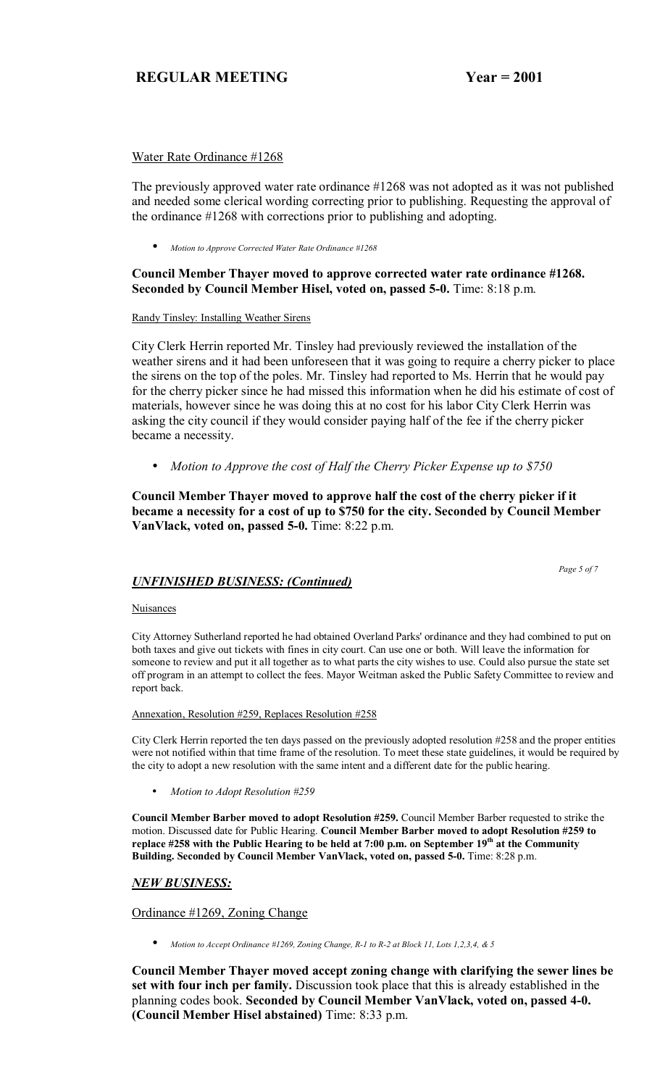## Water Rate Ordinance #1268

The previously approved water rate ordinance #1268 was not adopted as it was not published and needed some clerical wording correcting prior to publishing. Requesting the approval of the ordinance #1268 with corrections prior to publishing and adopting.

• *Motion to Approve Corrected Water Rate Ordinance #1268*

# **Council Member Thayer moved to approve corrected water rate ordinance #1268. Seconded by Council Member Hisel, voted on, passed 5-0.** Time: 8:18 p.m.

#### Randy Tinsley: Installing Weather Sirens

City Clerk Herrin reported Mr. Tinsley had previously reviewed the installation of the weather sirens and it had been unforeseen that it was going to require a cherry picker to place the sirens on the top of the poles. Mr. Tinsley had reported to Ms. Herrin that he would pay for the cherry picker since he had missed this information when he did his estimate of cost of materials, however since he was doing this at no cost for his labor City Clerk Herrin was asking the city council if they would consider paying half of the fee if the cherry picker became a necessity.

• *Motion to Approve the cost of Half the Cherry Picker Expense up to \$750*

**Council Member Thayer moved to approve half the cost of the cherry picker if it became a necessity for a cost of up to \$750 for the city. Seconded by Council Member VanVlack, voted on, passed 5-0.** Time: 8:22 p.m.

# *UNFINISHED BUSINESS: (Continued)*

#### **Nuisances**

City Attorney Sutherland reported he had obtained Overland Parks' ordinance and they had combined to put on both taxes and give out tickets with fines in city court. Can use one or both. Will leave the information for someone to review and put it all together as to what parts the city wishes to use. Could also pursue the state set off program in an attempt to collect the fees. Mayor Weitman asked the Public Safety Committee to review and report back.

#### Annexation, Resolution #259, Replaces Resolution #258

City Clerk Herrin reported the ten days passed on the previously adopted resolution #258 and the proper entities were not notified within that time frame of the resolution. To meet these state guidelines, it would be required by the city to adopt a new resolution with the same intent and a different date for the public hearing.

• *Motion to Adopt Resolution #259*

**Council Member Barber moved to adopt Resolution #259.** Council Member Barber requested to strike the motion. Discussed date for Public Hearing. **Council Member Barber moved to adopt Resolution #259 to**  replace #258 with the Public Hearing to be held at 7:00 p.m. on September 19<sup>th</sup> at the Community **Building. Seconded by Council Member VanVlack, voted on, passed 5-0.** Time: 8:28 p.m.

## *NEW BUSINESS:*

## Ordinance #1269, Zoning Change

• *Motion to Accept Ordinance #1269, Zoning Change, R-1 to R-2 at Block 11, Lots 1,2,3,4, & 5* 

**Council Member Thayer moved accept zoning change with clarifying the sewer lines be set with four inch per family.** Discussion took place that this is already established in the planning codes book. **Seconded by Council Member VanVlack, voted on, passed 4-0. (Council Member Hisel abstained)** Time: 8:33 p.m.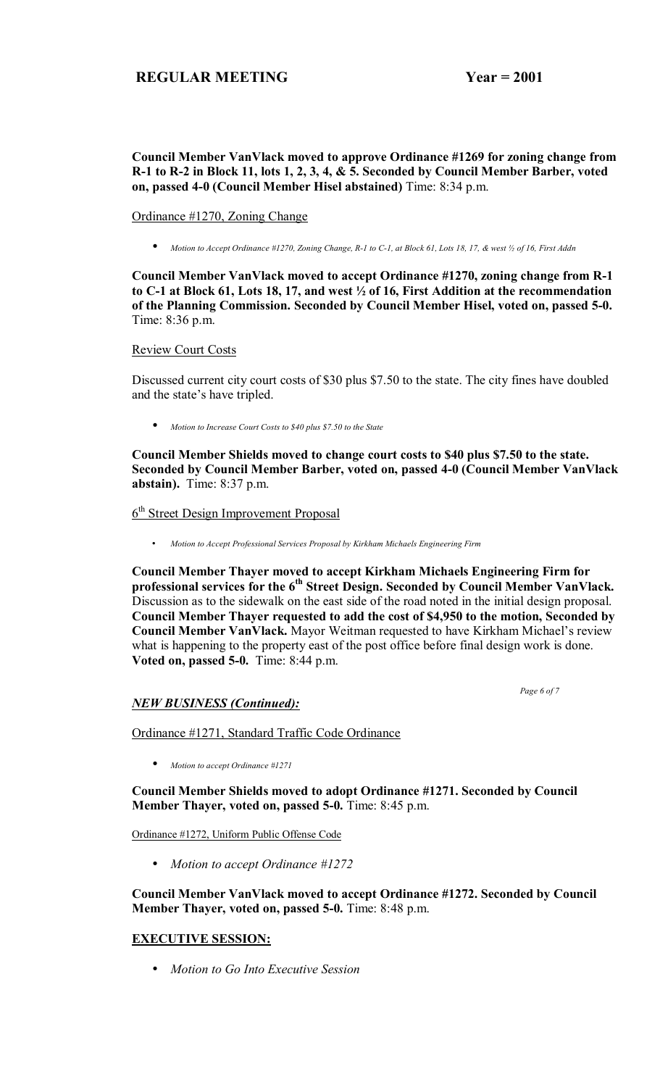## **Council Member VanVlack moved to approve Ordinance #1269 for zoning change from R-1 to R-2 in Block 11, lots 1, 2, 3, 4, & 5. Seconded by Council Member Barber, voted on, passed 4-0 (Council Member Hisel abstained)** Time: 8:34 p.m.

#### Ordinance #1270, Zoning Change

• *Motion to Accept Ordinance #1270, Zoning Change, R-1 to C-1, at Block 61, Lots 18, 17, & west ½ of 16, First Addn*

**Council Member VanVlack moved to accept Ordinance #1270, zoning change from R-1 to C-1 at Block 61, Lots 18, 17, and west ½ of 16, First Addition at the recommendation of the Planning Commission. Seconded by Council Member Hisel, voted on, passed 5-0.**  Time: 8:36 p.m.

#### Review Court Costs

Discussed current city court costs of \$30 plus \$7.50 to the state. The city fines have doubled and the state's have tripled.

• *Motion to Increase Court Costs to \$40 plus \$7.50 to the State*

**Council Member Shields moved to change court costs to \$40 plus \$7.50 to the state. Seconded by Council Member Barber, voted on, passed 4-0 (Council Member VanVlack abstain).** Time: 8:37 p.m.

# 6<sup>th</sup> Street Design Improvement Proposal

• *Motion to Accept Professional Services Proposal by Kirkham Michaels Engineering Firm*

**Council Member Thayer moved to accept Kirkham Michaels Engineering Firm for**  professional services for the 6<sup>th</sup> Street Design. Seconded by Council Member VanVlack. Discussion as to the sidewalk on the east side of the road noted in the initial design proposal. **Council Member Thayer requested to add the cost of \$4,950 to the motion, Seconded by Council Member VanVlack.** Mayor Weitman requested to have Kirkham Michael's review what is happening to the property east of the post office before final design work is done. **Voted on, passed 5-0.** Time: 8:44 p.m.

 *Page 6 of 7* 

## *NEW BUSINESS (Continued):*

Ordinance #1271, Standard Traffic Code Ordinance

• *Motion to accept Ordinance #1271*

**Council Member Shields moved to adopt Ordinance #1271. Seconded by Council Member Thayer, voted on, passed 5-0.** Time: 8:45 p.m.

Ordinance #1272, Uniform Public Offense Code

• *Motion to accept Ordinance #1272*

**Council Member VanVlack moved to accept Ordinance #1272. Seconded by Council Member Thayer, voted on, passed 5-0.** Time: 8:48 p.m.

## **EXECUTIVE SESSION:**

• *Motion to Go Into Executive Session*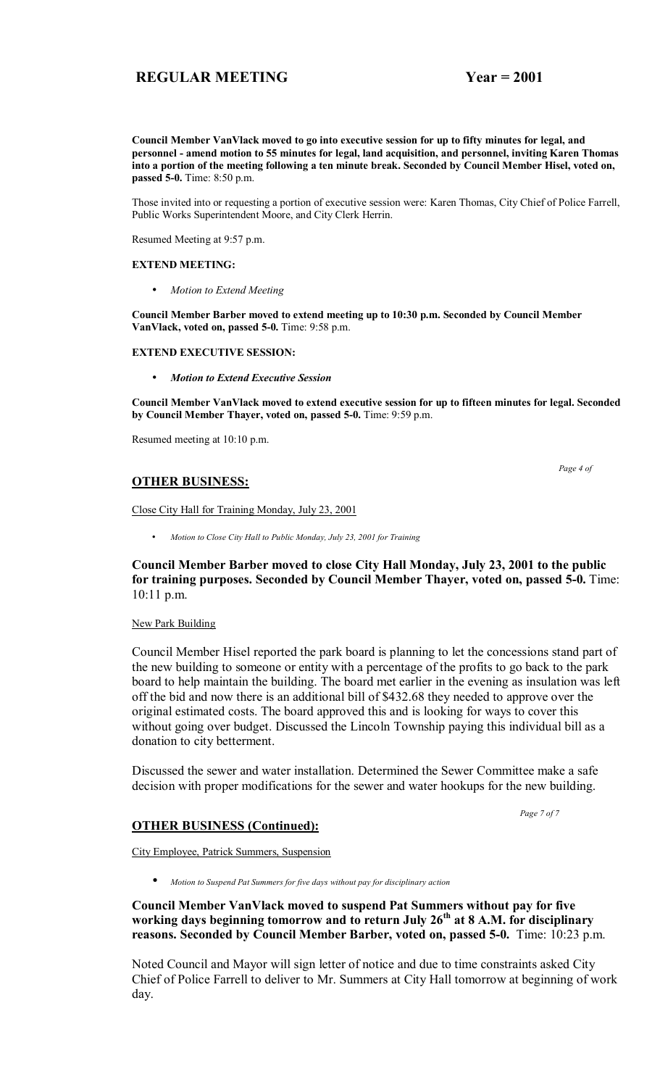**Council Member VanVlack moved to go into executive session for up to fifty minutes for legal, and personnel - amend motion to 55 minutes for legal, land acquisition, and personnel, inviting Karen Thomas into a portion of the meeting following a ten minute break. Seconded by Council Member Hisel, voted on, passed 5-0.** Time: 8:50 p.m.

Those invited into or requesting a portion of executive session were: Karen Thomas, City Chief of Police Farrell, Public Works Superintendent Moore, and City Clerk Herrin.

Resumed Meeting at 9:57 p.m.

#### **EXTEND MEETING:**

• *Motion to Extend Meeting*

**Council Member Barber moved to extend meeting up to 10:30 p.m. Seconded by Council Member VanVlack, voted on, passed 5-0.** Time: 9:58 p.m.

#### **EXTEND EXECUTIVE SESSION:**

• *Motion to Extend Executive Session*

**Council Member VanVlack moved to extend executive session for up to fifteen minutes for legal. Seconded by Council Member Thayer, voted on, passed 5-0.** Time: 9:59 p.m.

Resumed meeting at 10:10 p.m.

 *Page 4 of* 

#### **OTHER BUSINESS:**

Close City Hall for Training Monday, July 23, 2001

• *Motion to Close City Hall to Public Monday, July 23, 2001 for Training* 

**Council Member Barber moved to close City Hall Monday, July 23, 2001 to the public for training purposes. Seconded by Council Member Thayer, voted on, passed 5-0.** Time: 10:11 p.m.

#### New Park Building

Council Member Hisel reported the park board is planning to let the concessions stand part of the new building to someone or entity with a percentage of the profits to go back to the park board to help maintain the building. The board met earlier in the evening as insulation was left off the bid and now there is an additional bill of \$432.68 they needed to approve over the original estimated costs. The board approved this and is looking for ways to cover this without going over budget. Discussed the Lincoln Township paying this individual bill as a donation to city betterment.

Discussed the sewer and water installation. Determined the Sewer Committee make a safe decision with proper modifications for the sewer and water hookups for the new building.

 *Page 7 of 7* 

#### **OTHER BUSINESS (Continued):**

City Employee, Patrick Summers, Suspension

• *Motion to Suspend Pat Summers for five days without pay for disciplinary action* 

**Council Member VanVlack moved to suspend Pat Summers without pay for five working days beginning tomorrow and to return July 26th at 8 A.M. for disciplinary reasons. Seconded by Council Member Barber, voted on, passed 5-0.** Time: 10:23 p.m.

Noted Council and Mayor will sign letter of notice and due to time constraints asked City Chief of Police Farrell to deliver to Mr. Summers at City Hall tomorrow at beginning of work day.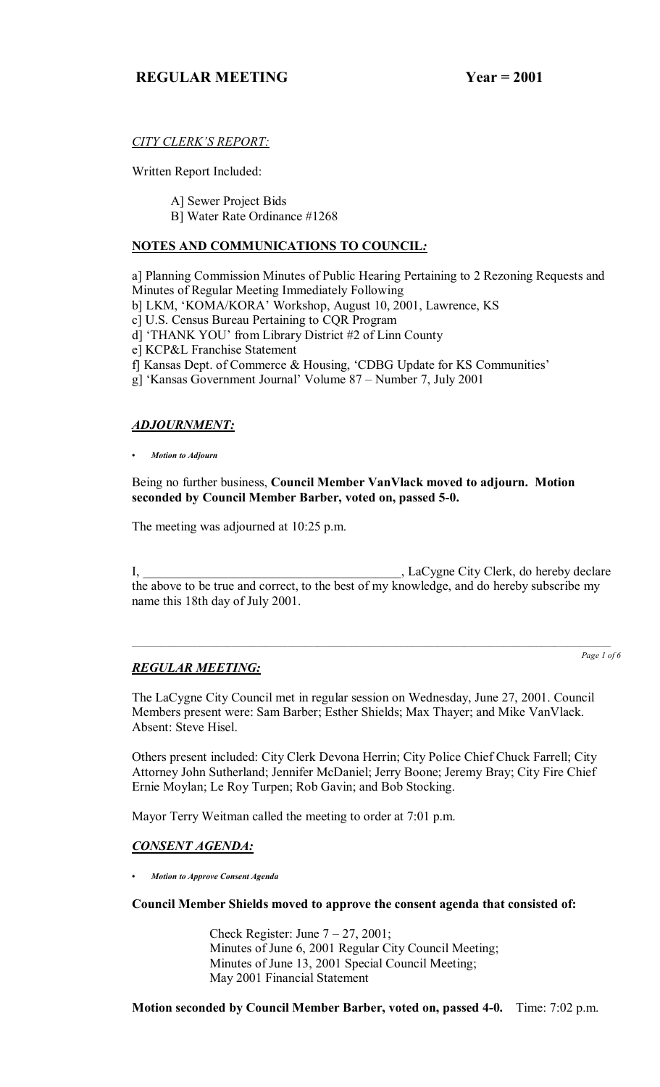# **CITY CLERK'S REPORT:**

Written Report Included:

A] Sewer Project Bids

B] Water Rate Ordinance #1268

## **NOTES AND COMMUNICATIONS TO COUNCIL***:*

a] Planning Commission Minutes of Public Hearing Pertaining to 2 Rezoning Requests and Minutes of Regular Meeting Immediately Following

- b] LKM, 'KOMA/KORA' Workshop, August 10, 2001, Lawrence, KS
- c] U.S. Census Bureau Pertaining to CQR Program
- d] 'THANK YOU' from Library District #2 of Linn County
- e] KCP&L Franchise Statement
- f] Kansas Dept. of Commerce & Housing, 'CDBG Update for KS Communities'
- g] 'Kansas Government Journal' Volume  $87 -$ Number 7, July 2001

# *ADJOURNMENT:*

*ï Motion to Adjourn*

Being no further business, **Council Member VanVlack moved to adjourn. Motion seconded by Council Member Barber, voted on, passed 5-0.**

The meeting was adjourned at 10:25 p.m.

I, \_\_\_\_\_\_\_\_\_\_\_\_\_\_\_\_\_\_\_\_\_\_\_\_\_\_\_\_\_\_\_\_\_\_\_\_\_\_\_\_, LaCygne City Clerk, do hereby declare the above to be true and correct, to the best of my knowledge, and do hereby subscribe my name this 18th day of July 2001.

# *REGULAR MEETING:*

*Page 1 of 6*

The LaCygne City Council met in regular session on Wednesday, June 27, 2001. Council Members present were: Sam Barber; Esther Shields; Max Thayer; and Mike VanVlack. Absent: Steve Hisel.

Others present included: City Clerk Devona Herrin; City Police Chief Chuck Farrell; City Attorney John Sutherland; Jennifer McDaniel; Jerry Boone; Jeremy Bray; City Fire Chief Ernie Moylan; Le Roy Turpen; Rob Gavin; and Bob Stocking.

Mayor Terry Weitman called the meeting to order at 7:01 p.m.

# *CONSENT AGENDA:*

*ï Motion to Approve Consent Agenda*

**Council Member Shields moved to approve the consent agenda that consisted of:**

Check Register: June  $7 - 27$ , 2001; Minutes of June 6, 2001 Regular City Council Meeting; Minutes of June 13, 2001 Special Council Meeting; May 2001 Financial Statement

**Motion seconded by Council Member Barber, voted on, passed 4-0.** Time: 7:02 p.m.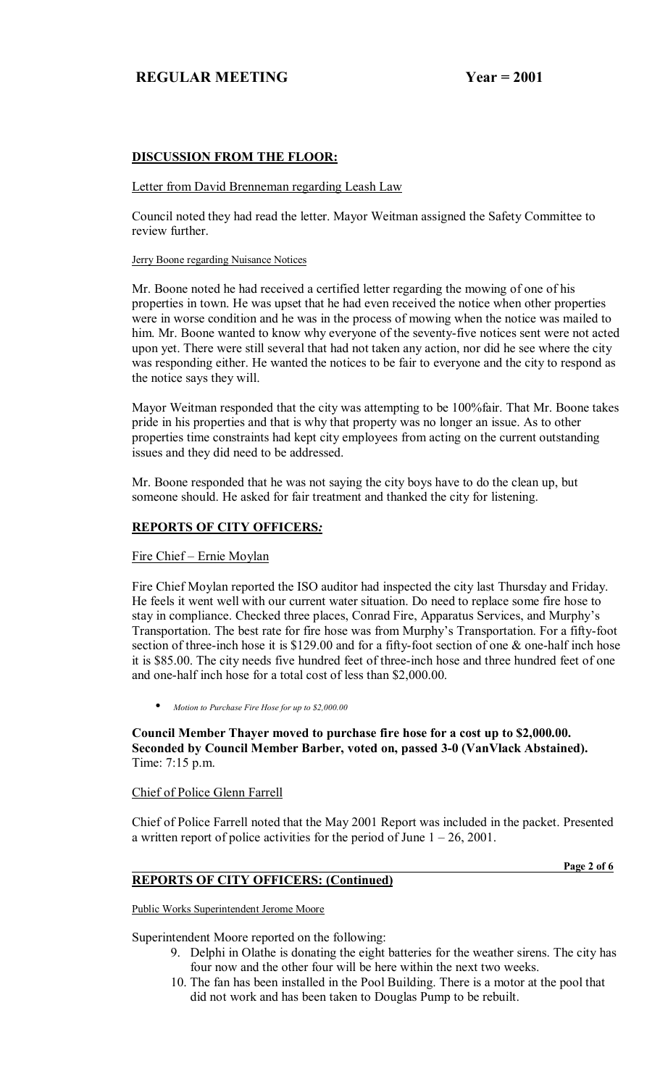# **DISCUSSION FROM THE FLOOR:**

#### Letter from David Brenneman regarding Leash Law

Council noted they had read the letter. Mayor Weitman assigned the Safety Committee to review further.

#### Jerry Boone regarding Nuisance Notices

Mr. Boone noted he had received a certified letter regarding the mowing of one of his properties in town. He was upset that he had even received the notice when other properties were in worse condition and he was in the process of mowing when the notice was mailed to him. Mr. Boone wanted to know why everyone of the seventy-five notices sent were not acted upon yet. There were still several that had not taken any action, nor did he see where the city was responding either. He wanted the notices to be fair to everyone and the city to respond as the notice says they will.

Mayor Weitman responded that the city was attempting to be 100%fair. That Mr. Boone takes pride in his properties and that is why that property was no longer an issue. As to other properties time constraints had kept city employees from acting on the current outstanding issues and they did need to be addressed.

Mr. Boone responded that he was not saying the city boys have to do the clean up, but someone should. He asked for fair treatment and thanked the city for listening.

#### **REPORTS OF CITY OFFICERS***:*

## Fire Chief - Ernie Moylan

Fire Chief Moylan reported the ISO auditor had inspected the city last Thursday and Friday. He feels it went well with our current water situation. Do need to replace some fire hose to stay in compliance. Checked three places, Conrad Fire, Apparatus Services, and Murphy's Transportation. The best rate for fire hose was from Murphy's Transportation. For a fifty-foot section of three-inch hose it is \$129.00 and for a fifty-foot section of one & one-half inch hose it is \$85.00. The city needs five hundred feet of three-inch hose and three hundred feet of one and one-half inch hose for a total cost of less than \$2,000.00.

• *Motion to Purchase Fire Hose for up to \$2,000.00*

**Council Member Thayer moved to purchase fire hose for a cost up to \$2,000.00. Seconded by Council Member Barber, voted on, passed 3-0 (VanVlack Abstained).**  Time: 7:15 p.m.

#### Chief of Police Glenn Farrell

Chief of Police Farrell noted that the May 2001 Report was included in the packet. Presented a written report of police activities for the period of June  $1 - 26$ , 2001.

**Page 2 of 6 Page 2 of 6** 

## **REPORTS OF CITY OFFICERS: (Continued)**

Public Works Superintendent Jerome Moore

Superintendent Moore reported on the following:

- 9. Delphi in Olathe is donating the eight batteries for the weather sirens. The city has four now and the other four will be here within the next two weeks.
- 10. The fan has been installed in the Pool Building. There is a motor at the pool that did not work and has been taken to Douglas Pump to be rebuilt.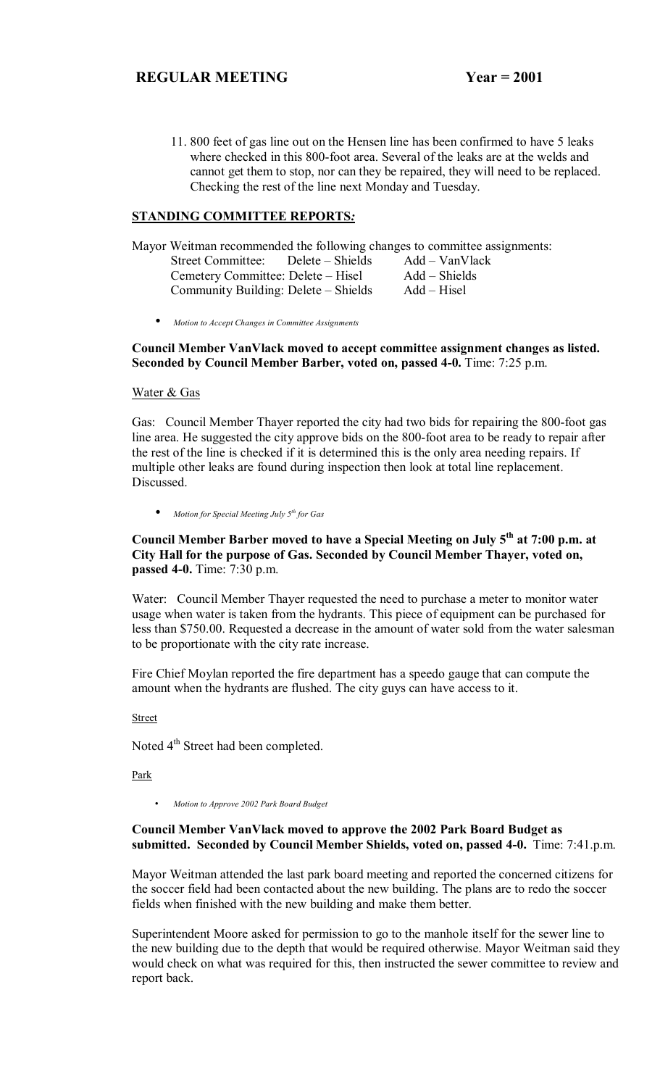11. 800 feet of gas line out on the Hensen line has been confirmed to have 5 leaks where checked in this 800-foot area. Several of the leaks are at the welds and cannot get them to stop, nor can they be repaired, they will need to be replaced. Checking the rest of the line next Monday and Tuesday.

## **STANDING COMMITTEE REPORTS***:*

Mayor Weitman recommended the following changes to committee assignments: Street Committee: Delete – Shields Add – VanVlack<br>Cemetery Committee: Delete – Hisel Add – Shields Cemetery Committee: Delete – Hisel Add – Shield<br>Community Building: Delete – Shields Add – Hisel Community Building: Delete – Shields

• *Motion to Accept Changes in Committee Assignments*

**Council Member VanVlack moved to accept committee assignment changes as listed. Seconded by Council Member Barber, voted on, passed 4-0.** Time: 7:25 p.m.

#### Water & Gas

Gas: Council Member Thayer reported the city had two bids for repairing the 800-foot gas line area. He suggested the city approve bids on the 800-foot area to be ready to repair after the rest of the line is checked if it is determined this is the only area needing repairs. If multiple other leaks are found during inspection then look at total line replacement. Discussed.

• *Motion for Special Meeting July 5th for Gas*

## **Council Member Barber moved to have a Special Meeting on July 5th at 7:00 p.m. at City Hall for the purpose of Gas. Seconded by Council Member Thayer, voted on, passed 4-0.** Time: 7:30 p.m.

Water: Council Member Thayer requested the need to purchase a meter to monitor water usage when water is taken from the hydrants. This piece of equipment can be purchased for less than \$750.00. Requested a decrease in the amount of water sold from the water salesman to be proportionate with the city rate increase.

Fire Chief Moylan reported the fire department has a speedo gauge that can compute the amount when the hydrants are flushed. The city guys can have access to it.

#### Street

Noted 4<sup>th</sup> Street had been completed.

Park

• *Motion to Approve 2002 Park Board Budget* 

## **Council Member VanVlack moved to approve the 2002 Park Board Budget as submitted. Seconded by Council Member Shields, voted on, passed 4-0.** Time: 7:41.p.m.

Mayor Weitman attended the last park board meeting and reported the concerned citizens for the soccer field had been contacted about the new building. The plans are to redo the soccer fields when finished with the new building and make them better.

Superintendent Moore asked for permission to go to the manhole itself for the sewer line to the new building due to the depth that would be required otherwise. Mayor Weitman said they would check on what was required for this, then instructed the sewer committee to review and report back.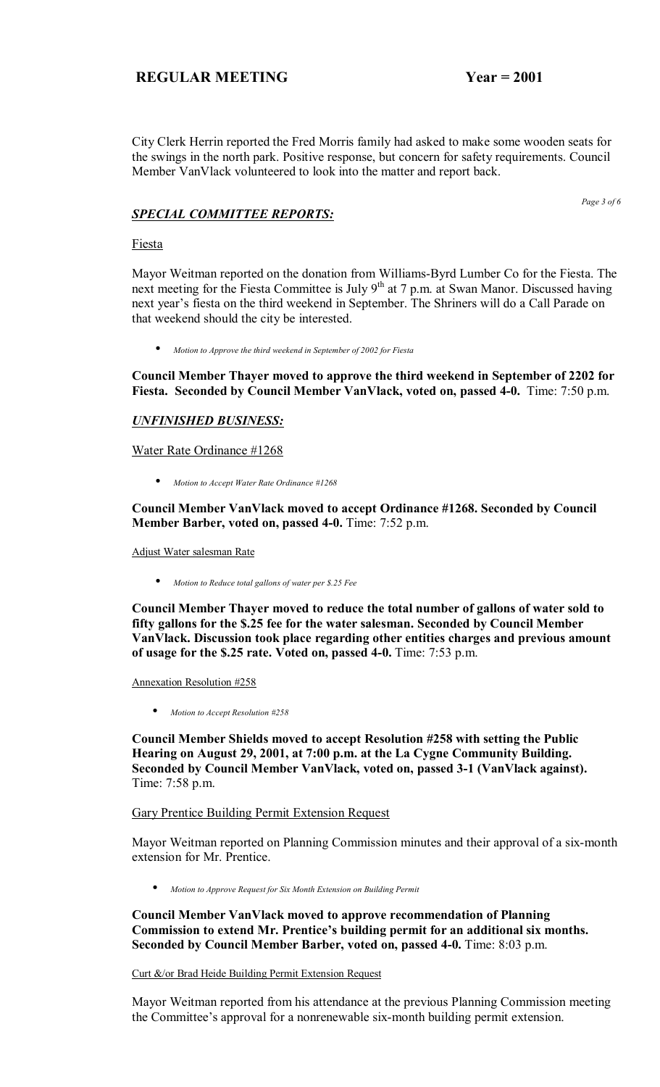City Clerk Herrin reported the Fred Morris family had asked to make some wooden seats for the swings in the north park. Positive response, but concern for safety requirements. Council Member VanVlack volunteered to look into the matter and report back.

*SPECIAL COMMITTEE REPORTS:*

*Page 3 of 6* 

Fiesta

Mayor Weitman reported on the donation from Williams-Byrd Lumber Co for the Fiesta. The next meeting for the Fiesta Committee is July 9<sup>th</sup> at 7 p.m. at Swan Manor. Discussed having next year's fiesta on the third weekend in September. The Shriners will do a Call Parade on that weekend should the city be interested.

• *Motion to Approve the third weekend in September of 2002 for Fiesta*

**Council Member Thayer moved to approve the third weekend in September of 2202 for Fiesta. Seconded by Council Member VanVlack, voted on, passed 4-0.** Time: 7:50 p.m.

#### *UNFINISHED BUSINESS:*

Water Rate Ordinance #1268

• *Motion to Accept Water Rate Ordinance #1268*

**Council Member VanVlack moved to accept Ordinance #1268. Seconded by Council Member Barber, voted on, passed 4-0.** Time: 7:52 p.m.

Adjust Water salesman Rate

• *Motion to Reduce total gallons of water per \$.25 Fee*

**Council Member Thayer moved to reduce the total number of gallons of water sold to fifty gallons for the \$.25 fee for the water salesman. Seconded by Council Member VanVlack. Discussion took place regarding other entities charges and previous amount of usage for the \$.25 rate. Voted on, passed 4-0.** Time: 7:53 p.m.

Annexation Resolution #258

• *Motion to Accept Resolution #258*

**Council Member Shields moved to accept Resolution #258 with setting the Public Hearing on August 29, 2001, at 7:00 p.m. at the La Cygne Community Building. Seconded by Council Member VanVlack, voted on, passed 3-1 (VanVlack against).**  Time: 7:58 p.m.

Gary Prentice Building Permit Extension Request

Mayor Weitman reported on Planning Commission minutes and their approval of a six-month extension for Mr. Prentice.

• *Motion to Approve Request for Six Month Extension on Building Permit*

**Council Member VanVlack moved to approve recommendation of Planning**  Commission to extend Mr. Prentice's building permit for an additional six months. **Seconded by Council Member Barber, voted on, passed 4-0.** Time: 8:03 p.m.

Curt &/or Brad Heide Building Permit Extension Request

Mayor Weitman reported from his attendance at the previous Planning Commission meeting the Committee's approval for a nonrenewable six-month building permit extension.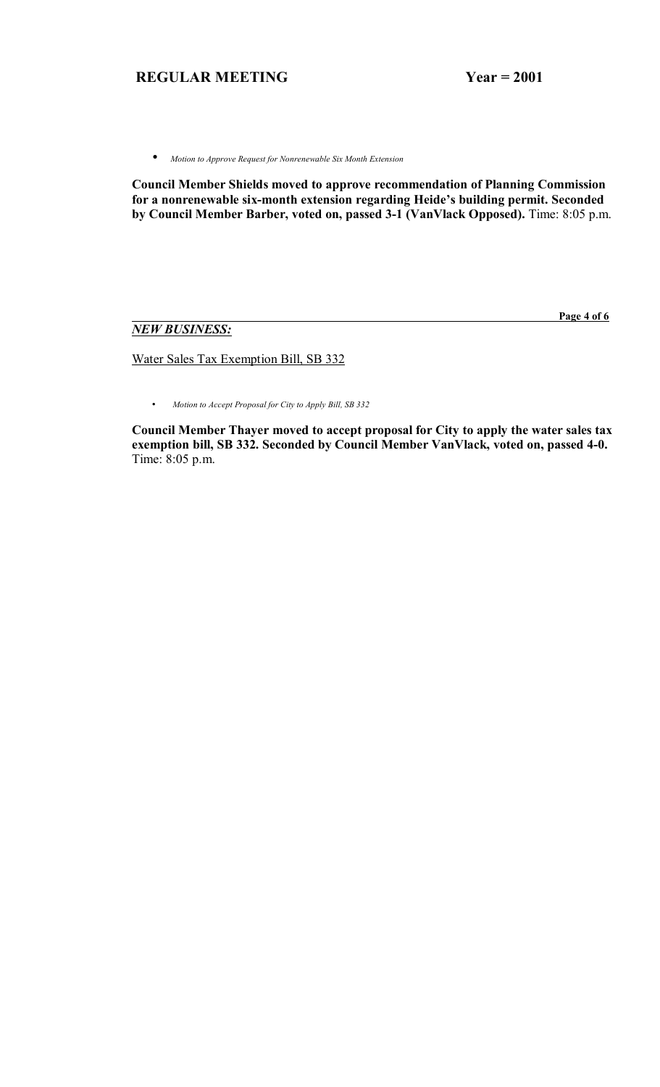• *Motion to Approve Request for Nonrenewable Six Month Extension*

**Council Member Shields moved to approve recommendation of Planning Commission**  for a nonrenewable six-month extension regarding Heide's building permit. Seconded **by Council Member Barber, voted on, passed 3-1 (VanVlack Opposed).** Time: 8:05 p.m.

# *NEW BUSINESS:*

 **Page 4 of 6**

Water Sales Tax Exemption Bill, SB 332

• *Motion to Accept Proposal for City to Apply Bill, SB 332*

**Council Member Thayer moved to accept proposal for City to apply the water sales tax exemption bill, SB 332. Seconded by Council Member VanVlack, voted on, passed 4-0.**  Time: 8:05 p.m.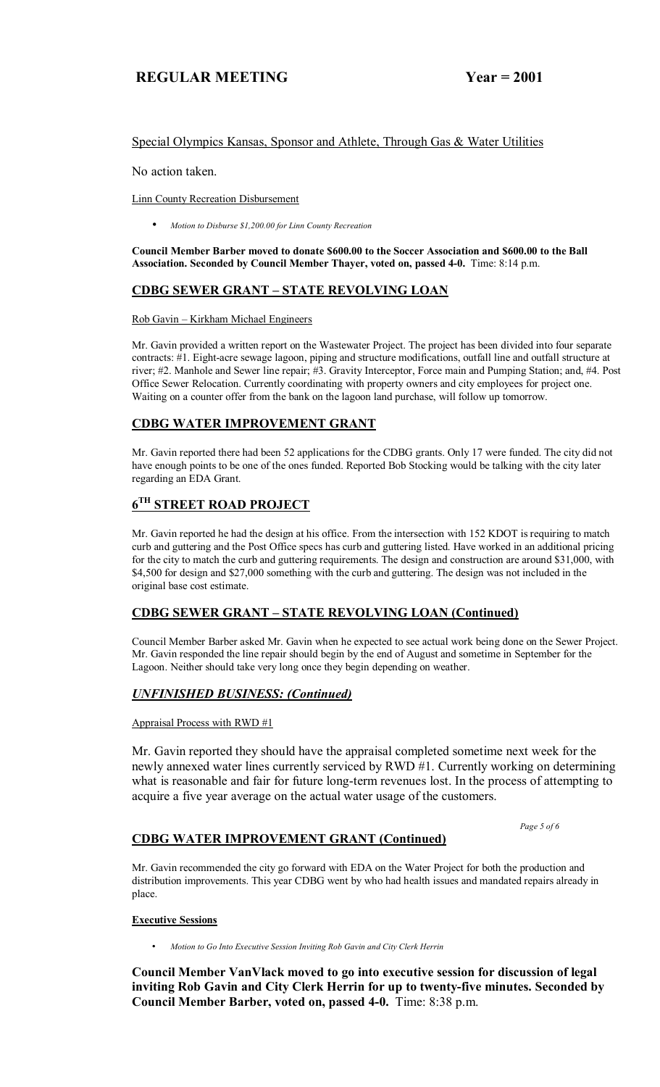## Special Olympics Kansas, Sponsor and Athlete, Through Gas & Water Utilities

No action taken.

Linn County Recreation Disbursement

• *Motion to Disburse \$1,200.00 for Linn County Recreation*

**Council Member Barber moved to donate \$600.00 to the Soccer Association and \$600.00 to the Ball Association. Seconded by Council Member Thayer, voted on, passed 4-0.** Time: 8:14 p.m.

# **CDBG SEWER GRANT - STATE REVOLVING LOAN**

#### Rob Gavin – Kirkham Michael Engineers

Mr. Gavin provided a written report on the Wastewater Project. The project has been divided into four separate contracts: #1. Eight-acre sewage lagoon, piping and structure modifications, outfall line and outfall structure at river; #2. Manhole and Sewer line repair; #3. Gravity Interceptor, Force main and Pumping Station; and, #4. Post Office Sewer Relocation. Currently coordinating with property owners and city employees for project one. Waiting on a counter offer from the bank on the lagoon land purchase, will follow up tomorrow.

# **CDBG WATER IMPROVEMENT GRANT**

Mr. Gavin reported there had been 52 applications for the CDBG grants. Only 17 were funded. The city did not have enough points to be one of the ones funded. Reported Bob Stocking would be talking with the city later regarding an EDA Grant.

# **6TH STREET ROAD PROJECT**

Mr. Gavin reported he had the design at his office. From the intersection with 152 KDOT is requiring to match curb and guttering and the Post Office specs has curb and guttering listed. Have worked in an additional pricing for the city to match the curb and guttering requirements. The design and construction are around \$31,000, with \$4,500 for design and \$27,000 something with the curb and guttering. The design was not included in the original base cost estimate.

## **CDBG SEWER GRANT – STATE REVOLVING LOAN (Continued)**

Council Member Barber asked Mr. Gavin when he expected to see actual work being done on the Sewer Project. Mr. Gavin responded the line repair should begin by the end of August and sometime in September for the Lagoon. Neither should take very long once they begin depending on weather.

## *UNFINISHED BUSINESS: (Continued)*

#### Appraisal Process with RWD #1

Mr. Gavin reported they should have the appraisal completed sometime next week for the newly annexed water lines currently serviced by RWD #1. Currently working on determining what is reasonable and fair for future long-term revenues lost. In the process of attempting to acquire a five year average on the actual water usage of the customers.

 *Page 5 of 6* 

## **CDBG WATER IMPROVEMENT GRANT (Continued)**

Mr. Gavin recommended the city go forward with EDA on the Water Project for both the production and distribution improvements. This year CDBG went by who had health issues and mandated repairs already in place.

#### **Executive Sessions**

• *Motion to Go Into Executive Session Inviting Rob Gavin and City Clerk Herrin* 

**Council Member VanVlack moved to go into executive session for discussion of legal inviting Rob Gavin and City Clerk Herrin for up to twenty-five minutes. Seconded by Council Member Barber, voted on, passed 4-0.** Time: 8:38 p.m.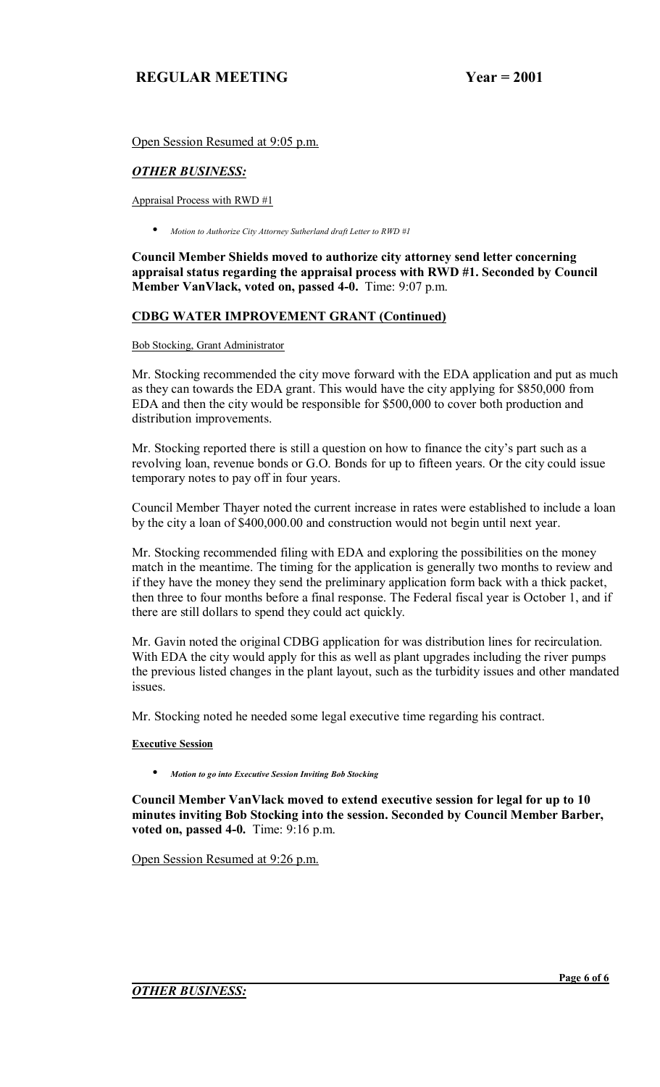Open Session Resumed at 9:05 p.m.

# *OTHER BUSINESS:*

Appraisal Process with RWD #1

• *Motion to Authorize City Attorney Sutherland draft Letter to RWD #1*

**Council Member Shields moved to authorize city attorney send letter concerning appraisal status regarding the appraisal process with RWD #1. Seconded by Council Member VanVlack, voted on, passed 4-0.** Time: 9:07 p.m.

# **CDBG WATER IMPROVEMENT GRANT (Continued)**

#### Bob Stocking, Grant Administrator

Mr. Stocking recommended the city move forward with the EDA application and put as much as they can towards the EDA grant. This would have the city applying for \$850,000 from EDA and then the city would be responsible for \$500,000 to cover both production and distribution improvements.

Mr. Stocking reported there is still a question on how to finance the city's part such as a revolving loan, revenue bonds or G.O. Bonds for up to fifteen years. Or the city could issue temporary notes to pay off in four years.

Council Member Thayer noted the current increase in rates were established to include a loan by the city a loan of \$400,000.00 and construction would not begin until next year.

Mr. Stocking recommended filing with EDA and exploring the possibilities on the money match in the meantime. The timing for the application is generally two months to review and if they have the money they send the preliminary application form back with a thick packet, then three to four months before a final response. The Federal fiscal year is October 1, and if there are still dollars to spend they could act quickly.

Mr. Gavin noted the original CDBG application for was distribution lines for recirculation. With EDA the city would apply for this as well as plant upgrades including the river pumps the previous listed changes in the plant layout, such as the turbidity issues and other mandated issues.

Mr. Stocking noted he needed some legal executive time regarding his contract.

## **Executive Session**

• *Motion to go into Executive Session Inviting Bob Stocking*

**Council Member VanVlack moved to extend executive session for legal for up to 10 minutes inviting Bob Stocking into the session. Seconded by Council Member Barber, voted on, passed 4-0.** Time: 9:16 p.m.

Open Session Resumed at 9:26 p.m.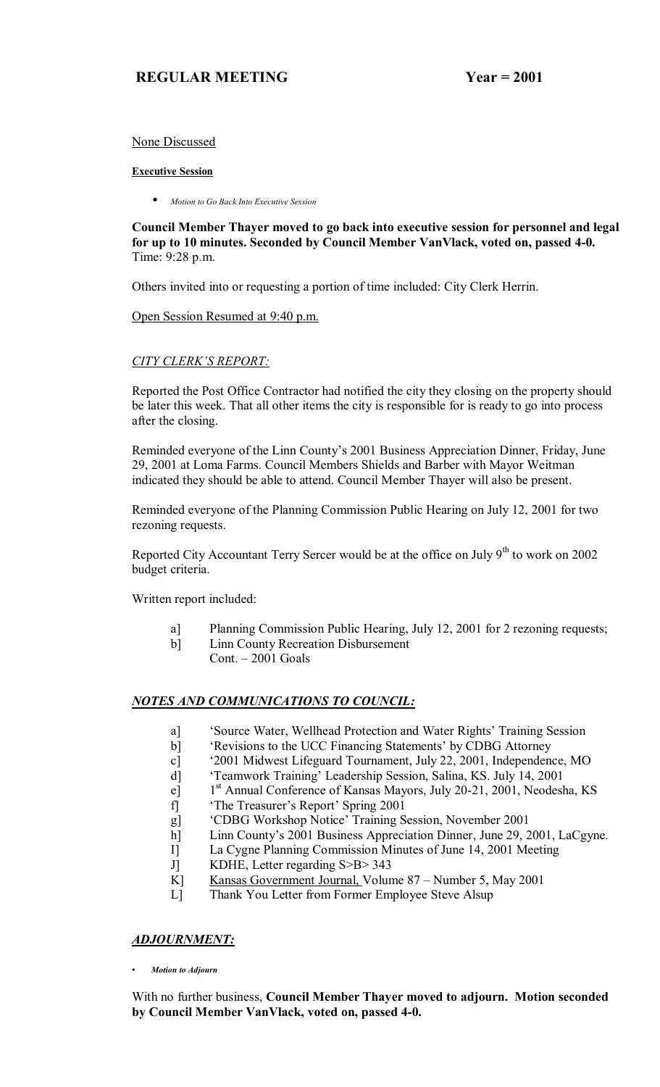## None Discussed

# **Executive Session**

• *Motion to Go Back Into Executive Session*

**Council Member Thayer moved to go back into executive session for personnel and legal for up to 10 minutes. Seconded by Council Member VanVlack, voted on, passed 4-0.**  Time: 9:28 p.m.

Others invited into or requesting a portion of time included: City Clerk Herrin.

Open Session Resumed at 9:40 p.m.

# **CITY CLERK'S REPORT:**

Reported the Post Office Contractor had notified the city they closing on the property should be later this week. That all other items the city is responsible for is ready to go into process after the closing.

Reminded everyone of the Linn County's 2001 Business Appreciation Dinner, Friday, June 29, 2001 at Loma Farms. Council Members Shields and Barber with Mayor Weitman indicated they should be able to attend. Council Member Thayer will also be present.

Reminded everyone of the Planning Commission Public Hearing on July 12, 2001 for two rezoning requests.

Reported City Accountant Terry Sercer would be at the office on July  $9<sup>th</sup>$  to work on 2002 budget criteria.

Written report included:

- a] Planning Commission Public Hearing, July 12, 2001 for 2 rezoning requests;
- b] Linn County Recreation Disbursement  $Cont. - 2001$  Goals

# *NOTES AND COMMUNICATIONS TO COUNCIL:*

- a] Source Water, Wellhead Protection and Water Rights' Training Session
- b] Exercisions to the UCC Financing Statements' by CDBG Attorney
- c] ë2001 Midwest Lifeguard Tournament, July 22, 2001, Independence, MO
- d] ëTeamwork Trainingí Leadership Session, Salina, KS. July 14, 2001
- e] 1<sup>st</sup> Annual Conference of Kansas Mayors, July 20-21, 2001, Neodesha, KS
- f] 'The Treasurer's Report' Spring 2001
- g] 
"CDBG Workshop Notice' Training Session, November 2001
- h] Linn County's 2001 Business Appreciation Dinner, June 29, 2001, LaCgyne.
- I] La Cygne Planning Commission Minutes of June 14, 2001 Meeting
- J] KDHE, Letter regarding S>B> 343
- K] Kansas Government Journal, Volume  $87 -$ Number 5, May 2001
- L] Thank You Letter from Former Employee Steve Alsup

# *ADJOURNMENT:*

*ï Motion to Adjourn*

With no further business, **Council Member Thayer moved to adjourn. Motion seconded by Council Member VanVlack, voted on, passed 4-0.**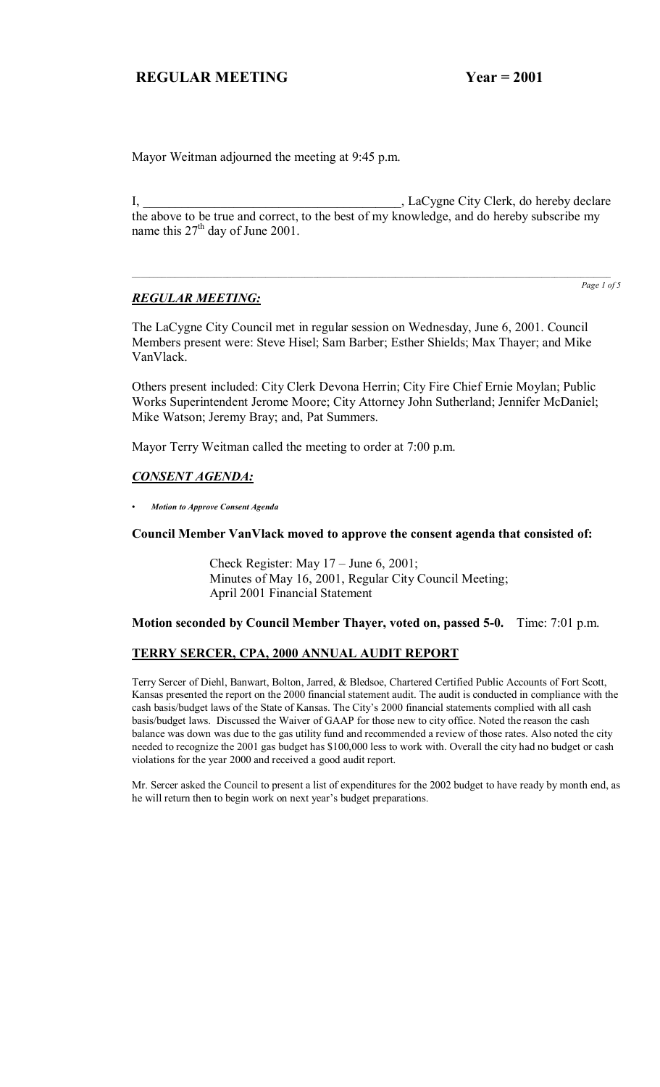Mayor Weitman adjourned the meeting at 9:45 p.m.

I, LaCygne City Clerk, do hereby declare the above to be true and correct, to the best of my knowledge, and do hereby subscribe my name this  $27<sup>th</sup>$  day of June 2001.

 $\mathcal{L}_\mathcal{L} = \mathcal{L}_\mathcal{L} = \mathcal{L}_\mathcal{L} = \mathcal{L}_\mathcal{L} = \mathcal{L}_\mathcal{L} = \mathcal{L}_\mathcal{L} = \mathcal{L}_\mathcal{L} = \mathcal{L}_\mathcal{L} = \mathcal{L}_\mathcal{L} = \mathcal{L}_\mathcal{L} = \mathcal{L}_\mathcal{L} = \mathcal{L}_\mathcal{L} = \mathcal{L}_\mathcal{L} = \mathcal{L}_\mathcal{L} = \mathcal{L}_\mathcal{L} = \mathcal{L}_\mathcal{L} = \mathcal{L}_\mathcal{L}$ 

## *REGULAR MEETING:*

*Page 1 of 5*

The LaCygne City Council met in regular session on Wednesday, June 6, 2001. Council Members present were: Steve Hisel; Sam Barber; Esther Shields; Max Thayer; and Mike VanVlack.

Others present included: City Clerk Devona Herrin; City Fire Chief Ernie Moylan; Public Works Superintendent Jerome Moore; City Attorney John Sutherland; Jennifer McDaniel; Mike Watson; Jeremy Bray; and, Pat Summers.

Mayor Terry Weitman called the meeting to order at 7:00 p.m.

## *CONSENT AGENDA:*

*ï Motion to Approve Consent Agenda*

#### **Council Member VanVlack moved to approve the consent agenda that consisted of:**

Check Register: May  $17 -$  June 6, 2001; Minutes of May 16, 2001, Regular City Council Meeting; April 2001 Financial Statement

#### **Motion seconded by Council Member Thayer, voted on, passed 5-0.** Time: 7:01 p.m.

#### **TERRY SERCER, CPA, 2000 ANNUAL AUDIT REPORT**

Terry Sercer of Diehl, Banwart, Bolton, Jarred, & Bledsoe, Chartered Certified Public Accounts of Fort Scott, Kansas presented the report on the 2000 financial statement audit. The audit is conducted in compliance with the cash basis/budget laws of the State of Kansas. The City's 2000 financial statements complied with all cash basis/budget laws. Discussed the Waiver of GAAP for those new to city office. Noted the reason the cash balance was down was due to the gas utility fund and recommended a review of those rates. Also noted the city needed to recognize the 2001 gas budget has \$100,000 less to work with. Overall the city had no budget or cash violations for the year 2000 and received a good audit report.

Mr. Sercer asked the Council to present a list of expenditures for the 2002 budget to have ready by month end, as he will return then to begin work on next year's budget preparations.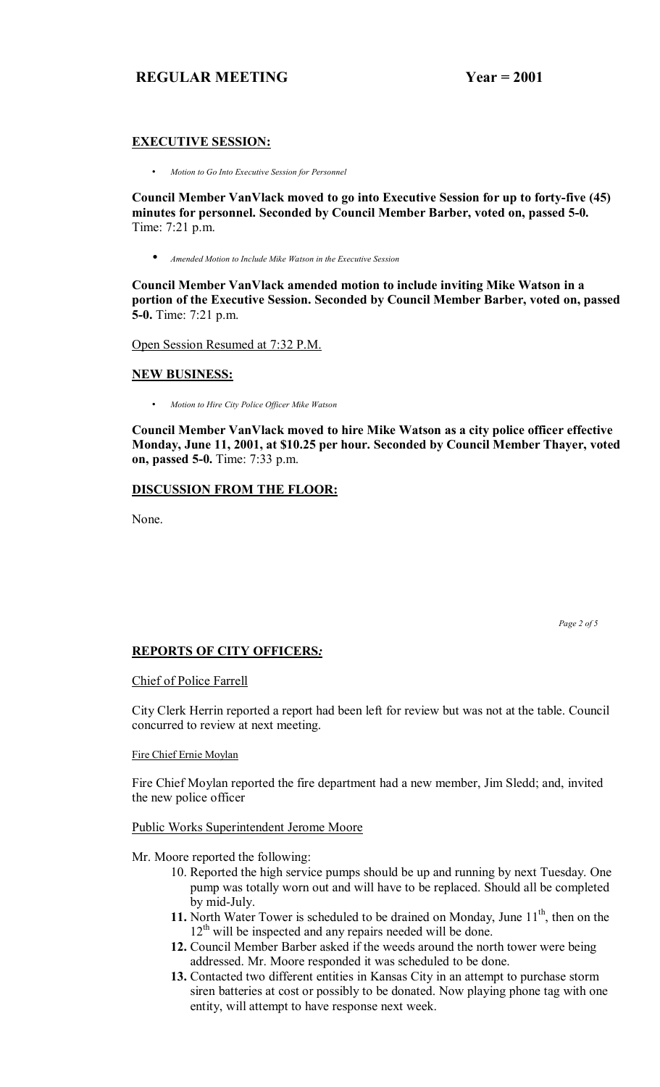## **EXECUTIVE SESSION:**

• *Motion to Go Into Executive Session for Personnel* 

**Council Member VanVlack moved to go into Executive Session for up to forty-five (45) minutes for personnel. Seconded by Council Member Barber, voted on, passed 5-0.**  Time: 7:21 p.m.

• *Amended Motion to Include Mike Watson in the Executive Session*

**Council Member VanVlack amended motion to include inviting Mike Watson in a portion of the Executive Session. Seconded by Council Member Barber, voted on, passed 5-0.** Time: 7:21 p.m.

Open Session Resumed at 7:32 P.M.

# **NEW BUSINESS:**

• *Motion to Hire City Police Officer Mike Watson*

**Council Member VanVlack moved to hire Mike Watson as a city police officer effective Monday, June 11, 2001, at \$10.25 per hour. Seconded by Council Member Thayer, voted on, passed 5-0.** Time: 7:33 p.m.

## **DISCUSSION FROM THE FLOOR:**

None.

 *Page 2 of 5*

## **REPORTS OF CITY OFFICERS***:*

#### Chief of Police Farrell

City Clerk Herrin reported a report had been left for review but was not at the table. Council concurred to review at next meeting.

Fire Chief Ernie Moylan

Fire Chief Moylan reported the fire department had a new member, Jim Sledd; and, invited the new police officer

## Public Works Superintendent Jerome Moore

Mr. Moore reported the following:

- 10. Reported the high service pumps should be up and running by next Tuesday. One pump was totally worn out and will have to be replaced. Should all be completed by mid-July.
- **11.** North Water Tower is scheduled to be drained on Monday, June 11<sup>th</sup>, then on the  $12<sup>th</sup>$  will be inspected and any repairs needed will be done.
- **12.** Council Member Barber asked if the weeds around the north tower were being addressed. Mr. Moore responded it was scheduled to be done.
- **13.** Contacted two different entities in Kansas City in an attempt to purchase storm siren batteries at cost or possibly to be donated. Now playing phone tag with one entity, will attempt to have response next week.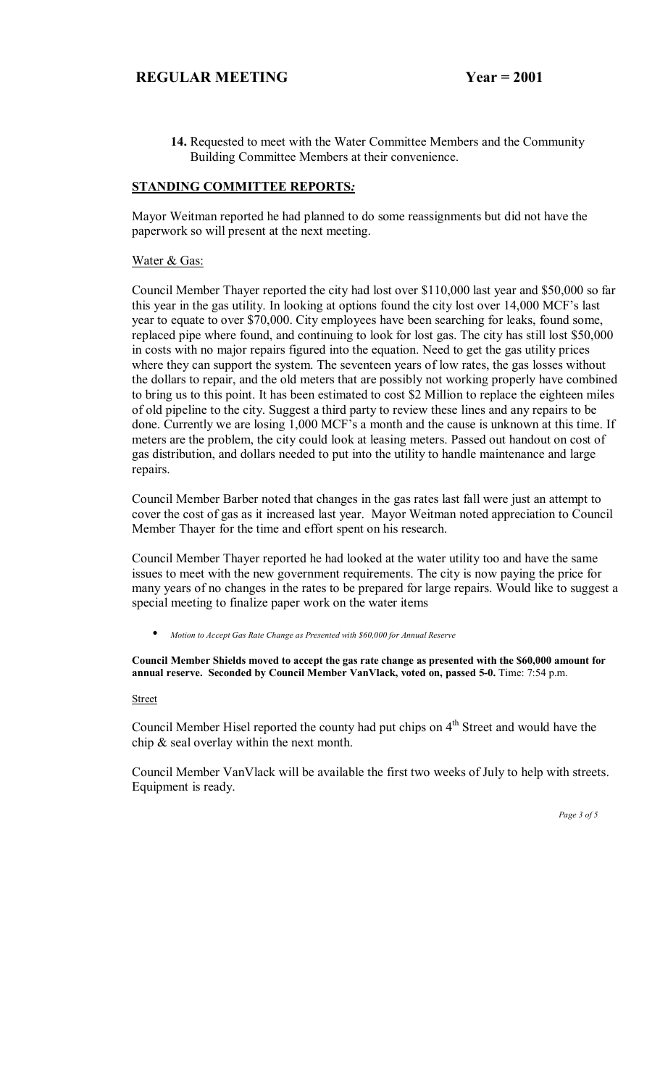**14.** Requested to meet with the Water Committee Members and the Community Building Committee Members at their convenience.

## **STANDING COMMITTEE REPORTS***:*

Mayor Weitman reported he had planned to do some reassignments but did not have the paperwork so will present at the next meeting.

#### Water & Gas:

Council Member Thayer reported the city had lost over \$110,000 last year and \$50,000 so far this year in the gas utility. In looking at options found the city lost over  $14,000$  MCF's last year to equate to over \$70,000. City employees have been searching for leaks, found some, replaced pipe where found, and continuing to look for lost gas. The city has still lost \$50,000 in costs with no major repairs figured into the equation. Need to get the gas utility prices where they can support the system. The seventeen years of low rates, the gas losses without the dollars to repair, and the old meters that are possibly not working properly have combined to bring us to this point. It has been estimated to cost \$2 Million to replace the eighteen miles of old pipeline to the city. Suggest a third party to review these lines and any repairs to be done. Currently we are losing 1,000 MCF's a month and the cause is unknown at this time. If meters are the problem, the city could look at leasing meters. Passed out handout on cost of gas distribution, and dollars needed to put into the utility to handle maintenance and large repairs.

Council Member Barber noted that changes in the gas rates last fall were just an attempt to cover the cost of gas as it increased last year. Mayor Weitman noted appreciation to Council Member Thayer for the time and effort spent on his research.

Council Member Thayer reported he had looked at the water utility too and have the same issues to meet with the new government requirements. The city is now paying the price for many years of no changes in the rates to be prepared for large repairs. Would like to suggest a special meeting to finalize paper work on the water items

• *Motion to Accept Gas Rate Change as Presented with \$60,000 for Annual Reserve*

**Council Member Shields moved to accept the gas rate change as presented with the \$60,000 amount for annual reserve. Seconded by Council Member VanVlack, voted on, passed 5-0.** Time: 7:54 p.m.

#### Street

Council Member Hisel reported the county had put chips on  $4<sup>th</sup>$  Street and would have the chip & seal overlay within the next month.

Council Member VanVlack will be available the first two weeks of July to help with streets. Equipment is ready.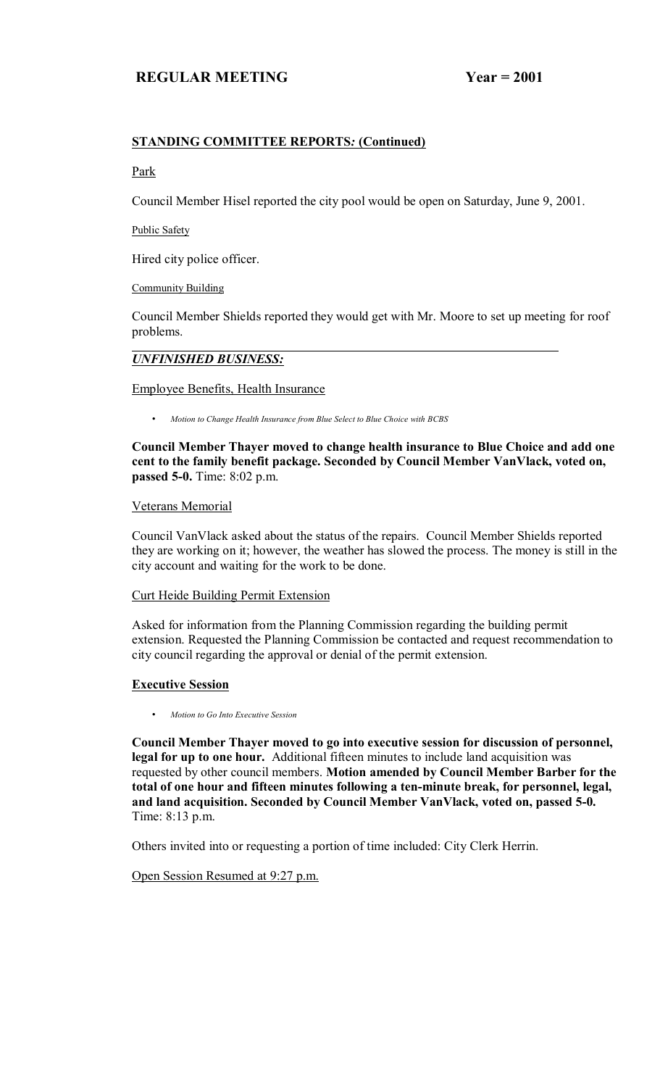# **STANDING COMMITTEE REPORTS***:* **(Continued)**

#### Park

Council Member Hisel reported the city pool would be open on Saturday, June 9, 2001.

Public Safety

Hired city police officer.

Community Building

Council Member Shields reported they would get with Mr. Moore to set up meeting for roof problems.

#### *UNFINISHED BUSINESS:*

## Employee Benefits, Health Insurance

• *Motion to Change Health Insurance from Blue Select to Blue Choice with BCBS* 

**Council Member Thayer moved to change health insurance to Blue Choice and add one cent to the family benefit package. Seconded by Council Member VanVlack, voted on, passed 5-0.** Time: 8:02 p.m.

#### Veterans Memorial

Council VanVlack asked about the status of the repairs. Council Member Shields reported they are working on it; however, the weather has slowed the process. The money is still in the city account and waiting for the work to be done.

## Curt Heide Building Permit Extension

Asked for information from the Planning Commission regarding the building permit extension. Requested the Planning Commission be contacted and request recommendation to city council regarding the approval or denial of the permit extension.

## **Executive Session**

• *Motion to Go Into Executive Session*

**Council Member Thayer moved to go into executive session for discussion of personnel, legal for up to one hour.** Additional fifteen minutes to include land acquisition was requested by other council members. **Motion amended by Council Member Barber for the total of one hour and fifteen minutes following a ten-minute break, for personnel, legal, and land acquisition. Seconded by Council Member VanVlack, voted on, passed 5-0.**  Time: 8:13 p.m.

Others invited into or requesting a portion of time included: City Clerk Herrin.

Open Session Resumed at 9:27 p.m.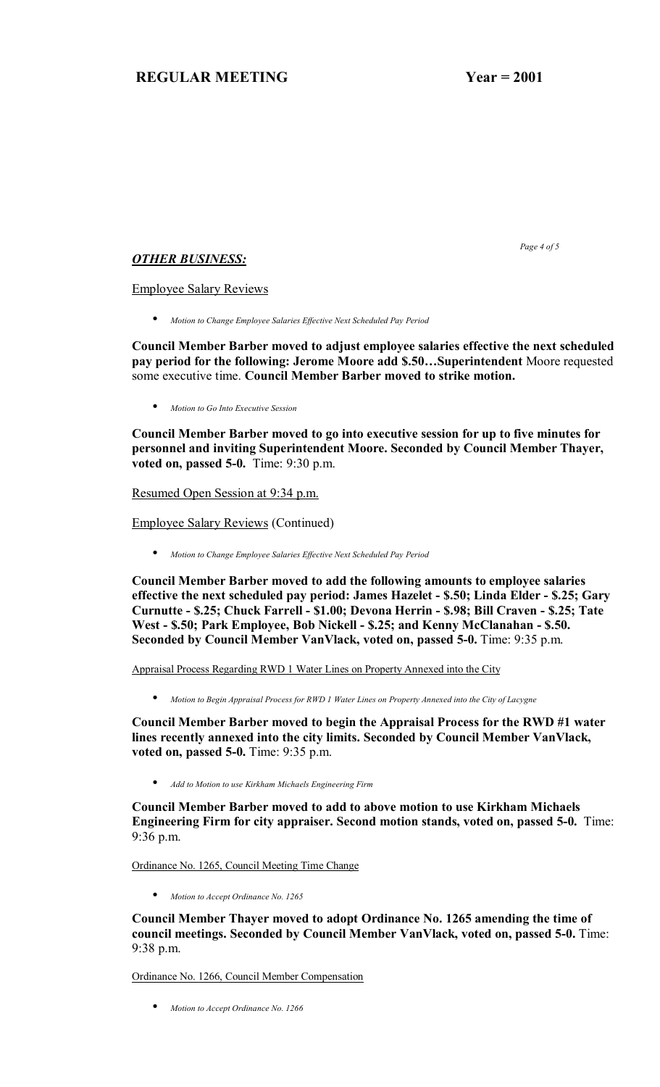*Page 4 of 5* 

### *OTHER BUSINESS:*

Employee Salary Reviews

• *Motion to Change Employee Salaries Effective Next Scheduled Pay Period*

**Council Member Barber moved to adjust employee salaries effective the next scheduled pay period for the following: Jerome Moore add \$.50...Superintendent** Moore requested some executive time. **Council Member Barber moved to strike motion.** 

• *Motion to Go Into Executive Session*

**Council Member Barber moved to go into executive session for up to five minutes for personnel and inviting Superintendent Moore. Seconded by Council Member Thayer, voted on, passed 5-0.** Time: 9:30 p.m.

Resumed Open Session at 9:34 p.m.

Employee Salary Reviews (Continued)

• *Motion to Change Employee Salaries Effective Next Scheduled Pay Period*

**Council Member Barber moved to add the following amounts to employee salaries effective the next scheduled pay period: James Hazelet - \$.50; Linda Elder - \$.25; Gary Curnutte - \$.25; Chuck Farrell - \$1.00; Devona Herrin - \$.98; Bill Craven - \$.25; Tate West - \$.50; Park Employee, Bob Nickell - \$.25; and Kenny McClanahan - \$.50. Seconded by Council Member VanVlack, voted on, passed 5-0.** Time: 9:35 p.m.

Appraisal Process Regarding RWD 1 Water Lines on Property Annexed into the City

• *Motion to Begin Appraisal Process for RWD 1 Water Lines on Property Annexed into the City of Lacygne*

**Council Member Barber moved to begin the Appraisal Process for the RWD #1 water lines recently annexed into the city limits. Seconded by Council Member VanVlack, voted on, passed 5-0.** Time: 9:35 p.m.

• *Add to Motion to use Kirkham Michaels Engineering Firm*

**Council Member Barber moved to add to above motion to use Kirkham Michaels Engineering Firm for city appraiser. Second motion stands, voted on, passed 5-0.** Time: 9:36 p.m.

Ordinance No. 1265, Council Meeting Time Change

• *Motion to Accept Ordinance No. 1265*

**Council Member Thayer moved to adopt Ordinance No. 1265 amending the time of council meetings. Seconded by Council Member VanVlack, voted on, passed 5-0.** Time: 9:38 p.m.

Ordinance No. 1266, Council Member Compensation

• *Motion to Accept Ordinance No. 1266*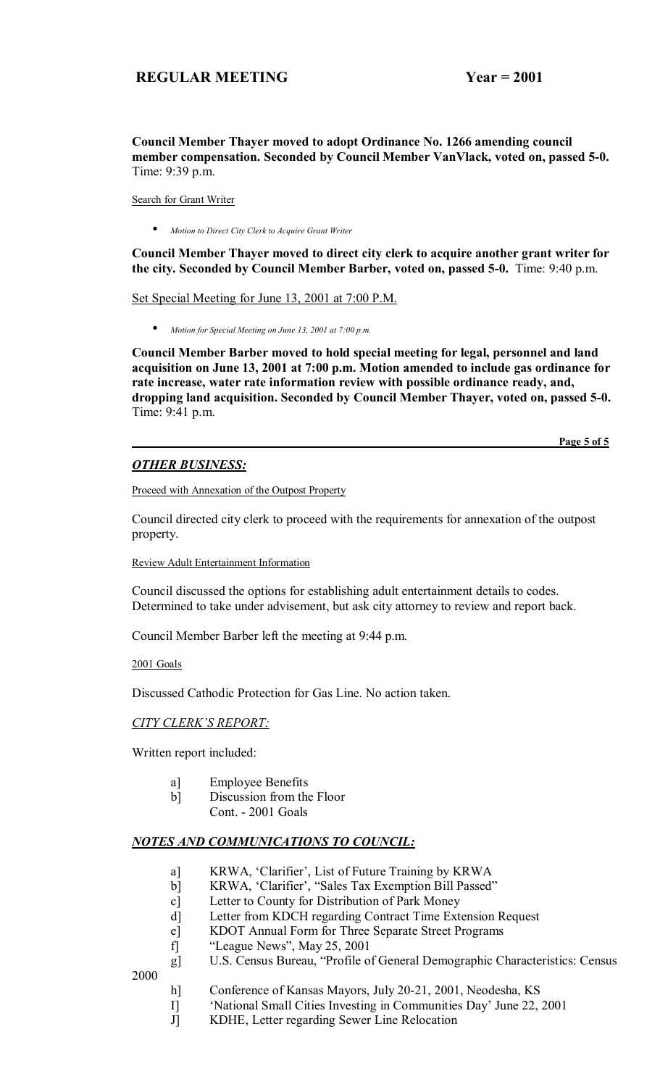**Council Member Thayer moved to adopt Ordinance No. 1266 amending council member compensation. Seconded by Council Member VanVlack, voted on, passed 5-0.**  Time: 9:39 p.m.

Search for Grant Writer

• *Motion to Direct City Clerk to Acquire Grant Writer*

**Council Member Thayer moved to direct city clerk to acquire another grant writer for the city. Seconded by Council Member Barber, voted on, passed 5-0.** Time: 9:40 p.m.

Set Special Meeting for June 13, 2001 at 7:00 P.M.

• *Motion for Special Meeting on June 13, 2001 at 7:00 p.m.*

**Council Member Barber moved to hold special meeting for legal, personnel and land acquisition on June 13, 2001 at 7:00 p.m. Motion amended to include gas ordinance for rate increase, water rate information review with possible ordinance ready, and, dropping land acquisition. Seconded by Council Member Thayer, voted on, passed 5-0.**  Time: 9:41 p.m.

**Page 5 of 5**

# *OTHER BUSINESS:*

Proceed with Annexation of the Outpost Property

Council directed city clerk to proceed with the requirements for annexation of the outpost property.

Review Adult Entertainment Information

Council discussed the options for establishing adult entertainment details to codes. Determined to take under advisement, but ask city attorney to review and report back.

Council Member Barber left the meeting at 9:44 p.m.

2001 Goals

Discussed Cathodic Protection for Gas Line. No action taken.

### **CITY CLERK'S REPORT:**

Written report included:

- a] Employee Benefits
- b] Discussion from the Floor
	- Cont. 2001 Goals

# *NOTES AND COMMUNICATIONS TO COUNCIL:*

- a] KRWA, 'Clarifier', List of Future Training by KRWA
- b] KRWA, 'Clarifier', "Sales Tax Exemption Bill Passed"
- c] Letter to County for Distribution of Park Money
- d] Letter from KDCH regarding Contract Time Extension Request
- e] KDOT Annual Form for Three Separate Street Programs
- f]  $\text{``League News''}, \text{May } 25, 2001$
- g] U.S. Census Bureau, "Profile of General Demographic Characteristics: Census 2000
	- h] Conference of Kansas Mayors, July 20-21, 2001, Neodesha, KS
	- I] "National Small Cities Investing in Communities Day' June 22, 2001
	- J] KDHE, Letter regarding Sewer Line Relocation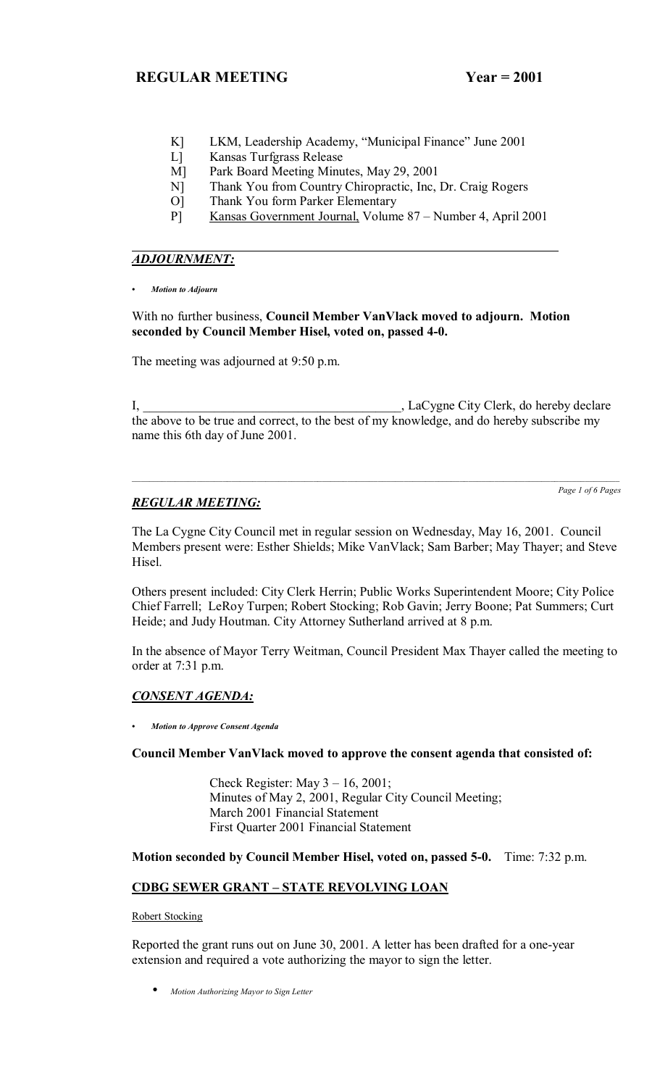- K] LKM, Leadership Academy, "Municipal Finance" June 2001
- L] Kansas Turfgrass Release
- M] Park Board Meeting Minutes, May 29, 2001
- N] Thank You from Country Chiropractic, Inc, Dr. Craig Rogers
- O] Thank You form Parker Elementary
- P] Kansas Government Journal, Volume 87 Number 4, April 2001

# *ADJOURNMENT:*

*ï Motion to Adjourn*

With no further business, **Council Member VanVlack moved to adjourn. Motion seconded by Council Member Hisel, voted on, passed 4-0.**

The meeting was adjourned at 9:50 p.m.

I, LaCygne City Clerk, do hereby declare the above to be true and correct, to the best of my knowledge, and do hereby subscribe my name this 6th day of June 2001.

*Page 1 of 6 Pages*

# *REGULAR MEETING:*

The La Cygne City Council met in regular session on Wednesday, May 16, 2001. Council Members present were: Esther Shields; Mike VanVlack; Sam Barber; May Thayer; and Steve Hisel.

Others present included: City Clerk Herrin; Public Works Superintendent Moore; City Police Chief Farrell; LeRoy Turpen; Robert Stocking; Rob Gavin; Jerry Boone; Pat Summers; Curt Heide; and Judy Houtman. City Attorney Sutherland arrived at 8 p.m.

In the absence of Mayor Terry Weitman, Council President Max Thayer called the meeting to order at 7:31 p.m.

# *CONSENT AGENDA:*

*ï Motion to Approve Consent Agenda*

# **Council Member VanVlack moved to approve the consent agenda that consisted of:**

Check Register: May  $3 - 16$ , 2001; Minutes of May 2, 2001, Regular City Council Meeting; March 2001 Financial Statement First Quarter 2001 Financial Statement

**Motion seconded by Council Member Hisel, voted on, passed 5-0.** Time: 7:32 p.m.

# **CDBG SEWER GRANT - STATE REVOLVING LOAN**

Robert Stocking

Reported the grant runs out on June 30, 2001. A letter has been drafted for a one-year extension and required a vote authorizing the mayor to sign the letter.

• *Motion Authorizing Mayor to Sign Letter*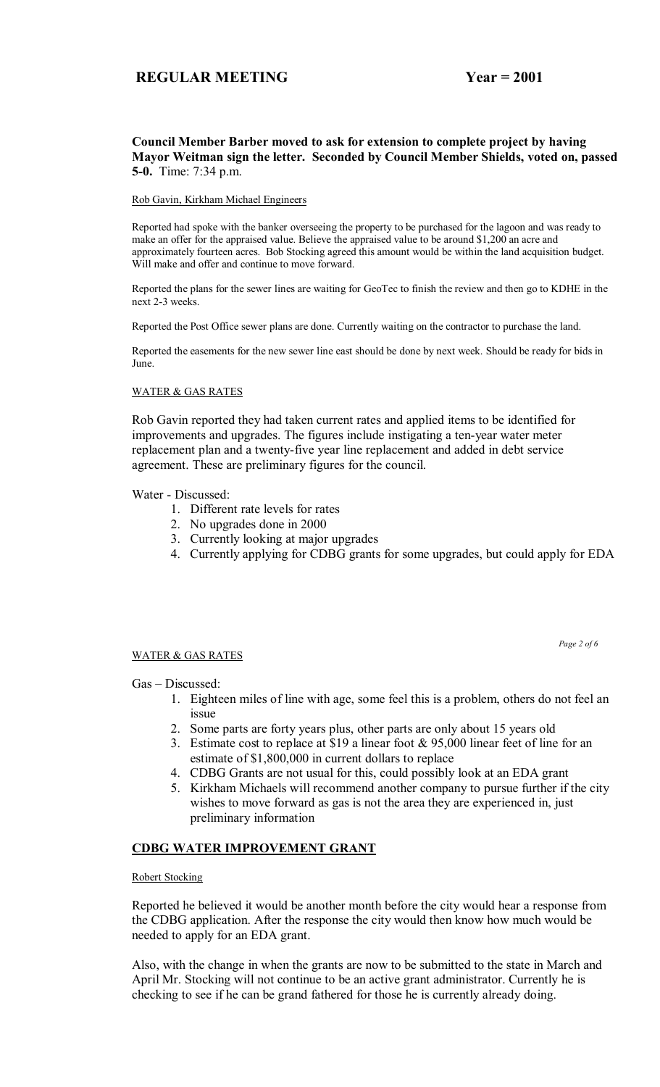### **Council Member Barber moved to ask for extension to complete project by having Mayor Weitman sign the letter. Seconded by Council Member Shields, voted on, passed 5-0.** Time: 7:34 p.m.

### Rob Gavin, Kirkham Michael Engineers

Reported had spoke with the banker overseeing the property to be purchased for the lagoon and was ready to make an offer for the appraised value. Believe the appraised value to be around \$1,200 an acre and approximately fourteen acres. Bob Stocking agreed this amount would be within the land acquisition budget. Will make and offer and continue to move forward.

Reported the plans for the sewer lines are waiting for GeoTec to finish the review and then go to KDHE in the next 2-3 weeks.

Reported the Post Office sewer plans are done. Currently waiting on the contractor to purchase the land.

Reported the easements for the new sewer line east should be done by next week. Should be ready for bids in June.

### WATER & GAS RATES

Rob Gavin reported they had taken current rates and applied items to be identified for improvements and upgrades. The figures include instigating a ten-year water meter replacement plan and a twenty-five year line replacement and added in debt service agreement. These are preliminary figures for the council.

Water - Discussed:

- 1. Different rate levels for rates
- 2. No upgrades done in 2000
- 3. Currently looking at major upgrades
- 4. Currently applying for CDBG grants for some upgrades, but could apply for EDA

### WATER & GAS RATES

*Page 2 of 6* 

### Gas - Discussed:

- 1. Eighteen miles of line with age, some feel this is a problem, others do not feel an issue
- 2. Some parts are forty years plus, other parts are only about 15 years old
- 3. Estimate cost to replace at \$19 a linear foot & 95,000 linear feet of line for an estimate of \$1,800,000 in current dollars to replace
- 4. CDBG Grants are not usual for this, could possibly look at an EDA grant
- 5. Kirkham Michaels will recommend another company to pursue further if the city wishes to move forward as gas is not the area they are experienced in, just preliminary information

# **CDBG WATER IMPROVEMENT GRANT**

### Robert Stocking

Reported he believed it would be another month before the city would hear a response from the CDBG application. After the response the city would then know how much would be needed to apply for an EDA grant.

Also, with the change in when the grants are now to be submitted to the state in March and April Mr. Stocking will not continue to be an active grant administrator. Currently he is checking to see if he can be grand fathered for those he is currently already doing.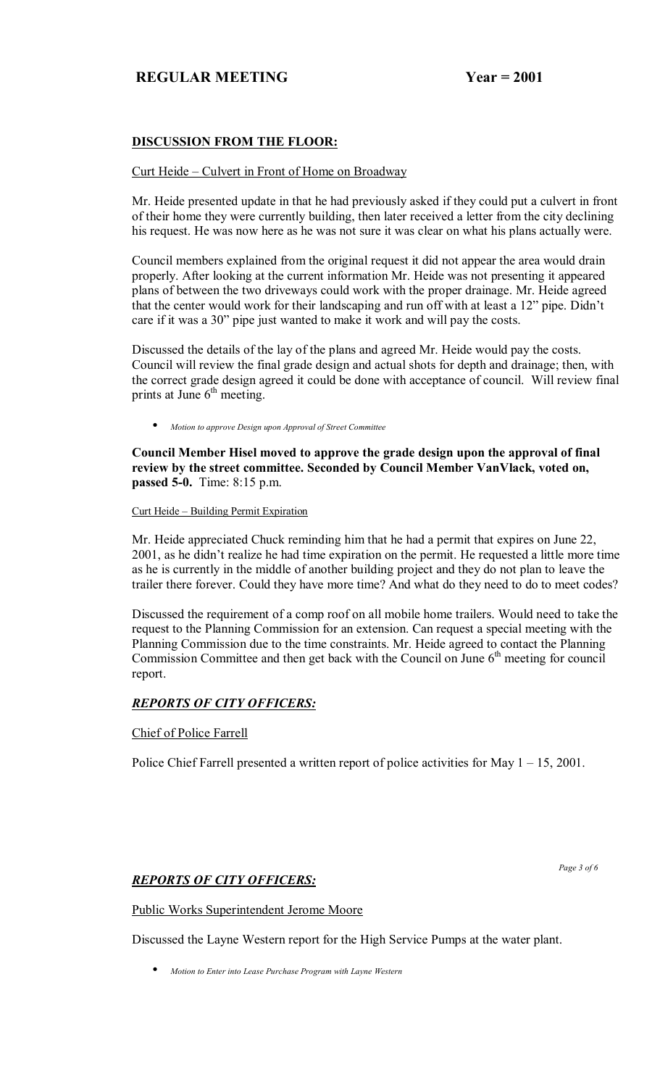# **DISCUSSION FROM THE FLOOR:**

### Curt Heide – Culvert in Front of Home on Broadway

Mr. Heide presented update in that he had previously asked if they could put a culvert in front of their home they were currently building, then later received a letter from the city declining his request. He was now here as he was not sure it was clear on what his plans actually were.

Council members explained from the original request it did not appear the area would drain properly. After looking at the current information Mr. Heide was not presenting it appeared plans of between the two driveways could work with the proper drainage. Mr. Heide agreed that the center would work for their landscaping and run off with at least a  $12$ " pipe. Didn't care if it was a 30" pipe just wanted to make it work and will pay the costs.

Discussed the details of the lay of the plans and agreed Mr. Heide would pay the costs. Council will review the final grade design and actual shots for depth and drainage; then, with the correct grade design agreed it could be done with acceptance of council. Will review final prints at June  $6<sup>th</sup>$  meeting.

• *Motion to approve Design upon Approval of Street Committee*

**Council Member Hisel moved to approve the grade design upon the approval of final review by the street committee. Seconded by Council Member VanVlack, voted on, passed 5-0.** Time: 8:15 p.m.

### Curt Heide – Building Permit Expiration

Mr. Heide appreciated Chuck reminding him that he had a permit that expires on June 22, 2001, as he didn't realize he had time expiration on the permit. He requested a little more time as he is currently in the middle of another building project and they do not plan to leave the trailer there forever. Could they have more time? And what do they need to do to meet codes?

Discussed the requirement of a comp roof on all mobile home trailers. Would need to take the request to the Planning Commission for an extension. Can request a special meeting with the Planning Commission due to the time constraints. Mr. Heide agreed to contact the Planning Commission Committee and then get back with the Council on June  $6<sup>th</sup>$  meeting for council report.

# *REPORTS OF CITY OFFICERS:*

Chief of Police Farrell

Police Chief Farrell presented a written report of police activities for May  $1 - 15$ , 2001.

# *REPORTS OF CITY OFFICERS:*

 *Page 3 of 6* 

### Public Works Superintendent Jerome Moore

Discussed the Layne Western report for the High Service Pumps at the water plant.

• *Motion to Enter into Lease Purchase Program with Layne Western*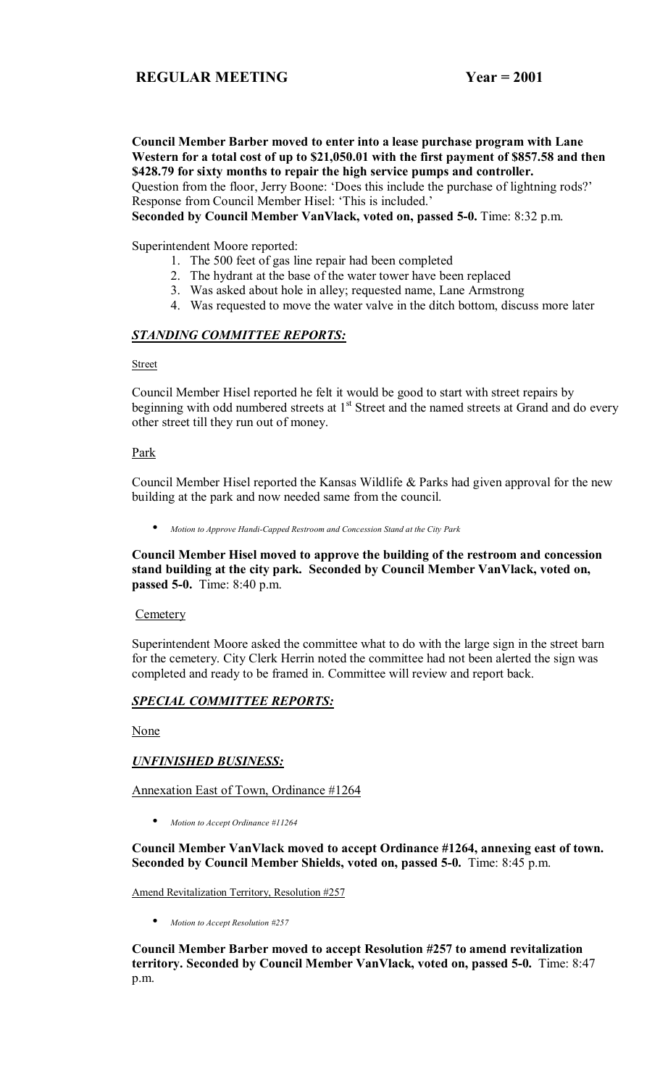**Council Member Barber moved to enter into a lease purchase program with Lane Western for a total cost of up to \$21,050.01 with the first payment of \$857.58 and then \$428.79 for sixty months to repair the high service pumps and controller.**  Question from the floor, Jerry Boone: 'Does this include the purchase of lightning rods?'

Response from Council Member Hisel: 'This is included.'

**Seconded by Council Member VanVlack, voted on, passed 5-0.** Time: 8:32 p.m.

Superintendent Moore reported:

- 1. The 500 feet of gas line repair had been completed
- 2. The hydrant at the base of the water tower have been replaced
- 3. Was asked about hole in alley; requested name, Lane Armstrong
- 4. Was requested to move the water valve in the ditch bottom, discuss more later

### *STANDING COMMITTEE REPORTS:*

#### Street

Council Member Hisel reported he felt it would be good to start with street repairs by beginning with odd numbered streets at  $1<sup>st</sup>$  Street and the named streets at Grand and do every other street till they run out of money.

### Park

Council Member Hisel reported the Kansas Wildlife & Parks had given approval for the new building at the park and now needed same from the council.

• *Motion to Approve Handi-Capped Restroom and Concession Stand at the City Park*

**Council Member Hisel moved to approve the building of the restroom and concession stand building at the city park. Seconded by Council Member VanVlack, voted on, passed 5-0.** Time: 8:40 p.m.

### **Cemetery**

Superintendent Moore asked the committee what to do with the large sign in the street barn for the cemetery. City Clerk Herrin noted the committee had not been alerted the sign was completed and ready to be framed in. Committee will review and report back.

# *SPECIAL COMMITTEE REPORTS:*

**None** 

# *UNFINISHED BUSINESS:*

Annexation East of Town, Ordinance #1264

• *Motion to Accept Ordinance #11264*

### **Council Member VanVlack moved to accept Ordinance #1264, annexing east of town. Seconded by Council Member Shields, voted on, passed 5-0.** Time: 8:45 p.m.

Amend Revitalization Territory, Resolution #257

• *Motion to Accept Resolution #257*

**Council Member Barber moved to accept Resolution #257 to amend revitalization territory. Seconded by Council Member VanVlack, voted on, passed 5-0.** Time: 8:47 p.m.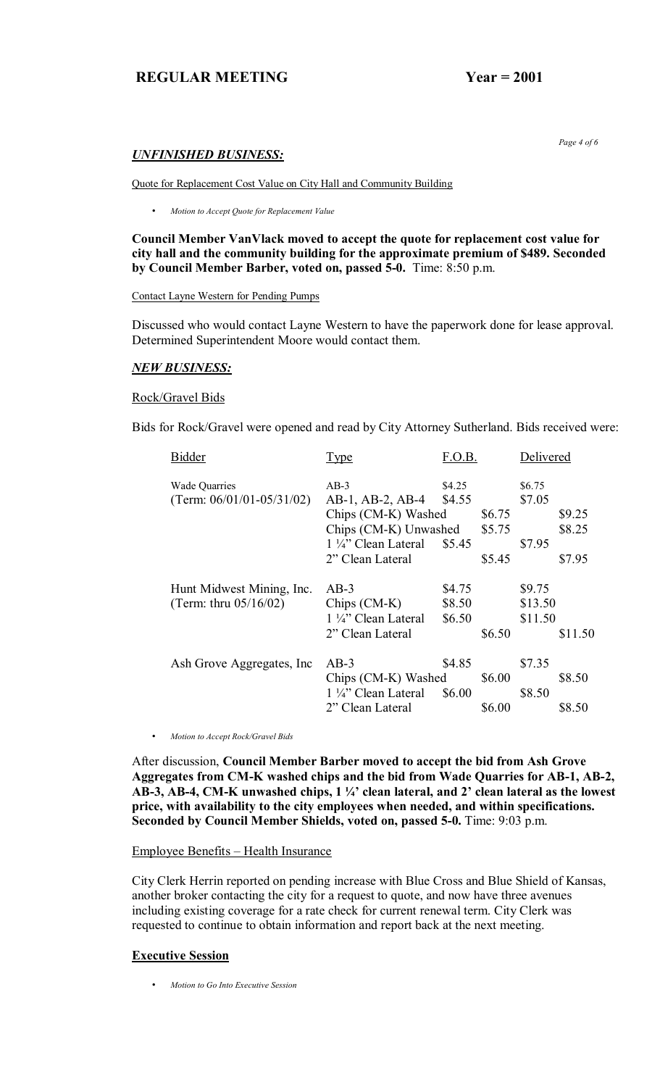# *UNFINISHED BUSINESS:*

Quote for Replacement Cost Value on City Hall and Community Building

• *Motion to Accept Quote for Replacement Value* 

**Council Member VanVlack moved to accept the quote for replacement cost value for city hall and the community building for the approximate premium of \$489. Seconded by Council Member Barber, voted on, passed 5-0.** Time: 8:50 p.m.

Contact Layne Western for Pending Pumps

Discussed who would contact Layne Western to have the paperwork done for lease approval. Determined Superintendent Moore would contact them.

#### *NEW BUSINESS:*

#### Rock/Gravel Bids

Bids for Rock/Gravel were opened and read by City Attorney Sutherland. Bids received were:

| <b>Bidder</b>                  | <b>Type</b>                              | F.O.B. |        | Delivered |         |
|--------------------------------|------------------------------------------|--------|--------|-----------|---------|
| <b>Wade Quarries</b>           | $AB-3$                                   | \$4.25 |        | \$6.75    |         |
| (Term: $06/01/01 - 05/31/02$ ) | AB-1, AB-2, AB-4                         | \$4.55 |        | \$7.05    |         |
|                                | Chips (CM-K) Washed                      |        | \$6.75 |           | \$9.25  |
|                                | Chips (CM-K) Unwashed                    |        | \$5.75 |           | \$8.25  |
|                                | $1\frac{1}{4}$ " Clean Lateral           | \$5.45 |        | \$7.95    |         |
|                                | 2" Clean Lateral                         |        | \$5.45 |           | \$7.95  |
| Hunt Midwest Mining, Inc.      | $AB-3$                                   | \$4.75 |        | \$9.75    |         |
| (Term: thru $05/16/02$ )       | $Chips (CM-K)$                           | \$8.50 |        | \$13.50   |         |
|                                | $1\frac{1}{4}$ " Clean Lateral<br>\$6.50 |        |        | \$11.50   |         |
|                                | 2" Clean Lateral                         |        | \$6.50 |           | \$11.50 |
| Ash Grove Aggregates, Inc.     | $AB-3$                                   | \$4.85 |        | \$7.35    |         |
|                                | Chips (CM-K) Washed                      |        | \$6.00 |           | \$8.50  |
|                                | $1\frac{1}{4}$ " Clean Lateral           | \$6.00 |        | \$8.50    |         |
|                                | 2" Clean Lateral                         |        | \$6.00 |           | \$8.50  |
|                                |                                          |        |        |           |         |

• *Motion to Accept Rock/Gravel Bids* 

After discussion, **Council Member Barber moved to accept the bid from Ash Grove Aggregates from CM-K washed chips and the bid from Wade Quarries for AB-1, AB-2,**  AB-3, AB-4, CM-K unwashed chips, 1 1/4<sup>2</sup> clean lateral, and 2<sup>3</sup> clean lateral as the lowest **price, with availability to the city employees when needed, and within specifications. Seconded by Council Member Shields, voted on, passed 5-0.** Time: 9:03 p.m.

### Employee Benefits – Health Insurance

City Clerk Herrin reported on pending increase with Blue Cross and Blue Shield of Kansas, another broker contacting the city for a request to quote, and now have three avenues including existing coverage for a rate check for current renewal term. City Clerk was requested to continue to obtain information and report back at the next meeting.

#### **Executive Session**

• *Motion to Go Into Executive Session*

 *Page 4 of 6*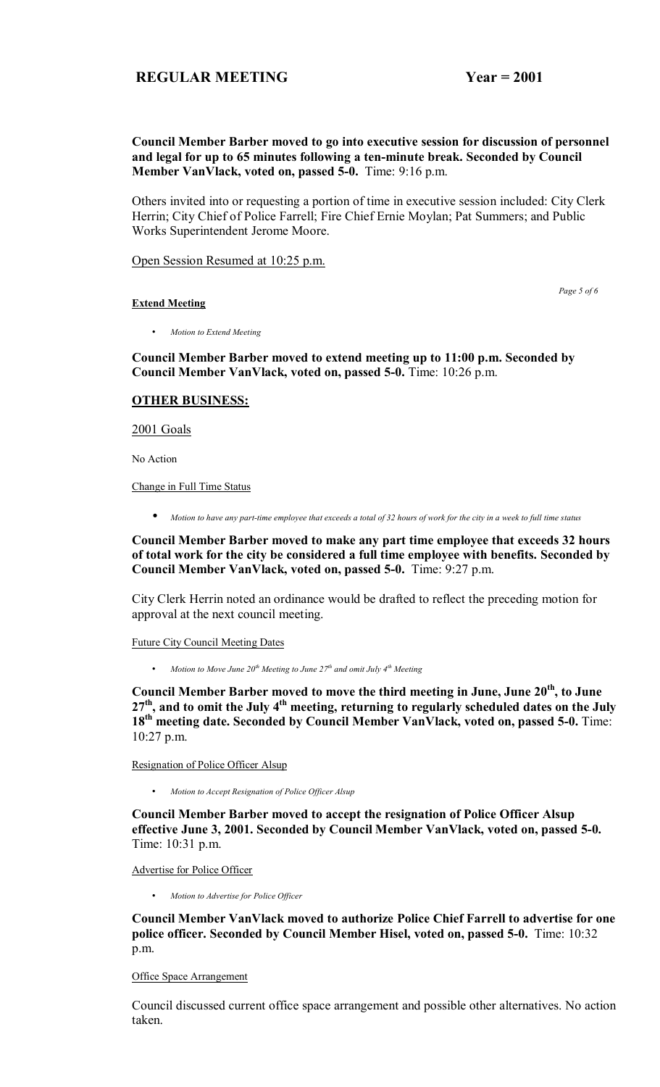### **Council Member Barber moved to go into executive session for discussion of personnel and legal for up to 65 minutes following a ten-minute break. Seconded by Council Member VanVlack, voted on, passed 5-0.** Time: 9:16 p.m.

Others invited into or requesting a portion of time in executive session included: City Clerk Herrin; City Chief of Police Farrell; Fire Chief Ernie Moylan; Pat Summers; and Public Works Superintendent Jerome Moore.

Open Session Resumed at 10:25 p.m.

**Extend Meeting**

 *Page 5 of 6* 

• *Motion to Extend Meeting* 

**Council Member Barber moved to extend meeting up to 11:00 p.m. Seconded by Council Member VanVlack, voted on, passed 5-0.** Time: 10:26 p.m.

# **OTHER BUSINESS:**

2001 Goals

No Action

Change in Full Time Status

• *Motion to have any part-time employee that exceeds a total of 32 hours of work for the city in a week to full time status*

**Council Member Barber moved to make any part time employee that exceeds 32 hours of total work for the city be considered a full time employee with benefits. Seconded by Council Member VanVlack, voted on, passed 5-0.** Time: 9:27 p.m.

City Clerk Herrin noted an ordinance would be drafted to reflect the preceding motion for approval at the next council meeting.

Future City Council Meeting Dates

• *Motion to Move June 20<sup>th</sup> Meeting to June 27<sup>th</sup> and omit July 4<sup>th</sup> Meeting* 

**Council Member Barber moved to move the third meeting in June, June 20th, to June 27th, and to omit the July 4th meeting, returning to regularly scheduled dates on the July**  18<sup>th</sup> meeting date. Seconded by Council Member VanVlack, voted on, passed 5-0. Time: 10:27 p.m.

Resignation of Police Officer Alsup

• *Motion to Accept Resignation of Police Officer Alsup* 

**Council Member Barber moved to accept the resignation of Police Officer Alsup effective June 3, 2001. Seconded by Council Member VanVlack, voted on, passed 5-0.** Time: 10:31 p.m.

Advertise for Police Officer

• *Motion to Advertise for Police Officer* 

**Council Member VanVlack moved to authorize Police Chief Farrell to advertise for one police officer. Seconded by Council Member Hisel, voted on, passed 5-0.** Time: 10:32 p.m.

Office Space Arrangement

Council discussed current office space arrangement and possible other alternatives. No action taken.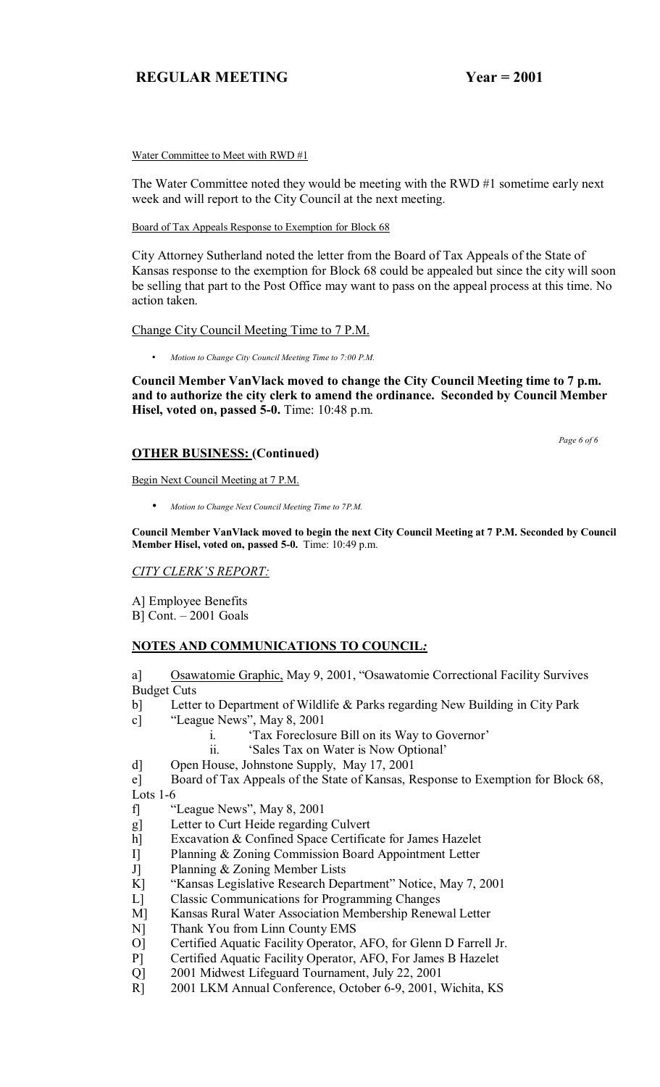Water Committee to Meet with RWD #1

The Water Committee noted they would be meeting with the RWD #1 sometime early next week and will report to the City Council at the next meeting.

Board of Tax Appeals Response to Exemption for Block 68

City Attorney Sutherland noted the letter from the Board of Tax Appeals of the State of Kansas response to the exemption for Block 68 could be appealed but since the city will soon be selling that part to the Post Office may want to pass on the appeal process at this time. No action taken.

# Change City Council Meeting Time to 7 P.M.

• *Motion to Change City Council Meeting Time to 7:00 P.M.* 

**Council Member VanVlack moved to change the City Council Meeting time to 7 p.m. and to authorize the city clerk to amend the ordinance. Seconded by Council Member Hisel, voted on, passed 5-0.** Time: 10:48 p.m.

# **OTHER BUSINESS: (Continued)**

Begin Next Council Meeting at 7 P.M.

• *Motion to Change Next Council Meeting Time to 7P.M.*

**Council Member VanVlack moved to begin the next City Council Meeting at 7 P.M. Seconded by Council Member Hisel, voted on, passed 5-0.** Time: 10:49 p.m.

# *CITY CLERKíS REPORT:*

A] Employee Benefits

 $B$ ] Cont.  $-2001$  Goals

# **NOTES AND COMMUNICATIONS TO COUNCIL***:*

a] Osawatomie Graphic, May 9, 2001, "Osawatomie Correctional Facility Survives Budget Cuts

- b] Letter to Department of Wildlife & Parks regarding New Building in City Park
- c]  $\text{``League News''}, \text{May 8, 2001}$ 
	- i. *Tax Foreclosure Bill on its Way to Governor'*
	- ii. *Sales Tax on Water is Now Optional*
- d] Open House, Johnstone Supply, May 17, 2001

e] Board of Tax Appeals of the State of Kansas, Response to Exemption for Block 68,

Lots 1-6

- f] "League News", May 8, 2001
- g] Letter to Curt Heide regarding Culvert
- h] Excavation & Confined Space Certificate for James Hazelet
- I] Planning & Zoning Commission Board Appointment Letter
- J] Planning & Zoning Member Lists
- K] "Kansas Legislative Research Department" Notice, May 7, 2001
- L] Classic Communications for Programming Changes
- M] Kansas Rural Water Association Membership Renewal Letter
- N] Thank You from Linn County EMS
- O] Certified Aquatic Facility Operator, AFO, for Glenn D Farrell Jr.
- P] Certified Aquatic Facility Operator, AFO, For James B Hazelet
- Q] 2001 Midwest Lifeguard Tournament, July 22, 2001
- R] 2001 LKM Annual Conference, October 6-9, 2001, Wichita, KS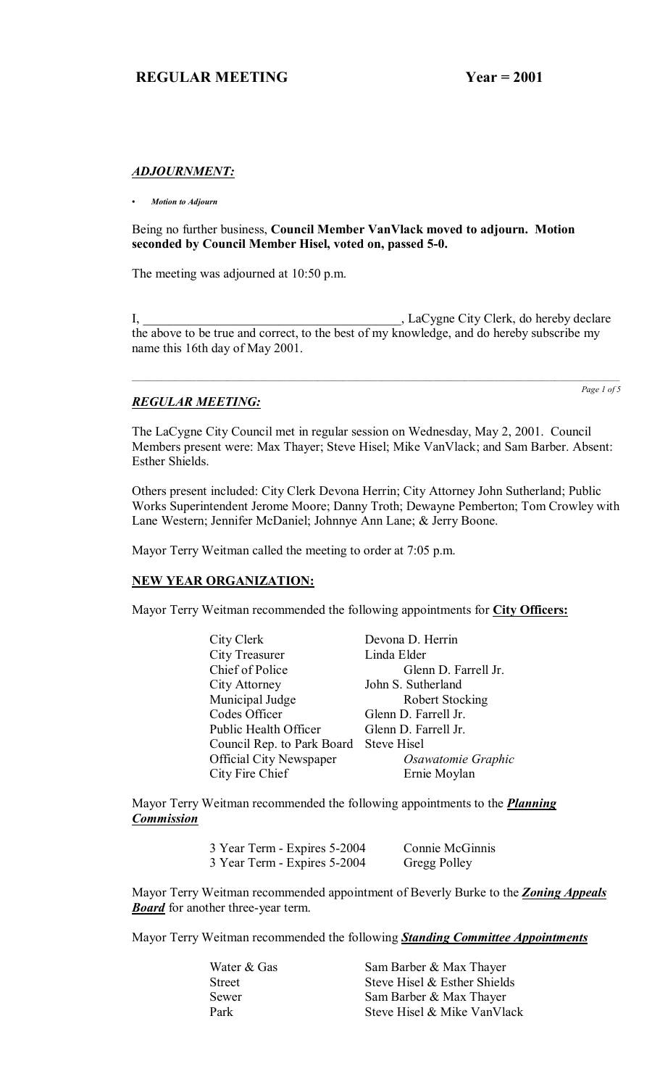### *ADJOURNMENT:*

*ï Motion to Adjourn*

Being no further business, **Council Member VanVlack moved to adjourn. Motion seconded by Council Member Hisel, voted on, passed 5-0.**

The meeting was adjourned at 10:50 p.m.

I, \_\_\_\_\_\_\_\_\_\_\_\_\_\_\_\_\_\_\_\_\_\_\_\_\_\_\_\_\_\_\_\_\_\_\_\_\_\_\_\_, LaCygne City Clerk, do hereby declare the above to be true and correct, to the best of my knowledge, and do hereby subscribe my name this 16th day of May 2001.

# *REGULAR MEETING:*

*Page 1 of 5*

The LaCygne City Council met in regular session on Wednesday, May 2, 2001. Council Members present were: Max Thayer; Steve Hisel; Mike VanVlack; and Sam Barber. Absent: Esther Shields.

Others present included: City Clerk Devona Herrin; City Attorney John Sutherland; Public Works Superintendent Jerome Moore; Danny Troth; Dewayne Pemberton; Tom Crowley with Lane Western; Jennifer McDaniel; Johnnye Ann Lane; & Jerry Boone.

Mayor Terry Weitman called the meeting to order at 7:05 p.m.

# **NEW YEAR ORGANIZATION:**

Mayor Terry Weitman recommended the following appointments for **City Officers:**

| City Clerk                             | Devona D. Herrin       |
|----------------------------------------|------------------------|
| City Treasurer                         | Linda Elder            |
| Chief of Police                        | Glenn D. Farrell Jr.   |
| City Attorney                          | John S. Sutherland     |
| Municipal Judge                        | <b>Robert Stocking</b> |
| Codes Officer                          | Glenn D. Farrell Jr.   |
| Public Health Officer                  | Glenn D. Farrell Jr.   |
| Council Rep. to Park Board Steve Hisel |                        |
| <b>Official City Newspaper</b>         | Osawatomie Graphic     |
| City Fire Chief                        | Ernie Moylan           |

Mayor Terry Weitman recommended the following appointments to the *Planning Commission*

| 3 Year Term - Expires 5-2004 | Connie McGinnis |
|------------------------------|-----------------|
| 3 Year Term - Expires 5-2004 | Gregg Polley    |

Mayor Terry Weitman recommended appointment of Beverly Burke to the *Zoning Appeals*  **Board** for another three-year term.

Mayor Terry Weitman recommended the following *Standing Committee Appointments*

| Water & Gas | Sam Barber & Max Thayer      |
|-------------|------------------------------|
| Street      | Steve Hisel & Esther Shields |
| Sewer       | Sam Barber & Max Thayer      |
| Park        | Steve Hisel & Mike VanVlack  |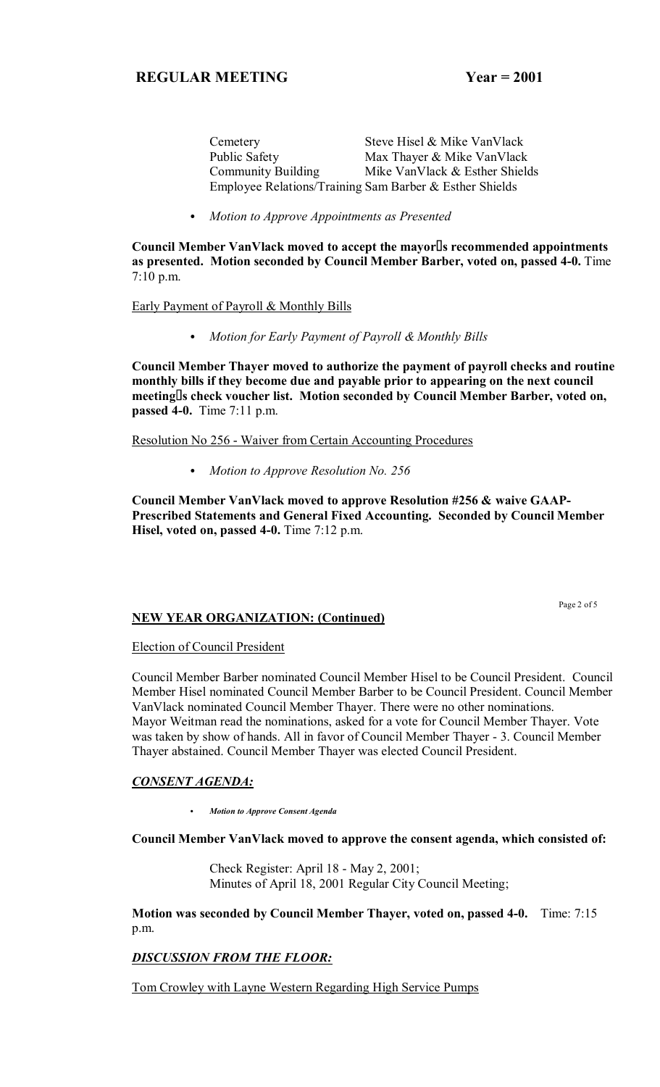Cemetery Steve Hisel & Mike VanVlack Public Safety Max Thayer & Mike VanVlack Community Building Mike VanVlack & Esther Shields Employee Relations/Training Sam Barber & Esther Shields

C *Motion to Approve Appointments as Presented*

**Council Member VanVlack moved to accept the mayors recommended appointments as presented. Motion seconded by Council Member Barber, voted on, passed 4-0.** Time 7:10 p.m.

### Early Payment of Payroll & Monthly Bills

C *Motion for Early Payment of Payroll & Monthly Bills*

**Council Member Thayer moved to authorize the payment of payroll checks and routine monthly bills if they become due and payable prior to appearing on the next council meetings check voucher list. Motion seconded by Council Member Barber, voted on, passed 4-0.** Time 7:11 p.m.

Resolution No 256 - Waiver from Certain Accounting Procedures

• Motion to Approve Resolution No. 256

**Council Member VanVlack moved to approve Resolution #256 & waive GAAP-Prescribed Statements and General Fixed Accounting. Seconded by Council Member Hisel, voted on, passed 4-0.** Time 7:12 p.m.

# **NEW YEAR ORGANIZATION: (Continued)**

Page 2 of 5

### Election of Council President

Council Member Barber nominated Council Member Hisel to be Council President. Council Member Hisel nominated Council Member Barber to be Council President. Council Member VanVlack nominated Council Member Thayer. There were no other nominations. Mayor Weitman read the nominations, asked for a vote for Council Member Thayer. Vote was taken by show of hands. All in favor of Council Member Thayer - 3. Council Member Thayer abstained. Council Member Thayer was elected Council President.

# *CONSENT AGENDA:*

C *Motion to Approve Consent Agenda*

### **Council Member VanVlack moved to approve the consent agenda, which consisted of:**

 Check Register: April 18 - May 2, 2001; Minutes of April 18, 2001 Regular City Council Meeting;

**Motion was seconded by Council Member Thayer, voted on, passed 4-0.** Time: 7:15 p.m.

# *DISCUSSION FROM THE FLOOR:*

Tom Crowley with Layne Western Regarding High Service Pumps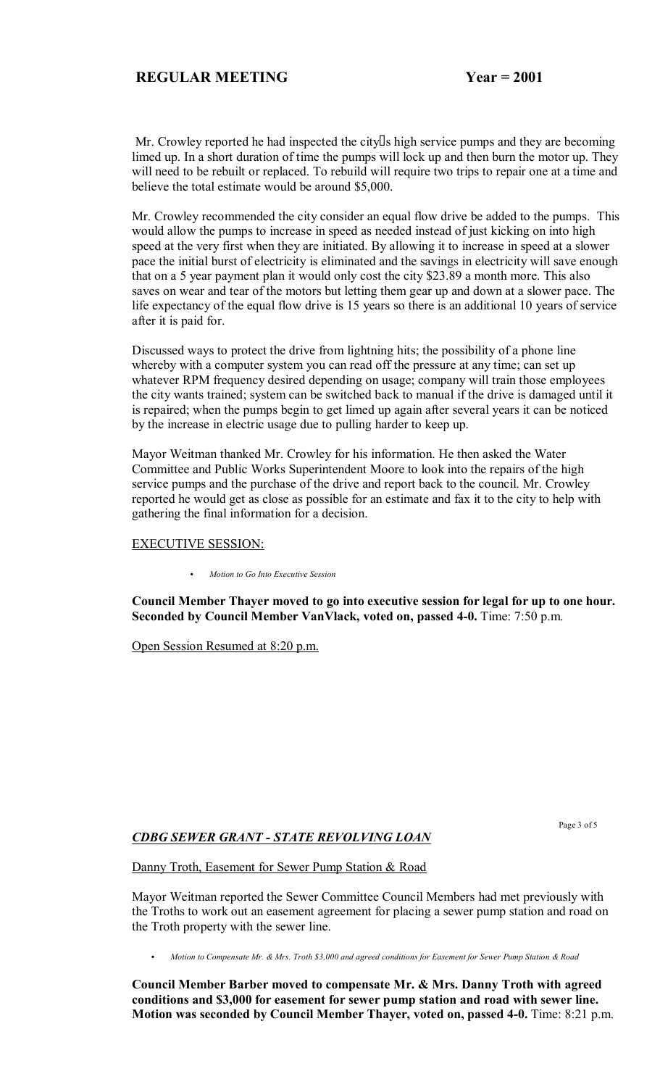Mr. Crowley reported he had inspected the city s high service pumps and they are becoming limed up. In a short duration of time the pumps will lock up and then burn the motor up. They will need to be rebuilt or replaced. To rebuild will require two trips to repair one at a time and believe the total estimate would be around \$5,000.

Mr. Crowley recommended the city consider an equal flow drive be added to the pumps. This would allow the pumps to increase in speed as needed instead of just kicking on into high speed at the very first when they are initiated. By allowing it to increase in speed at a slower pace the initial burst of electricity is eliminated and the savings in electricity will save enough that on a 5 year payment plan it would only cost the city \$23.89 a month more. This also saves on wear and tear of the motors but letting them gear up and down at a slower pace. The life expectancy of the equal flow drive is 15 years so there is an additional 10 years of service after it is paid for.

Discussed ways to protect the drive from lightning hits; the possibility of a phone line whereby with a computer system you can read off the pressure at any time; can set up whatever RPM frequency desired depending on usage; company will train those employees the city wants trained; system can be switched back to manual if the drive is damaged until it is repaired; when the pumps begin to get limed up again after several years it can be noticed by the increase in electric usage due to pulling harder to keep up.

Mayor Weitman thanked Mr. Crowley for his information. He then asked the Water Committee and Public Works Superintendent Moore to look into the repairs of the high service pumps and the purchase of the drive and report back to the council. Mr. Crowley reported he would get as close as possible for an estimate and fax it to the city to help with gathering the final information for a decision.

#### EXECUTIVE SESSION:

C *Motion to Go Into Executive Session*

**Council Member Thayer moved to go into executive session for legal for up to one hour. Seconded by Council Member VanVlack, voted on, passed 4-0.** Time: 7:50 p.m.

Open Session Resumed at 8:20 p.m.

Page 3 of 5

# *CDBG SEWER GRANT - STATE REVOLVING LOAN*

Danny Troth, Easement for Sewer Pump Station & Road

Mayor Weitman reported the Sewer Committee Council Members had met previously with the Troths to work out an easement agreement for placing a sewer pump station and road on the Troth property with the sewer line.

C *Motion to Compensate Mr. & Mrs. Troth \$3,000 and agreed conditions for Easement for Sewer Pump Station & Road*

**Council Member Barber moved to compensate Mr. & Mrs. Danny Troth with agreed conditions and \$3,000 for easement for sewer pump station and road with sewer line. Motion was seconded by Council Member Thayer, voted on, passed 4-0.** Time: 8:21 p.m.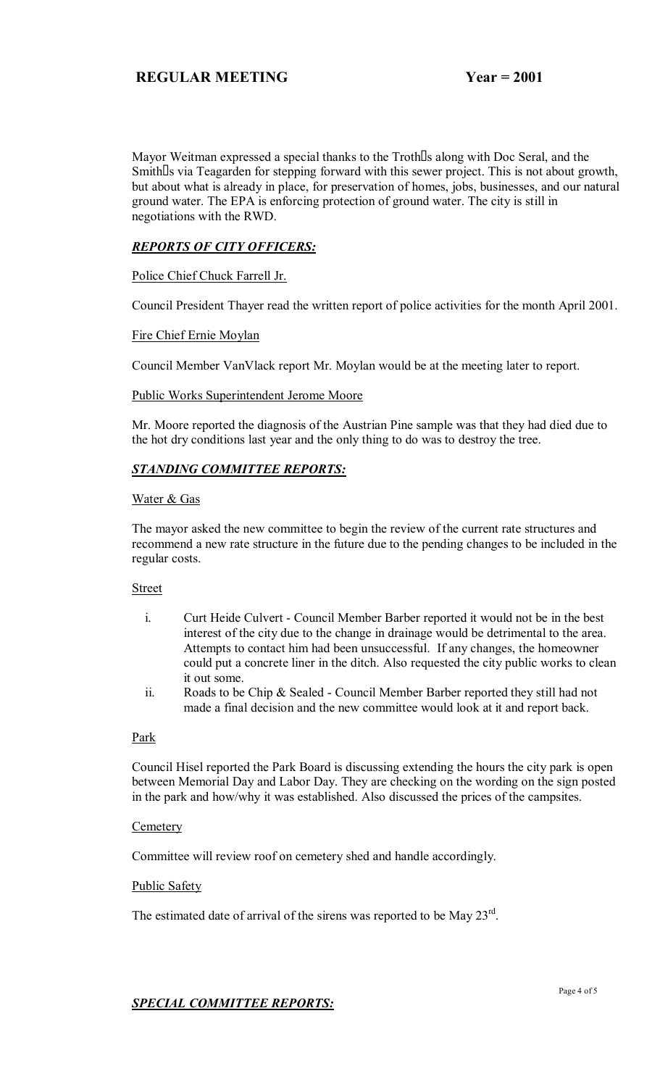Mayor Weitman expressed a special thanks to the Troth s along with Doc Seral, and the Smith s via Teagarden for stepping forward with this sewer project. This is not about growth, but about what is already in place, for preservation of homes, jobs, businesses, and our natural ground water. The EPA is enforcing protection of ground water. The city is still in negotiations with the RWD.

# *REPORTS OF CITY OFFICERS:*

Police Chief Chuck Farrell Jr.

Council President Thayer read the written report of police activities for the month April 2001.

### Fire Chief Ernie Moylan

Council Member VanVlack report Mr. Moylan would be at the meeting later to report.

### Public Works Superintendent Jerome Moore

Mr. Moore reported the diagnosis of the Austrian Pine sample was that they had died due to the hot dry conditions last year and the only thing to do was to destroy the tree.

# *STANDING COMMITTEE REPORTS:*

### Water & Gas

The mayor asked the new committee to begin the review of the current rate structures and recommend a new rate structure in the future due to the pending changes to be included in the regular costs.

# Street

- i. Curt Heide Culvert Council Member Barber reported it would not be in the best interest of the city due to the change in drainage would be detrimental to the area. Attempts to contact him had been unsuccessful. If any changes, the homeowner could put a concrete liner in the ditch. Also requested the city public works to clean it out some.
- ii. Roads to be Chip & Sealed Council Member Barber reported they still had not made a final decision and the new committee would look at it and report back.

### Park

Council Hisel reported the Park Board is discussing extending the hours the city park is open between Memorial Day and Labor Day. They are checking on the wording on the sign posted in the park and how/why it was established. Also discussed the prices of the campsites.

### **Cemetery**

Committee will review roof on cemetery shed and handle accordingly.

Public Safety

The estimated date of arrival of the sirens was reported to be May 23<sup>rd</sup>.

# *SPECIAL COMMITTEE REPORTS:*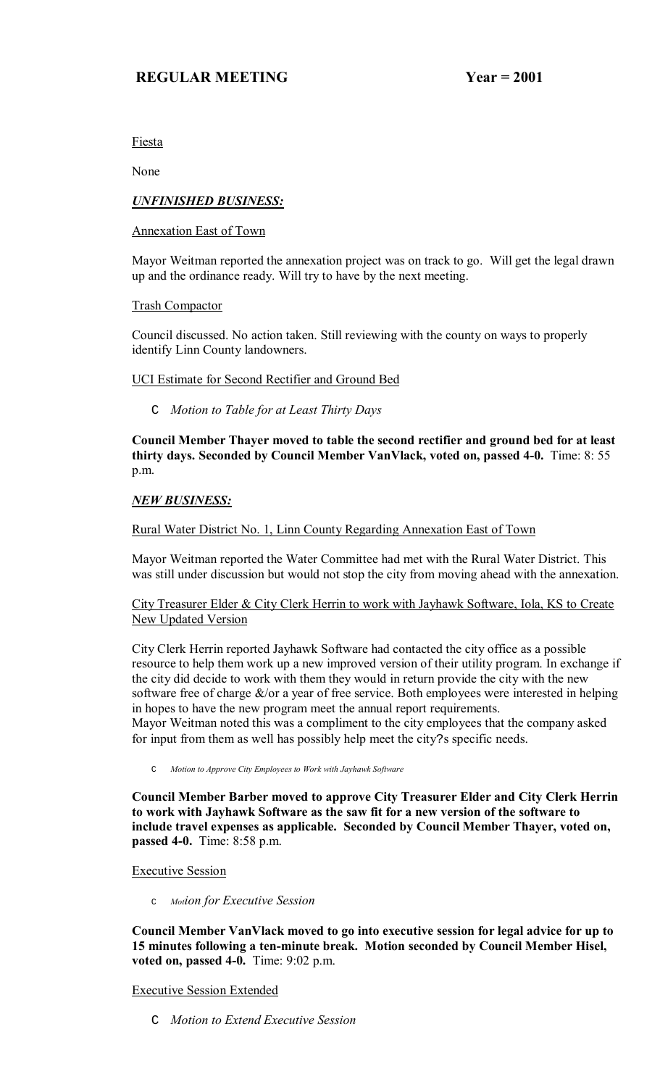Fiesta

None

# *UNFINISHED BUSINESS:*

Annexation East of Town

Mayor Weitman reported the annexation project was on track to go. Will get the legal drawn up and the ordinance ready. Will try to have by the next meeting.

Trash Compactor

Council discussed. No action taken. Still reviewing with the county on ways to properly identify Linn County landowners.

# UCI Estimate for Second Rectifier and Ground Bed

C *Motion to Table for at Least Thirty Days*

**Council Member Thayer moved to table the second rectifier and ground bed for at least thirty days. Seconded by Council Member VanVlack, voted on, passed 4-0.** Time: 8: 55 p.m.

# *NEW BUSINESS:*

# Rural Water District No. 1, Linn County Regarding Annexation East of Town

Mayor Weitman reported the Water Committee had met with the Rural Water District. This was still under discussion but would not stop the city from moving ahead with the annexation.

# City Treasurer Elder & City Clerk Herrin to work with Jayhawk Software, Iola, KS to Create New Updated Version

City Clerk Herrin reported Jayhawk Software had contacted the city office as a possible resource to help them work up a new improved version of their utility program. In exchange if the city did decide to work with them they would in return provide the city with the new software free of charge  $\&$ /or a year of free service. Both employees were interested in helping in hopes to have the new program meet the annual report requirements. Mayor Weitman noted this was a compliment to the city employees that the company asked for input from them as well has possibly help meet the city?s specific needs.

C *Motion to Approve City Employees to Work with Jayhawk Software*

**Council Member Barber moved to approve City Treasurer Elder and City Clerk Herrin to work with Jayhawk Software as the saw fit for a new version of the software to include travel expenses as applicable. Seconded by Council Member Thayer, voted on, passed 4-0.** Time: 8:58 p.m.

Executive Session

<sup>C</sup> *Motion for Executive Session*

**Council Member VanVlack moved to go into executive session for legal advice for up to 15 minutes following a ten-minute break. Motion seconded by Council Member Hisel, voted on, passed 4-0.** Time: 9:02 p.m.

# Executive Session Extended

C *Motion to Extend Executive Session*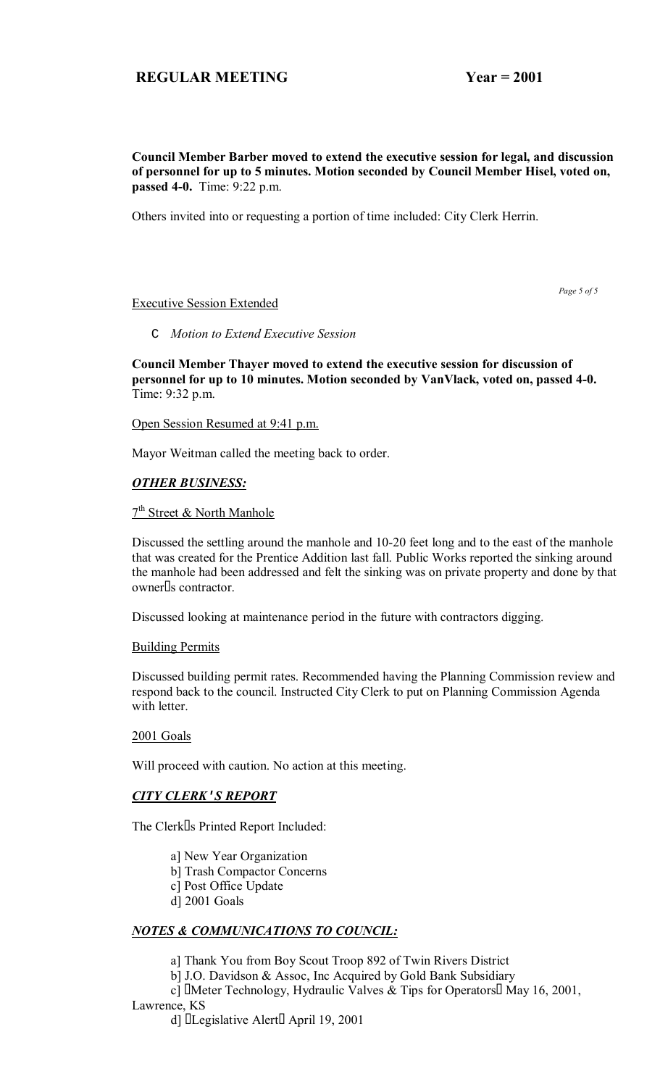### **Council Member Barber moved to extend the executive session for legal, and discussion of personnel for up to 5 minutes. Motion seconded by Council Member Hisel, voted on, passed 4-0.** Time: 9:22 p.m.

Others invited into or requesting a portion of time included: City Clerk Herrin.

### Executive Session Extended

 *Page 5 of 5*

### C *Motion to Extend Executive Session*

**Council Member Thayer moved to extend the executive session for discussion of personnel for up to 10 minutes. Motion seconded by VanVlack, voted on, passed 4-0.**  Time: 9:32 p.m.

Open Session Resumed at 9:41 p.m.

Mayor Weitman called the meeting back to order.

# *OTHER BUSINESS:*

# 7<sup>th</sup> Street & North Manhole

Discussed the settling around the manhole and 10-20 feet long and to the east of the manhole that was created for the Prentice Addition last fall. Public Works reported the sinking around the manhole had been addressed and felt the sinking was on private property and done by that owner s contractor.

Discussed looking at maintenance period in the future with contractors digging.

### Building Permits

Discussed building permit rates. Recommended having the Planning Commission review and respond back to the council. Instructed City Clerk to put on Planning Commission Agenda with letter.

### 2001 Goals

Will proceed with caution. No action at this meeting.

### *CITY CLERK***'***S REPORT*

The Clerk s Printed Report Included:

a] New Year Organization

- b] Trash Compactor Concerns
- c] Post Office Update
- d] 2001 Goals

# *NOTES & COMMUNICATIONS TO COUNCIL:*

a] Thank You from Boy Scout Troop 892 of Twin Rivers District

b] J.O. Davidson & Assoc, Inc Acquired by Gold Bank Subsidiary

 c] Meter Technology, Hydraulic Valves & Tips for Operators May 16, 2001, Lawrence, KS

d] Legislative Alert April 19, 2001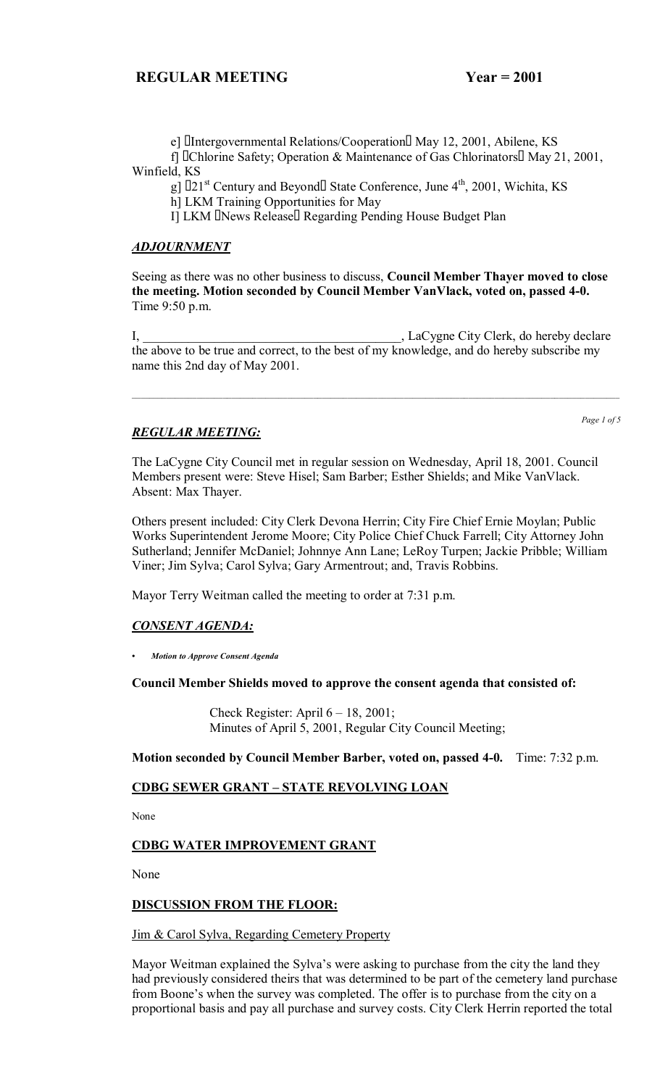e] Intergovernmental Relations/Cooperation May 12, 2001, Abilene, KS

 f] Chlorine Safety; Operation & Maintenance of Gas Chlorinators May 21, 2001, Winfield, KS

g]  $21<sup>st</sup>$  Century and Beyond State Conference, June  $4<sup>th</sup>$ , 2001, Wichita, KS

h] LKM Training Opportunities for May

I] LKM News Release Regarding Pending House Budget Plan

### *ADJOURNMENT*

Seeing as there was no other business to discuss, **Council Member Thayer moved to close the meeting. Motion seconded by Council Member VanVlack, voted on, passed 4-0.**  Time 9:50 p.m.

I, LaCygne City Clerk, do hereby declare the above to be true and correct, to the best of my knowledge, and do hereby subscribe my name this 2nd day of May 2001.

 $\_$  ,  $\_$  ,  $\_$  ,  $\_$  ,  $\_$  ,  $\_$  ,  $\_$  ,  $\_$  ,  $\_$  ,  $\_$  ,  $\_$  ,  $\_$  ,  $\_$  ,  $\_$  ,  $\_$  ,  $\_$  ,  $\_$  ,  $\_$  ,  $\_$  ,  $\_$  ,  $\_$  ,  $\_$  ,  $\_$  ,  $\_$  ,  $\_$  ,  $\_$  ,  $\_$  ,  $\_$  ,  $\_$  ,  $\_$  ,  $\_$  ,  $\_$  ,  $\_$  ,  $\_$  ,  $\_$  ,  $\_$  ,  $\_$  ,

# *REGULAR MEETING:*

*Page 1 of 5*

The LaCygne City Council met in regular session on Wednesday, April 18, 2001. Council Members present were: Steve Hisel; Sam Barber; Esther Shields; and Mike VanVlack. Absent: Max Thayer.

Others present included: City Clerk Devona Herrin; City Fire Chief Ernie Moylan; Public Works Superintendent Jerome Moore; City Police Chief Chuck Farrell; City Attorney John Sutherland; Jennifer McDaniel; Johnnye Ann Lane; LeRoy Turpen; Jackie Pribble; William Viner; Jim Sylva; Carol Sylva; Gary Armentrout; and, Travis Robbins.

Mayor Terry Weitman called the meeting to order at 7:31 p.m.

# *CONSENT AGENDA:*

*ï Motion to Approve Consent Agenda*

**Council Member Shields moved to approve the consent agenda that consisted of:**

Check Register: April  $6 - 18$ , 2001; Minutes of April 5, 2001, Regular City Council Meeting;

**Motion seconded by Council Member Barber, voted on, passed 4-0.** Time: 7:32 p.m.

# **CDBG SEWER GRANT - STATE REVOLVING LOAN**

None

# **CDBG WATER IMPROVEMENT GRANT**

None

### **DISCUSSION FROM THE FLOOR:**

### Jim & Carol Sylva, Regarding Cemetery Property

Mayor Weitman explained the Sylva's were asking to purchase from the city the land they had previously considered theirs that was determined to be part of the cemetery land purchase from Boone's when the survey was completed. The offer is to purchase from the city on a proportional basis and pay all purchase and survey costs. City Clerk Herrin reported the total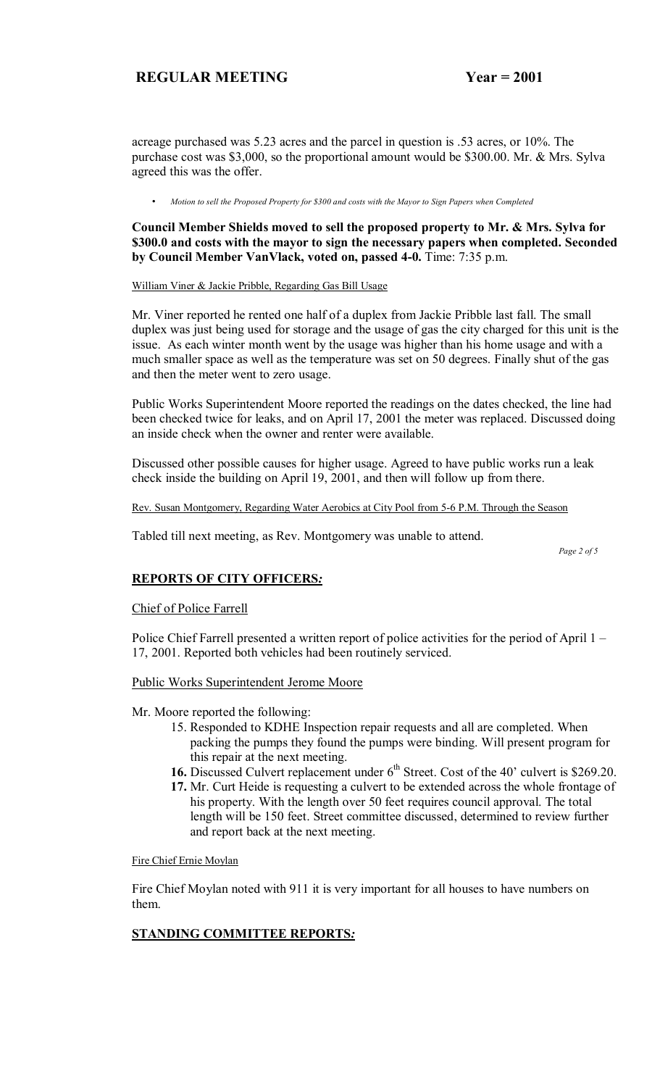acreage purchased was 5.23 acres and the parcel in question is .53 acres, or 10%. The purchase cost was \$3,000, so the proportional amount would be \$300.00. Mr. & Mrs. Sylva agreed this was the offer.

• *Motion to sell the Proposed Property for \$300 and costs with the Mayor to Sign Papers when Completed* 

**Council Member Shields moved to sell the proposed property to Mr. & Mrs. Sylva for \$300.0 and costs with the mayor to sign the necessary papers when completed. Seconded by Council Member VanVlack, voted on, passed 4-0.** Time: 7:35 p.m.

#### William Viner & Jackie Pribble, Regarding Gas Bill Usage

Mr. Viner reported he rented one half of a duplex from Jackie Pribble last fall. The small duplex was just being used for storage and the usage of gas the city charged for this unit is the issue. As each winter month went by the usage was higher than his home usage and with a much smaller space as well as the temperature was set on 50 degrees. Finally shut of the gas and then the meter went to zero usage.

Public Works Superintendent Moore reported the readings on the dates checked, the line had been checked twice for leaks, and on April 17, 2001 the meter was replaced. Discussed doing an inside check when the owner and renter were available.

Discussed other possible causes for higher usage. Agreed to have public works run a leak check inside the building on April 19, 2001, and then will follow up from there.

Rev. Susan Montgomery, Regarding Water Aerobics at City Pool from 5-6 P.M. Through the Season

Tabled till next meeting, as Rev. Montgomery was unable to attend.

 *Page 2 of 5*

### **REPORTS OF CITY OFFICERS***:*

Chief of Police Farrell

Police Chief Farrell presented a written report of police activities for the period of April  $1 -$ 17, 2001. Reported both vehicles had been routinely serviced.

### Public Works Superintendent Jerome Moore

Mr. Moore reported the following:

- 15. Responded to KDHE Inspection repair requests and all are completed. When packing the pumps they found the pumps were binding. Will present program for this repair at the next meeting.
- **16.** Discussed Culvert replacement under 6<sup>th</sup> Street. Cost of the 40' culvert is \$269.20.
- **17.** Mr. Curt Heide is requesting a culvert to be extended across the whole frontage of his property. With the length over 50 feet requires council approval. The total length will be 150 feet. Street committee discussed, determined to review further and report back at the next meeting.

#### Fire Chief Ernie Moylan

Fire Chief Moylan noted with 911 it is very important for all houses to have numbers on them.

# **STANDING COMMITTEE REPORTS***:*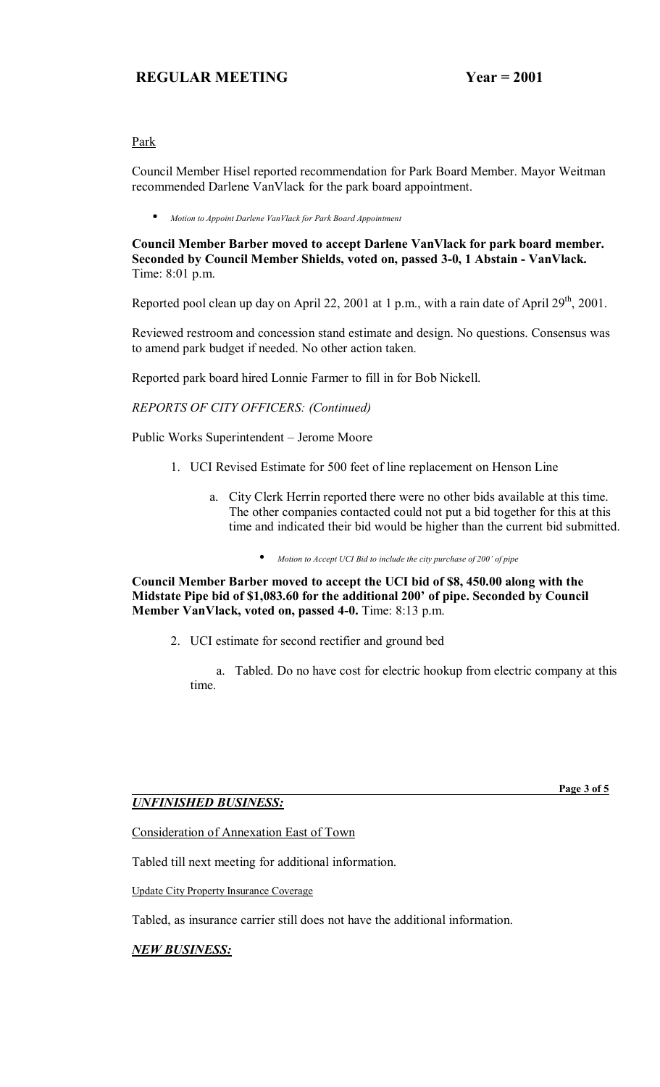# Park

Council Member Hisel reported recommendation for Park Board Member. Mayor Weitman recommended Darlene VanVlack for the park board appointment.

• *Motion to Appoint Darlene VanVlack for Park Board Appointment*

**Council Member Barber moved to accept Darlene VanVlack for park board member. Seconded by Council Member Shields, voted on, passed 3-0, 1 Abstain - VanVlack.**  Time: 8:01 p.m.

Reported pool clean up day on April 22, 2001 at 1 p.m., with a rain date of April  $29<sup>th</sup>$ , 2001.

Reviewed restroom and concession stand estimate and design. No questions. Consensus was to amend park budget if needed. No other action taken.

Reported park board hired Lonnie Farmer to fill in for Bob Nickell.

*REPORTS OF CITY OFFICERS: (Continued)* 

Public Works Superintendent – Jerome Moore

- 1. UCI Revised Estimate for 500 feet of line replacement on Henson Line
	- a. City Clerk Herrin reported there were no other bids available at this time. The other companies contacted could not put a bid together for this at this time and indicated their bid would be higher than the current bid submitted.
		- *Motion to Accept UCI Bid to include the city purchase of 200' of pipe*

**Council Member Barber moved to accept the UCI bid of \$8, 450.00 along with the**  Midstate Pipe bid of \$1,083.60 for the additional 200' of pipe. Seconded by Council **Member VanVlack, voted on, passed 4-0.** Time: 8:13 p.m.

2. UCI estimate for second rectifier and ground bed

 a. Tabled. Do no have cost for electric hookup from electric company at this time.

# *UNFINISHED BUSINESS:*

 **Page 3 of 5**

Consideration of Annexation East of Town

Tabled till next meeting for additional information.

Update City Property Insurance Coverage

Tabled, as insurance carrier still does not have the additional information.

# *NEW BUSINESS:*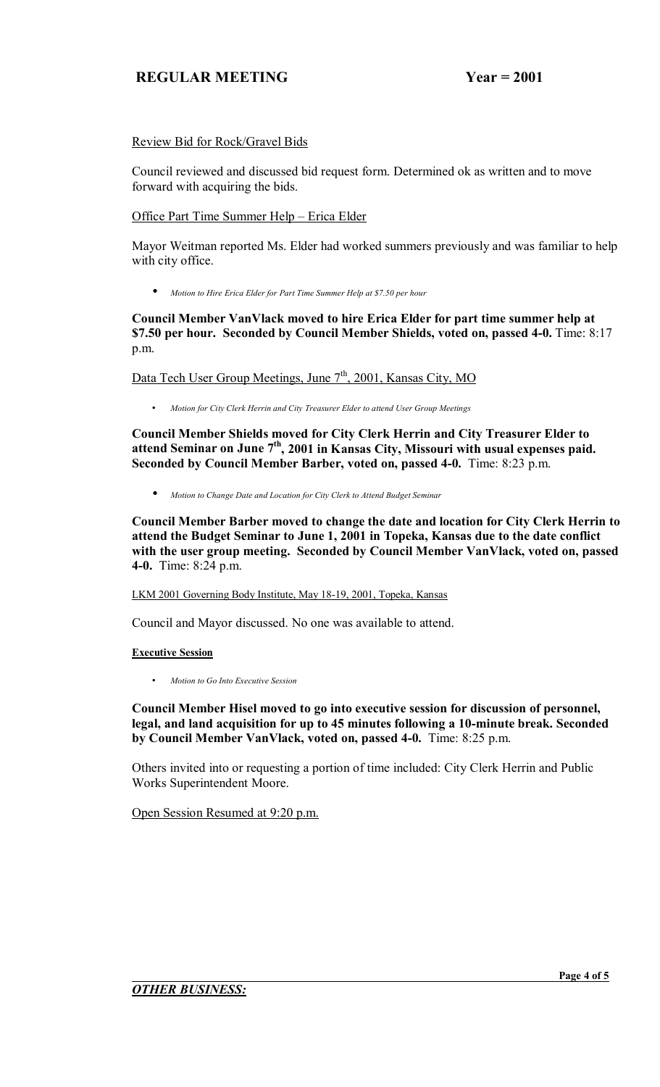# Review Bid for Rock/Gravel Bids

Council reviewed and discussed bid request form. Determined ok as written and to move forward with acquiring the bids.

<u>Office Part Time Summer Help – Erica Elder</u>

Mayor Weitman reported Ms. Elder had worked summers previously and was familiar to help with city office.

• *Motion to Hire Erica Elder for Part Time Summer Help at \$7.50 per hour*

**Council Member VanVlack moved to hire Erica Elder for part time summer help at \$7.50 per hour. Seconded by Council Member Shields, voted on, passed 4-0.** Time: 8:17 p.m.

Data Tech User Group Meetings, June 7<sup>th</sup>, 2001, Kansas City, MO

• *Motion for City Clerk Herrin and City Treasurer Elder to attend User Group Meetings* 

**Council Member Shields moved for City Clerk Herrin and City Treasurer Elder to**  attend Seminar on June 7<sup>th</sup>, 2001 in Kansas City, Missouri with usual expenses paid. **Seconded by Council Member Barber, voted on, passed 4-0.** Time: 8:23 p.m.

• *Motion to Change Date and Location for City Clerk to Attend Budget Seminar*

**Council Member Barber moved to change the date and location for City Clerk Herrin to attend the Budget Seminar to June 1, 2001 in Topeka, Kansas due to the date conflict with the user group meeting. Seconded by Council Member VanVlack, voted on, passed 4-0.** Time: 8:24 p.m.

LKM 2001 Governing Body Institute, May 18-19, 2001, Topeka, Kansas

Council and Mayor discussed. No one was available to attend.

# **Executive Session**

• *Motion to Go Into Executive Session*

**Council Member Hisel moved to go into executive session for discussion of personnel, legal, and land acquisition for up to 45 minutes following a 10-minute break. Seconded by Council Member VanVlack, voted on, passed 4-0.** Time: 8:25 p.m.

Others invited into or requesting a portion of time included: City Clerk Herrin and Public Works Superintendent Moore.

Open Session Resumed at 9:20 p.m.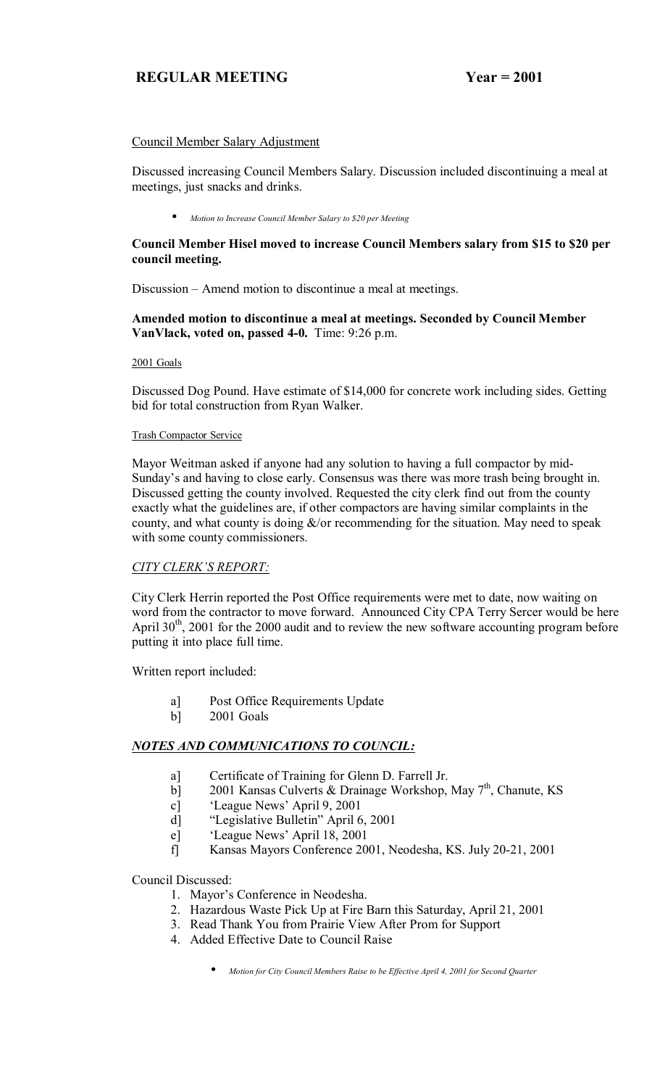# Council Member Salary Adjustment

Discussed increasing Council Members Salary. Discussion included discontinuing a meal at meetings, just snacks and drinks.

• *Motion to Increase Council Member Salary to \$20 per Meeting*

# **Council Member Hisel moved to increase Council Members salary from \$15 to \$20 per council meeting.**

Discussion – Amend motion to discontinue a meal at meetings.

# **Amended motion to discontinue a meal at meetings. Seconded by Council Member VanVlack, voted on, passed 4-0.** Time: 9:26 p.m.

### 2001 Goals

Discussed Dog Pound. Have estimate of \$14,000 for concrete work including sides. Getting bid for total construction from Ryan Walker.

### Trash Compactor Service

Mayor Weitman asked if anyone had any solution to having a full compactor by mid-Sunday's and having to close early. Consensus was there was more trash being brought in. Discussed getting the county involved. Requested the city clerk find out from the county exactly what the guidelines are, if other compactors are having similar complaints in the county, and what county is doing  $\&$ /or recommending for the situation. May need to speak with some county commissioners.

# **CITY CLERK'S REPORT:**

City Clerk Herrin reported the Post Office requirements were met to date, now waiting on word from the contractor to move forward. Announced City CPA Terry Sercer would be here April  $30<sup>th</sup>$ , 2001 for the 2000 audit and to review the new software accounting program before putting it into place full time.

Written report included:

- a] Post Office Requirements Update
- b] 2001 Goals

# *NOTES AND COMMUNICATIONS TO COUNCIL:*

- a] Certificate of Training for Glenn D. Farrell Jr.
- b] 2001 Kansas Culverts & Drainage Workshop, May 7<sup>th</sup>, Chanute, KS
- c] <sup>'</sup>League News' April 9, 2001
- d] <sup>"</sup>Legislative Bulletin" April 6, 2001
- e] <sup>'</sup>League News' April 18, 2001
- f] Kansas Mayors Conference 2001, Neodesha, KS. July 20-21, 2001

Council Discussed:

- 1. Mayor's Conference in Neodesha.
- 2. Hazardous Waste Pick Up at Fire Barn this Saturday, April 21, 2001
- 3. Read Thank You from Prairie View After Prom for Support
- 4. Added Effective Date to Council Raise
	- *Motion for City Council Members Raise to be Effective April 4, 2001 for Second Quarter*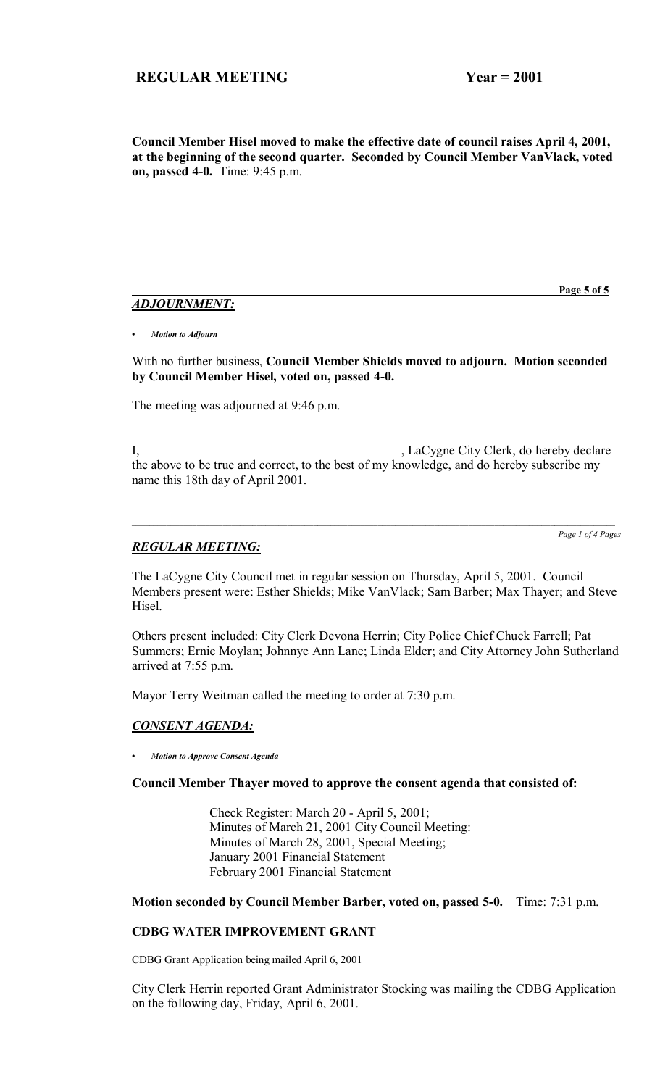**Council Member Hisel moved to make the effective date of council raises April 4, 2001, at the beginning of the second quarter. Seconded by Council Member VanVlack, voted on, passed 4-0.** Time: 9:45 p.m.

# *ADJOURNMENT:*

 **Page 5 of 5**

*ï Motion to Adjourn*

With no further business, **Council Member Shields moved to adjourn. Motion seconded by Council Member Hisel, voted on, passed 4-0.**

The meeting was adjourned at 9:46 p.m.

I, \_\_\_\_\_\_\_\_\_\_\_\_\_\_\_\_\_\_\_\_\_\_\_\_\_\_\_\_\_\_\_\_\_\_\_\_\_\_\_\_, LaCygne City Clerk, do hereby declare the above to be true and correct, to the best of my knowledge, and do hereby subscribe my name this 18th day of April 2001.

*Page 1 of 4 Pages*

# *REGULAR MEETING:*

The LaCygne City Council met in regular session on Thursday, April 5, 2001. Council Members present were: Esther Shields; Mike VanVlack; Sam Barber; Max Thayer; and Steve Hisel.

Others present included: City Clerk Devona Herrin; City Police Chief Chuck Farrell; Pat Summers; Ernie Moylan; Johnnye Ann Lane; Linda Elder; and City Attorney John Sutherland arrived at 7:55 p.m.

Mayor Terry Weitman called the meeting to order at 7:30 p.m.

# *CONSENT AGENDA:*

*ï Motion to Approve Consent Agenda*

**Council Member Thayer moved to approve the consent agenda that consisted of:**

 Check Register: March 20 - April 5, 2001; Minutes of March 21, 2001 City Council Meeting: Minutes of March 28, 2001, Special Meeting; January 2001 Financial Statement February 2001 Financial Statement

**Motion seconded by Council Member Barber, voted on, passed 5-0.** Time: 7:31 p.m.

# **CDBG WATER IMPROVEMENT GRANT**

CDBG Grant Application being mailed April 6, 2001

City Clerk Herrin reported Grant Administrator Stocking was mailing the CDBG Application on the following day, Friday, April 6, 2001.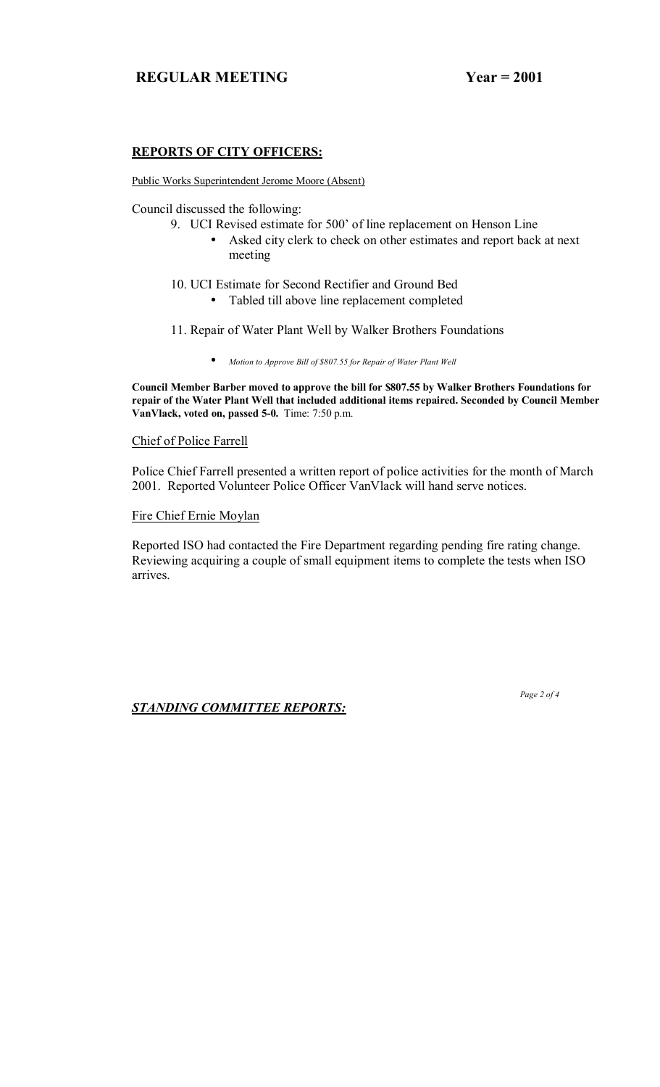# **REPORTS OF CITY OFFICERS:**

Public Works Superintendent Jerome Moore (Absent)

Council discussed the following:

- 9. UCI Revised estimate for 500' of line replacement on Henson Line
	- Asked city clerk to check on other estimates and report back at next meeting
- 10. UCI Estimate for Second Rectifier and Ground Bed
	- Tabled till above line replacement completed
- 11. Repair of Water Plant Well by Walker Brothers Foundations
	- *Motion to Approve Bill of \$807.55 for Repair of Water Plant Well*

**Council Member Barber moved to approve the bill for \$807.55 by Walker Brothers Foundations for repair of the Water Plant Well that included additional items repaired. Seconded by Council Member VanVlack, voted on, passed 5-0.** Time: 7:50 p.m.

### Chief of Police Farrell

Police Chief Farrell presented a written report of police activities for the month of March 2001. Reported Volunteer Police Officer VanVlack will hand serve notices.

### Fire Chief Ernie Moylan

Reported ISO had contacted the Fire Department regarding pending fire rating change. Reviewing acquiring a couple of small equipment items to complete the tests when ISO arrives.

*STANDING COMMITTEE REPORTS:*

 *Page 2 of 4*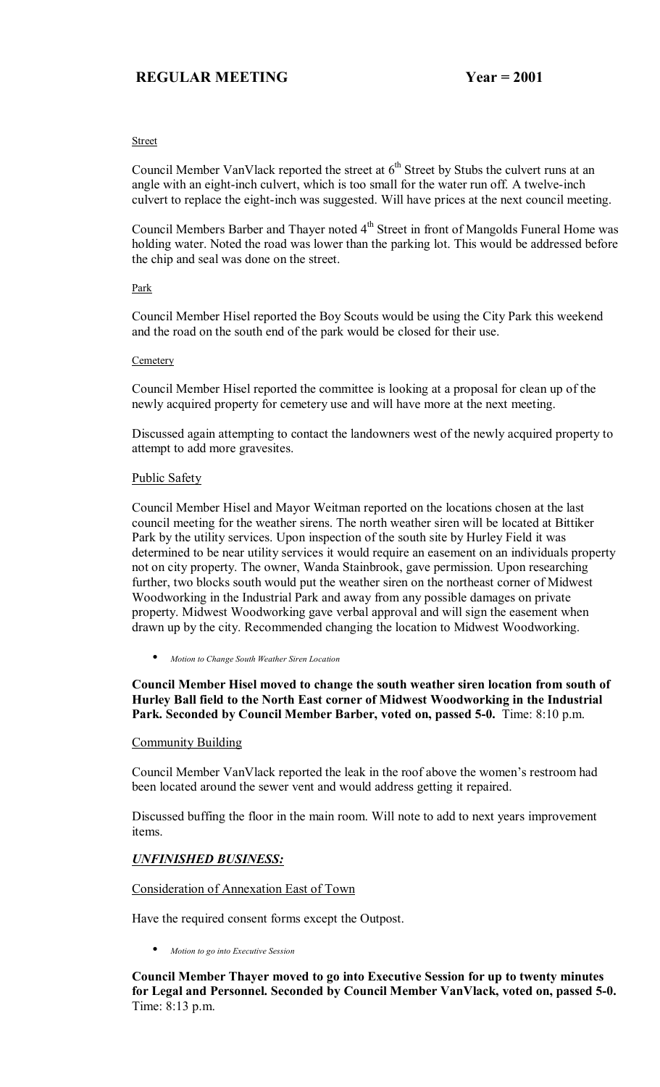### Street

Council Member VanVlack reported the street at  $6<sup>th</sup>$  Street by Stubs the culvert runs at an angle with an eight-inch culvert, which is too small for the water run off. A twelve-inch culvert to replace the eight-inch was suggested. Will have prices at the next council meeting.

Council Members Barber and Thayer noted 4<sup>th</sup> Street in front of Mangolds Funeral Home was holding water. Noted the road was lower than the parking lot. This would be addressed before the chip and seal was done on the street.

### Park

Council Member Hisel reported the Boy Scouts would be using the City Park this weekend and the road on the south end of the park would be closed for their use.

### **Cemetery**

Council Member Hisel reported the committee is looking at a proposal for clean up of the newly acquired property for cemetery use and will have more at the next meeting.

Discussed again attempting to contact the landowners west of the newly acquired property to attempt to add more gravesites.

# Public Safety

Council Member Hisel and Mayor Weitman reported on the locations chosen at the last council meeting for the weather sirens. The north weather siren will be located at Bittiker Park by the utility services. Upon inspection of the south site by Hurley Field it was determined to be near utility services it would require an easement on an individuals property not on city property. The owner, Wanda Stainbrook, gave permission. Upon researching further, two blocks south would put the weather siren on the northeast corner of Midwest Woodworking in the Industrial Park and away from any possible damages on private property. Midwest Woodworking gave verbal approval and will sign the easement when drawn up by the city. Recommended changing the location to Midwest Woodworking.

• *Motion to Change South Weather Siren Location*

# **Council Member Hisel moved to change the south weather siren location from south of Hurley Ball field to the North East corner of Midwest Woodworking in the Industrial Park. Seconded by Council Member Barber, voted on, passed 5-0.** Time: 8:10 p.m.

# Community Building

Council Member VanVlack reported the leak in the roof above the women's restroom had been located around the sewer vent and would address getting it repaired.

Discussed buffing the floor in the main room. Will note to add to next years improvement items.

# *UNFINISHED BUSINESS:*

# Consideration of Annexation East of Town

Have the required consent forms except the Outpost.

• *Motion to go into Executive Session*

**Council Member Thayer moved to go into Executive Session for up to twenty minutes for Legal and Personnel. Seconded by Council Member VanVlack, voted on, passed 5-0.**  Time: 8:13 p.m.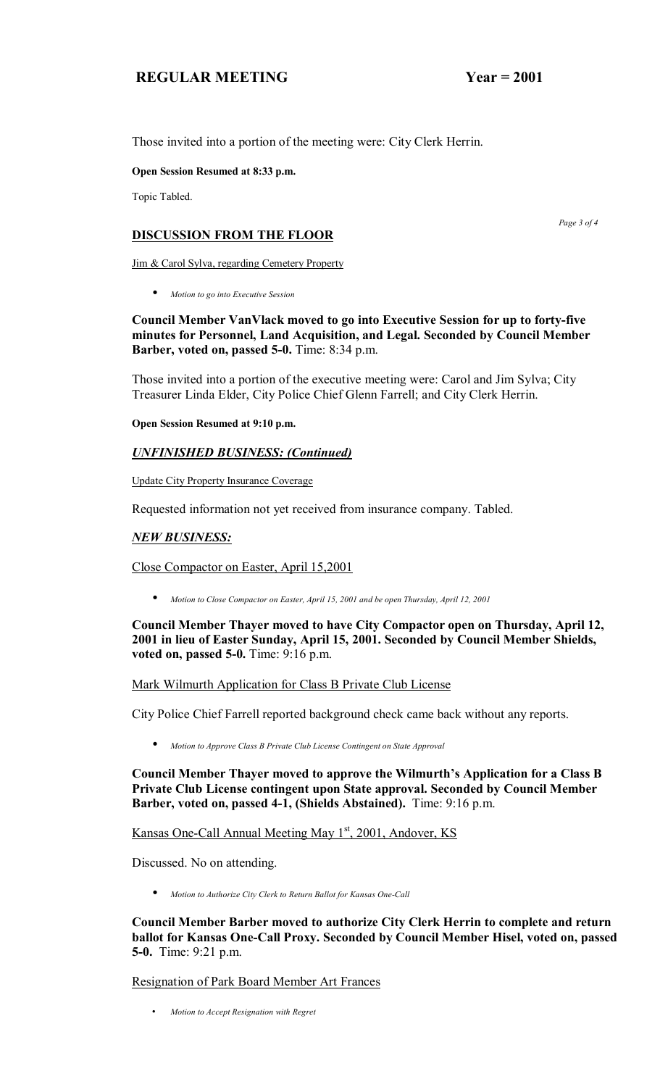Those invited into a portion of the meeting were: City Clerk Herrin.

**Open Session Resumed at 8:33 p.m.** 

Topic Tabled.

# **DISCUSSION FROM THE FLOOR**

Jim & Carol Sylva, regarding Cemetery Property

• *Motion to go into Executive Session*

**Council Member VanVlack moved to go into Executive Session for up to forty-five minutes for Personnel, Land Acquisition, and Legal. Seconded by Council Member Barber, voted on, passed 5-0.** Time: 8:34 p.m.

Those invited into a portion of the executive meeting were: Carol and Jim Sylva; City Treasurer Linda Elder, City Police Chief Glenn Farrell; and City Clerk Herrin.

**Open Session Resumed at 9:10 p.m.** 

# *UNFINISHED BUSINESS: (Continued)*

Update City Property Insurance Coverage

Requested information not yet received from insurance company. Tabled.

# *NEW BUSINESS:*

Close Compactor on Easter, April 15,2001

• *Motion to Close Compactor on Easter, April 15, 2001 and be open Thursday, April 12, 2001* 

**Council Member Thayer moved to have City Compactor open on Thursday, April 12, 2001 in lieu of Easter Sunday, April 15, 2001. Seconded by Council Member Shields, voted on, passed 5-0.** Time: 9:16 p.m.

Mark Wilmurth Application for Class B Private Club License

City Police Chief Farrell reported background check came back without any reports.

• *Motion to Approve Class B Private Club License Contingent on State Approval*

Council Member Thayer moved to approve the Wilmurth's Application for a Class B **Private Club License contingent upon State approval. Seconded by Council Member Barber, voted on, passed 4-1, (Shields Abstained).** Time: 9:16 p.m.

Kansas One-Call Annual Meeting May 1<sup>st</sup>, 2001, Andover, KS

Discussed. No on attending.

• *Motion to Authorize City Clerk to Return Ballot for Kansas One-Call*

**Council Member Barber moved to authorize City Clerk Herrin to complete and return ballot for Kansas One-Call Proxy. Seconded by Council Member Hisel, voted on, passed 5-0.** Time: 9:21 p.m.

Resignation of Park Board Member Art Frances

• *Motion to Accept Resignation with Regret*

 *Page 3 of 4*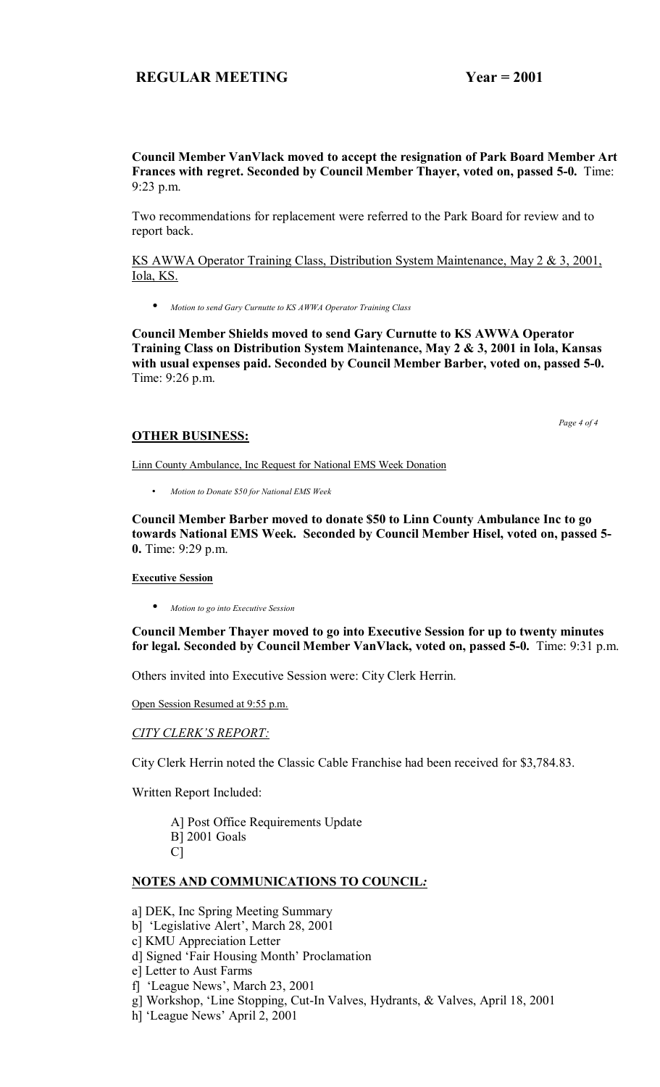**Council Member VanVlack moved to accept the resignation of Park Board Member Art Frances with regret. Seconded by Council Member Thayer, voted on, passed 5-0.** Time: 9:23 p.m.

Two recommendations for replacement were referred to the Park Board for review and to report back.

KS AWWA Operator Training Class, Distribution System Maintenance, May 2 & 3, 2001, Iola, KS.

• *Motion to send Gary Curnutte to KS AWWA Operator Training Class*

**Council Member Shields moved to send Gary Curnutte to KS AWWA Operator Training Class on Distribution System Maintenance, May 2 & 3, 2001 in Iola, Kansas with usual expenses paid. Seconded by Council Member Barber, voted on, passed 5-0.**  Time: 9:26 p.m.

#### *Page 4 of 4*

### **OTHER BUSINESS:**

Linn County Ambulance, Inc Request for National EMS Week Donation

• *Motion to Donate \$50 for National EMS Week* 

**Council Member Barber moved to donate \$50 to Linn County Ambulance Inc to go towards National EMS Week. Seconded by Council Member Hisel, voted on, passed 5- 0.** Time: 9:29 p.m.

### **Executive Session**

• *Motion to go into Executive Session*

**Council Member Thayer moved to go into Executive Session for up to twenty minutes for legal. Seconded by Council Member VanVlack, voted on, passed 5-0.** Time: 9:31 p.m.

Others invited into Executive Session were: City Clerk Herrin.

Open Session Resumed at 9:55 p.m.

### **CITY CLERK'S REPORT:**

City Clerk Herrin noted the Classic Cable Franchise had been received for \$3,784.83.

Written Report Included:

 A] Post Office Requirements Update B] 2001 Goals C]

# **NOTES AND COMMUNICATIONS TO COUNCIL***:*

a] DEK, Inc Spring Meeting Summary

- b] 'Legislative Alert', March 28, 2001
- c] KMU Appreciation Letter
- d] Signed 'Fair Housing Month' Proclamation

e] Letter to Aust Farms

- f] 'League News', March 23, 2001
- g] Workshop, ëLine Stopping, Cut-In Valves, Hydrants, & Valves, April 18, 2001
- h] 'League News' April 2, 2001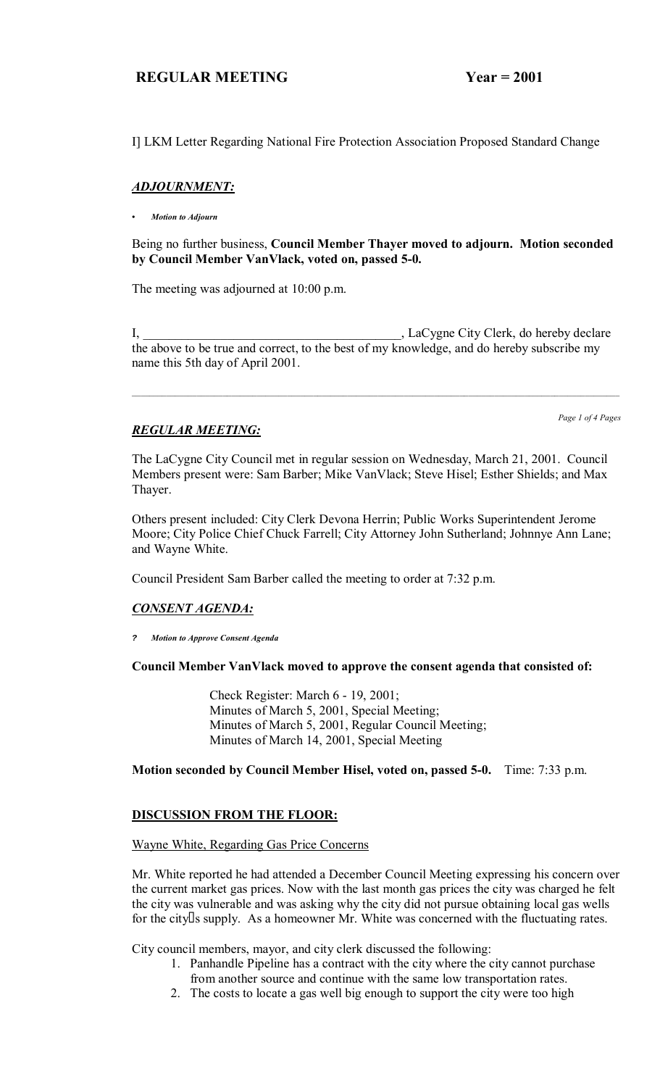I] LKM Letter Regarding National Fire Protection Association Proposed Standard Change

# *ADJOURNMENT:*

*ï Motion to Adjourn*

Being no further business, **Council Member Thayer moved to adjourn. Motion seconded by Council Member VanVlack, voted on, passed 5-0.**

The meeting was adjourned at 10:00 p.m.

I, \_\_\_\_\_\_\_\_\_\_\_\_\_\_\_\_\_\_\_\_\_\_\_\_\_\_\_\_\_\_\_\_\_\_\_\_\_\_\_\_, LaCygne City Clerk, do hereby declare the above to be true and correct, to the best of my knowledge, and do hereby subscribe my name this 5th day of April 2001.

# *REGULAR MEETING:*

*Page 1 of 4 Pages*

The LaCygne City Council met in regular session on Wednesday, March 21, 2001. Council Members present were: Sam Barber; Mike VanVlack; Steve Hisel; Esther Shields; and Max Thayer.

Others present included: City Clerk Devona Herrin; Public Works Superintendent Jerome Moore; City Police Chief Chuck Farrell; City Attorney John Sutherland; Johnnye Ann Lane; and Wayne White.

Council President Sam Barber called the meeting to order at 7:32 p.m.

# *CONSENT AGENDA:*

**?** *Motion to Approve Consent Agenda*

# **Council Member VanVlack moved to approve the consent agenda that consisted of:**

 Check Register: March 6 - 19, 2001; Minutes of March 5, 2001, Special Meeting; Minutes of March 5, 2001, Regular Council Meeting; Minutes of March 14, 2001, Special Meeting

**Motion seconded by Council Member Hisel, voted on, passed 5-0.** Time: 7:33 p.m.

# **DISCUSSION FROM THE FLOOR:**

### Wayne White, Regarding Gas Price Concerns

Mr. White reported he had attended a December Council Meeting expressing his concern over the current market gas prices. Now with the last month gas prices the city was charged he felt the city was vulnerable and was asking why the city did not pursue obtaining local gas wells for the city s supply. As a homeowner Mr. White was concerned with the fluctuating rates.

City council members, mayor, and city clerk discussed the following:

- 1. Panhandle Pipeline has a contract with the city where the city cannot purchase
- from another source and continue with the same low transportation rates.
- 2. The costs to locate a gas well big enough to support the city were too high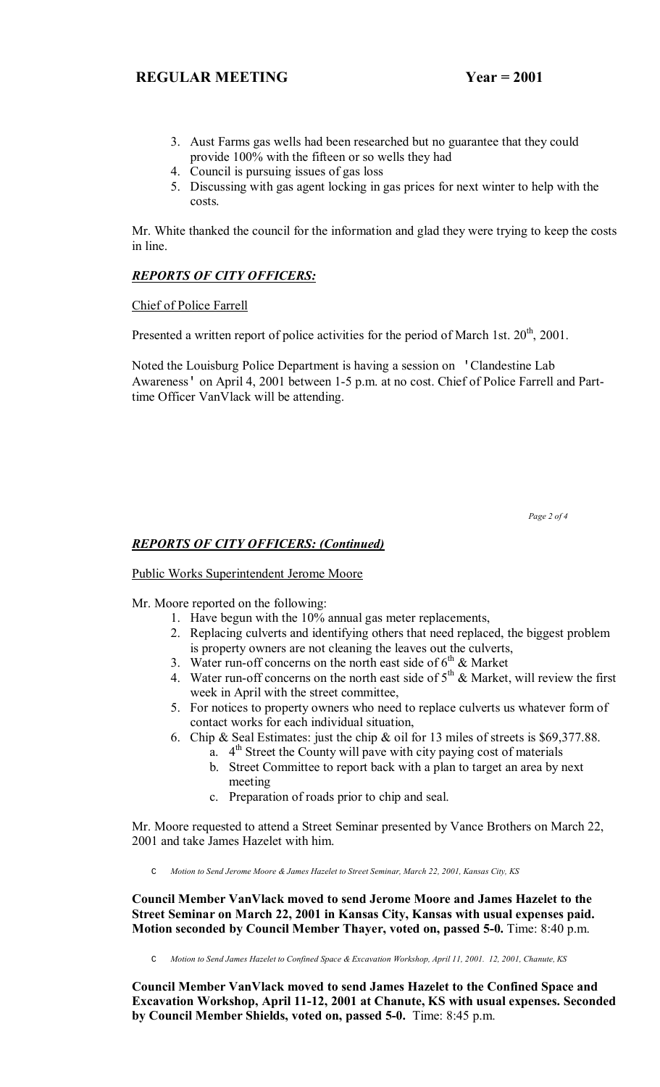- 3. Aust Farms gas wells had been researched but no guarantee that they could provide 100% with the fifteen or so wells they had
- 4. Council is pursuing issues of gas loss
- 5. Discussing with gas agent locking in gas prices for next winter to help with the costs.

Mr. White thanked the council for the information and glad they were trying to keep the costs in line.

# *REPORTS OF CITY OFFICERS:*

Chief of Police Farrell

Presented a written report of police activities for the period of March 1st.  $20^{th}$ ,  $2001$ .

Noted the Louisburg Police Department is having a session on 'Clandestine Lab Awareness' on April 4, 2001 between 1-5 p.m. at no cost. Chief of Police Farrell and Parttime Officer VanVlack will be attending.

 *Page 2 of 4* 

# *REPORTS OF CITY OFFICERS: (Continued)*

Public Works Superintendent Jerome Moore

Mr. Moore reported on the following:

- 1. Have begun with the 10% annual gas meter replacements,
- 2. Replacing culverts and identifying others that need replaced, the biggest problem is property owners are not cleaning the leaves out the culverts,
- 3. Water run-off concerns on the north east side of  $6<sup>th</sup>$  & Market
- 4. Water run-off concerns on the north east side of  $5<sup>th</sup>$  & Market, will review the first week in April with the street committee,
- 5. For notices to property owners who need to replace culverts us whatever form of contact works for each individual situation,
- 6. Chip & Seal Estimates: just the chip & oil for 13 miles of streets is \$69,377.88.
	- a.  $4<sup>th</sup>$  Street the County will pave with city paying cost of materials
	- b. Street Committee to report back with a plan to target an area by next meeting
	- c. Preparation of roads prior to chip and seal.

Mr. Moore requested to attend a Street Seminar presented by Vance Brothers on March 22, 2001 and take James Hazelet with him.

C *Motion to Send Jerome Moore & James Hazelet to Street Seminar, March 22, 2001, Kansas City, KS*

**Council Member VanVlack moved to send Jerome Moore and James Hazelet to the Street Seminar on March 22, 2001 in Kansas City, Kansas with usual expenses paid. Motion seconded by Council Member Thayer, voted on, passed 5-0.** Time: 8:40 p.m.

C *Motion to Send James Hazelet to Confined Space & Excavation Workshop, April 11, 2001. 12, 2001, Chanute, KS*

**Council Member VanVlack moved to send James Hazelet to the Confined Space and Excavation Workshop, April 11-12, 2001 at Chanute, KS with usual expenses. Seconded by Council Member Shields, voted on, passed 5-0.** Time: 8:45 p.m.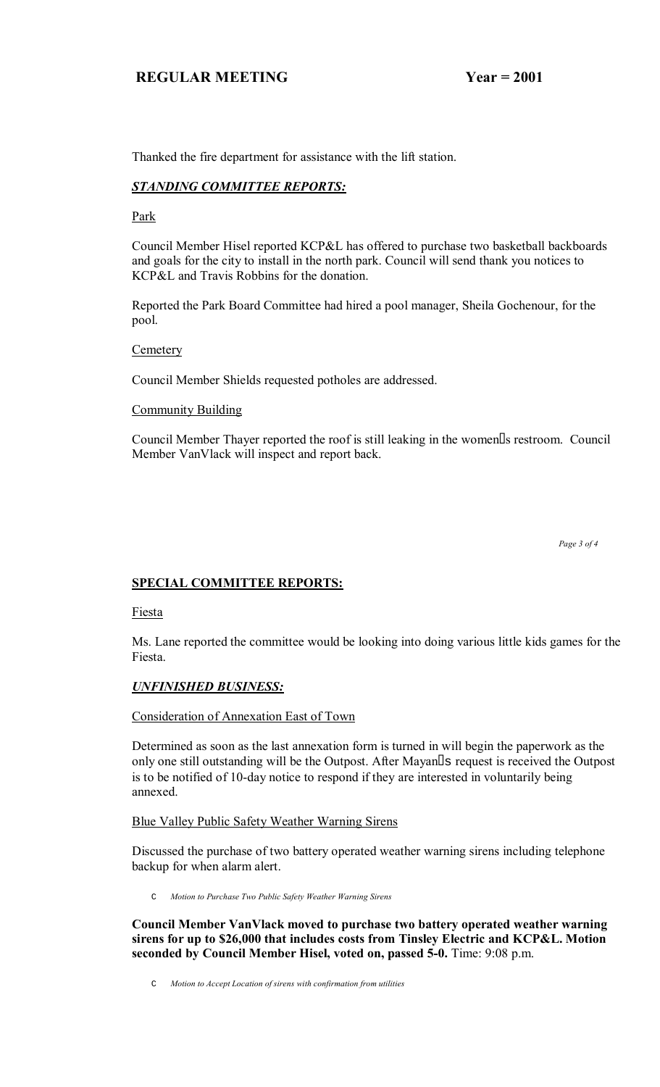Thanked the fire department for assistance with the lift station.

# *STANDING COMMITTEE REPORTS:*

# Park

Council Member Hisel reported KCP&L has offered to purchase two basketball backboards and goals for the city to install in the north park. Council will send thank you notices to KCP&L and Travis Robbins for the donation.

Reported the Park Board Committee had hired a pool manager, Sheila Gochenour, for the pool.

# **Cemetery**

Council Member Shields requested potholes are addressed.

# **Community Building**

Council Member Thayer reported the roof is still leaking in the women s restroom. Council Member VanVlack will inspect and report back.

# **SPECIAL COMMITTEE REPORTS:**

Fiesta

Ms. Lane reported the committee would be looking into doing various little kids games for the Fiesta.

# *UNFINISHED BUSINESS:*

Consideration of Annexation East of Town

Determined as soon as the last annexation form is turned in will begin the paperwork as the only one still outstanding will be the Outpost. After Mayan s request is received the Outpost is to be notified of 10-day notice to respond if they are interested in voluntarily being annexed.

# Blue Valley Public Safety Weather Warning Sirens

Discussed the purchase of two battery operated weather warning sirens including telephone backup for when alarm alert.

C *Motion to Purchase Two Public Safety Weather Warning Sirens*

**Council Member VanVlack moved to purchase two battery operated weather warning sirens for up to \$26,000 that includes costs from Tinsley Electric and KCP&L. Motion seconded by Council Member Hisel, voted on, passed 5-0.** Time: 9:08 p.m.

C *Motion to Accept Location of sirens with confirmation from utilities*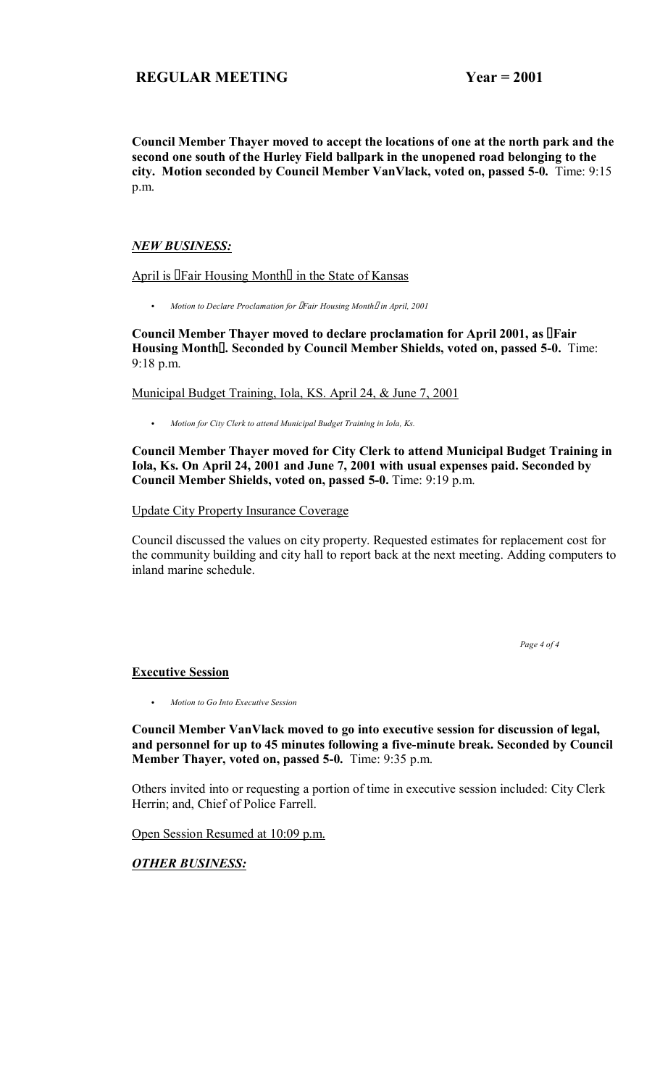**Council Member Thayer moved to accept the locations of one at the north park and the second one south of the Hurley Field ballpark in the unopened road belonging to the city. Motion seconded by Council Member VanVlack, voted on, passed 5-0.** Time: 9:15 p.m.

# *NEW BUSINESS:*

April is Fair Housing Month in the State of Kansas

C *Motion to Declare Proclamation for Fair Housing Month in April, 2001* 

**Council Member Thayer moved to declare proclamation for April 2001, as Fair Housing Month. Seconded by Council Member Shields, voted on, passed 5-0.** Time: 9:18 p.m.

Municipal Budget Training, Iola, KS. April 24, & June 7, 2001

C *Motion for City Clerk to attend Municipal Budget Training in Iola, Ks.*

**Council Member Thayer moved for City Clerk to attend Municipal Budget Training in Iola, Ks. On April 24, 2001 and June 7, 2001 with usual expenses paid. Seconded by Council Member Shields, voted on, passed 5-0.** Time: 9:19 p.m.

Update City Property Insurance Coverage

Council discussed the values on city property. Requested estimates for replacement cost for the community building and city hall to report back at the next meeting. Adding computers to inland marine schedule.

 *Page 4 of 4* 

# **Executive Session**

C *Motion to Go Into Executive Session*

**Council Member VanVlack moved to go into executive session for discussion of legal, and personnel for up to 45 minutes following a five-minute break. Seconded by Council Member Thayer, voted on, passed 5-0.** Time: 9:35 p.m.

Others invited into or requesting a portion of time in executive session included: City Clerk Herrin; and, Chief of Police Farrell.

Open Session Resumed at 10:09 p.m.

*OTHER BUSINESS:*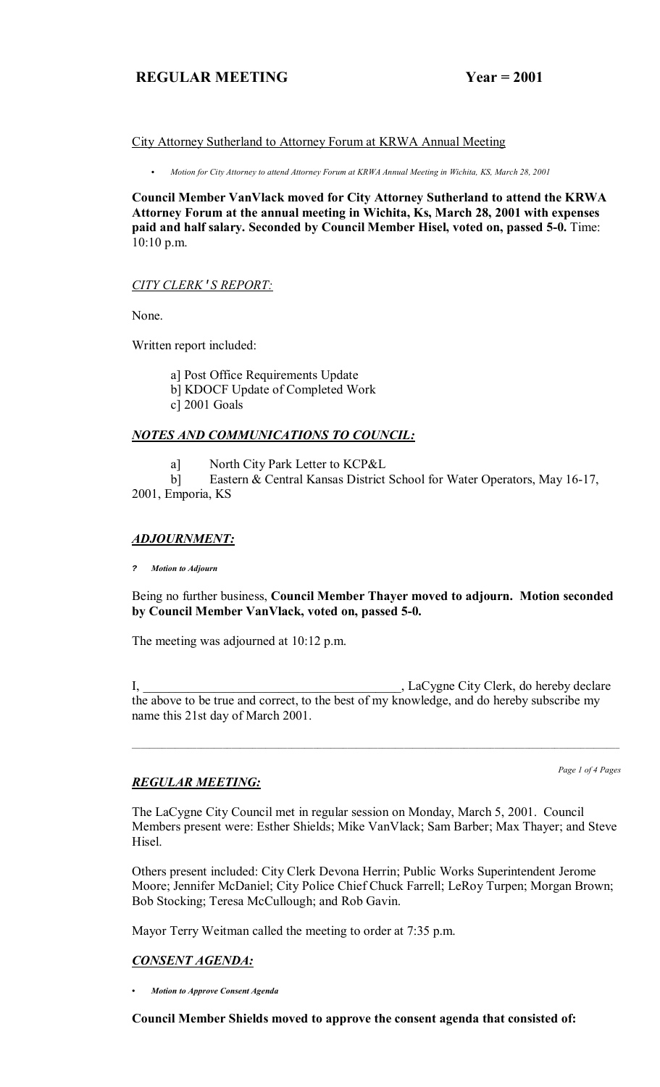# City Attorney Sutherland to Attorney Forum at KRWA Annual Meeting

C *Motion for City Attorney to attend Attorney Forum at KRWA Annual Meeting in Wichita, KS, March 28, 2001*

**Council Member VanVlack moved for City Attorney Sutherland to attend the KRWA Attorney Forum at the annual meeting in Wichita, Ks, March 28, 2001 with expenses paid and half salary. Seconded by Council Member Hisel, voted on, passed 5-0.** Time: 10:10 p.m.

# *CITY CLERK*'*S REPORT:*

None.

Written report included:

 a] Post Office Requirements Update b] KDOCF Update of Completed Work c] 2001 Goals

# *NOTES AND COMMUNICATIONS TO COUNCIL:*

a] North City Park Letter to KCP&L

 b] Eastern & Central Kansas District School for Water Operators, May 16-17, 2001, Emporia, KS

# *ADJOURNMENT:*

**?** *Motion to Adjourn*

Being no further business, **Council Member Thayer moved to adjourn. Motion seconded by Council Member VanVlack, voted on, passed 5-0.**

The meeting was adjourned at 10:12 p.m.

I, LaCygne City Clerk, do hereby declare the above to be true and correct, to the best of my knowledge, and do hereby subscribe my name this 21st day of March 2001.

# *REGULAR MEETING:*

*Page 1 of 4 Pages*

The LaCygne City Council met in regular session on Monday, March 5, 2001. Council Members present were: Esther Shields; Mike VanVlack; Sam Barber; Max Thayer; and Steve Hisel.

Others present included: City Clerk Devona Herrin; Public Works Superintendent Jerome Moore; Jennifer McDaniel; City Police Chief Chuck Farrell; LeRoy Turpen; Morgan Brown; Bob Stocking; Teresa McCullough; and Rob Gavin.

Mayor Terry Weitman called the meeting to order at 7:35 p.m.

# *CONSENT AGENDA:*

*ï Motion to Approve Consent Agenda*

**Council Member Shields moved to approve the consent agenda that consisted of:**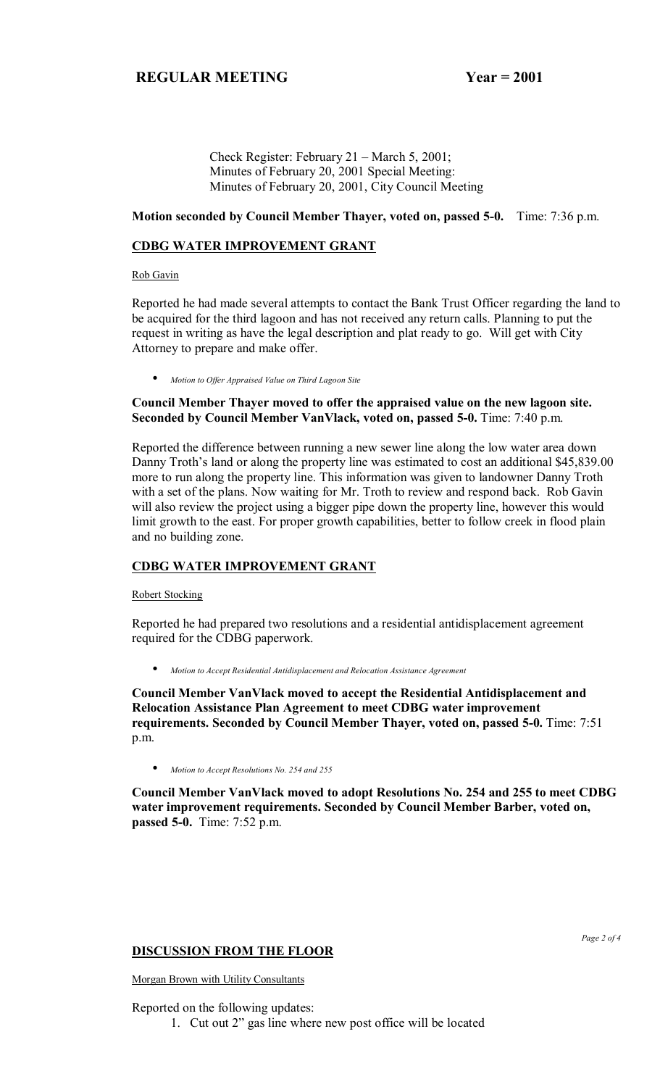Check Register: February  $21 - \text{March } 5, 2001$ ; Minutes of February 20, 2001 Special Meeting: Minutes of February 20, 2001, City Council Meeting

### **Motion seconded by Council Member Thayer, voted on, passed 5-0.** Time: 7:36 p.m.

### **CDBG WATER IMPROVEMENT GRANT**

Rob Gavin

Reported he had made several attempts to contact the Bank Trust Officer regarding the land to be acquired for the third lagoon and has not received any return calls. Planning to put the request in writing as have the legal description and plat ready to go. Will get with City Attorney to prepare and make offer.

• *Motion to Offer Appraised Value on Third Lagoon Site*

# **Council Member Thayer moved to offer the appraised value on the new lagoon site. Seconded by Council Member VanVlack, voted on, passed 5-0.** Time: 7:40 p.m.

Reported the difference between running a new sewer line along the low water area down Danny Troth's land or along the property line was estimated to cost an additional \$45,839.00 more to run along the property line. This information was given to landowner Danny Troth with a set of the plans. Now waiting for Mr. Troth to review and respond back. Rob Gavin will also review the project using a bigger pipe down the property line, however this would limit growth to the east. For proper growth capabilities, better to follow creek in flood plain and no building zone.

# **CDBG WATER IMPROVEMENT GRANT**

### Robert Stocking

Reported he had prepared two resolutions and a residential antidisplacement agreement required for the CDBG paperwork.

• *Motion to Accept Residential Antidisplacement and Relocation Assistance Agreement*

**Council Member VanVlack moved to accept the Residential Antidisplacement and Relocation Assistance Plan Agreement to meet CDBG water improvement requirements. Seconded by Council Member Thayer, voted on, passed 5-0.** Time: 7:51 p.m.

• *Motion to Accept Resolutions No. 254 and 255*

**Council Member VanVlack moved to adopt Resolutions No. 254 and 255 to meet CDBG water improvement requirements. Seconded by Council Member Barber, voted on, passed 5-0.** Time: 7:52 p.m.

# **DISCUSSION FROM THE FLOOR**

Morgan Brown with Utility Consultants

Reported on the following updates:

1. Cut out 2" gas line where new post office will be located

*Page 2 of 4*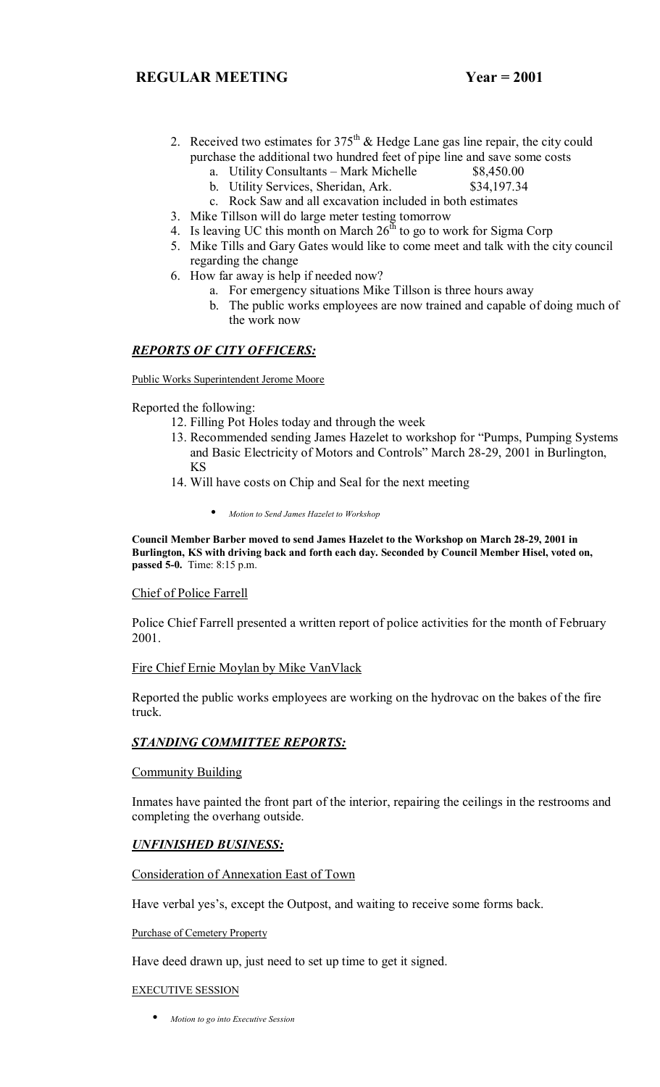- 2. Received two estimates for  $375<sup>th</sup>$  & Hedge Lane gas line repair, the city could purchase the additional two hundred feet of pipe line and save some costs
	- a. Utility Consultants Mark Michelle  $$8,450.00$

b. Utility Services, Sheridan, Ark. \$34,197.34

- c. Rock Saw and all excavation included in both estimates
- 3. Mike Tillson will do large meter testing tomorrow
- 4. Is leaving UC this month on March  $26<sup>th</sup>$  to go to work for Sigma Corp
- 5. Mike Tills and Gary Gates would like to come meet and talk with the city council regarding the change
- 6. How far away is help if needed now?
	- a. For emergency situations Mike Tillson is three hours away
	- b. The public works employees are now trained and capable of doing much of the work now

# *REPORTS OF CITY OFFICERS:*

Public Works Superintendent Jerome Moore

Reported the following:

- 12. Filling Pot Holes today and through the week
	- 13. Recommended sending James Hazelet to workshop for "Pumps, Pumping Systems and Basic Electricity of Motors and Controls" March 28-29, 2001 in Burlington, KS
	- 14. Will have costs on Chip and Seal for the next meeting
		- *Motion to Send James Hazelet to Workshop*

**Council Member Barber moved to send James Hazelet to the Workshop on March 28-29, 2001 in Burlington, KS with driving back and forth each day. Seconded by Council Member Hisel, voted on, passed 5-0.** Time: 8:15 p.m.

### Chief of Police Farrell

Police Chief Farrell presented a written report of police activities for the month of February 2001.

# Fire Chief Ernie Moylan by Mike VanVlack

Reported the public works employees are working on the hydrovac on the bakes of the fire truck.

# *STANDING COMMITTEE REPORTS:*

### **Community Building**

Inmates have painted the front part of the interior, repairing the ceilings in the restrooms and completing the overhang outside.

# *UNFINISHED BUSINESS:*

# Consideration of Annexation East of Town

Have verbal yes's, except the Outpost, and waiting to receive some forms back.

Purchase of Cemetery Property

Have deed drawn up, just need to set up time to get it signed.

### EXECUTIVE SESSION

• *Motion to go into Executive Session*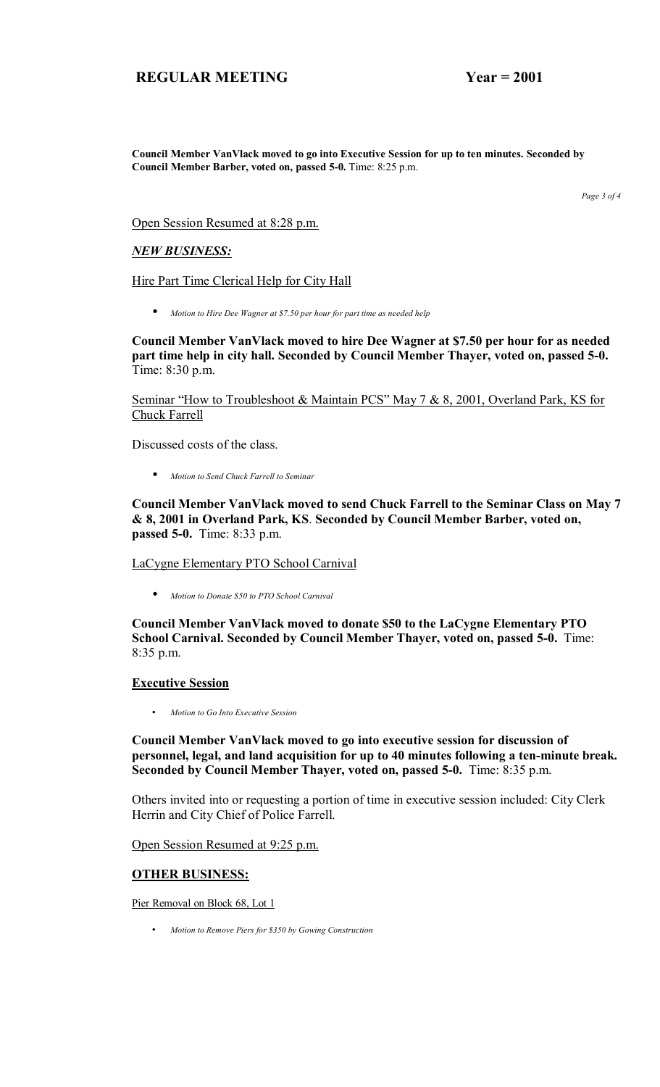**Council Member VanVlack moved to go into Executive Session for up to ten minutes. Seconded by Council Member Barber, voted on, passed 5-0.** Time: 8:25 p.m.

*Page 3 of 4* 

Open Session Resumed at 8:28 p.m.

### *NEW BUSINESS:*

Hire Part Time Clerical Help for City Hall

• *Motion to Hire Dee Wagner at \$7.50 per hour for part time as needed help*

**Council Member VanVlack moved to hire Dee Wagner at \$7.50 per hour for as needed part time help in city hall. Seconded by Council Member Thayer, voted on, passed 5-0.**  Time: 8:30 p.m.

Seminar "How to Troubleshoot & Maintain PCS" May 7 & 8, 2001, Overland Park, KS for Chuck Farrell

Discussed costs of the class.

• *Motion to Send Chuck Farrell to Seminar*

**Council Member VanVlack moved to send Chuck Farrell to the Seminar Class on May 7 & 8, 2001 in Overland Park, KS**. **Seconded by Council Member Barber, voted on, passed 5-0.** Time: 8:33 p.m.

LaCygne Elementary PTO School Carnival

• *Motion to Donate \$50 to PTO School Carnival*

**Council Member VanVlack moved to donate \$50 to the LaCygne Elementary PTO School Carnival. Seconded by Council Member Thayer, voted on, passed 5-0.** Time: 8:35 p.m.

### **Executive Session**

• *Motion to Go Into Executive Session*

**Council Member VanVlack moved to go into executive session for discussion of personnel, legal, and land acquisition for up to 40 minutes following a ten-minute break. Seconded by Council Member Thayer, voted on, passed 5-0.** Time: 8:35 p.m.

Others invited into or requesting a portion of time in executive session included: City Clerk Herrin and City Chief of Police Farrell.

Open Session Resumed at 9:25 p.m.

### **OTHER BUSINESS:**

Pier Removal on Block 68, Lot 1

• *Motion to Remove Piers for \$350 by Gowing Construction*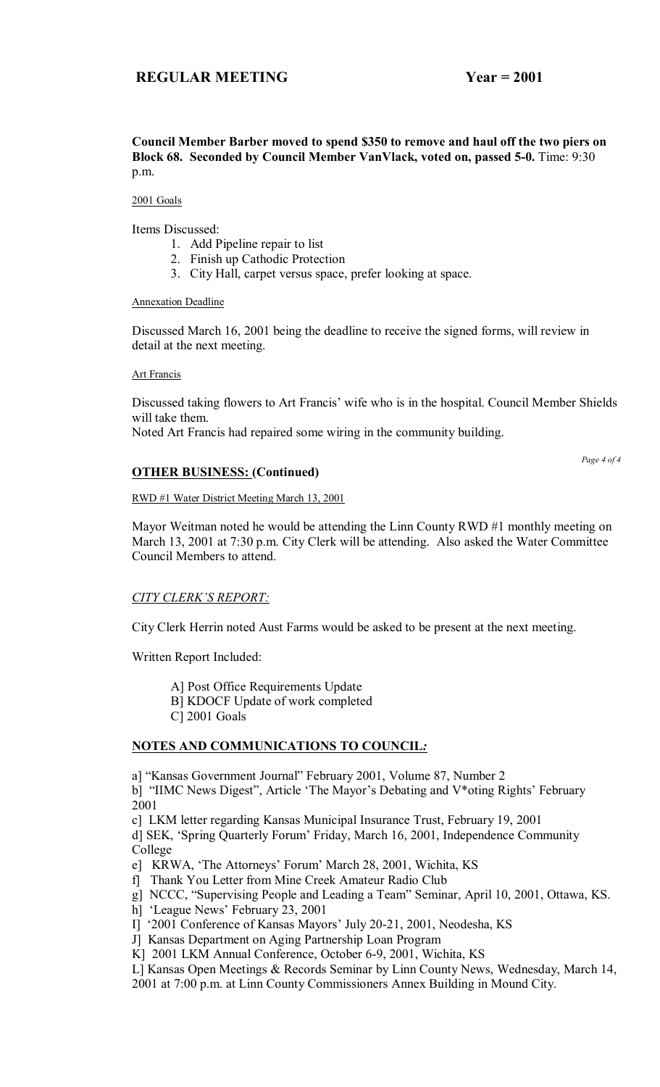### **Council Member Barber moved to spend \$350 to remove and haul off the two piers on Block 68. Seconded by Council Member VanVlack, voted on, passed 5-0.** Time: 9:30 p.m.

### 2001 Goals

Items Discussed:

- 1. Add Pipeline repair to list
- 2. Finish up Cathodic Protection
- 3. City Hall, carpet versus space, prefer looking at space.

Annexation Deadline

Discussed March 16, 2001 being the deadline to receive the signed forms, will review in detail at the next meeting.

Art Francis

Discussed taking flowers to Art Francis' wife who is in the hospital. Council Member Shields will take them.

Noted Art Francis had repaired some wiring in the community building.

# **OTHER BUSINESS: (Continued)**

*Page 4 of 4* 

### RWD #1 Water District Meeting March 13, 2001

Mayor Weitman noted he would be attending the Linn County RWD #1 monthly meeting on March 13, 2001 at 7:30 p.m. City Clerk will be attending. Also asked the Water Committee Council Members to attend.

# **CITY CLERK'S REPORT:**

City Clerk Herrin noted Aust Farms would be asked to be present at the next meeting.

Written Report Included:

A] Post Office Requirements Update

B] KDOCF Update of work completed

C] 2001 Goals

# **NOTES AND COMMUNICATIONS TO COUNCIL***:*

a] "Kansas Government Journal" February 2001, Volume 87, Number 2

b] "IIMC News Digest", Article 'The Mayor's Debating and V\*oting Rights' February 2001

c] LKM letter regarding Kansas Municipal Insurance Trust, February 19, 2001

d] SEK, 'Spring Quarterly Forum' Friday, March 16, 2001, Independence Community College

e] KRWA, 'The Attorneys' Forum' March 28, 2001, Wichita, KS

f] Thank You Letter from Mine Creek Amateur Radio Club

g] NCCC, "Supervising People and Leading a Team" Seminar, April 10, 2001, Ottawa, KS.

- h] 'League News' February 23, 2001
- I] '2001 Conference of Kansas Mayors' July 20-21, 2001, Neodesha, KS

J] Kansas Department on Aging Partnership Loan Program

K] 2001 LKM Annual Conference, October 6-9, 2001, Wichita, KS

L] Kansas Open Meetings & Records Seminar by Linn County News, Wednesday, March 14,

2001 at 7:00 p.m. at Linn County Commissioners Annex Building in Mound City.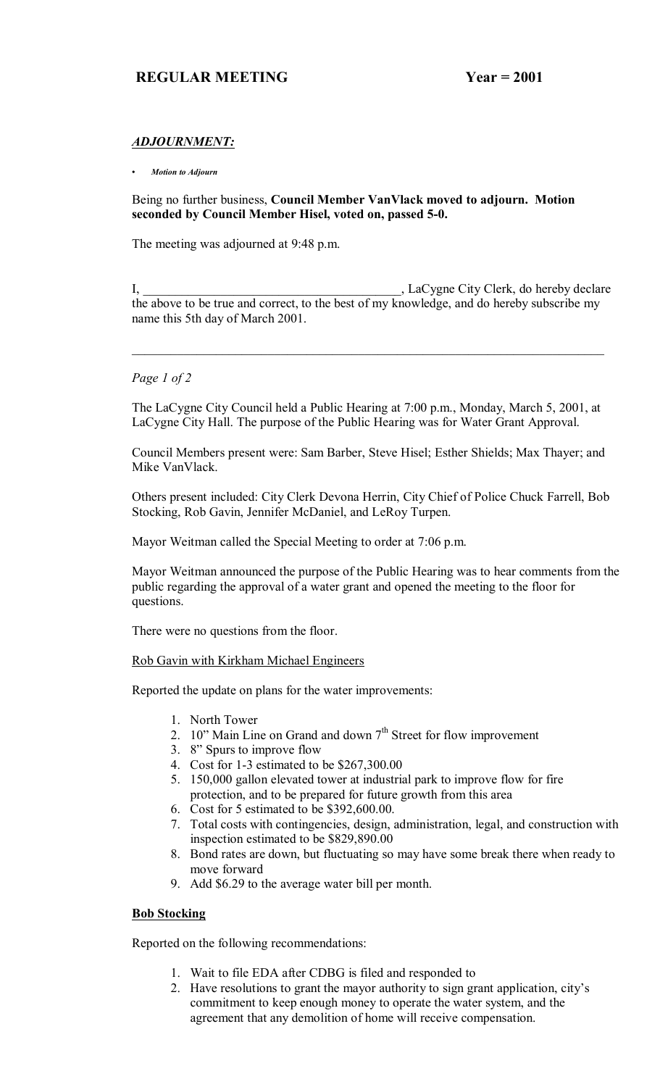# *ADJOURNMENT:*

### *ï Motion to Adjourn*

Being no further business, **Council Member VanVlack moved to adjourn. Motion seconded by Council Member Hisel, voted on, passed 5-0.**

The meeting was adjourned at 9:48 p.m.

I, LaCygne City Clerk, do hereby declare the above to be true and correct, to the best of my knowledge, and do hereby subscribe my name this 5th day of March 2001.

### *Page 1 of 2*

The LaCygne City Council held a Public Hearing at 7:00 p.m., Monday, March 5, 2001, at LaCygne City Hall. The purpose of the Public Hearing was for Water Grant Approval.

Council Members present were: Sam Barber, Steve Hisel; Esther Shields; Max Thayer; and Mike VanVlack.

Others present included: City Clerk Devona Herrin, City Chief of Police Chuck Farrell, Bob Stocking, Rob Gavin, Jennifer McDaniel, and LeRoy Turpen.

Mayor Weitman called the Special Meeting to order at 7:06 p.m.

Mayor Weitman announced the purpose of the Public Hearing was to hear comments from the public regarding the approval of a water grant and opened the meeting to the floor for questions.

There were no questions from the floor.

### Rob Gavin with Kirkham Michael Engineers

Reported the update on plans for the water improvements:

- 1. North Tower
- 2. 10" Main Line on Grand and down  $7<sup>th</sup>$  Street for flow improvement
- 3. 8" Spurs to improve flow
- 4. Cost for 1-3 estimated to be \$267,300.00
- 5. 150,000 gallon elevated tower at industrial park to improve flow for fire protection, and to be prepared for future growth from this area
- 6. Cost for 5 estimated to be \$392,600.00.
- 7. Total costs with contingencies, design, administration, legal, and construction with inspection estimated to be \$829,890.00
- 8. Bond rates are down, but fluctuating so may have some break there when ready to move forward
- 9. Add \$6.29 to the average water bill per month.

# **Bob Stocking**

Reported on the following recommendations:

- 1. Wait to file EDA after CDBG is filed and responded to
- 2. Have resolutions to grant the mayor authority to sign grant application, city's commitment to keep enough money to operate the water system, and the agreement that any demolition of home will receive compensation.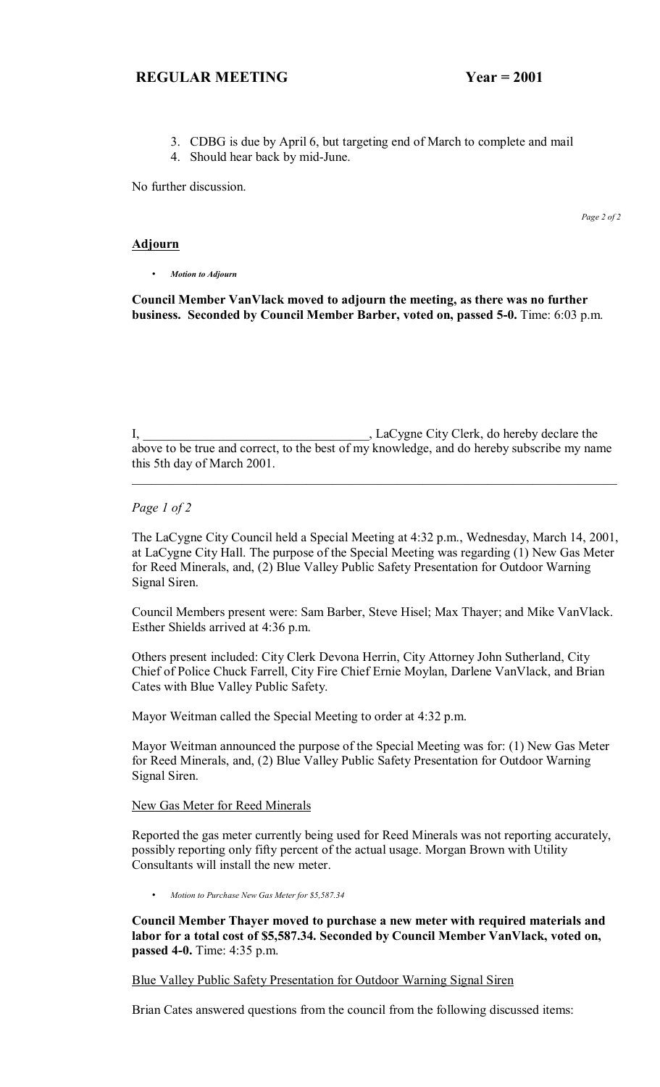- 3. CDBG is due by April 6, but targeting end of March to complete and mail
- 4. Should hear back by mid-June.

No further discussion.

*Page 2 of 2*

### **Adjourn**

• *Motion to Adjourn*

**Council Member VanVlack moved to adjourn the meeting, as there was no further business. Seconded by Council Member Barber, voted on, passed 5-0.** Time: 6:03 p.m.

I, LaCygne City Clerk, do hereby declare the above to be true and correct, to the best of my knowledge, and do hereby subscribe my name this 5th day of March 2001.

 $\mathcal{L}_\mathcal{L} = \mathcal{L}_\mathcal{L} = \mathcal{L}_\mathcal{L} = \mathcal{L}_\mathcal{L} = \mathcal{L}_\mathcal{L} = \mathcal{L}_\mathcal{L} = \mathcal{L}_\mathcal{L} = \mathcal{L}_\mathcal{L} = \mathcal{L}_\mathcal{L} = \mathcal{L}_\mathcal{L} = \mathcal{L}_\mathcal{L} = \mathcal{L}_\mathcal{L} = \mathcal{L}_\mathcal{L} = \mathcal{L}_\mathcal{L} = \mathcal{L}_\mathcal{L} = \mathcal{L}_\mathcal{L} = \mathcal{L}_\mathcal{L}$ 

*Page 1 of 2*

The LaCygne City Council held a Special Meeting at 4:32 p.m., Wednesday, March 14, 2001, at LaCygne City Hall. The purpose of the Special Meeting was regarding (1) New Gas Meter for Reed Minerals, and, (2) Blue Valley Public Safety Presentation for Outdoor Warning Signal Siren.

Council Members present were: Sam Barber, Steve Hisel; Max Thayer; and Mike VanVlack. Esther Shields arrived at 4:36 p.m.

Others present included: City Clerk Devona Herrin, City Attorney John Sutherland, City Chief of Police Chuck Farrell, City Fire Chief Ernie Moylan, Darlene VanVlack, and Brian Cates with Blue Valley Public Safety.

Mayor Weitman called the Special Meeting to order at 4:32 p.m.

Mayor Weitman announced the purpose of the Special Meeting was for: (1) New Gas Meter for Reed Minerals, and, (2) Blue Valley Public Safety Presentation for Outdoor Warning Signal Siren.

New Gas Meter for Reed Minerals

Reported the gas meter currently being used for Reed Minerals was not reporting accurately, possibly reporting only fifty percent of the actual usage. Morgan Brown with Utility Consultants will install the new meter.

• *Motion to Purchase New Gas Meter for \$5,587.34*

**Council Member Thayer moved to purchase a new meter with required materials and labor for a total cost of \$5,587.34. Seconded by Council Member VanVlack, voted on, passed 4-0.** Time: 4:35 p.m.

Blue Valley Public Safety Presentation for Outdoor Warning Signal Siren

Brian Cates answered questions from the council from the following discussed items: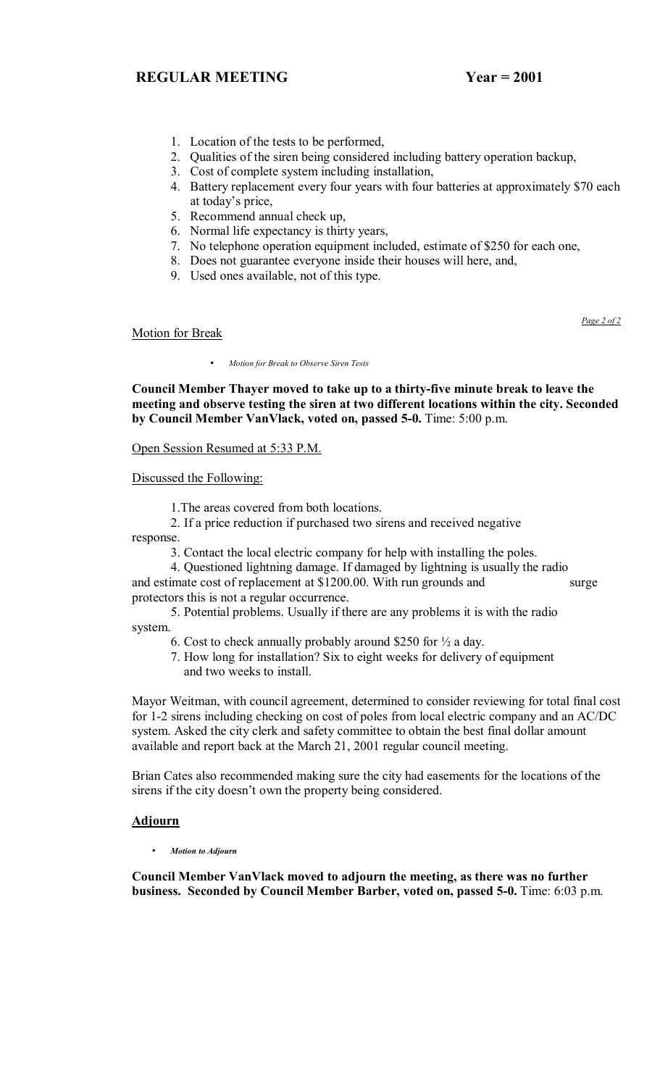- 1. Location of the tests to be performed,
- 2. Qualities of the siren being considered including battery operation backup,
- 3. Cost of complete system including installation,
- 4. Battery replacement every four years with four batteries at approximately \$70 each at today's price,
- 5. Recommend annual check up,
- 6. Normal life expectancy is thirty years,
- 7. No telephone operation equipment included, estimate of \$250 for each one,
- 8. Does not guarantee everyone inside their houses will here, and,
	- 9. Used ones available, not of this type.

Motion for Break

• *Motion for Break to Observe Siren Tests*

**Council Member Thayer moved to take up to a thirty-five minute break to leave the meeting and observe testing the siren at two different locations within the city. Seconded by Council Member VanVlack, voted on, passed 5-0.** Time: 5:00 p.m.

Open Session Resumed at 5:33 P.M.

Discussed the Following:

1.The areas covered from both locations.

 2. If a price reduction if purchased two sirens and received negative response.

3. Contact the local electric company for help with installing the poles.

 4. Questioned lightning damage. If damaged by lightning is usually the radio and estimate cost of replacement at \$1200.00. With run grounds and surge protectors this is not a regular occurrence.

 5. Potential problems. Usually if there are any problems it is with the radio system.

- 6. Cost to check annually probably around \$250 for ½ a day.
- 7. How long for installation? Six to eight weeks for delivery of equipment and two weeks to install.

Mayor Weitman, with council agreement, determined to consider reviewing for total final cost for 1-2 sirens including checking on cost of poles from local electric company and an AC/DC system. Asked the city clerk and safety committee to obtain the best final dollar amount available and report back at the March 21, 2001 regular council meeting.

Brian Cates also recommended making sure the city had easements for the locations of the sirens if the city doesn't own the property being considered.

#### **Adjourn**

• *Motion to Adjourn*

**Council Member VanVlack moved to adjourn the meeting, as there was no further business. Seconded by Council Member Barber, voted on, passed 5-0.** Time: 6:03 p.m.

*Page 2 of 2*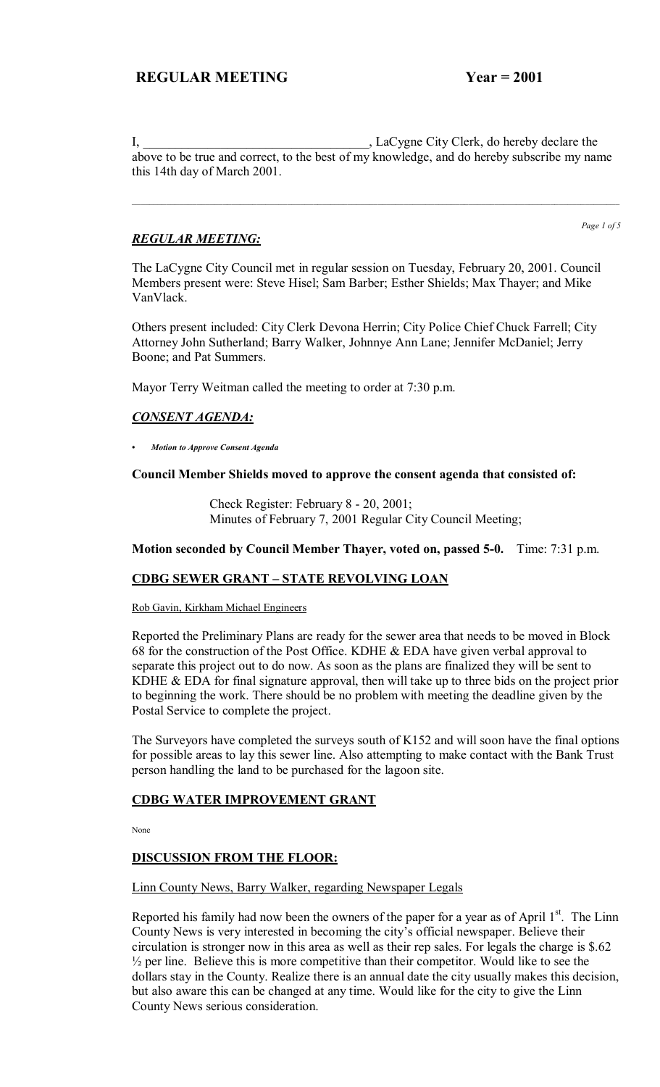I, LaCygne City Clerk, do hereby declare the above to be true and correct, to the best of my knowledge, and do hereby subscribe my name this 14th day of March 2001.

 $\mathcal{L}_\text{max} = \mathcal{L}_\text{max} = \mathcal{L}_\text{max} = \mathcal{L}_\text{max} = \mathcal{L}_\text{max} = \mathcal{L}_\text{max} = \mathcal{L}_\text{max} = \mathcal{L}_\text{max} = \mathcal{L}_\text{max} = \mathcal{L}_\text{max} = \mathcal{L}_\text{max} = \mathcal{L}_\text{max} = \mathcal{L}_\text{max} = \mathcal{L}_\text{max} = \mathcal{L}_\text{max} = \mathcal{L}_\text{max} = \mathcal{L}_\text{max} = \mathcal{L}_\text{max} = \mathcal{$ 

## *REGULAR MEETING:*

*Page 1 of 5*

The LaCygne City Council met in regular session on Tuesday, February 20, 2001. Council Members present were: Steve Hisel; Sam Barber; Esther Shields; Max Thayer; and Mike VanVlack.

Others present included: City Clerk Devona Herrin; City Police Chief Chuck Farrell; City Attorney John Sutherland; Barry Walker, Johnnye Ann Lane; Jennifer McDaniel; Jerry Boone; and Pat Summers.

Mayor Terry Weitman called the meeting to order at 7:30 p.m.

## *CONSENT AGENDA:*

*ï Motion to Approve Consent Agenda*

#### **Council Member Shields moved to approve the consent agenda that consisted of:**

 Check Register: February 8 - 20, 2001; Minutes of February 7, 2001 Regular City Council Meeting;

#### **Motion seconded by Council Member Thayer, voted on, passed 5-0.** Time: 7:31 p.m.

### **CDBG SEWER GRANT - STATE REVOLVING LOAN**

Rob Gavin, Kirkham Michael Engineers

Reported the Preliminary Plans are ready for the sewer area that needs to be moved in Block 68 for the construction of the Post Office. KDHE & EDA have given verbal approval to separate this project out to do now. As soon as the plans are finalized they will be sent to KDHE  $\&$  EDA for final signature approval, then will take up to three bids on the project prior to beginning the work. There should be no problem with meeting the deadline given by the Postal Service to complete the project.

The Surveyors have completed the surveys south of K152 and will soon have the final options for possible areas to lay this sewer line. Also attempting to make contact with the Bank Trust person handling the land to be purchased for the lagoon site.

### **CDBG WATER IMPROVEMENT GRANT**

None

#### **DISCUSSION FROM THE FLOOR:**

#### Linn County News, Barry Walker, regarding Newspaper Legals

Reported his family had now been the owners of the paper for a year as of April  $1<sup>st</sup>$ . The Linn County News is very interested in becoming the city's official newspaper. Believe their circulation is stronger now in this area as well as their rep sales. For legals the charge is \$.62  $\frac{1}{2}$  per line. Believe this is more competitive than their competitor. Would like to see the dollars stay in the County. Realize there is an annual date the city usually makes this decision, but also aware this can be changed at any time. Would like for the city to give the Linn County News serious consideration.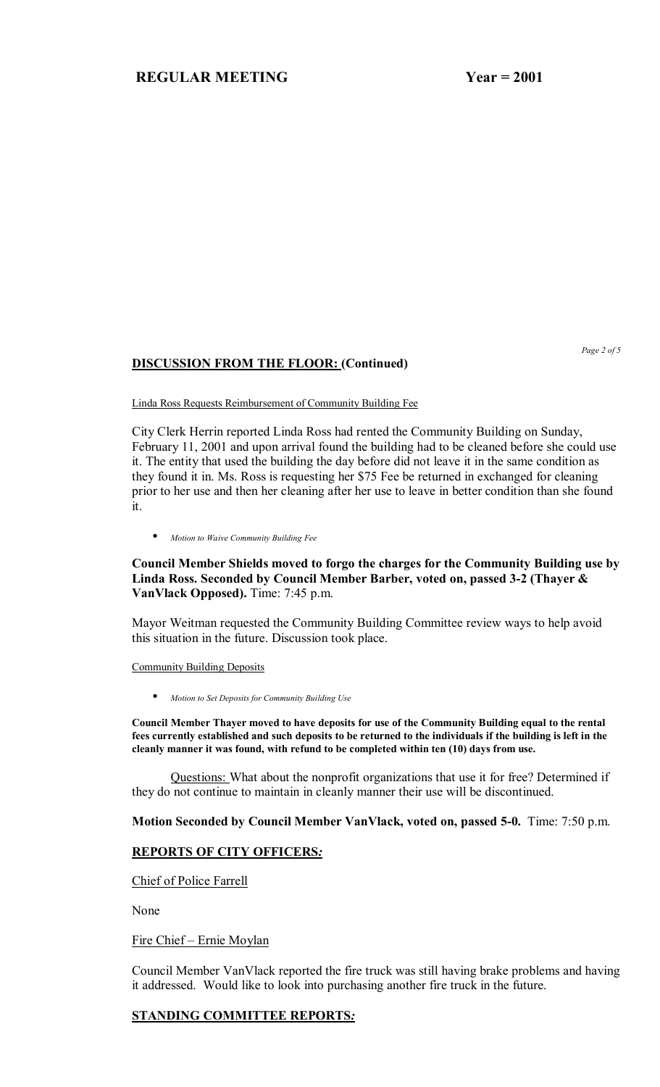# **DISCUSSION FROM THE FLOOR: (Continued)**

*Page 2 of 5* 

Linda Ross Requests Reimbursement of Community Building Fee

City Clerk Herrin reported Linda Ross had rented the Community Building on Sunday, February 11, 2001 and upon arrival found the building had to be cleaned before she could use it. The entity that used the building the day before did not leave it in the same condition as they found it in. Ms. Ross is requesting her \$75 Fee be returned in exchanged for cleaning prior to her use and then her cleaning after her use to leave in better condition than she found it.

• *Motion to Waive Community Building Fee*

**Council Member Shields moved to forgo the charges for the Community Building use by Linda Ross. Seconded by Council Member Barber, voted on, passed 3-2 (Thayer & VanVlack Opposed).** Time: 7:45 p.m.

Mayor Weitman requested the Community Building Committee review ways to help avoid this situation in the future. Discussion took place.

Community Building Deposits

• *Motion to Set Deposits for Community Building Use*

**Council Member Thayer moved to have deposits for use of the Community Building equal to the rental fees currently established and such deposits to be returned to the individuals if the building is left in the cleanly manner it was found, with refund to be completed within ten (10) days from use.** 

Questions: What about the nonprofit organizations that use it for free? Determined if they do not continue to maintain in cleanly manner their use will be discontinued.

**Motion Seconded by Council Member VanVlack, voted on, passed 5-0.** Time: 7:50 p.m.

### **REPORTS OF CITY OFFICERS***:*

Chief of Police Farrell

None

Fire Chief – Ernie Moylan

Council Member VanVlack reported the fire truck was still having brake problems and having it addressed. Would like to look into purchasing another fire truck in the future.

### **STANDING COMMITTEE REPORTS***:*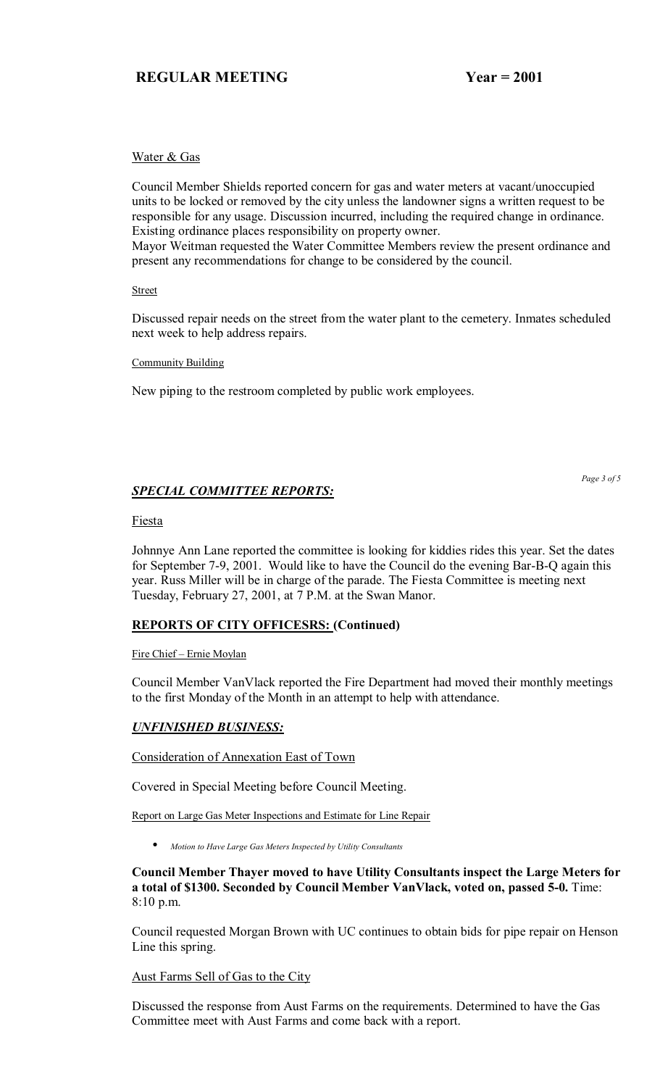### Water & Gas

Council Member Shields reported concern for gas and water meters at vacant/unoccupied units to be locked or removed by the city unless the landowner signs a written request to be responsible for any usage. Discussion incurred, including the required change in ordinance. Existing ordinance places responsibility on property owner.

Mayor Weitman requested the Water Committee Members review the present ordinance and present any recommendations for change to be considered by the council.

**Street** 

Discussed repair needs on the street from the water plant to the cemetery. Inmates scheduled next week to help address repairs.

Community Building

New piping to the restroom completed by public work employees.

## *SPECIAL COMMITTEE REPORTS:*

*Page 3 of 5* 

### Fiesta

Johnnye Ann Lane reported the committee is looking for kiddies rides this year. Set the dates for September 7-9, 2001. Would like to have the Council do the evening Bar-B-Q again this year. Russ Miller will be in charge of the parade. The Fiesta Committee is meeting next Tuesday, February 27, 2001, at 7 P.M. at the Swan Manor.

### **REPORTS OF CITY OFFICESRS: (Continued)**

Fire Chief - Ernie Moylan

Council Member VanVlack reported the Fire Department had moved their monthly meetings to the first Monday of the Month in an attempt to help with attendance.

### *UNFINISHED BUSINESS:*

Consideration of Annexation East of Town

Covered in Special Meeting before Council Meeting.

Report on Large Gas Meter Inspections and Estimate for Line Repair

• *Motion to Have Large Gas Meters Inspected by Utility Consultants*

### **Council Member Thayer moved to have Utility Consultants inspect the Large Meters for a total of \$1300. Seconded by Council Member VanVlack, voted on, passed 5-0.** Time: 8:10 p.m.

Council requested Morgan Brown with UC continues to obtain bids for pipe repair on Henson Line this spring.

Aust Farms Sell of Gas to the City

Discussed the response from Aust Farms on the requirements. Determined to have the Gas Committee meet with Aust Farms and come back with a report.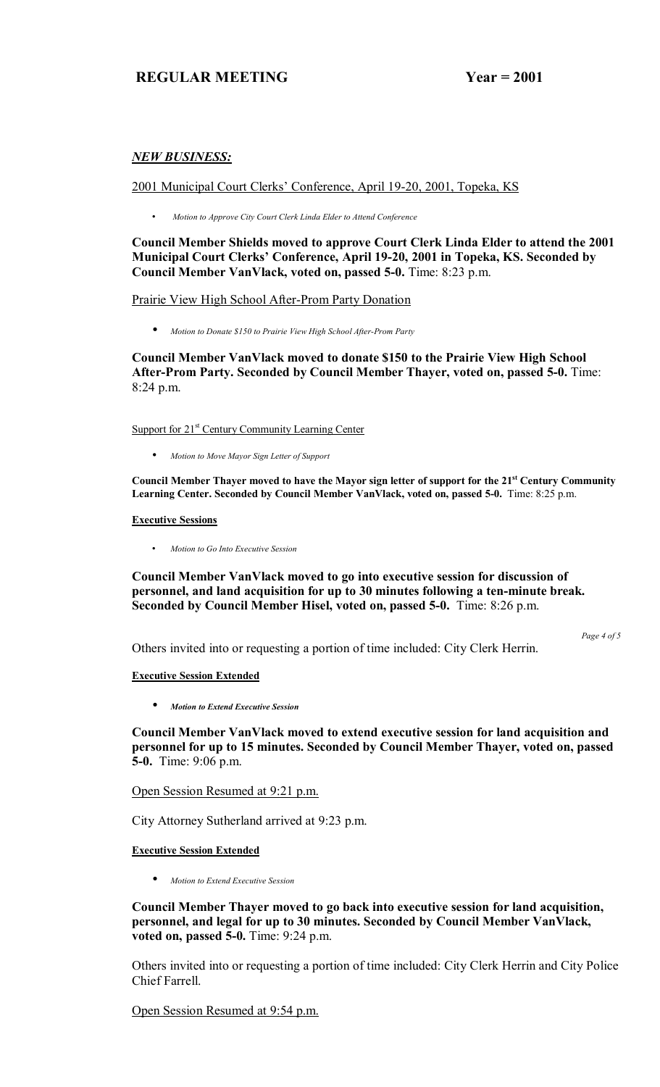### *NEW BUSINESS:*

2001 Municipal Court Clerks' Conference, April 19-20, 2001, Topeka, KS

• *Motion to Approve City Court Clerk Linda Elder to Attend Conference*

**Council Member Shields moved to approve Court Clerk Linda Elder to attend the 2001 Municipal Court Clerksí Conference, April 19-20, 2001 in Topeka, KS. Seconded by Council Member VanVlack, voted on, passed 5-0.** Time: 8:23 p.m.

#### Prairie View High School After-Prom Party Donation

• *Motion to Donate \$150 to Prairie View High School After-Prom Party*

**Council Member VanVlack moved to donate \$150 to the Prairie View High School After-Prom Party. Seconded by Council Member Thayer, voted on, passed 5-0.** Time: 8:24 p.m.

Support for 21<sup>st</sup> Century Community Learning Center

• *Motion to Move Mayor Sign Letter of Support*

**Council Member Thayer moved to have the Mayor sign letter of support for the 21st Century Community Learning Center. Seconded by Council Member VanVlack, voted on, passed 5-0.** Time: 8:25 p.m.

**Executive Sessions**

• *Motion to Go Into Executive Session*

**Council Member VanVlack moved to go into executive session for discussion of personnel, and land acquisition for up to 30 minutes following a ten-minute break. Seconded by Council Member Hisel, voted on, passed 5-0.** Time: 8:26 p.m.

Others invited into or requesting a portion of time included: City Clerk Herrin.

*Page 4 of 5* 

#### **Executive Session Extended**

• *Motion to Extend Executive Session*

**Council Member VanVlack moved to extend executive session for land acquisition and personnel for up to 15 minutes. Seconded by Council Member Thayer, voted on, passed 5-0.** Time: 9:06 p.m.

Open Session Resumed at 9:21 p.m.

City Attorney Sutherland arrived at 9:23 p.m.

**Executive Session Extended**

• *Motion to Extend Executive Session*

**Council Member Thayer moved to go back into executive session for land acquisition, personnel, and legal for up to 30 minutes. Seconded by Council Member VanVlack, voted on, passed 5-0.** Time: 9:24 p.m.

Others invited into or requesting a portion of time included: City Clerk Herrin and City Police Chief Farrell.

Open Session Resumed at 9:54 p.m.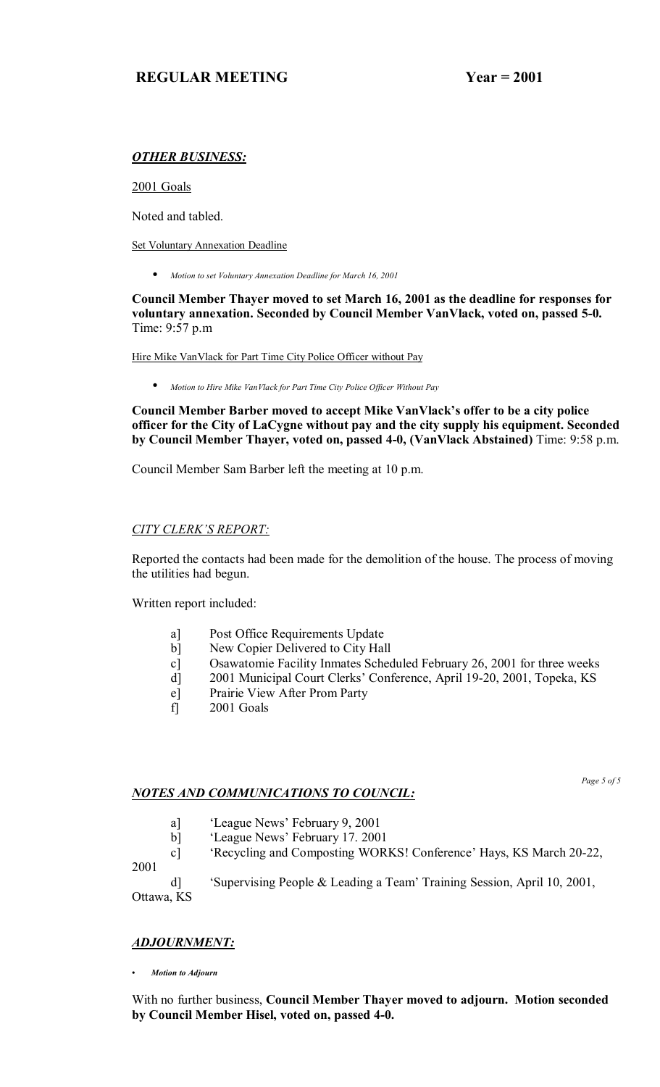## *OTHER BUSINESS:*

2001 Goals

Noted and tabled.

Set Voluntary Annexation Deadline

• *Motion to set Voluntary Annexation Deadline for March 16, 2001*

**Council Member Thayer moved to set March 16, 2001 as the deadline for responses for voluntary annexation. Seconded by Council Member VanVlack, voted on, passed 5-0.**  Time: 9:57 p.m

Hire Mike VanVlack for Part Time City Police Officer without Pay

• *Motion to Hire Mike VanVlack for Part Time City Police Officer Without Pay*

Council Member Barber moved to accept Mike VanVlack's offer to be a city police **officer for the City of LaCygne without pay and the city supply his equipment. Seconded by Council Member Thayer, voted on, passed 4-0, (VanVlack Abstained)** Time: 9:58 p.m.

Council Member Sam Barber left the meeting at 10 p.m.

## **CITY CLERK'S REPORT:**

Reported the contacts had been made for the demolition of the house. The process of moving the utilities had begun.

Written report included:

- a] Post Office Requirements Update
- b] New Copier Delivered to City Hall
- c] Osawatomie Facility Inmates Scheduled February 26, 2001 for three weeks
- d] 2001 Municipal Court Clerks' Conference, April 19-20, 2001, Topeka, KS
- e] Prairie View After Prom Party
- f] 2001 Goals

## *NOTES AND COMMUNICATIONS TO COUNCIL:*

*Page 5 of 5* 

- a] <sup>'</sup>League News' February 9, 2001
- b] 'League News' February 17. 2001
- c] 
Secycling and Composting WORKS! Conference' Hays, KS March 20-22,

2001

d] "Supervising People & Leading a Team' Training Session, April 10, 2001, Ottawa, KS

## *ADJOURNMENT:*

*ï Motion to Adjourn*

With no further business, **Council Member Thayer moved to adjourn. Motion seconded by Council Member Hisel, voted on, passed 4-0.**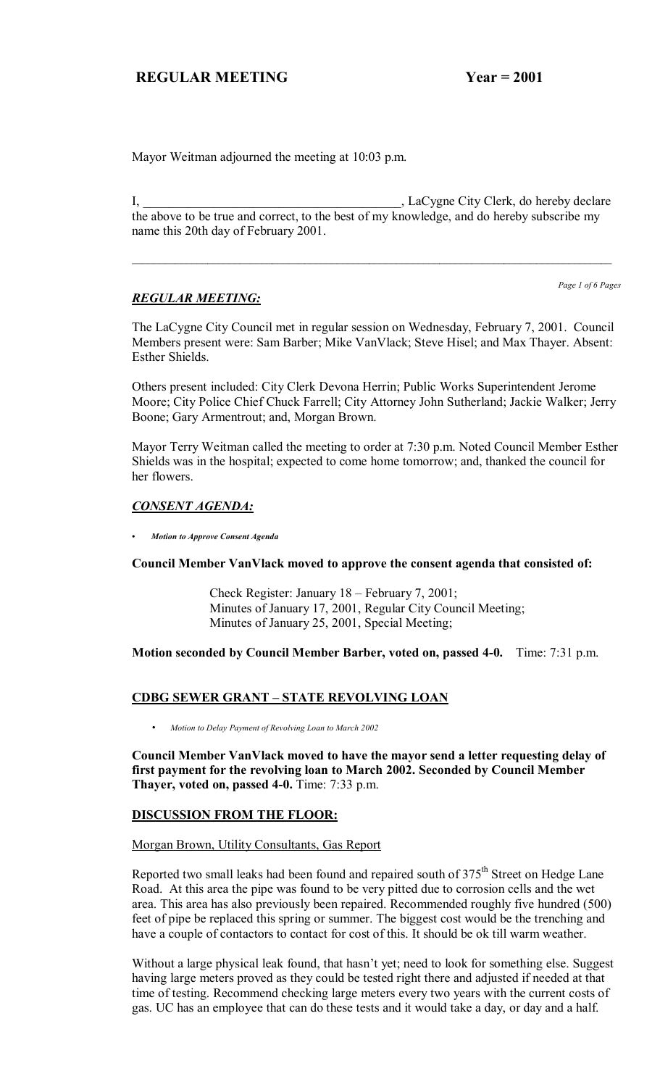Mayor Weitman adjourned the meeting at 10:03 p.m.

I, LaCygne City Clerk, do hereby declare the above to be true and correct, to the best of my knowledge, and do hereby subscribe my name this 20th day of February 2001.

### *REGULAR MEETING:*

*Page 1 of 6 Pages*

The LaCygne City Council met in regular session on Wednesday, February 7, 2001. Council Members present were: Sam Barber; Mike VanVlack; Steve Hisel; and Max Thayer. Absent: Esther Shields.

Others present included: City Clerk Devona Herrin; Public Works Superintendent Jerome Moore; City Police Chief Chuck Farrell; City Attorney John Sutherland; Jackie Walker; Jerry Boone; Gary Armentrout; and, Morgan Brown.

Mayor Terry Weitman called the meeting to order at 7:30 p.m. Noted Council Member Esther Shields was in the hospital; expected to come home tomorrow; and, thanked the council for her flowers.

#### *CONSENT AGENDA:*

*ï Motion to Approve Consent Agenda*

**Council Member VanVlack moved to approve the consent agenda that consisted of:**

Check Register: January  $18$  – February 7, 2001; Minutes of January 17, 2001, Regular City Council Meeting; Minutes of January 25, 2001, Special Meeting;

**Motion seconded by Council Member Barber, voted on, passed 4-0.** Time: 7:31 p.m.

### **CDBG SEWER GRANT - STATE REVOLVING LOAN**

• *Motion to Delay Payment of Revolving Loan to March 2002*

**Council Member VanVlack moved to have the mayor send a letter requesting delay of first payment for the revolving loan to March 2002. Seconded by Council Member Thayer, voted on, passed 4-0.** Time: 7:33 p.m.

### **DISCUSSION FROM THE FLOOR:**

#### Morgan Brown, Utility Consultants, Gas Report

Reported two small leaks had been found and repaired south of  $375<sup>th</sup>$  Street on Hedge Lane Road. At this area the pipe was found to be very pitted due to corrosion cells and the wet area. This area has also previously been repaired. Recommended roughly five hundred (500) feet of pipe be replaced this spring or summer. The biggest cost would be the trenching and have a couple of contactors to contact for cost of this. It should be ok till warm weather.

Without a large physical leak found, that hasn't yet; need to look for something else. Suggest having large meters proved as they could be tested right there and adjusted if needed at that time of testing. Recommend checking large meters every two years with the current costs of gas. UC has an employee that can do these tests and it would take a day, or day and a half.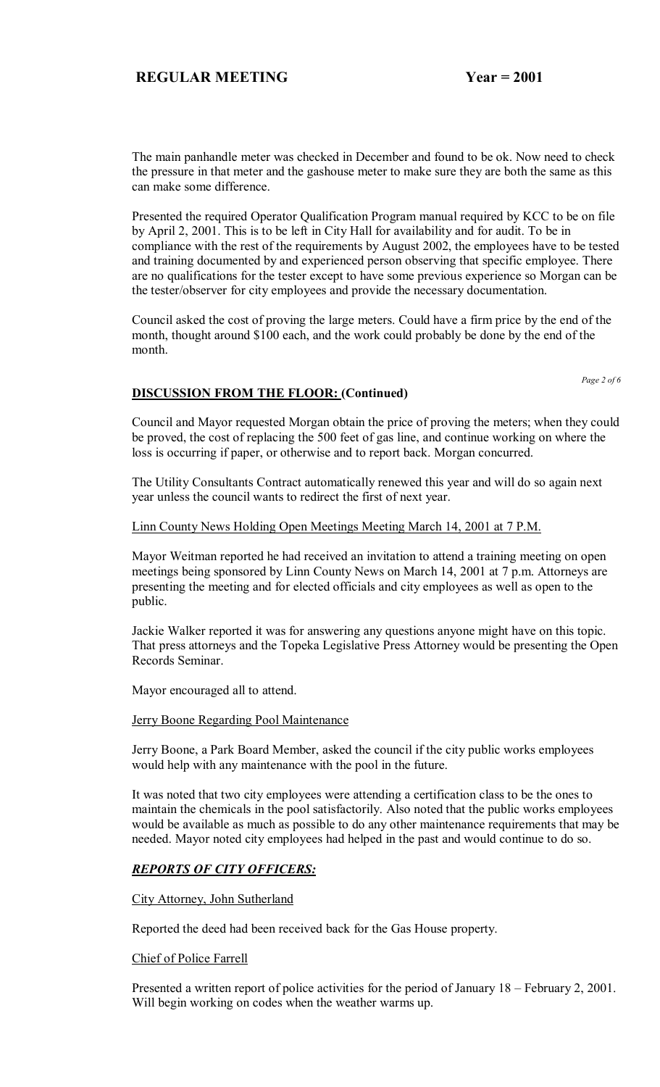The main panhandle meter was checked in December and found to be ok. Now need to check the pressure in that meter and the gashouse meter to make sure they are both the same as this can make some difference.

Presented the required Operator Qualification Program manual required by KCC to be on file by April 2, 2001. This is to be left in City Hall for availability and for audit. To be in compliance with the rest of the requirements by August 2002, the employees have to be tested and training documented by and experienced person observing that specific employee. There are no qualifications for the tester except to have some previous experience so Morgan can be the tester/observer for city employees and provide the necessary documentation.

Council asked the cost of proving the large meters. Could have a firm price by the end of the month, thought around \$100 each, and the work could probably be done by the end of the month.

*Page 2 of 6* 

## **DISCUSSION FROM THE FLOOR: (Continued)**

Council and Mayor requested Morgan obtain the price of proving the meters; when they could be proved, the cost of replacing the 500 feet of gas line, and continue working on where the loss is occurring if paper, or otherwise and to report back. Morgan concurred.

The Utility Consultants Contract automatically renewed this year and will do so again next year unless the council wants to redirect the first of next year.

#### Linn County News Holding Open Meetings Meeting March 14, 2001 at 7 P.M.

Mayor Weitman reported he had received an invitation to attend a training meeting on open meetings being sponsored by Linn County News on March 14, 2001 at 7 p.m. Attorneys are presenting the meeting and for elected officials and city employees as well as open to the public.

Jackie Walker reported it was for answering any questions anyone might have on this topic. That press attorneys and the Topeka Legislative Press Attorney would be presenting the Open Records Seminar.

Mayor encouraged all to attend.

#### **Jerry Boone Regarding Pool Maintenance**

Jerry Boone, a Park Board Member, asked the council if the city public works employees would help with any maintenance with the pool in the future.

It was noted that two city employees were attending a certification class to be the ones to maintain the chemicals in the pool satisfactorily. Also noted that the public works employees would be available as much as possible to do any other maintenance requirements that may be needed. Mayor noted city employees had helped in the past and would continue to do so.

#### *REPORTS OF CITY OFFICERS:*

#### City Attorney, John Sutherland

Reported the deed had been received back for the Gas House property.

#### Chief of Police Farrell

Presented a written report of police activities for the period of January  $18$  – February 2, 2001. Will begin working on codes when the weather warms up.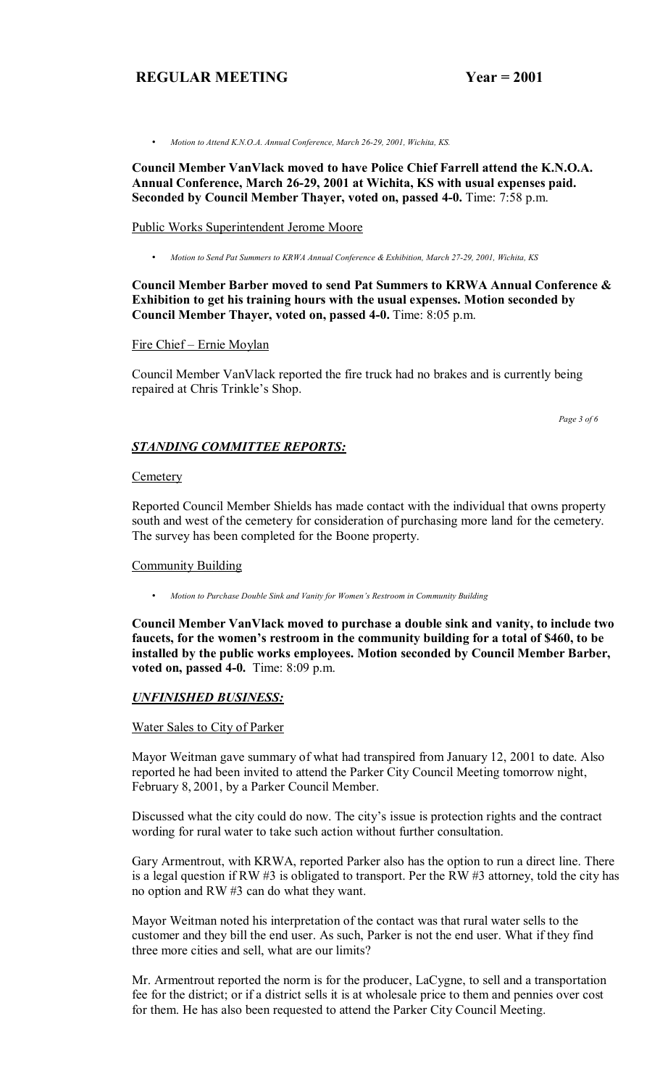• *Motion to Attend K.N.O.A. Annual Conference, March 26-29, 2001, Wichita, KS.*

**Council Member VanVlack moved to have Police Chief Farrell attend the K.N.O.A. Annual Conference, March 26-29, 2001 at Wichita, KS with usual expenses paid. Seconded by Council Member Thayer, voted on, passed 4-0.** Time: 7:58 p.m.

#### Public Works Superintendent Jerome Moore

• *Motion to Send Pat Summers to KRWA Annual Conference & Exhibition, March 27-29, 2001, Wichita, KS*

#### **Council Member Barber moved to send Pat Summers to KRWA Annual Conference & Exhibition to get his training hours with the usual expenses. Motion seconded by Council Member Thayer, voted on, passed 4-0.** Time: 8:05 p.m.

#### Fire Chief - Ernie Moylan

Council Member VanVlack reported the fire truck had no brakes and is currently being repaired at Chris Trinkle's Shop.

 *Page 3 of 6*

## *STANDING COMMITTEE REPORTS:*

#### **Cemetery**

Reported Council Member Shields has made contact with the individual that owns property south and west of the cemetery for consideration of purchasing more land for the cemetery. The survey has been completed for the Boone property.

#### Community Building

• *Motion to Purchase Double Sink and Vanity for Womenís Restroom in Community Building*

**Council Member VanVlack moved to purchase a double sink and vanity, to include two**  faucets, for the women's restroom in the community building for a total of \$460, to be **installed by the public works employees. Motion seconded by Council Member Barber, voted on, passed 4-0.** Time: 8:09 p.m.

#### *UNFINISHED BUSINESS:*

#### Water Sales to City of Parker

Mayor Weitman gave summary of what had transpired from January 12, 2001 to date. Also reported he had been invited to attend the Parker City Council Meeting tomorrow night, February 8, 2001, by a Parker Council Member.

Discussed what the city could do now. The city's issue is protection rights and the contract wording for rural water to take such action without further consultation.

Gary Armentrout, with KRWA, reported Parker also has the option to run a direct line. There is a legal question if RW #3 is obligated to transport. Per the RW #3 attorney, told the city has no option and RW #3 can do what they want.

Mayor Weitman noted his interpretation of the contact was that rural water sells to the customer and they bill the end user. As such, Parker is not the end user. What if they find three more cities and sell, what are our limits?

Mr. Armentrout reported the norm is for the producer, LaCygne, to sell and a transportation fee for the district; or if a district sells it is at wholesale price to them and pennies over cost for them. He has also been requested to attend the Parker City Council Meeting.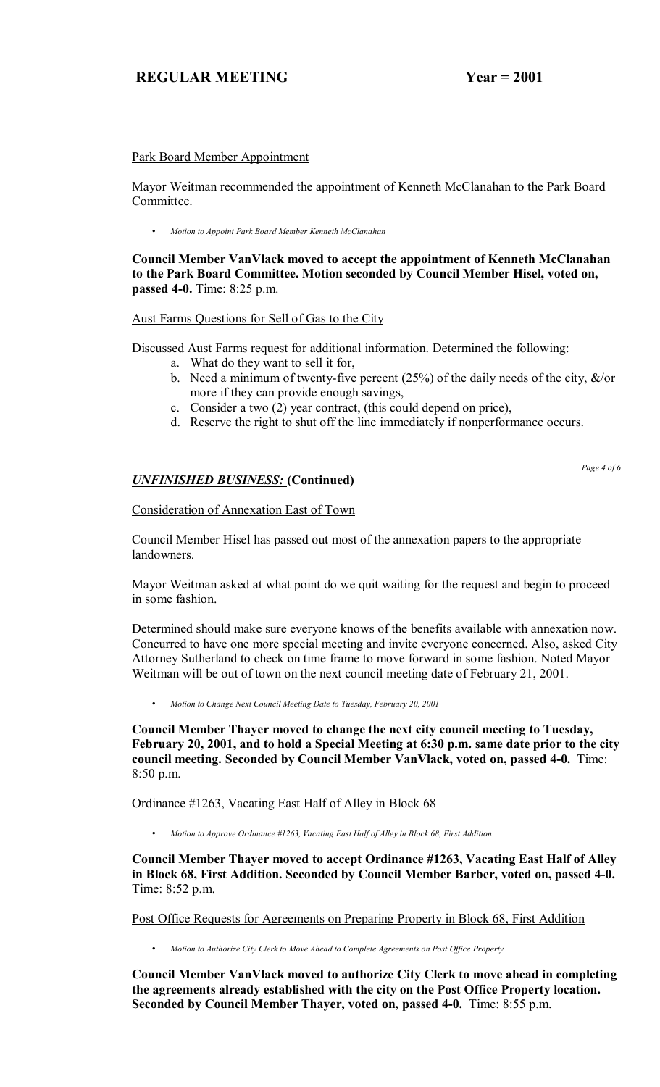#### Park Board Member Appointment

Mayor Weitman recommended the appointment of Kenneth McClanahan to the Park Board Committee.

• *Motion to Appoint Park Board Member Kenneth McClanahan*

**Council Member VanVlack moved to accept the appointment of Kenneth McClanahan to the Park Board Committee. Motion seconded by Council Member Hisel, voted on, passed 4-0.** Time: 8:25 p.m.

#### Aust Farms Questions for Sell of Gas to the City

Discussed Aust Farms request for additional information. Determined the following:

- a. What do they want to sell it for,
- b. Need a minimum of twenty-five percent (25%) of the daily needs of the city, &/or more if they can provide enough savings,
- c. Consider a two (2) year contract, (this could depend on price),
- d. Reserve the right to shut off the line immediately if nonperformance occurs.

## *UNFINISHED BUSINESS:* **(Continued)**

*Page 4 of 6* 

## Consideration of Annexation East of Town

Council Member Hisel has passed out most of the annexation papers to the appropriate landowners.

Mayor Weitman asked at what point do we quit waiting for the request and begin to proceed in some fashion.

Determined should make sure everyone knows of the benefits available with annexation now. Concurred to have one more special meeting and invite everyone concerned. Also, asked City Attorney Sutherland to check on time frame to move forward in some fashion. Noted Mayor Weitman will be out of town on the next council meeting date of February 21, 2001.

• *Motion to Change Next Council Meeting Date to Tuesday, February 20, 2001*

**Council Member Thayer moved to change the next city council meeting to Tuesday, February 20, 2001, and to hold a Special Meeting at 6:30 p.m. same date prior to the city council meeting. Seconded by Council Member VanVlack, voted on, passed 4-0.** Time: 8:50 p.m.

#### Ordinance #1263, Vacating East Half of Alley in Block 68

• *Motion to Approve Ordinance #1263, Vacating East Half of Alley in Block 68, First Addition*

**Council Member Thayer moved to accept Ordinance #1263, Vacating East Half of Alley in Block 68, First Addition. Seconded by Council Member Barber, voted on, passed 4-0.**  Time: 8:52 p.m.

Post Office Requests for Agreements on Preparing Property in Block 68, First Addition

• *Motion to Authorize City Clerk to Move Ahead to Complete Agreements on Post Office Property*

**Council Member VanVlack moved to authorize City Clerk to move ahead in completing the agreements already established with the city on the Post Office Property location. Seconded by Council Member Thayer, voted on, passed 4-0.** Time: 8:55 p.m.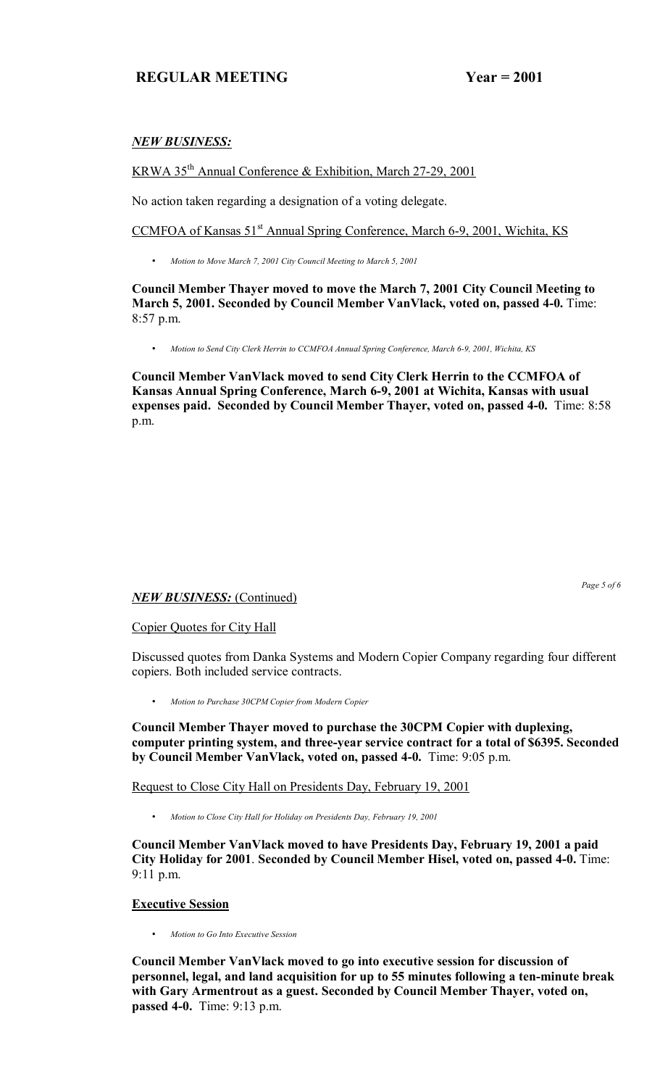### *NEW BUSINESS:*

### KRWA 35th Annual Conference & Exhibition, March 27-29, 2001

No action taken regarding a designation of a voting delegate.

CCMFOA of Kansas 51<sup>st</sup> Annual Spring Conference, March 6-9, 2001, Wichita, KS

• *Motion to Move March 7, 2001 City Council Meeting to March 5, 2001*

**Council Member Thayer moved to move the March 7, 2001 City Council Meeting to March 5, 2001. Seconded by Council Member VanVlack, voted on, passed 4-0.** Time: 8:57 p.m.

• *Motion to Send City Clerk Herrin to CCMFOA Annual Spring Conference, March 6-9, 2001, Wichita, KS*

**Council Member VanVlack moved to send City Clerk Herrin to the CCMFOA of Kansas Annual Spring Conference, March 6-9, 2001 at Wichita, Kansas with usual expenses paid. Seconded by Council Member Thayer, voted on, passed 4-0.** Time: 8:58 p.m.

### *NEW BUSINESS:* (Continued)

Copier Quotes for City Hall

Discussed quotes from Danka Systems and Modern Copier Company regarding four different copiers. Both included service contracts.

• *Motion to Purchase 30CPM Copier from Modern Copier*

**Council Member Thayer moved to purchase the 30CPM Copier with duplexing, computer printing system, and three-year service contract for a total of \$6395. Seconded by Council Member VanVlack, voted on, passed 4-0.** Time: 9:05 p.m.

Request to Close City Hall on Presidents Day, February 19, 2001

• *Motion to Close City Hall for Holiday on Presidents Day, February 19, 2001*

**Council Member VanVlack moved to have Presidents Day, February 19, 2001 a paid City Holiday for 2001**. **Seconded by Council Member Hisel, voted on, passed 4-0.** Time: 9:11 p.m.

### **Executive Session**

• *Motion to Go Into Executive Session*

**Council Member VanVlack moved to go into executive session for discussion of personnel, legal, and land acquisition for up to 55 minutes following a ten-minute break with Gary Armentrout as a guest. Seconded by Council Member Thayer, voted on, passed 4-0.** Time: 9:13 p.m.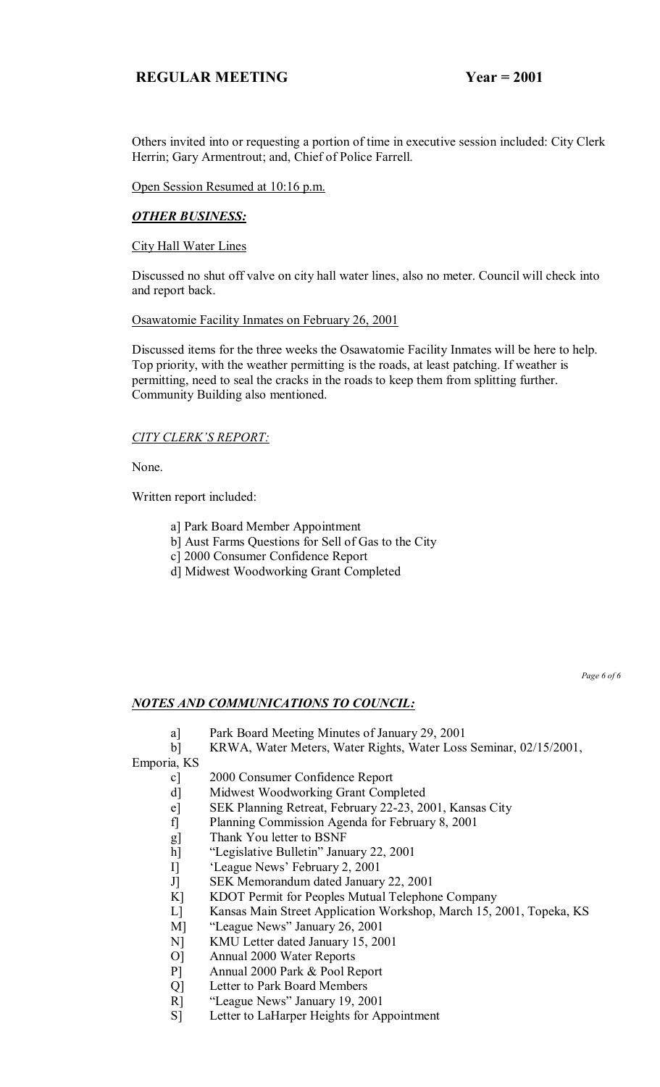Others invited into or requesting a portion of time in executive session included: City Clerk Herrin; Gary Armentrout; and, Chief of Police Farrell.

Open Session Resumed at 10:16 p.m.

## *OTHER BUSINESS:*

City Hall Water Lines

Discussed no shut off valve on city hall water lines, also no meter. Council will check into and report back.

#### Osawatomie Facility Inmates on February 26, 2001

Discussed items for the three weeks the Osawatomie Facility Inmates will be here to help. Top priority, with the weather permitting is the roads, at least patching. If weather is permitting, need to seal the cracks in the roads to keep them from splitting further. Community Building also mentioned.

### **CITY CLERK'S REPORT:**

None.

Written report included:

- a] Park Board Member Appointment
- b] Aust Farms Questions for Sell of Gas to the City
- c] 2000 Consumer Confidence Report
- d] Midwest Woodworking Grant Completed

*Page 6 of 6*

### *NOTES AND COMMUNICATIONS TO COUNCIL:*

a] Park Board Meeting Minutes of January 29, 2001

b] KRWA, Water Meters, Water Rights, Water Loss Seminar, 02/15/2001,

Emporia, KS

- c] 2000 Consumer Confidence Report
- d] Midwest Woodworking Grant Completed
- e] SEK Planning Retreat, February 22-23, 2001, Kansas City
- f] Planning Commission Agenda for February 8, 2001
- g] Thank You letter to BSNF
- h] "Legislative Bulletin" January 22, 2001
- I] <sup>'</sup>League News' February 2, 2001
- J] SEK Memorandum dated January 22, 2001
- K] KDOT Permit for Peoples Mutual Telephone Company<br>
L] Kansas Main Street Application Workshop, March 15, 2
- Kansas Main Street Application Workshop, March 15, 2001, Topeka, KS
- M] "League News" January 26, 2001
- N] KMU Letter dated January 15, 2001
- O] Annual 2000 Water Reports
- P] Annual 2000 Park & Pool Report
- Q] Letter to Park Board Members
- R] "League News" January 19, 2001
- S] Letter to LaHarper Heights for Appointment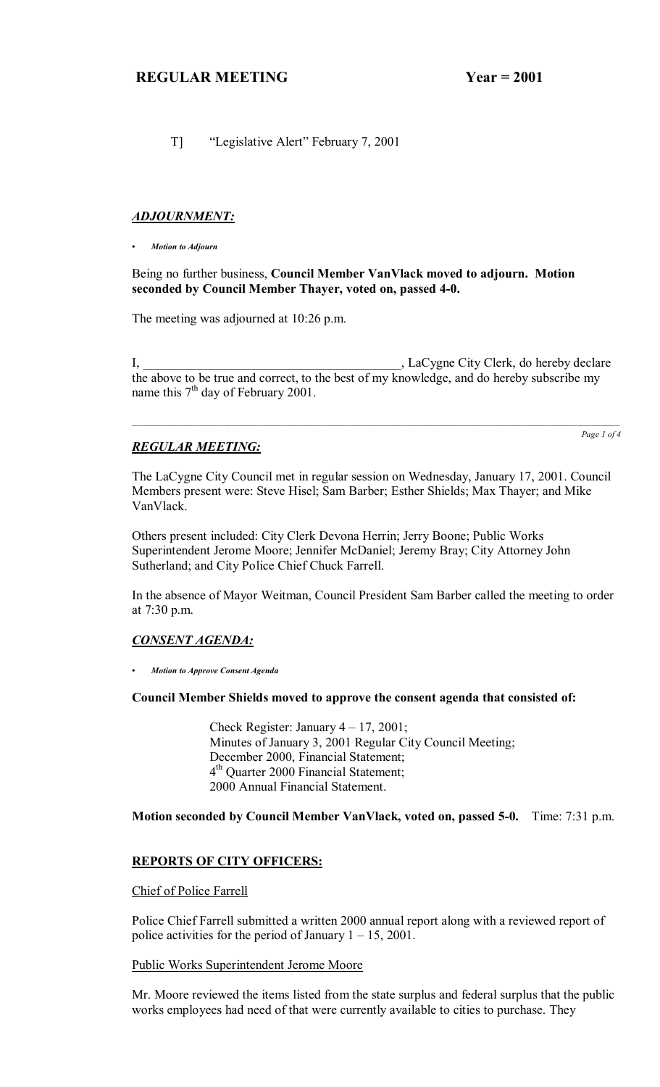T] <sup>"Legislative Alert" February 7, 2001</sup>

#### *ADJOURNMENT:*

*ï Motion to Adjourn*

#### Being no further business, **Council Member VanVlack moved to adjourn. Motion seconded by Council Member Thayer, voted on, passed 4-0.**

The meeting was adjourned at 10:26 p.m.

I, \_\_\_\_\_\_\_\_\_\_\_\_\_\_\_\_\_\_\_\_\_\_\_\_\_\_\_\_\_\_\_\_\_\_\_\_\_\_\_\_, LaCygne City Clerk, do hereby declare the above to be true and correct, to the best of my knowledge, and do hereby subscribe my name this  $7<sup>th</sup>$  day of February 2001.

 $\mathcal{L}_\mathcal{L} = \mathcal{L}_\mathcal{L} = \mathcal{L}_\mathcal{L} = \mathcal{L}_\mathcal{L} = \mathcal{L}_\mathcal{L} = \mathcal{L}_\mathcal{L} = \mathcal{L}_\mathcal{L} = \mathcal{L}_\mathcal{L} = \mathcal{L}_\mathcal{L} = \mathcal{L}_\mathcal{L} = \mathcal{L}_\mathcal{L} = \mathcal{L}_\mathcal{L} = \mathcal{L}_\mathcal{L} = \mathcal{L}_\mathcal{L} = \mathcal{L}_\mathcal{L} = \mathcal{L}_\mathcal{L} = \mathcal{L}_\mathcal{L}$ 

## *REGULAR MEETING:*

*Page 1 of 4*

The LaCygne City Council met in regular session on Wednesday, January 17, 2001. Council Members present were: Steve Hisel; Sam Barber; Esther Shields; Max Thayer; and Mike VanVlack.

Others present included: City Clerk Devona Herrin; Jerry Boone; Public Works Superintendent Jerome Moore; Jennifer McDaniel; Jeremy Bray; City Attorney John Sutherland; and City Police Chief Chuck Farrell.

In the absence of Mayor Weitman, Council President Sam Barber called the meeting to order at 7:30 p.m.

### *CONSENT AGENDA:*

*ï Motion to Approve Consent Agenda*

#### **Council Member Shields moved to approve the consent agenda that consisted of:**

Check Register: January  $4 - 17$ , 2001; Minutes of January 3, 2001 Regular City Council Meeting; December 2000, Financial Statement; 4<sup>th</sup> Quarter 2000 Financial Statement; 2000 Annual Financial Statement.

**Motion seconded by Council Member VanVlack, voted on, passed 5-0.** Time: 7:31 p.m.

#### **REPORTS OF CITY OFFICERS:**

#### Chief of Police Farrell

Police Chief Farrell submitted a written 2000 annual report along with a reviewed report of police activities for the period of January  $1 - 15$ , 2001.

#### Public Works Superintendent Jerome Moore

Mr. Moore reviewed the items listed from the state surplus and federal surplus that the public works employees had need of that were currently available to cities to purchase. They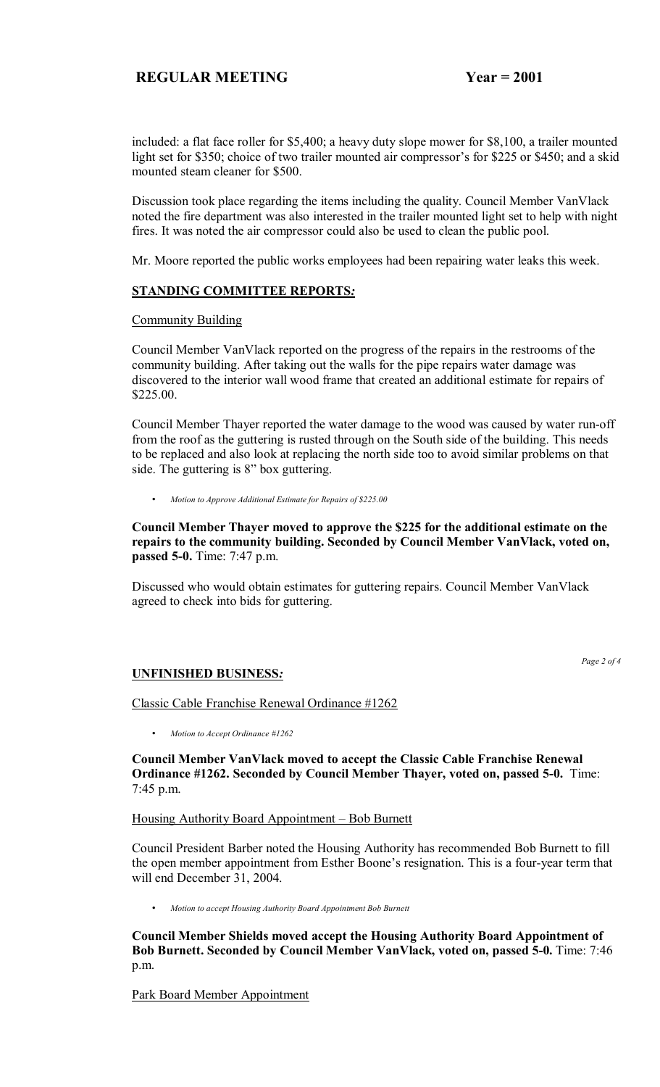included: a flat face roller for \$5,400; a heavy duty slope mower for \$8,100, a trailer mounted light set for \$350; choice of two trailer mounted air compressor's for \$225 or \$450; and a skid mounted steam cleaner for \$500.

Discussion took place regarding the items including the quality. Council Member VanVlack noted the fire department was also interested in the trailer mounted light set to help with night fires. It was noted the air compressor could also be used to clean the public pool.

Mr. Moore reported the public works employees had been repairing water leaks this week.

#### **STANDING COMMITTEE REPORTS***:*

#### Community Building

Council Member VanVlack reported on the progress of the repairs in the restrooms of the community building. After taking out the walls for the pipe repairs water damage was discovered to the interior wall wood frame that created an additional estimate for repairs of \$225.00.

Council Member Thayer reported the water damage to the wood was caused by water run-off from the roof as the guttering is rusted through on the South side of the building. This needs to be replaced and also look at replacing the north side too to avoid similar problems on that side. The guttering is 8" box guttering.

• *Motion to Approve Additional Estimate for Repairs of \$225.00*

**Council Member Thayer moved to approve the \$225 for the additional estimate on the repairs to the community building. Seconded by Council Member VanVlack, voted on, passed 5-0.** Time: 7:47 p.m.

Discussed who would obtain estimates for guttering repairs. Council Member VanVlack agreed to check into bids for guttering.

### **UNFINISHED BUSINESS***:*

*Page 2 of 4*

Classic Cable Franchise Renewal Ordinance #1262

• *Motion to Accept Ordinance #1262*

**Council Member VanVlack moved to accept the Classic Cable Franchise Renewal Ordinance #1262. Seconded by Council Member Thayer, voted on, passed 5-0.** Time: 7:45 p.m.

#### Housing Authority Board Appointment – Bob Burnett

Council President Barber noted the Housing Authority has recommended Bob Burnett to fill the open member appointment from Esther Boone's resignation. This is a four-year term that will end December 31, 2004.

• *Motion to accept Housing Authority Board Appointment Bob Burnett*

**Council Member Shields moved accept the Housing Authority Board Appointment of Bob Burnett. Seconded by Council Member VanVlack, voted on, passed 5-0.** Time: 7:46 p.m.

Park Board Member Appointment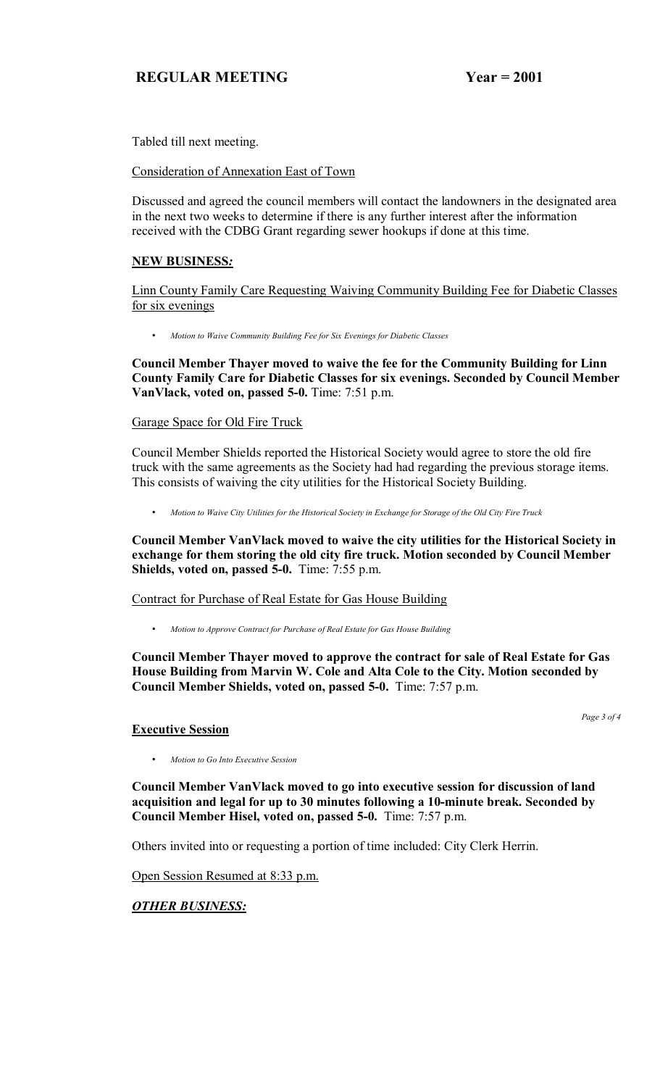Tabled till next meeting.

Consideration of Annexation East of Town

Discussed and agreed the council members will contact the landowners in the designated area in the next two weeks to determine if there is any further interest after the information received with the CDBG Grant regarding sewer hookups if done at this time.

## **NEW BUSINESS***:*

Linn County Family Care Requesting Waiving Community Building Fee for Diabetic Classes for six evenings

• *Motion to Waive Community Building Fee for Six Evenings for Diabetic Classes*

**Council Member Thayer moved to waive the fee for the Community Building for Linn County Family Care for Diabetic Classes for six evenings. Seconded by Council Member VanVlack, voted on, passed 5-0.** Time: 7:51 p.m.

## Garage Space for Old Fire Truck

Council Member Shields reported the Historical Society would agree to store the old fire truck with the same agreements as the Society had had regarding the previous storage items. This consists of waiving the city utilities for the Historical Society Building.

• *Motion to Waive City Utilities for the Historical Society in Exchange for Storage of the Old City Fire Truck*

**Council Member VanVlack moved to waive the city utilities for the Historical Society in exchange for them storing the old city fire truck. Motion seconded by Council Member Shields, voted on, passed 5-0.** Time: 7:55 p.m.

### Contract for Purchase of Real Estate for Gas House Building

• *Motion to Approve Contract for Purchase of Real Estate for Gas House Building* 

**Council Member Thayer moved to approve the contract for sale of Real Estate for Gas House Building from Marvin W. Cole and Alta Cole to the City. Motion seconded by Council Member Shields, voted on, passed 5-0.** Time: 7:57 p.m.

*Page 3 of 4*

### **Executive Session**

• *Motion to Go Into Executive Session*

**Council Member VanVlack moved to go into executive session for discussion of land acquisition and legal for up to 30 minutes following a 10-minute break. Seconded by Council Member Hisel, voted on, passed 5-0.** Time: 7:57 p.m.

Others invited into or requesting a portion of time included: City Clerk Herrin.

Open Session Resumed at 8:33 p.m.

## *OTHER BUSINESS:*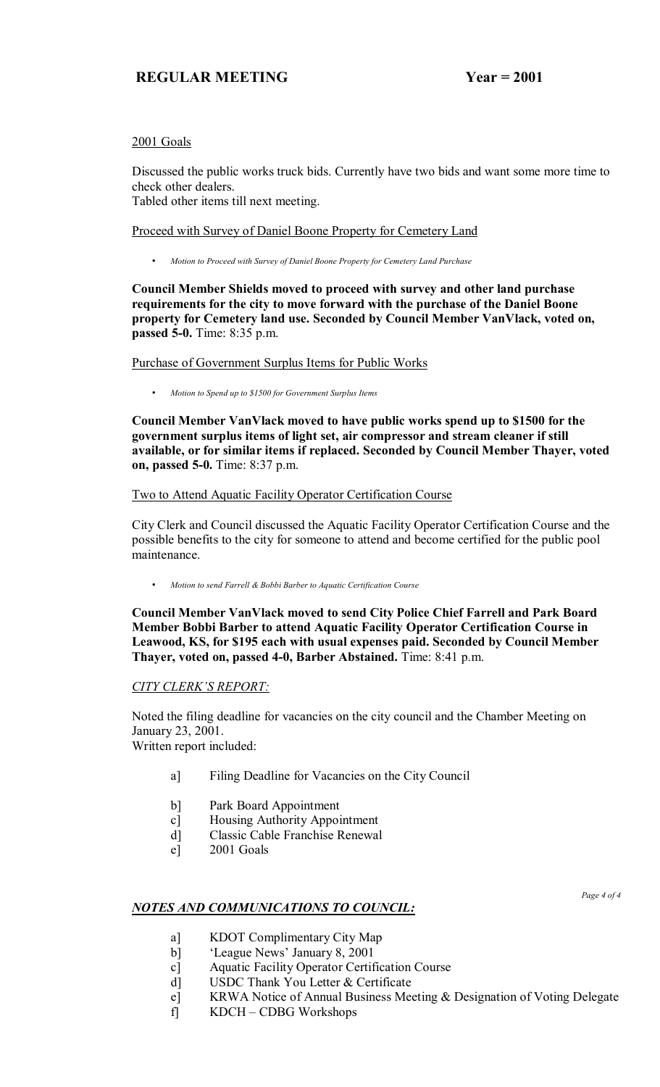### 2001 Goals

Discussed the public works truck bids. Currently have two bids and want some more time to check other dealers.

Tabled other items till next meeting.

Proceed with Survey of Daniel Boone Property for Cemetery Land

• *Motion to Proceed with Survey of Daniel Boone Property for Cemetery Land Purchase*

**Council Member Shields moved to proceed with survey and other land purchase requirements for the city to move forward with the purchase of the Daniel Boone property for Cemetery land use. Seconded by Council Member VanVlack, voted on, passed 5-0.** Time: 8:35 p.m.

Purchase of Government Surplus Items for Public Works

• *Motion to Spend up to \$1500 for Government Surplus Items*

**Council Member VanVlack moved to have public works spend up to \$1500 for the government surplus items of light set, air compressor and stream cleaner if still available, or for similar items if replaced. Seconded by Council Member Thayer, voted on, passed 5-0.** Time: 8:37 p.m.

Two to Attend Aquatic Facility Operator Certification Course

City Clerk and Council discussed the Aquatic Facility Operator Certification Course and the possible benefits to the city for someone to attend and become certified for the public pool maintenance.

• *Motion to send Farrell & Bobbi Barber to Aquatic Certification Course*

**Council Member VanVlack moved to send City Police Chief Farrell and Park Board Member Bobbi Barber to attend Aquatic Facility Operator Certification Course in Leawood, KS, for \$195 each with usual expenses paid. Seconded by Council Member Thayer, voted on, passed 4-0, Barber Abstained.** Time: 8:41 p.m.

### **CITY CLERK'S REPORT:**

Noted the filing deadline for vacancies on the city council and the Chamber Meeting on January 23, 2001.

Written report included:

- a] Filing Deadline for Vacancies on the City Council
- b] Park Board Appointment
- c] Housing Authority Appointment
- d] Classic Cable Franchise Renewal
- e] 2001 Goals

### *NOTES AND COMMUNICATIONS TO COUNCIL:*

*Page 4 of 4* 

- a] KDOT Complimentary City Map
- b] 'League News' January 8, 2001
- c] Aquatic Facility Operator Certification Course
- d] USDC Thank You Letter & Certificate
- e] KRWA Notice of Annual Business Meeting & Designation of Voting Delegate
- $f$  KDCH CDBG Workshops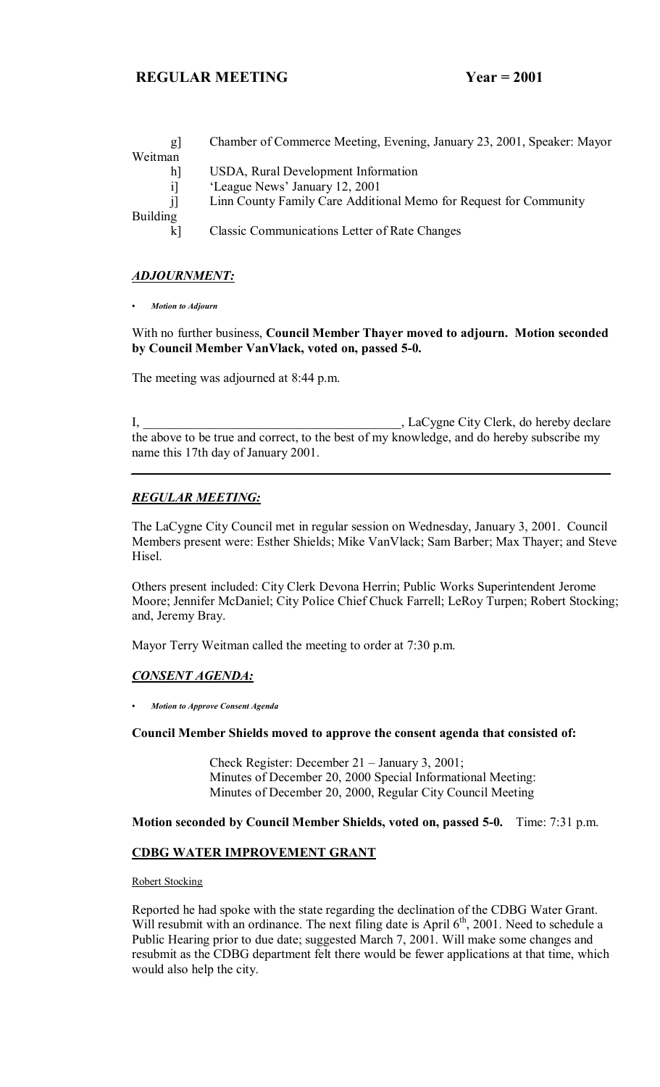| g               | Chamber of Commerce Meeting, Evening, January 23, 2001, Speaker: Mayor |
|-----------------|------------------------------------------------------------------------|
| Weitman         |                                                                        |
| h]              | USDA, Rural Development Information                                    |
| il              | 'League News' January 12, 2001                                         |
| i               | Linn County Family Care Additional Memo for Request for Community      |
| <b>Building</b> |                                                                        |
| k1              | <b>Classic Communications Letter of Rate Changes</b>                   |
|                 |                                                                        |

#### *ADJOURNMENT:*

*ï Motion to Adjourn*

With no further business, **Council Member Thayer moved to adjourn. Motion seconded by Council Member VanVlack, voted on, passed 5-0.**

The meeting was adjourned at 8:44 p.m.

I, LaCygne City Clerk, do hereby declare the above to be true and correct, to the best of my knowledge, and do hereby subscribe my name this 17th day of January 2001.

*\_\_\_\_\_\_\_\_\_\_\_\_\_\_\_\_\_\_\_\_\_\_\_\_\_\_\_\_\_\_\_\_\_\_\_\_\_\_\_\_\_\_\_\_\_\_\_\_\_\_\_\_\_\_\_\_\_\_\_\_\_\_\_\_\_\_\_\_\_\_\_\_\_\_*

#### *REGULAR MEETING:*

The LaCygne City Council met in regular session on Wednesday, January 3, 2001. Council Members present were: Esther Shields; Mike VanVlack; Sam Barber; Max Thayer; and Steve Hisel.

Others present included: City Clerk Devona Herrin; Public Works Superintendent Jerome Moore; Jennifer McDaniel; City Police Chief Chuck Farrell; LeRoy Turpen; Robert Stocking; and, Jeremy Bray.

Mayor Terry Weitman called the meeting to order at 7:30 p.m.

### *CONSENT AGENDA:*

*ï Motion to Approve Consent Agenda*

**Council Member Shields moved to approve the consent agenda that consisted of:**

Check Register: December  $21 -$  January 3, 2001; Minutes of December 20, 2000 Special Informational Meeting: Minutes of December 20, 2000, Regular City Council Meeting

**Motion seconded by Council Member Shields, voted on, passed 5-0.** Time: 7:31 p.m.

#### **CDBG WATER IMPROVEMENT GRANT**

#### Robert Stocking

Reported he had spoke with the state regarding the declination of the CDBG Water Grant. Will resubmit with an ordinance. The next filing date is April  $6<sup>th</sup>$ , 2001. Need to schedule a Public Hearing prior to due date; suggested March 7, 2001. Will make some changes and resubmit as the CDBG department felt there would be fewer applications at that time, which would also help the city.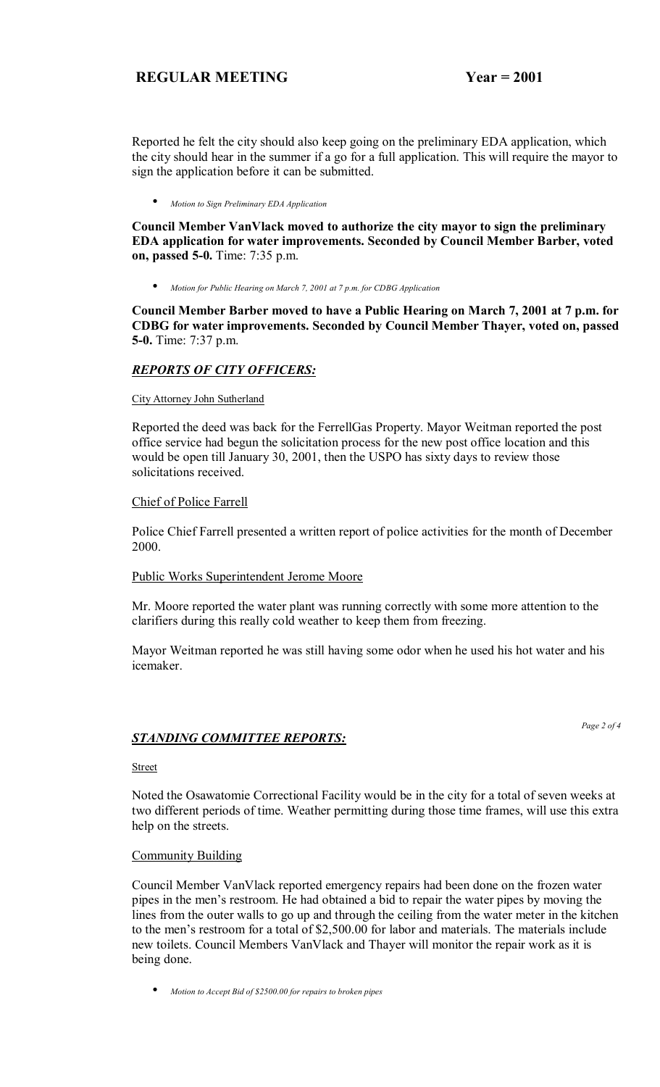Reported he felt the city should also keep going on the preliminary EDA application, which the city should hear in the summer if a go for a full application. This will require the mayor to sign the application before it can be submitted.

• *Motion to Sign Preliminary EDA Application*

**Council Member VanVlack moved to authorize the city mayor to sign the preliminary EDA application for water improvements. Seconded by Council Member Barber, voted on, passed 5-0.** Time: 7:35 p.m.

• *Motion for Public Hearing on March 7, 2001 at 7 p.m. for CDBG Application*

**Council Member Barber moved to have a Public Hearing on March 7, 2001 at 7 p.m. for CDBG for water improvements. Seconded by Council Member Thayer, voted on, passed 5-0.** Time: 7:37 p.m.

### *REPORTS OF CITY OFFICERS:*

#### City Attorney John Sutherland

Reported the deed was back for the FerrellGas Property. Mayor Weitman reported the post office service had begun the solicitation process for the new post office location and this would be open till January 30, 2001, then the USPO has sixty days to review those solicitations received.

#### Chief of Police Farrell

Police Chief Farrell presented a written report of police activities for the month of December 2000.

### Public Works Superintendent Jerome Moore

Mr. Moore reported the water plant was running correctly with some more attention to the clarifiers during this really cold weather to keep them from freezing.

Mayor Weitman reported he was still having some odor when he used his hot water and his icemaker.

### *STANDING COMMITTEE REPORTS:*

*Page 2 of 4* 

#### **Street**

Noted the Osawatomie Correctional Facility would be in the city for a total of seven weeks at two different periods of time. Weather permitting during those time frames, will use this extra help on the streets.

#### Community Building

Council Member VanVlack reported emergency repairs had been done on the frozen water pipes in the men's restroom. He had obtained a bid to repair the water pipes by moving the lines from the outer walls to go up and through the ceiling from the water meter in the kitchen to the men's restroom for a total of \$2,500.00 for labor and materials. The materials include new toilets. Council Members VanVlack and Thayer will monitor the repair work as it is being done.

• *Motion to Accept Bid of \$2500.00 for repairs to broken pipes*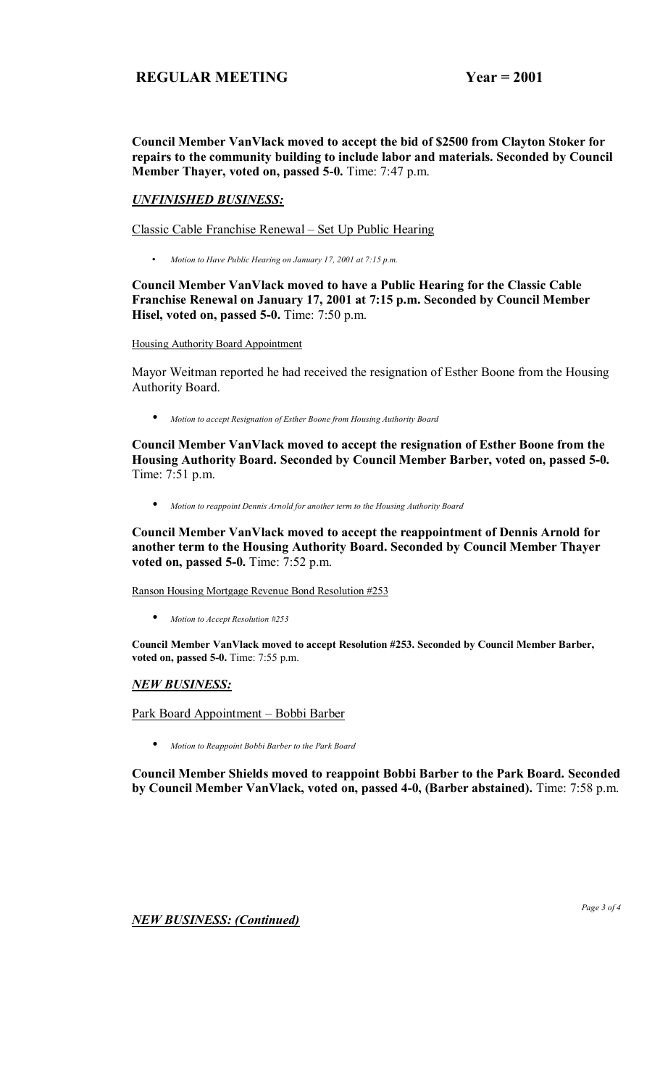**Council Member VanVlack moved to accept the bid of \$2500 from Clayton Stoker for repairs to the community building to include labor and materials. Seconded by Council Member Thayer, voted on, passed 5-0.** Time: 7:47 p.m.

#### *UNFINISHED BUSINESS:*

Classic Cable Franchise Renewal – Set Up Public Hearing

• *Motion to Have Public Hearing on January 17, 2001 at 7:15 p.m.* 

**Council Member VanVlack moved to have a Public Hearing for the Classic Cable Franchise Renewal on January 17, 2001 at 7:15 p.m. Seconded by Council Member Hisel, voted on, passed 5-0.** Time: 7:50 p.m.

Housing Authority Board Appointment

Mayor Weitman reported he had received the resignation of Esther Boone from the Housing Authority Board.

• *Motion to accept Resignation of Esther Boone from Housing Authority Board*

**Council Member VanVlack moved to accept the resignation of Esther Boone from the Housing Authority Board. Seconded by Council Member Barber, voted on, passed 5-0.**  Time: 7:51 p.m.

• *Motion to reappoint Dennis Arnold for another term to the Housing Authority Board*

**Council Member VanVlack moved to accept the reappointment of Dennis Arnold for another term to the Housing Authority Board. Seconded by Council Member Thayer voted on, passed 5-0.** Time: 7:52 p.m.

Ranson Housing Mortgage Revenue Bond Resolution #253

• *Motion to Accept Resolution #253*

**Council Member VanVlack moved to accept Resolution #253. Seconded by Council Member Barber, voted on, passed 5-0.** Time: 7:55 p.m.

### *NEW BUSINESS:*

<u>Park Board Appointment – Bobbi Barber</u>

• *Motion to Reappoint Bobbi Barber to the Park Board*

**Council Member Shields moved to reappoint Bobbi Barber to the Park Board. Seconded by Council Member VanVlack, voted on, passed 4-0, (Barber abstained).** Time: 7:58 p.m.

*NEW BUSINESS: (Continued)*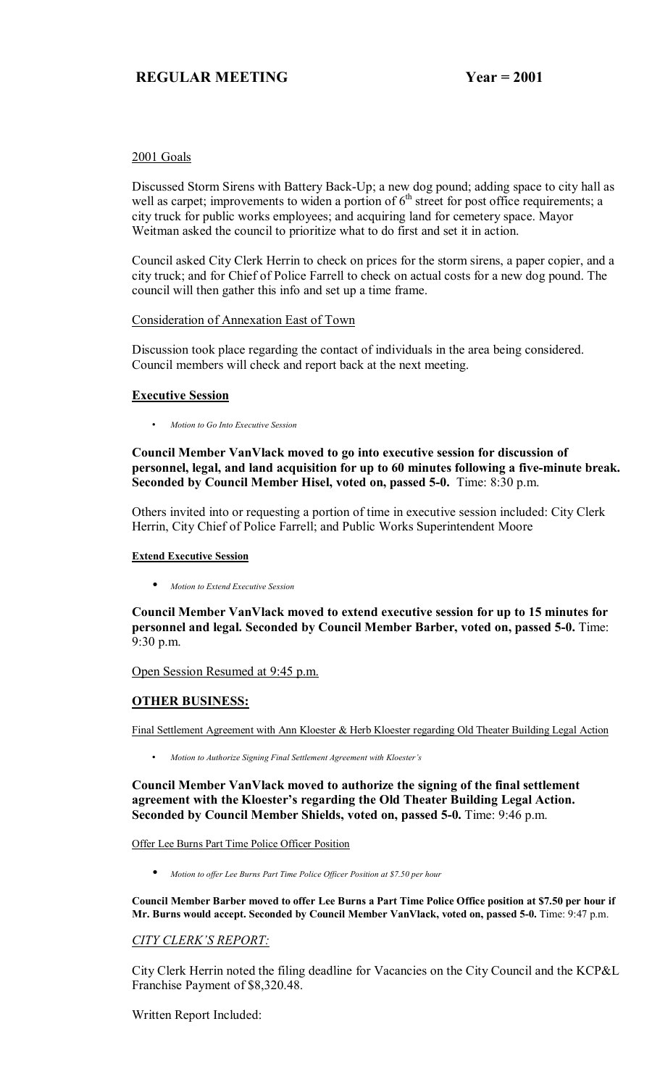## 2001 Goals

Discussed Storm Sirens with Battery Back-Up; a new dog pound; adding space to city hall as well as carpet; improvements to widen a portion of  $6<sup>th</sup>$  street for post office requirements; a city truck for public works employees; and acquiring land for cemetery space. Mayor Weitman asked the council to prioritize what to do first and set it in action.

Council asked City Clerk Herrin to check on prices for the storm sirens, a paper copier, and a city truck; and for Chief of Police Farrell to check on actual costs for a new dog pound. The council will then gather this info and set up a time frame.

### Consideration of Annexation East of Town

Discussion took place regarding the contact of individuals in the area being considered. Council members will check and report back at the next meeting.

### **Executive Session**

• *Motion to Go Into Executive Session*

**Council Member VanVlack moved to go into executive session for discussion of personnel, legal, and land acquisition for up to 60 minutes following a five-minute break. Seconded by Council Member Hisel, voted on, passed 5-0.** Time: 8:30 p.m.

Others invited into or requesting a portion of time in executive session included: City Clerk Herrin, City Chief of Police Farrell; and Public Works Superintendent Moore

#### **Extend Executive Session**

• *Motion to Extend Executive Session*

**Council Member VanVlack moved to extend executive session for up to 15 minutes for personnel and legal. Seconded by Council Member Barber, voted on, passed 5-0.** Time: 9:30 p.m.

Open Session Resumed at 9:45 p.m.

### **OTHER BUSINESS:**

Final Settlement Agreement with Ann Kloester & Herb Kloester regarding Old Theater Building Legal Action

• *Motion to Authorize Signing Final Settlement Agreement with Kloesterís* 

**Council Member VanVlack moved to authorize the signing of the final settlement**  agreement with the Kloester's regarding the Old Theater Building Legal Action. **Seconded by Council Member Shields, voted on, passed 5-0.** Time: 9:46 p.m.

Offer Lee Burns Part Time Police Officer Position

• *Motion to offer Lee Burns Part Time Police Officer Position at \$7.50 per hour*

**Council Member Barber moved to offer Lee Burns a Part Time Police Office position at \$7.50 per hour if Mr. Burns would accept. Seconded by Council Member VanVlack, voted on, passed 5-0.** Time: 9:47 p.m.

### **CITY CLERK'S REPORT:**

City Clerk Herrin noted the filing deadline for Vacancies on the City Council and the KCP&L Franchise Payment of \$8,320.48.

Written Report Included: